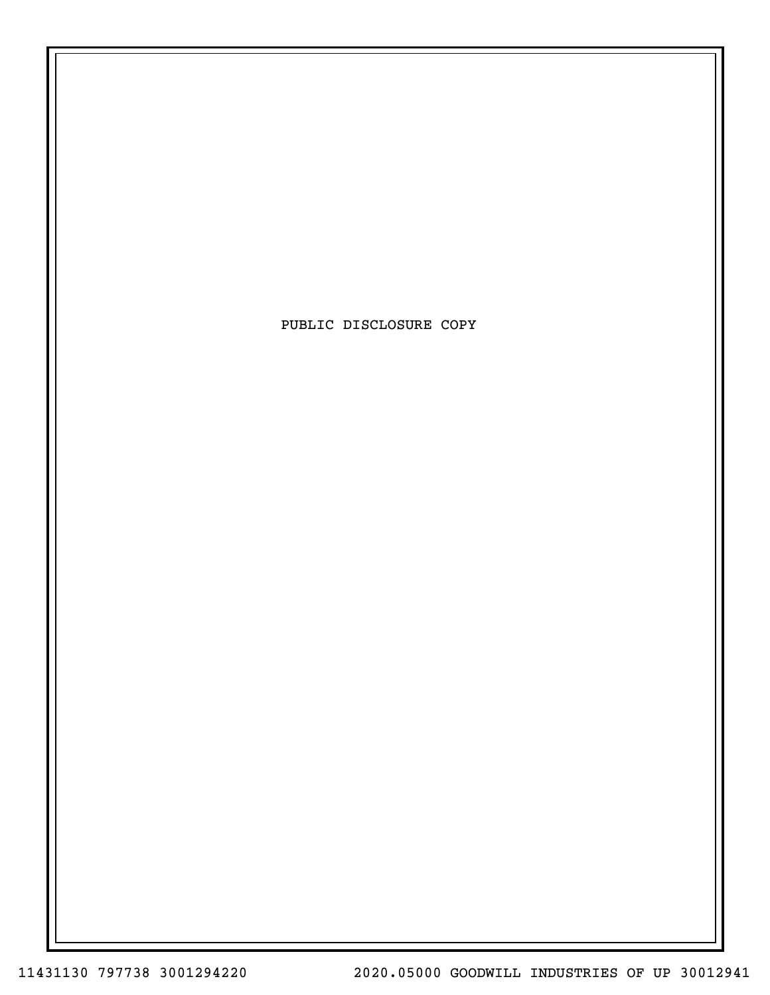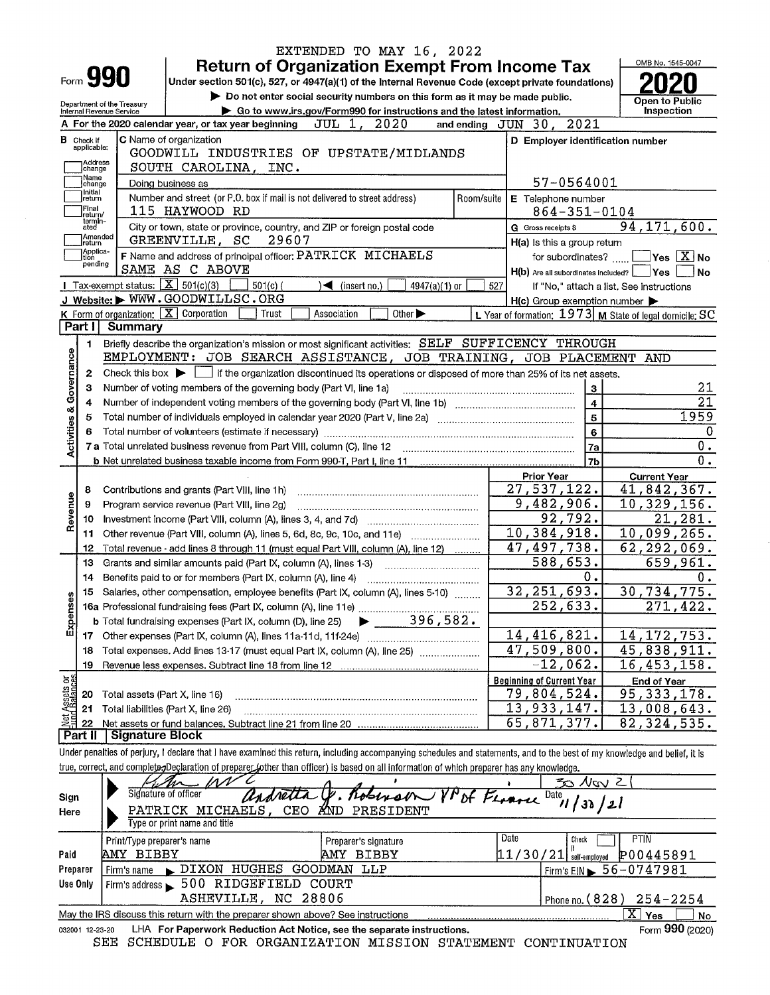|                            |                   |                                                 | EXTENDED TO MAY 16, 2022                                                                                                                                                                                  |            |                                                           |                                          |
|----------------------------|-------------------|-------------------------------------------------|-----------------------------------------------------------------------------------------------------------------------------------------------------------------------------------------------------------|------------|-----------------------------------------------------------|------------------------------------------|
|                            |                   | Form <b>990</b>                                 | <b>Return of Organization Exempt From Income Tax</b>                                                                                                                                                      |            |                                                           | OMB No. 1545-0047                        |
|                            |                   |                                                 | Under section 501(c), 527, or 4947(a)(1) of the Internal Revenue Code (except private foundations)                                                                                                        |            |                                                           |                                          |
|                            |                   | Department of the Treasury                      | Do not enter social security numbers on this form as it may be made public.                                                                                                                               |            |                                                           | Open to Public                           |
|                            |                   | Internal Revenue Service                        | Go to www.irs.gov/Form990 for instructions and the latest information.<br>A For the 2020 calendar year, or tax year beginning<br>JUL 1, 2020                                                              |            | and ending JUN 30, 2021                                   | Inspection                               |
|                            | $B$ Check if      |                                                 | C Name of organization                                                                                                                                                                                    |            |                                                           |                                          |
|                            | applicable:       |                                                 | GOODWILL INDUSTRIES OF UPSTATE/MIDLANDS                                                                                                                                                                   |            | D Employer identification number                          |                                          |
|                            | Address<br>change |                                                 | SOUTH CAROLINA, INC.                                                                                                                                                                                      |            |                                                           |                                          |
|                            | Name<br>change    |                                                 | Doing business as                                                                                                                                                                                         |            | 57-0564001                                                |                                          |
|                            | Initial<br>return |                                                 | Number and street (or P.O. box if mail is not delivered to street address)                                                                                                                                | Room/suite | E Telephone number                                        |                                          |
|                            | Final<br>return/  |                                                 | 115 HAYWOOD RD                                                                                                                                                                                            |            | $864 - 351 - 0104$                                        |                                          |
|                            | termin-<br>ated   |                                                 | City or town, state or province, country, and ZIP or foreign postal code                                                                                                                                  |            | G Gross receipts \$                                       | 94, 171, 600.                            |
|                            | Amended<br>return |                                                 | GREENVILLE, SC<br>29607                                                                                                                                                                                   |            | H(a) Is this a group return                               |                                          |
|                            | Applica-<br>ition |                                                 | F Name and address of principal officer: PATRICK MICHAELS                                                                                                                                                 |            | for subordinates?                                         | $\blacksquare$ Yes $\boxed{\text{X}}$ No |
|                            | pending           |                                                 | SAME AS C ABOVE                                                                                                                                                                                           |            | H(b) Are all subordinates included?                       | Yes <br>l No                             |
|                            |                   | Tax-exempt status: $\boxed{\text{X}}$ 501(c)(3) | $501(c)$ (<br>$\blacktriangleleft$ (insert no.)<br>4947(a)(1) or                                                                                                                                          | 527        |                                                           | If "No," attach a list. See instructions |
|                            |                   |                                                 | J Website: WWW.GOODWILLSC.ORG                                                                                                                                                                             |            | H(c) Group exemption number                               |                                          |
|                            |                   | K Form of organization: $X$ Corporation         | Other $\blacktriangleright$<br>Association<br>Trust                                                                                                                                                       |            | L Year of formation: $1973$ M State of legal domicile: SC |                                          |
|                            | Part I            | <b>Summary</b>                                  |                                                                                                                                                                                                           |            |                                                           |                                          |
|                            | 1.                |                                                 | Briefly describe the organization's mission or most significant activities: SELF SUFFICENCY THROUGH                                                                                                       |            |                                                           |                                          |
|                            |                   |                                                 | EMPLOYMENT: JOB SEARCH ASSISTANCE, JOB TRAINING, JOB PLACEMENT                                                                                                                                            |            |                                                           | AND                                      |
|                            | 2                 |                                                 | Check this box $\blacktriangleright$ if the organization discontinued its operations or disposed of more than 25% of its net assets.<br>Number of voting members of the governing body (Part VI, line 1a) |            |                                                           | 21                                       |
|                            | з<br>4            |                                                 |                                                                                                                                                                                                           |            | 3<br>$\overline{4}$                                       | 21                                       |
|                            | 5                 |                                                 |                                                                                                                                                                                                           |            | 5                                                         | 1959                                     |
| Activities & Governance    | 6                 |                                                 |                                                                                                                                                                                                           |            | 6                                                         | $\mathbf 0$                              |
|                            |                   |                                                 | 7 a Total unrelated business revenue from Part VIII, column (C), line 12                                                                                                                                  |            | 7a                                                        | 0.                                       |
|                            |                   |                                                 |                                                                                                                                                                                                           |            | 7b                                                        | 0.                                       |
|                            |                   |                                                 |                                                                                                                                                                                                           |            | <b>Prior Year</b>                                         | <b>Current Year</b>                      |
|                            | 8                 |                                                 | Contributions and grants (Part VIII, line 1h)                                                                                                                                                             |            | 27,537,122.                                               | 41,842,367.                              |
| Revenue                    | 9                 |                                                 | Program service revenue (Part VIII, line 2g)                                                                                                                                                              |            | 9,482,906.                                                | 10,329,156.                              |
|                            | 10                |                                                 |                                                                                                                                                                                                           |            | 92,792.                                                   | 21,281.                                  |
|                            | 11                |                                                 | Other revenue (Part VIII, column (A), lines 5, 6d, 8c, 9c, 10c, and 11e)                                                                                                                                  |            | 10,384,918.                                               | 10,099,265.                              |
|                            | 12                |                                                 | Total revenue - add lines 8 through 11 (must equal Part VIII, column (A), line 12)                                                                                                                        |            | 47,497,738.                                               | 62, 292, 069.                            |
|                            | 13                |                                                 | Grants and similar amounts paid (Part IX, column (A), lines 1-3)                                                                                                                                          |            | 588,653.                                                  | 659,961.                                 |
|                            | 14                |                                                 | Benefits paid to or for members (Part IX, column (A), line 4)                                                                                                                                             |            | 0.                                                        | υ.                                       |
| Ses                        |                   |                                                 | 15 Salaries, other compensation, employee benefits (Part IX, column (A), lines 5-10)                                                                                                                      |            | 32, 251, 693.                                             | 30,734,775.                              |
|                            |                   |                                                 | 16a Professional fundraising fees (Part IX, column (A), line 11e)                                                                                                                                         |            | 252,633.                                                  | $\overline{271, 422}$ .                  |
| Expens                     |                   |                                                 | 396,582.<br>b Total fundraising expenses (Part IX, column (D), line 25)<br>Other expenses (Part IX, column (A), lines 11a-11d, 11f-24e)                                                                   |            | 14,416,821.                                               | 14, 172, 753.                            |
|                            | 17<br>18          |                                                 | Total expenses. Add lines 13-17 (must equal Part IX, column (A), line 25)                                                                                                                                 |            | 47,509,800.                                               | 45,838,911.                              |
|                            | 19                |                                                 | Revenue less expenses. Subtract line 18 from line 12                                                                                                                                                      |            | $-12,062.$                                                | 16,453,158.                              |
|                            |                   |                                                 |                                                                                                                                                                                                           |            | <b>Beginning of Current Year</b>                          | <b>End of Year</b>                       |
| t Assets or<br>ud Balances | 20                | Total assets (Part X, line 16)                  |                                                                                                                                                                                                           |            | 79,804,524.                                               | 95, 333, 178.                            |
|                            | 21                | Total liabilities (Part X, line 26)             |                                                                                                                                                                                                           |            | 13,933,147.                                               | 13,008,643.                              |
| 望                          | 22                |                                                 |                                                                                                                                                                                                           |            | 65,871,377.                                               | 82, 324, 535.                            |
|                            | Part II           | Signature Block                                 |                                                                                                                                                                                                           |            |                                                           |                                          |
|                            |                   |                                                 | Under penalties of perjury, I declare that I have examined this return, including accompanying schedules and statements, and to the best of my knowledge and belief, it is                                |            |                                                           |                                          |
|                            |                   |                                                 | true, correct, and complete <sub>7</sub> Declaration of preparer (other than officer) is based on all information of which preparer has any knowledge.                                                    |            |                                                           |                                          |

| Sign<br>Here | $M_{\rm m}$ MV<br>Signature of officer<br>PATRICK MICHAELS, CEO AND PRESIDENT<br>Type or print name and title                                                     | andretta &. Roberson VPDF France Date, 1 | $50$ Nov 2                                                     |  |  |  |  |  |  |
|--------------|-------------------------------------------------------------------------------------------------------------------------------------------------------------------|------------------------------------------|----------------------------------------------------------------|--|--|--|--|--|--|
| Paid         | Print/Type preparer's name<br>AMY BIBBY                                                                                                                           | Preparer's signature<br>AMY BIBBY        | Date<br>PTIN<br>Check<br>P00445891<br>$11/30/21$ self-employed |  |  |  |  |  |  |
| Preparer     | DIXON HUGHES GOODMAN LLP<br>Firm's name                                                                                                                           |                                          | $I$ Firm's EIN $\blacktriangleright$ 56-0747981                |  |  |  |  |  |  |
| Use Only     | Firm's address > 500 RIDGEFIELD COURT                                                                                                                             |                                          |                                                                |  |  |  |  |  |  |
|              | ASHEVILLE, NC 28806<br>Phone no. $(828)$ $254 - 2254$<br>x<br>May the IRS discuss this return with the preparer shown above? See instructions<br>No<br><b>Yes</b> |                                          |                                                                |  |  |  |  |  |  |

2-23-20 LHA For Paperwork Reduction Act Notice, see the separate instructions.<br>SEE SCHEDULE O FOR ORGANIZATION MISSION STATEMENT CONTINUATION 032001 12-23-20

Form 990 (2020)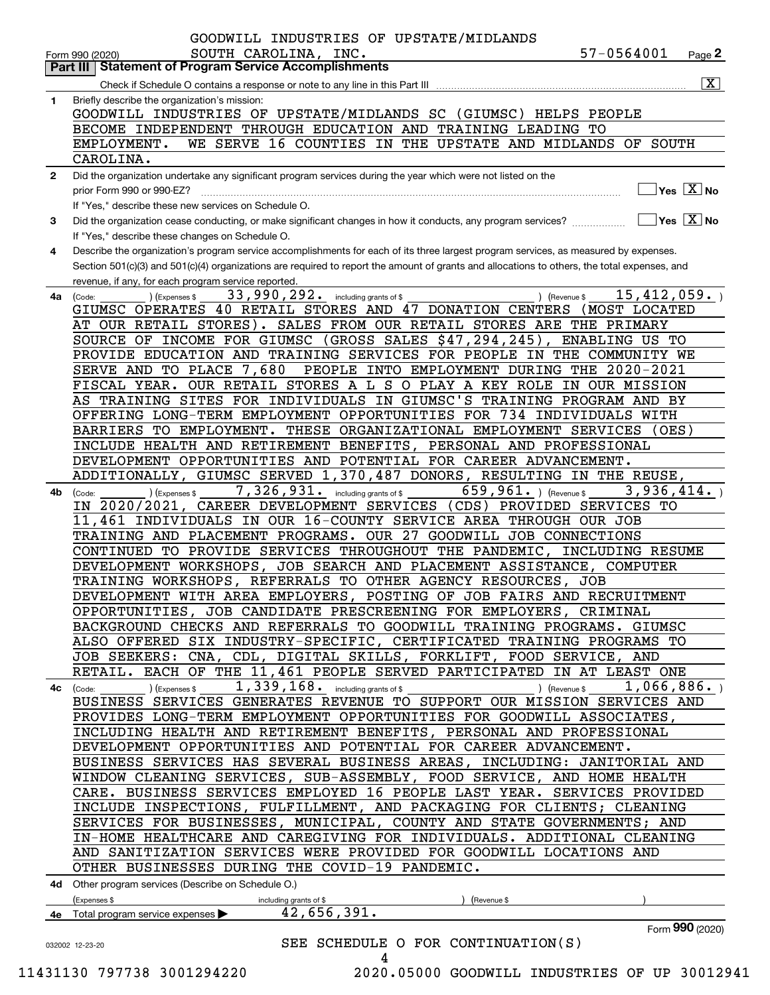|              | 57-0564001<br>SOUTH CAROLINA, INC.<br>Page $2$<br>Form 990 (2020)<br><b>Part III Statement of Program Service Accomplishments</b>                                       |                         |
|--------------|-------------------------------------------------------------------------------------------------------------------------------------------------------------------------|-------------------------|
|              | Check if Schedule O contains a response or note to any line in this Part III                                                                                            | $\overline{\mathbf{x}}$ |
| $\mathbf{1}$ | Briefly describe the organization's mission:                                                                                                                            |                         |
|              | GOODWILL INDUSTRIES OF UPSTATE/MIDLANDS SC (GIUMSC) HELPS PEOPLE                                                                                                        |                         |
|              | BECOME INDEPENDENT THROUGH EDUCATION AND TRAINING LEADING TO                                                                                                            |                         |
|              | WE SERVE 16 COUNTIES IN THE UPSTATE AND MIDLANDS OF SOUTH<br>EMPLOYMENT.                                                                                                |                         |
|              | CAROLINA.                                                                                                                                                               |                         |
| $\mathbf{2}$ | Did the organization undertake any significant program services during the year which were not listed on the                                                            |                         |
|              | $\overline{\ }$ Yes $\overline{\rm X}$ No<br>prior Form 990 or 990-EZ?                                                                                                  |                         |
|              | If "Yes," describe these new services on Schedule O.                                                                                                                    |                         |
| 3            | $\boxed{\phantom{1}}$ Yes $\boxed{\text{X}}$ No<br>Did the organization cease conducting, or make significant changes in how it conducts, any program services?         |                         |
|              | If "Yes," describe these changes on Schedule O.                                                                                                                         |                         |
| 4            | Describe the organization's program service accomplishments for each of its three largest program services, as measured by expenses.                                    |                         |
|              | Section 501(c)(3) and 501(c)(4) organizations are required to report the amount of grants and allocations to others, the total expenses, and                            |                         |
|              | revenue, if any, for each program service reported.                                                                                                                     |                         |
| 4a           | 33,990,292. including grants of \$<br>15,412,059.<br>(Expenses \$<br>) (Revenue \$<br>(Code:                                                                            |                         |
|              | GIUMSC OPERATES 40 RETAIL STORES AND 47 DONATION CENTERS<br>(MOST LOCATED                                                                                               |                         |
|              | AT OUR RETAIL STORES). SALES FROM OUR RETAIL STORES ARE THE PRIMARY                                                                                                     |                         |
|              | SOURCE OF INCOME FOR GIUMSC (GROSS SALES \$47,294,245), ENABLING US TO                                                                                                  |                         |
|              | PROVIDE EDUCATION AND TRAINING SERVICES FOR PEOPLE IN THE COMMUNITY WE                                                                                                  |                         |
|              | SERVE AND TO PLACE 7,680 PEOPLE INTO EMPLOYMENT DURING THE 2020-2021                                                                                                    |                         |
|              | FISCAL YEAR. OUR RETAIL STORES A L S O PLAY A KEY ROLE IN OUR MISSION                                                                                                   |                         |
|              | AS TRAINING SITES FOR INDIVIDUALS IN GIUMSC'S TRAINING PROGRAM AND BY                                                                                                   |                         |
|              | OFFERING LONG-TERM EMPLOYMENT OPPORTUNITIES FOR 734 INDIVIDUALS WITH                                                                                                    |                         |
|              | BARRIERS TO EMPLOYMENT. THESE ORGANIZATIONAL EMPLOYMENT SERVICES (OES)                                                                                                  |                         |
|              | INCLUDE HEALTH AND RETIREMENT BENEFITS, PERSONAL AND PROFESSIONAL                                                                                                       |                         |
|              | DEVELOPMENT OPPORTUNITIES AND POTENTIAL FOR CAREER ADVANCEMENT.                                                                                                         |                         |
|              | ADDITIONALLY, GIUMSC SERVED 1,370,487 DONORS, RESULTING IN THE REUSE,                                                                                                   |                         |
| 4b.          | 3,936,414.<br>7, 326, 931. including grants of \$<br>659,961. $ $ (Revenue \$<br>(Expenses \$<br>(Code:                                                                 |                         |
|              | IN 2020/2021, CAREER DEVELOPMENT SERVICES (CDS) PROVIDED SERVICES TO                                                                                                    |                         |
|              | 11,461 INDIVIDUALS IN OUR 16-COUNTY SERVICE AREA THROUGH OUR JOB                                                                                                        |                         |
|              | TRAINING AND PLACEMENT PROGRAMS. OUR 27 GOODWILL JOB CONNECTIONS                                                                                                        |                         |
|              | CONTINUED TO PROVIDE SERVICES THROUGHOUT THE PANDEMIC, INCLUDING RESUME                                                                                                 |                         |
|              | DEVELOPMENT WORKSHOPS, JOB SEARCH AND PLACEMENT ASSISTANCE, COMPUTER                                                                                                    |                         |
|              | TRAINING WORKSHOPS, REFERRALS TO OTHER AGENCY RESOURCES, JOB                                                                                                            |                         |
|              | DEVELOPMENT WITH AREA EMPLOYERS, POSTING OF JOB FAIRS AND RECRUITMENT                                                                                                   |                         |
|              | OPPORTUNITIES, JOB CANDIDATE PRESCREENING FOR EMPLOYERS, CRIMINAL                                                                                                       |                         |
|              | BACKGROUND CHECKS AND REFERRALS TO GOODWILL TRAINING PROGRAMS. GIUMSC                                                                                                   |                         |
|              | ALSO OFFERED SIX INDUSTRY-SPECIFIC, CERTIFICATED TRAINING PROGRAMS TO                                                                                                   |                         |
|              | JOB SEEKERS: CNA, CDL, DIGITAL SKILLS, FORKLIFT, FOOD SERVICE, AND<br>RETAIL. EACH OF THE 11,461 PEOPLE SERVED PARTICIPATED IN AT LEAST ONE                             |                         |
|              |                                                                                                                                                                         |                         |
| 4c           | 1,339,168. including grants of \$<br>1,066,886.<br>) (Expenses \$<br>) (Revenue \$<br>(Code:<br>BUSINESS SERVICES GENERATES REVENUE TO SUPPORT OUR MISSION SERVICES AND |                         |
|              | PROVIDES LONG-TERM EMPLOYMENT OPPORTUNITIES FOR GOODWILL ASSOCIATES,                                                                                                    |                         |
|              | INCLUDING HEALTH AND RETIREMENT BENEFITS, PERSONAL AND PROFESSIONAL                                                                                                     |                         |
|              | DEVELOPMENT OPPORTUNITIES AND POTENTIAL FOR CAREER ADVANCEMENT.                                                                                                         |                         |
|              | BUSINESS SERVICES HAS SEVERAL BUSINESS AREAS, INCLUDING: JANITORIAL AND                                                                                                 |                         |
|              | WINDOW CLEANING SERVICES, SUB-ASSEMBLY, FOOD SERVICE, AND HOME HEALTH                                                                                                   |                         |
|              | CARE. BUSINESS SERVICES EMPLOYED 16 PEOPLE LAST YEAR. SERVICES PROVIDED                                                                                                 |                         |
|              | INCLUDE INSPECTIONS, FULFILLMENT, AND PACKAGING FOR CLIENTS; CLEANING                                                                                                   |                         |
|              | SERVICES FOR BUSINESSES, MUNICIPAL, COUNTY AND STATE GOVERNMENTS; AND                                                                                                   |                         |
|              | IN-HOME HEALTHCARE AND CAREGIVING FOR INDIVIDUALS. ADDITIONAL CLEANING                                                                                                  |                         |
|              | AND SANITIZATION SERVICES WERE PROVIDED FOR GOODWILL LOCATIONS AND                                                                                                      |                         |
|              | OTHER BUSINESSES DURING THE COVID-19 PANDEMIC.                                                                                                                          |                         |
|              |                                                                                                                                                                         |                         |
|              | 4d Other program services (Describe on Schedule O.)                                                                                                                     |                         |
|              | (Expenses \$<br>including grants of \$<br>(Revenue \$<br>42,656,391.                                                                                                    |                         |
|              | <b>4e</b> Total program service expenses $\blacktriangleright$                                                                                                          |                         |
|              | Form 990 (2020)                                                                                                                                                         |                         |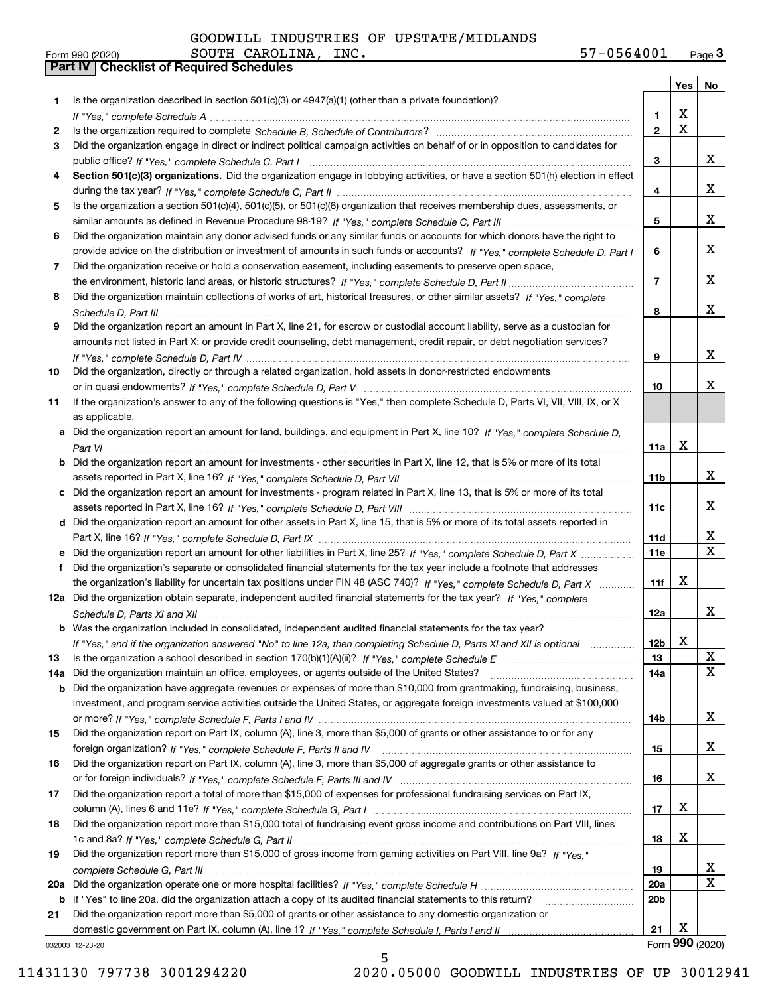|     |                                                                                                                                       |                 | Yes                     | No                      |
|-----|---------------------------------------------------------------------------------------------------------------------------------------|-----------------|-------------------------|-------------------------|
| 1.  | Is the organization described in section $501(c)(3)$ or $4947(a)(1)$ (other than a private foundation)?                               |                 |                         |                         |
|     |                                                                                                                                       | 1               | X                       |                         |
| 2   |                                                                                                                                       | $\overline{2}$  | $\overline{\mathbf{x}}$ |                         |
| 3   | Did the organization engage in direct or indirect political campaign activities on behalf of or in opposition to candidates for       |                 |                         |                         |
|     |                                                                                                                                       | 3               |                         | x                       |
| 4   | Section 501(c)(3) organizations. Did the organization engage in lobbying activities, or have a section 501(h) election in effect      |                 |                         |                         |
|     |                                                                                                                                       | 4               |                         | x                       |
| 5   | Is the organization a section 501(c)(4), 501(c)(5), or 501(c)(6) organization that receives membership dues, assessments, or          |                 |                         |                         |
|     |                                                                                                                                       | 5               |                         | x                       |
| 6   | Did the organization maintain any donor advised funds or any similar funds or accounts for which donors have the right to             |                 |                         |                         |
|     | provide advice on the distribution or investment of amounts in such funds or accounts? If "Yes," complete Schedule D, Part I          | 6               |                         | x                       |
| 7   | Did the organization receive or hold a conservation easement, including easements to preserve open space,                             |                 |                         |                         |
|     |                                                                                                                                       | $\overline{7}$  |                         | x                       |
| 8   | Did the organization maintain collections of works of art, historical treasures, or other similar assets? If "Yes," complete          |                 |                         |                         |
|     |                                                                                                                                       | 8               |                         | x                       |
| 9   | Did the organization report an amount in Part X, line 21, for escrow or custodial account liability, serve as a custodian for         |                 |                         |                         |
|     | amounts not listed in Part X; or provide credit counseling, debt management, credit repair, or debt negotiation services?             |                 |                         |                         |
|     |                                                                                                                                       | 9               |                         | x                       |
| 10  | Did the organization, directly or through a related organization, hold assets in donor-restricted endowments                          |                 |                         |                         |
|     |                                                                                                                                       | 10              |                         | x.                      |
| 11  | If the organization's answer to any of the following questions is "Yes," then complete Schedule D, Parts VI, VII, VIII, IX, or X      |                 |                         |                         |
|     | as applicable.                                                                                                                        |                 |                         |                         |
|     | a Did the organization report an amount for land, buildings, and equipment in Part X, line 10? If "Yes," complete Schedule D,         |                 | X                       |                         |
|     |                                                                                                                                       | 11a             |                         |                         |
|     | <b>b</b> Did the organization report an amount for investments - other securities in Part X, line 12, that is 5% or more of its total |                 |                         | x                       |
|     |                                                                                                                                       | 11 <sub>b</sub> |                         |                         |
|     | c Did the organization report an amount for investments - program related in Part X, line 13, that is 5% or more of its total         | 11c             |                         | x                       |
|     |                                                                                                                                       |                 |                         |                         |
|     | d Did the organization report an amount for other assets in Part X, line 15, that is 5% or more of its total assets reported in       | 11d             |                         | x                       |
|     | e Did the organization report an amount for other liabilities in Part X, line 25? If "Yes," complete Schedule D, Part X               | 11e             |                         | $\overline{\mathbf{X}}$ |
|     | f Did the organization's separate or consolidated financial statements for the tax year include a footnote that addresses             |                 |                         |                         |
|     | the organization's liability for uncertain tax positions under FIN 48 (ASC 740)? If "Yes," complete Schedule D, Part X                | 11f             | х                       |                         |
|     | 12a Did the organization obtain separate, independent audited financial statements for the tax year? If "Yes," complete               |                 |                         |                         |
|     |                                                                                                                                       | 12a             |                         | x                       |
|     | b Was the organization included in consolidated, independent audited financial statements for the tax year?                           |                 |                         |                         |
|     | If "Yes," and if the organization answered "No" to line 12a, then completing Schedule D, Parts XI and XII is optional manum           | 12b             | A                       |                         |
| 13  |                                                                                                                                       | 13              |                         | X                       |
| 14a | Did the organization maintain an office, employees, or agents outside of the United States?                                           | 14a             |                         | X                       |
|     | <b>b</b> Did the organization have aggregate revenues or expenses of more than \$10,000 from grantmaking, fundraising, business,      |                 |                         |                         |
|     | investment, and program service activities outside the United States, or aggregate foreign investments valued at \$100,000            |                 |                         |                         |
|     |                                                                                                                                       | 14b             |                         | x                       |
| 15  | Did the organization report on Part IX, column (A), line 3, more than \$5,000 of grants or other assistance to or for any             |                 |                         |                         |
|     |                                                                                                                                       | 15              |                         | x                       |
| 16  | Did the organization report on Part IX, column (A), line 3, more than \$5,000 of aggregate grants or other assistance to              |                 |                         |                         |
|     |                                                                                                                                       | 16              |                         | x                       |
| 17  | Did the organization report a total of more than \$15,000 of expenses for professional fundraising services on Part IX,               |                 |                         |                         |
|     |                                                                                                                                       | 17              | x                       |                         |
| 18  | Did the organization report more than \$15,000 total of fundraising event gross income and contributions on Part VIII, lines          |                 |                         |                         |
|     |                                                                                                                                       | 18              | X                       |                         |
| 19  | Did the organization report more than \$15,000 of gross income from gaming activities on Part VIII, line 9a? If "Yes."                |                 |                         |                         |
|     |                                                                                                                                       | 19              |                         | X.                      |
|     |                                                                                                                                       | <b>20a</b>      |                         | х                       |
|     | b If "Yes" to line 20a, did the organization attach a copy of its audited financial statements to this return?                        | 20 <sub>b</sub> |                         |                         |
| 21  | Did the organization report more than \$5,000 of grants or other assistance to any domestic organization or                           |                 |                         |                         |
|     |                                                                                                                                       | 21              | х                       |                         |
|     | 032003 12-23-20                                                                                                                       |                 |                         | Form 990 (2020)         |

11431130 797738 3001294220 2020.05000 GOODWILL INDUSTRIES OF UP 30012941

5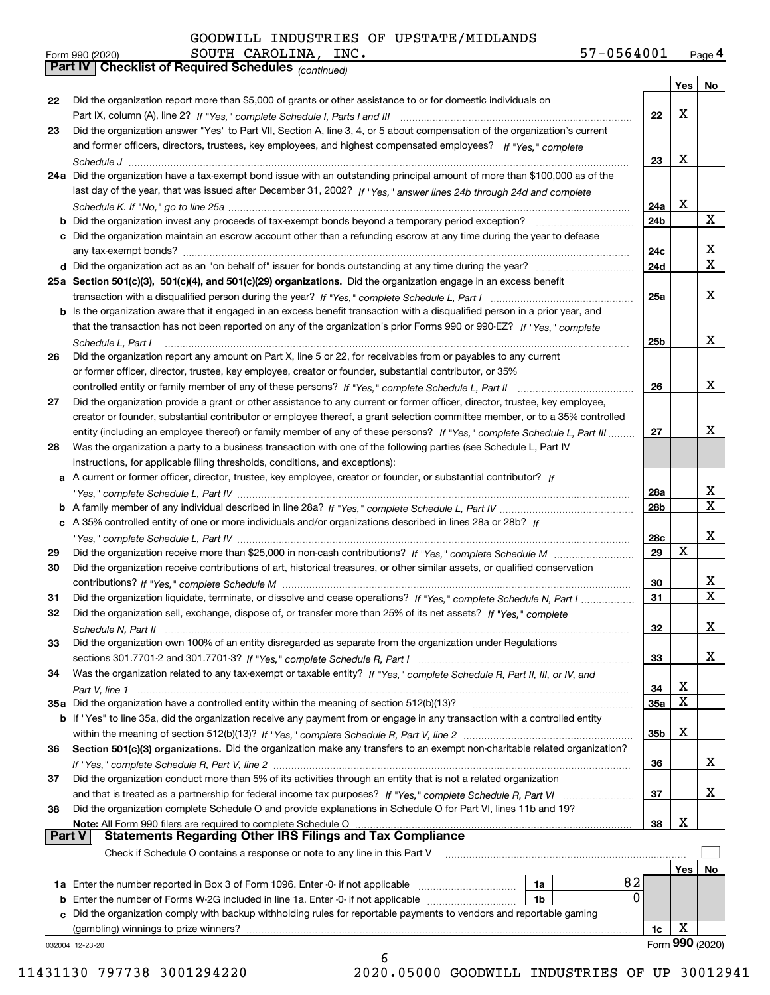| Form 990 (2020) |                                                       | SOUTH CAROLINA, | INC. | 57-0564001 | Page 4 |
|-----------------|-------------------------------------------------------|-----------------|------|------------|--------|
|                 | Part IV   Checklist of Required Schedules (continued) |                 |      |            |        |

|               | Parl IV  <br>Crieckist of Required Scriedules (continued)                                                                          |            |     |                 |
|---------------|------------------------------------------------------------------------------------------------------------------------------------|------------|-----|-----------------|
|               |                                                                                                                                    |            | Yes | No              |
| 22            | Did the organization report more than \$5,000 of grants or other assistance to or for domestic individuals on                      |            |     |                 |
|               |                                                                                                                                    | 22         | X   |                 |
| 23            | Did the organization answer "Yes" to Part VII, Section A, line 3, 4, or 5 about compensation of the organization's current         |            |     |                 |
|               | and former officers, directors, trustees, key employees, and highest compensated employees? If "Yes," complete                     |            |     |                 |
|               |                                                                                                                                    | 23         | x   |                 |
|               | 24a Did the organization have a tax-exempt bond issue with an outstanding principal amount of more than \$100,000 as of the        |            |     |                 |
|               | last day of the year, that was issued after December 31, 2002? If "Yes," answer lines 24b through 24d and complete                 |            |     |                 |
|               |                                                                                                                                    | 24a        | х   |                 |
|               | <b>b</b> Did the organization invest any proceeds of tax-exempt bonds beyond a temporary period exception?                         | 24b        |     | X               |
|               | c Did the organization maintain an escrow account other than a refunding escrow at any time during the year to defease             |            |     |                 |
|               |                                                                                                                                    | 24c        |     | x               |
|               |                                                                                                                                    | 24d        |     | $\mathbf X$     |
|               | 25a Section 501(c)(3), 501(c)(4), and 501(c)(29) organizations. Did the organization engage in an excess benefit                   |            |     |                 |
|               |                                                                                                                                    | 25a        |     | х               |
|               | b Is the organization aware that it engaged in an excess benefit transaction with a disqualified person in a prior year, and       |            |     |                 |
|               | that the transaction has not been reported on any of the organization's prior Forms 990 or 990-EZ? If "Yes," complete              |            |     |                 |
|               | Schedule L, Part I                                                                                                                 | 25b        |     | x               |
| 26            | Did the organization report any amount on Part X, line 5 or 22, for receivables from or payables to any current                    |            |     |                 |
|               | or former officer, director, trustee, key employee, creator or founder, substantial contributor, or 35%                            |            |     |                 |
|               |                                                                                                                                    | 26         |     | x               |
| 27            | Did the organization provide a grant or other assistance to any current or former officer, director, trustee, key employee,        |            |     |                 |
|               | creator or founder, substantial contributor or employee thereof, a grant selection committee member, or to a 35% controlled        |            |     |                 |
|               | entity (including an employee thereof) or family member of any of these persons? If "Yes," complete Schedule L. Part III           | 27         |     | x               |
| 28            | Was the organization a party to a business transaction with one of the following parties (see Schedule L, Part IV                  |            |     |                 |
|               |                                                                                                                                    |            |     |                 |
|               | instructions, for applicable filing thresholds, conditions, and exceptions):                                                       |            |     |                 |
|               | a A current or former officer, director, trustee, key employee, creator or founder, or substantial contributor? If                 |            |     | x               |
|               |                                                                                                                                    | 28a        |     | x               |
|               |                                                                                                                                    | 28b        |     |                 |
|               | c A 35% controlled entity of one or more individuals and/or organizations described in lines 28a or 28b? If                        |            |     |                 |
|               |                                                                                                                                    | 28c        |     | х               |
| 29            |                                                                                                                                    | 29         | х   |                 |
| 30            | Did the organization receive contributions of art, historical treasures, or other similar assets, or qualified conservation        |            |     |                 |
|               |                                                                                                                                    | 30         |     | х               |
| 31            | Did the organization liquidate, terminate, or dissolve and cease operations? If "Yes," complete Schedule N, Part I                 | 31         |     | х               |
| 32            | Did the organization sell, exchange, dispose of, or transfer more than 25% of its net assets? If "Yes," complete                   |            |     |                 |
|               | Schedule N. Part II                                                                                                                | 32         |     | х               |
| 33            | Did the organization own 100% of an entity disregarded as separate from the organization under Regulations                         |            |     |                 |
|               |                                                                                                                                    | 33         |     | x               |
| 34            | Was the organization related to any tax-exempt or taxable entity? If "Yes," complete Schedule R, Part II, III, or IV, and          |            |     |                 |
|               |                                                                                                                                    | 34         | Χ   |                 |
|               | 35a Did the organization have a controlled entity within the meaning of section 512(b)(13)?                                        | <b>35a</b> | Χ   |                 |
|               | <b>b</b> If "Yes" to line 35a, did the organization receive any payment from or engage in any transaction with a controlled entity |            |     |                 |
|               |                                                                                                                                    | 35b        | Χ   |                 |
| 36            | Section 501(c)(3) organizations. Did the organization make any transfers to an exempt non-charitable related organization?         |            |     |                 |
|               |                                                                                                                                    | 36         |     | x               |
| 37            | Did the organization conduct more than 5% of its activities through an entity that is not a related organization                   |            |     |                 |
|               | and that is treated as a partnership for federal income tax purposes? If "Yes," complete Schedule R, Part VI                       | 37         |     | x               |
| 38            | Did the organization complete Schedule O and provide explanations in Schedule O for Part VI, lines 11b and 19?                     |            |     |                 |
|               | Note: All Form 990 filers are required to complete Schedule O                                                                      | 38         | X   |                 |
| <b>Part V</b> | <b>Statements Regarding Other IRS Filings and Tax Compliance</b>                                                                   |            |     |                 |
|               | Check if Schedule O contains a response or note to any line in this Part V                                                         |            |     |                 |
|               |                                                                                                                                    |            | Yes | No              |
|               | 82<br>1a                                                                                                                           |            |     |                 |
|               | 0<br><b>b</b> Enter the number of Forms W-2G included in line 1a. Enter -0- if not applicable<br>1b                                |            |     |                 |
|               | c Did the organization comply with backup withholding rules for reportable payments to vendors and reportable gaming               |            |     |                 |
|               | (gambling) winnings to prize winners?                                                                                              | 1c         | X   |                 |
|               | 032004 12-23-20                                                                                                                    |            |     | Form 990 (2020) |
|               | 6                                                                                                                                  |            |     |                 |

 <sup>11431130 797738 3001294220 2020.05000</sup> GOODWILL INDUSTRIES OF UP 30012941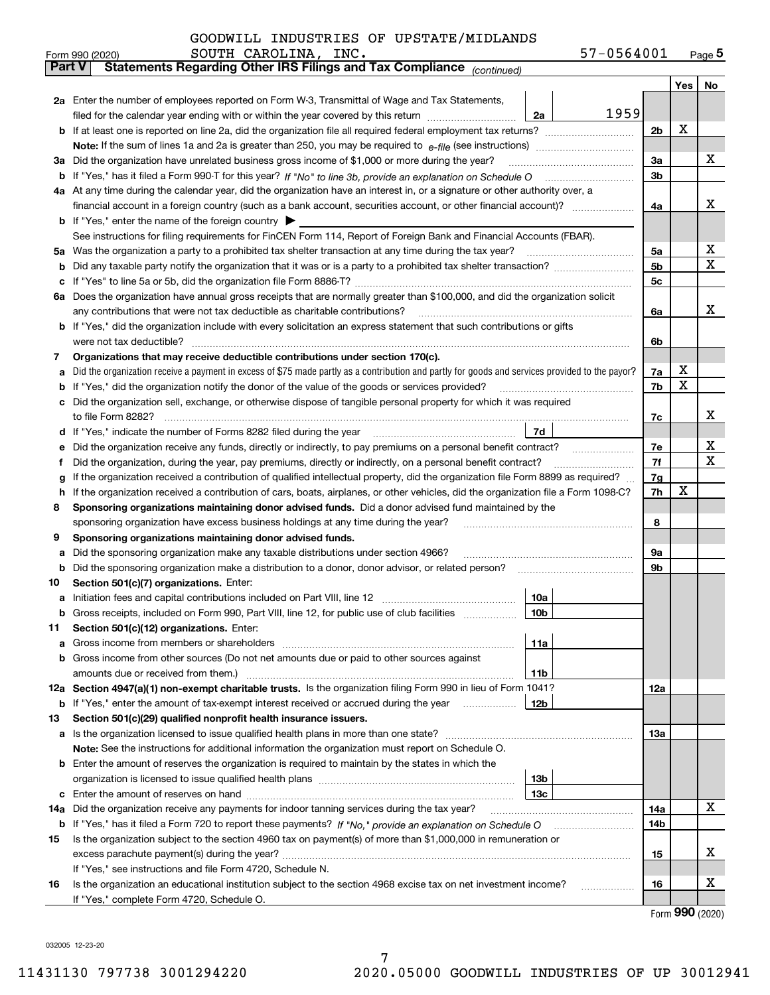|  | GOODWILL INDUSTRIES OF UPSTATE/MIDLANDS |  |  |  |
|--|-----------------------------------------|--|--|--|
|--|-----------------------------------------|--|--|--|

|               | SOUTH CAROLINA, INC.<br>57-0564001<br>Form 990 (2020)                                                                                                                                                                                 |     |     | $_{\text{Page}}$ 5 |  |  |  |  |  |  |  |
|---------------|---------------------------------------------------------------------------------------------------------------------------------------------------------------------------------------------------------------------------------------|-----|-----|--------------------|--|--|--|--|--|--|--|
| <b>Part V</b> | Statements Regarding Other IRS Filings and Tax Compliance (continued)                                                                                                                                                                 |     |     |                    |  |  |  |  |  |  |  |
|               |                                                                                                                                                                                                                                       |     | Yes | No                 |  |  |  |  |  |  |  |
|               | 2a Enter the number of employees reported on Form W-3, Transmittal of Wage and Tax Statements,                                                                                                                                        |     |     |                    |  |  |  |  |  |  |  |
|               | 1959<br>filed for the calendar year ending with or within the year covered by this return<br>2a                                                                                                                                       |     |     |                    |  |  |  |  |  |  |  |
|               |                                                                                                                                                                                                                                       |     |     |                    |  |  |  |  |  |  |  |
|               |                                                                                                                                                                                                                                       |     |     |                    |  |  |  |  |  |  |  |
|               | 3a Did the organization have unrelated business gross income of \$1,000 or more during the year?                                                                                                                                      |     |     |                    |  |  |  |  |  |  |  |
|               |                                                                                                                                                                                                                                       |     |     |                    |  |  |  |  |  |  |  |
|               | 4a At any time during the calendar year, did the organization have an interest in, or a signature or other authority over, a                                                                                                          |     |     |                    |  |  |  |  |  |  |  |
|               |                                                                                                                                                                                                                                       |     |     |                    |  |  |  |  |  |  |  |
|               | <b>b</b> If "Yes," enter the name of the foreign country $\blacktriangleright$                                                                                                                                                        |     |     |                    |  |  |  |  |  |  |  |
|               | See instructions for filing requirements for FinCEN Form 114, Report of Foreign Bank and Financial Accounts (FBAR).                                                                                                                   |     |     |                    |  |  |  |  |  |  |  |
|               |                                                                                                                                                                                                                                       | 5a  |     | х                  |  |  |  |  |  |  |  |
| b             |                                                                                                                                                                                                                                       | 5b  |     | X                  |  |  |  |  |  |  |  |
| c             |                                                                                                                                                                                                                                       | 5c  |     |                    |  |  |  |  |  |  |  |
|               | 6a Does the organization have annual gross receipts that are normally greater than \$100,000, and did the organization solicit                                                                                                        |     |     |                    |  |  |  |  |  |  |  |
|               |                                                                                                                                                                                                                                       | 6a  |     | х                  |  |  |  |  |  |  |  |
|               | <b>b</b> If "Yes," did the organization include with every solicitation an express statement that such contributions or gifts                                                                                                         |     |     |                    |  |  |  |  |  |  |  |
|               | were not tax deductible?                                                                                                                                                                                                              | 6b  |     |                    |  |  |  |  |  |  |  |
| 7             | Organizations that may receive deductible contributions under section 170(c).                                                                                                                                                         |     |     |                    |  |  |  |  |  |  |  |
| а             | Did the organization receive a payment in excess of \$75 made partly as a contribution and partly for goods and services provided to the payor?                                                                                       | 7a  | х   |                    |  |  |  |  |  |  |  |
| b             | If "Yes," did the organization notify the donor of the value of the goods or services provided?                                                                                                                                       | 7b  | х   |                    |  |  |  |  |  |  |  |
|               | c Did the organization sell, exchange, or otherwise dispose of tangible personal property for which it was required                                                                                                                   |     |     |                    |  |  |  |  |  |  |  |
|               |                                                                                                                                                                                                                                       | 7c  |     | х                  |  |  |  |  |  |  |  |
|               | 7d  <br>d If "Yes," indicate the number of Forms 8282 filed during the year [11,111] The set response to the number of Forms 8282 filed during the year                                                                               |     |     |                    |  |  |  |  |  |  |  |
| е             | Did the organization receive any funds, directly or indirectly, to pay premiums on a personal benefit contract?                                                                                                                       | 7e  |     | х                  |  |  |  |  |  |  |  |
| f             | Did the organization, during the year, pay premiums, directly or indirectly, on a personal benefit contract?                                                                                                                          | 7f  |     | х                  |  |  |  |  |  |  |  |
| g             | If the organization received a contribution of qualified intellectual property, did the organization file Form 8899 as required?                                                                                                      | 7g  |     |                    |  |  |  |  |  |  |  |
| h.            | If the organization received a contribution of cars, boats, airplanes, or other vehicles, did the organization file a Form 1098-C?                                                                                                    | 7h  | х   |                    |  |  |  |  |  |  |  |
| 8             | Sponsoring organizations maintaining donor advised funds. Did a donor advised fund maintained by the                                                                                                                                  |     |     |                    |  |  |  |  |  |  |  |
|               | sponsoring organization have excess business holdings at any time during the year?                                                                                                                                                    | 8   |     |                    |  |  |  |  |  |  |  |
| 9             | Sponsoring organizations maintaining donor advised funds.                                                                                                                                                                             |     |     |                    |  |  |  |  |  |  |  |
| а             | Did the sponsoring organization make any taxable distributions under section 4966?                                                                                                                                                    | 9а  |     |                    |  |  |  |  |  |  |  |
| b             | Did the sponsoring organization make a distribution to a donor, donor advisor, or related person?                                                                                                                                     | 9b  |     |                    |  |  |  |  |  |  |  |
| 10            | Section 501(c)(7) organizations. Enter:                                                                                                                                                                                               |     |     |                    |  |  |  |  |  |  |  |
|               | 10a<br>a Initiation fees and capital contributions included on Part VIII, line 12 [111] [11] [12] [11] [12] [11] [12] [11] [12] [11] [12] [11] [12] [11] [12] [11] [12] [11] [12] [11] [12] [11] [12] [11] [12] [11] [12] [11] [12] [ |     |     |                    |  |  |  |  |  |  |  |
|               | 10 <sub>b</sub>  <br>Gross receipts, included on Form 990, Part VIII, line 12, for public use of club facilities                                                                                                                      |     |     |                    |  |  |  |  |  |  |  |
| 11            | Section 501(c)(12) organizations. Enter:                                                                                                                                                                                              |     |     |                    |  |  |  |  |  |  |  |
| a             | 11a                                                                                                                                                                                                                                   |     |     |                    |  |  |  |  |  |  |  |
|               | b Gross income from other sources (Do not net amounts due or paid to other sources against                                                                                                                                            |     |     |                    |  |  |  |  |  |  |  |
|               | <b>11b</b>                                                                                                                                                                                                                            |     |     |                    |  |  |  |  |  |  |  |
|               | 12a Section 4947(a)(1) non-exempt charitable trusts. Is the organization filing Form 990 in lieu of Form 1041?                                                                                                                        | 12a |     |                    |  |  |  |  |  |  |  |
|               | 12b<br><b>b</b> If "Yes," enter the amount of tax-exempt interest received or accrued during the year <i>manument</i>                                                                                                                 |     |     |                    |  |  |  |  |  |  |  |
| 13            | Section 501(c)(29) qualified nonprofit health insurance issuers.                                                                                                                                                                      |     |     |                    |  |  |  |  |  |  |  |
|               | a Is the organization licensed to issue qualified health plans in more than one state?                                                                                                                                                | 13a |     |                    |  |  |  |  |  |  |  |
|               | Note: See the instructions for additional information the organization must report on Schedule O.                                                                                                                                     |     |     |                    |  |  |  |  |  |  |  |
|               | <b>b</b> Enter the amount of reserves the organization is required to maintain by the states in which the                                                                                                                             |     |     |                    |  |  |  |  |  |  |  |
|               | 13b<br>13с                                                                                                                                                                                                                            |     |     |                    |  |  |  |  |  |  |  |
|               | Did the organization receive any payments for indoor tanning services during the tax year?                                                                                                                                            | 14a |     | х                  |  |  |  |  |  |  |  |
| 14a           | <b>b</b> If "Yes," has it filed a Form 720 to report these payments? If "No," provide an explanation on Schedule O                                                                                                                    | 14b |     |                    |  |  |  |  |  |  |  |
| 15            | Is the organization subject to the section 4960 tax on payment(s) of more than \$1,000,000 in remuneration or                                                                                                                         |     |     |                    |  |  |  |  |  |  |  |
|               |                                                                                                                                                                                                                                       | 15  |     | x                  |  |  |  |  |  |  |  |
|               | If "Yes," see instructions and file Form 4720, Schedule N.                                                                                                                                                                            |     |     |                    |  |  |  |  |  |  |  |
| 16            | Is the organization an educational institution subject to the section 4968 excise tax on net investment income?                                                                                                                       | 16  |     | х                  |  |  |  |  |  |  |  |
|               | If "Yes," complete Form 4720, Schedule O.                                                                                                                                                                                             |     |     |                    |  |  |  |  |  |  |  |
|               |                                                                                                                                                                                                                                       |     |     |                    |  |  |  |  |  |  |  |

Form (2020) **990**

032005 12-23-20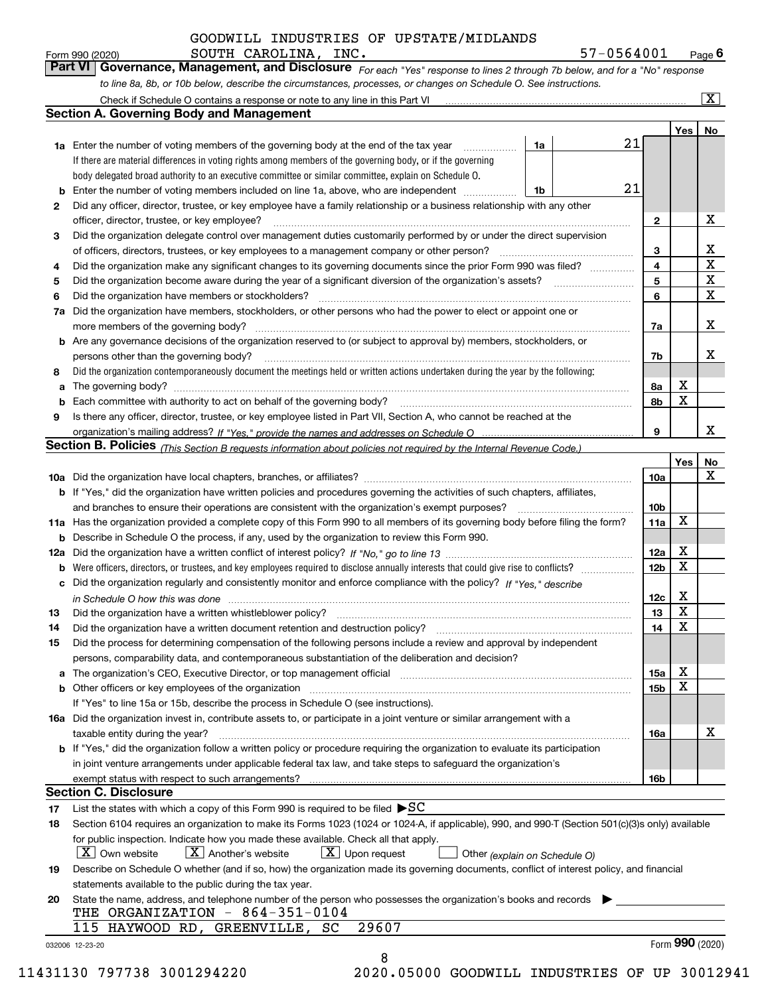*For each "Yes" response to lines 2 through 7b below, and for a "No" response to line 8a, 8b, or 10b below, describe the circumstances, processes, or changes on Schedule O. See instructions.* Form 990 (2020) **COUTH CAROLINA, INC.**<br>**Part VI Governance, Management, and Disclosure** For each "Yes" response to lines 2 through 7b below, and for a "No" response

|     | Check if Schedule O contains a response or note to any line in this Part VI                                                                                           |    |    |                         |             | $\overline{\mathbf{x}}$ |  |  |  |  |  |
|-----|-----------------------------------------------------------------------------------------------------------------------------------------------------------------------|----|----|-------------------------|-------------|-------------------------|--|--|--|--|--|
|     | <b>Section A. Governing Body and Management</b>                                                                                                                       |    |    |                         |             |                         |  |  |  |  |  |
|     |                                                                                                                                                                       |    |    |                         | Yes         | No                      |  |  |  |  |  |
|     | <b>1a</b> Enter the number of voting members of the governing body at the end of the tax year                                                                         | 1a | 21 |                         |             |                         |  |  |  |  |  |
|     | If there are material differences in voting rights among members of the governing body, or if the governing                                                           |    |    |                         |             |                         |  |  |  |  |  |
|     | body delegated broad authority to an executive committee or similar committee, explain on Schedule O.                                                                 |    |    |                         |             |                         |  |  |  |  |  |
| b   | 21<br>Enter the number of voting members included on line 1a, above, who are independent<br>1b                                                                        |    |    |                         |             |                         |  |  |  |  |  |
| 2   | Did any officer, director, trustee, or key employee have a family relationship or a business relationship with any other                                              |    |    |                         |             |                         |  |  |  |  |  |
|     | officer, director, trustee, or key employee?                                                                                                                          |    |    |                         |             |                         |  |  |  |  |  |
| 3   | Did the organization delegate control over management duties customarily performed by or under the direct supervision                                                 |    |    |                         |             |                         |  |  |  |  |  |
|     | of officers, directors, trustees, or key employees to a management company or other person?                                                                           |    |    | 3                       |             | х                       |  |  |  |  |  |
| 4   | Did the organization make any significant changes to its governing documents since the prior Form 990 was filed?                                                      |    |    | $\overline{\mathbf{4}}$ |             | $\mathbf X$             |  |  |  |  |  |
| 5   | Did the organization become aware during the year of a significant diversion of the organization's assets?                                                            |    |    | 5                       |             | X                       |  |  |  |  |  |
| 6   | Did the organization have members or stockholders?                                                                                                                    |    |    | 6                       |             | X                       |  |  |  |  |  |
|     | Did the organization have members, stockholders, or other persons who had the power to elect or appoint one or                                                        |    |    |                         |             |                         |  |  |  |  |  |
| 7a  |                                                                                                                                                                       |    |    |                         |             | X                       |  |  |  |  |  |
|     | more members of the governing body?                                                                                                                                   |    |    | 7a                      |             |                         |  |  |  |  |  |
| b   | Are any governance decisions of the organization reserved to (or subject to approval by) members, stockholders, or                                                    |    |    |                         |             |                         |  |  |  |  |  |
|     | persons other than the governing body?                                                                                                                                |    |    | 7b                      |             | x                       |  |  |  |  |  |
| 8   | Did the organization contemporaneously document the meetings held or written actions undertaken during the year by the following:                                     |    |    |                         |             |                         |  |  |  |  |  |
| a   |                                                                                                                                                                       |    |    | 8a                      | X           |                         |  |  |  |  |  |
| b   | Each committee with authority to act on behalf of the governing body?                                                                                                 |    |    | 8b                      | x           |                         |  |  |  |  |  |
| 9   | Is there any officer, director, trustee, or key employee listed in Part VII, Section A, who cannot be reached at the                                                  |    |    |                         |             |                         |  |  |  |  |  |
|     |                                                                                                                                                                       |    |    | 9                       |             | x                       |  |  |  |  |  |
|     | Section B. Policies <sub>(This Section B requests information about policies not required by the Internal Revenue Code.)</sub>                                        |    |    |                         |             |                         |  |  |  |  |  |
|     |                                                                                                                                                                       |    |    |                         | Yes         | No                      |  |  |  |  |  |
|     |                                                                                                                                                                       |    |    | 10a                     |             | X                       |  |  |  |  |  |
|     | <b>b</b> If "Yes," did the organization have written policies and procedures governing the activities of such chapters, affiliates,                                   |    |    |                         |             |                         |  |  |  |  |  |
|     | and branches to ensure their operations are consistent with the organization's exempt purposes?                                                                       |    |    | 10 <sub>b</sub>         |             |                         |  |  |  |  |  |
| 11a | Has the organization provided a complete copy of this Form 990 to all members of its governing body before filing the form?                                           |    |    | 11a                     | $\mathbf X$ |                         |  |  |  |  |  |
| b   | Describe in Schedule O the process, if any, used by the organization to review this Form 990.                                                                         |    |    |                         |             |                         |  |  |  |  |  |
| 12a |                                                                                                                                                                       |    |    |                         |             |                         |  |  |  |  |  |
| b   | Were officers, directors, or trustees, and key employees required to disclose annually interests that could give rise to conflicts?                                   |    |    | 12 <sub>b</sub>         | X           |                         |  |  |  |  |  |
| c   | Did the organization regularly and consistently monitor and enforce compliance with the policy? If "Yes," describe                                                    |    |    |                         |             |                         |  |  |  |  |  |
|     | in Schedule O how this was done                                                                                                                                       |    |    | 12c                     | X           |                         |  |  |  |  |  |
| 13  | Did the organization have a written whistleblower policy?                                                                                                             |    |    | 13                      | $\mathbf X$ |                         |  |  |  |  |  |
| 14  | Did the organization have a written document retention and destruction policy?                                                                                        |    |    | 14                      | $\mathbf X$ |                         |  |  |  |  |  |
| 15  | Did the process for determining compensation of the following persons include a review and approval by independent                                                    |    |    |                         |             |                         |  |  |  |  |  |
|     | persons, comparability data, and contemporaneous substantiation of the deliberation and decision?                                                                     |    |    |                         |             |                         |  |  |  |  |  |
| а   | The organization's CEO, Executive Director, or top management official manufactured content of the organization's CEO, Executive Director, or top management official |    |    | 15a                     | х           |                         |  |  |  |  |  |
| b   | Other officers or key employees of the organization                                                                                                                   |    |    | 15b                     | X           |                         |  |  |  |  |  |
|     | If "Yes" to line 15a or 15b, describe the process in Schedule O (see instructions).                                                                                   |    |    |                         |             |                         |  |  |  |  |  |
|     | 16a Did the organization invest in, contribute assets to, or participate in a joint venture or similar arrangement with a                                             |    |    |                         |             |                         |  |  |  |  |  |
|     | taxable entity during the year?                                                                                                                                       |    |    | 16a                     |             | х                       |  |  |  |  |  |
|     | b If "Yes," did the organization follow a written policy or procedure requiring the organization to evaluate its participation                                        |    |    |                         |             |                         |  |  |  |  |  |
|     | in joint venture arrangements under applicable federal tax law, and take steps to safeguard the organization's                                                        |    |    |                         |             |                         |  |  |  |  |  |
|     | exempt status with respect to such arrangements?                                                                                                                      |    |    | 16b                     |             |                         |  |  |  |  |  |
|     | <b>Section C. Disclosure</b>                                                                                                                                          |    |    |                         |             |                         |  |  |  |  |  |
| 17  | List the states with which a copy of this Form 990 is required to be filed $\triangleright$ SC                                                                        |    |    |                         |             |                         |  |  |  |  |  |
| 18  | Section 6104 requires an organization to make its Forms 1023 (1024 or 1024-A, if applicable), 990, and 990-T (Section 501(c)(3)s only) available                      |    |    |                         |             |                         |  |  |  |  |  |
|     | for public inspection. Indicate how you made these available. Check all that apply.                                                                                   |    |    |                         |             |                         |  |  |  |  |  |
|     | $\lfloor X \rfloor$ Own website<br>$X$ Another's website<br>$X$ Upon request<br>Other (explain on Schedule O)                                                         |    |    |                         |             |                         |  |  |  |  |  |
| 19  | Describe on Schedule O whether (and if so, how) the organization made its governing documents, conflict of interest policy, and financial                             |    |    |                         |             |                         |  |  |  |  |  |
|     | statements available to the public during the tax year.                                                                                                               |    |    |                         |             |                         |  |  |  |  |  |
| 20  | State the name, address, and telephone number of the person who possesses the organization's books and records                                                        |    |    |                         |             |                         |  |  |  |  |  |
|     | THE ORGANIZATION - 864-351-0104                                                                                                                                       |    |    |                         |             |                         |  |  |  |  |  |
|     | 29607<br>115 HAYWOOD RD, GREENVILLE, SC                                                                                                                               |    |    |                         |             |                         |  |  |  |  |  |
|     | 032006 12-23-20                                                                                                                                                       |    |    |                         |             | Form 990 (2020)         |  |  |  |  |  |
|     | 8<br>01120 הפרוחה פבקדמק חבוונ<br>2020 05000 COODWITT I TNDHCTDTEC OF HD 30012                                                                                        |    |    |                         |             |                         |  |  |  |  |  |

11431130 797738 3001294220 2020.05000 GOODWILL INDUSTRIES OF UP 30012941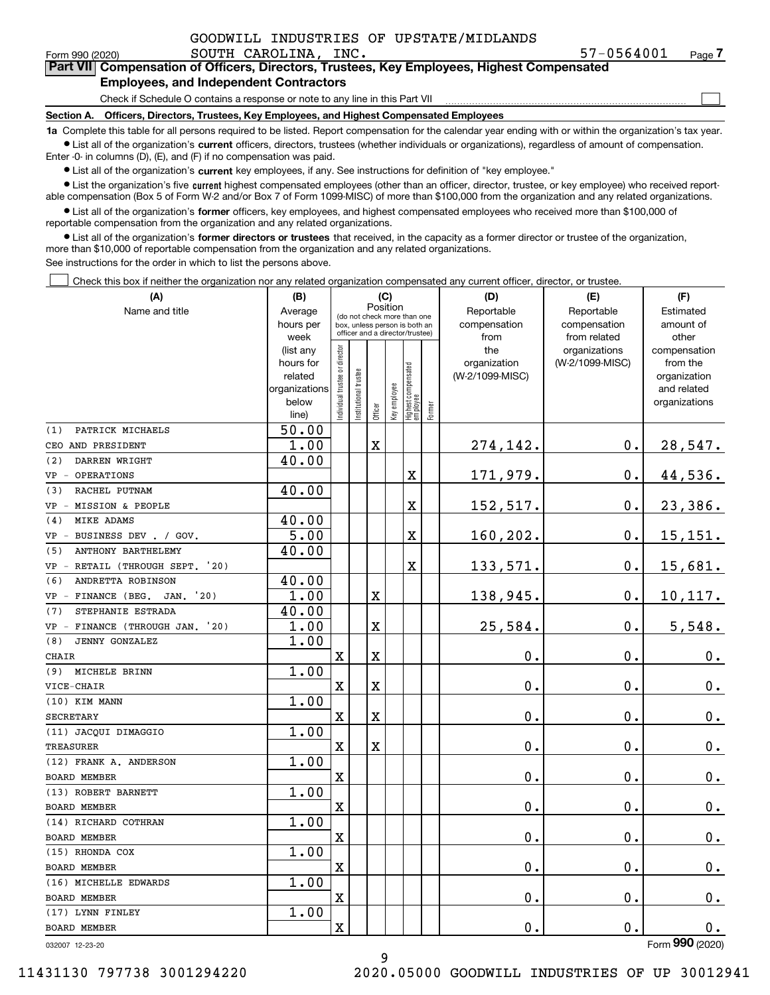| GOODWILL INDUSTRIES OF UPSTATE/MIDLANDS |  |  |  |  |  |  |
|-----------------------------------------|--|--|--|--|--|--|
|-----------------------------------------|--|--|--|--|--|--|

 $\mathcal{L}^{\text{max}}$ 

| Form 990 (2020) | SOUTH CAROLINA, | INC. | _UD04UUL/ל                                                                              | Page |
|-----------------|-----------------|------|-----------------------------------------------------------------------------------------|------|
|                 |                 |      | Part VIII Compensation of Officers Directors Trustees Key Employees Highest Compensated |      |

### **Employees, and Independent Contractors**

Check if Schedule O contains a response or note to any line in this Part VII

**Section A. Officers, Directors, Trustees, Key Employees, and Highest Compensated Employees**

**1a**  Complete this table for all persons required to be listed. Report compensation for the calendar year ending with or within the organization's tax year. **•** List all of the organization's current officers, directors, trustees (whether individuals or organizations), regardless of amount of compensation.

Enter -0- in columns (D), (E), and (F) if no compensation was paid.

 $\bullet$  List all of the organization's  $\,$ current key employees, if any. See instructions for definition of "key employee."

**•** List the organization's five current highest compensated employees (other than an officer, director, trustee, or key employee) who received reportable compensation (Box 5 of Form W-2 and/or Box 7 of Form 1099-MISC) of more than \$100,000 from the organization and any related organizations.

**•** List all of the organization's former officers, key employees, and highest compensated employees who received more than \$100,000 of reportable compensation from the organization and any related organizations.

**former directors or trustees**  ¥ List all of the organization's that received, in the capacity as a former director or trustee of the organization, more than \$10,000 of reportable compensation from the organization and any related organizations.

See instructions for the order in which to list the persons above.

**(A)**

Check this box if neither the organization nor any related organization compensated any current officer, director, or trustee.  $\mathcal{L}^{\text{max}}$ 

| (A)                                  | (B)                    |                                         |                                                                  | (C)         |              |                                 |        | (D)                 | (E)                              | (F)                      |
|--------------------------------------|------------------------|-----------------------------------------|------------------------------------------------------------------|-------------|--------------|---------------------------------|--------|---------------------|----------------------------------|--------------------------|
| Name and title                       | Average                | Position<br>(do not check more than one |                                                                  |             |              |                                 |        | Reportable          | Reportable                       | Estimated                |
|                                      | hours per              |                                         | box, unless person is both an<br>officer and a director/trustee) |             |              |                                 |        | compensation        | compensation                     | amount of                |
|                                      | week                   |                                         |                                                                  |             |              |                                 |        | from                | from related                     | other                    |
|                                      | (list any<br>hours for |                                         |                                                                  |             |              |                                 |        | the<br>organization | organizations<br>(W-2/1099-MISC) | compensation<br>from the |
|                                      | related                |                                         |                                                                  |             |              |                                 |        | (W-2/1099-MISC)     |                                  | organization             |
|                                      | organizations          |                                         |                                                                  |             |              |                                 |        |                     |                                  | and related              |
|                                      | below                  | ndividual trustee or director           | nstitutional trustee                                             |             | Key employee |                                 |        |                     |                                  | organizations            |
|                                      | line)                  |                                         |                                                                  | Officer     |              | Highest compensated<br>employee | Former |                     |                                  |                          |
| PATRICK MICHAELS<br>(1)              | 50.00                  |                                         |                                                                  |             |              |                                 |        |                     |                                  |                          |
| CEO AND PRESIDENT                    | 1.00                   |                                         |                                                                  | $\mathbf X$ |              |                                 |        | 274,142.            | $0$ .                            | 28,547.                  |
| (2)<br>DARREN WRIGHT                 | 40.00                  |                                         |                                                                  |             |              |                                 |        |                     |                                  |                          |
| OPERATIONS<br>$VP -$                 |                        |                                         |                                                                  |             |              | X                               |        | 171,979.            | 0.                               | 44,536.                  |
| RACHEL PUTNAM<br>(3)                 | 40.00                  |                                         |                                                                  |             |              |                                 |        |                     |                                  |                          |
| MISSION & PEOPLE<br>$VP -$           |                        |                                         |                                                                  |             |              | X                               |        | 152,517.            | 0.                               | 23,386.                  |
| MIKE ADAMS<br>(4)                    | 40.00                  |                                         |                                                                  |             |              |                                 |        |                     |                                  |                          |
| BUSINESS DEV . / GOV.<br>$VP -$      | 5.00                   |                                         |                                                                  |             |              | $\mathbf x$                     |        | 160,202.            | 0.                               | 15,151.                  |
| ANTHONY BARTHELEMY<br>(5)            | 40.00                  |                                         |                                                                  |             |              |                                 |        |                     |                                  |                          |
| VP - RETAIL (THROUGH SEPT. '20)      |                        |                                         |                                                                  |             |              | X                               |        | 133,571.            | $0$ .                            | 15,681.                  |
| ANDRETTA ROBINSON<br>(6)             | 40.00                  |                                         |                                                                  |             |              |                                 |        |                     |                                  |                          |
| VP - FINANCE (BEG.<br>JAN. '20)      | 1.00                   |                                         |                                                                  | X           |              |                                 |        | 138,945.            | 0.                               | 10, 117.                 |
| STEPHANIE ESTRADA<br>(7)             | 40.00                  |                                         |                                                                  |             |              |                                 |        |                     |                                  |                          |
| FINANCE (THROUGH JAN. '20)<br>$VP -$ | 1.00                   |                                         |                                                                  | X           |              |                                 |        | 25,584.             | 0.                               | 5,548.                   |
| <b>JENNY GONZALEZ</b><br>(8)         | 1.00                   |                                         |                                                                  |             |              |                                 |        |                     |                                  |                          |
| CHAIR                                |                        | $\mathbf X$                             |                                                                  | X           |              |                                 |        | 0.                  | 0.                               | 0.                       |
| MICHELE BRINN<br>(9)                 | 1.00                   |                                         |                                                                  |             |              |                                 |        |                     |                                  |                          |
| VICE-CHAIR                           |                        | X                                       |                                                                  | X           |              |                                 |        | $\mathbf 0$ .       | $\mathbf 0$ .                    | $\mathbf 0$ .            |
| (10) KIM MANN                        | 1.00                   |                                         |                                                                  |             |              |                                 |        |                     |                                  |                          |
| <b>SECRETARY</b>                     |                        | $\mathbf x$                             |                                                                  | $\mathbf X$ |              |                                 |        | $\mathbf 0$ .       | $\mathbf 0$ .                    | $\mathbf 0$ .            |
| (11) JACQUI DIMAGGIO                 | 1.00                   |                                         |                                                                  |             |              |                                 |        |                     |                                  |                          |
| <b>TREASURER</b>                     |                        | X                                       |                                                                  | X           |              |                                 |        | $\mathbf 0$ .       | 0.                               | $0_{.}$                  |
| (12) FRANK A. ANDERSON               | 1.00                   |                                         |                                                                  |             |              |                                 |        |                     |                                  |                          |
| <b>BOARD MEMBER</b>                  |                        | X                                       |                                                                  |             |              |                                 |        | $\mathbf 0$ .       | 0.                               | $0_{.}$                  |
| (13) ROBERT BARNETT                  | 1.00                   |                                         |                                                                  |             |              |                                 |        |                     |                                  |                          |
| <b>BOARD MEMBER</b>                  |                        | X                                       |                                                                  |             |              |                                 |        | $\mathbf 0$ .       | $\mathbf 0$ .                    | 0.                       |
| (14) RICHARD COTHRAN                 | 1.00                   |                                         |                                                                  |             |              |                                 |        |                     |                                  |                          |
| <b>BOARD MEMBER</b>                  |                        | $\mathbf x$                             |                                                                  |             |              |                                 |        | $\mathbf 0$ .       | $0$ .                            | $\mathbf 0$ .            |
| (15) RHONDA COX                      | 1.00                   |                                         |                                                                  |             |              |                                 |        |                     |                                  |                          |
| <b>BOARD MEMBER</b>                  |                        | X                                       |                                                                  |             |              |                                 |        | $\mathbf 0$ .       | 0.                               | 0.                       |
| (16) MICHELLE EDWARDS                | 1.00                   |                                         |                                                                  |             |              |                                 |        |                     |                                  |                          |
| BOARD MEMBER                         |                        | X                                       |                                                                  |             |              |                                 |        | $\mathbf 0$ .       | 0.                               | 0.                       |
| (17) LYNN FINLEY                     | 1.00                   |                                         |                                                                  |             |              |                                 |        |                     |                                  |                          |
| <b>BOARD MEMBER</b>                  |                        | X                                       |                                                                  |             |              |                                 |        | $\mathbf 0$ .       | 0.                               | 0.<br>$\overline{2}$     |

032007 12-23-20

Form (2020) **990**

9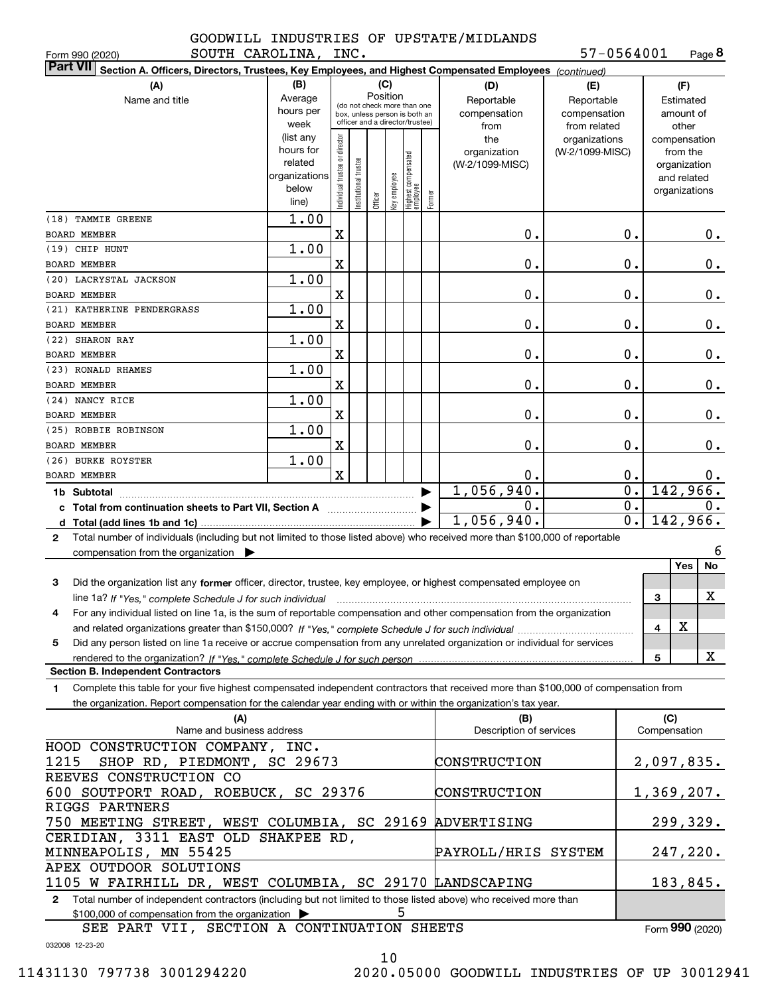Form 990 (2020) SOUTH CAROLINA, INC. 57-0564001 Page

**8** 57-0564001

| <b>Part VII</b><br>Section A. Officers, Directors, Trustees, Key Employees, and Highest Compensated Employees (continued)                                                                   |                      |                                |                                                              |         |              |                                   |        |                         |                 |                  |                   |                             |               |
|---------------------------------------------------------------------------------------------------------------------------------------------------------------------------------------------|----------------------|--------------------------------|--------------------------------------------------------------|---------|--------------|-----------------------------------|--------|-------------------------|-----------------|------------------|-------------------|-----------------------------|---------------|
| (A)                                                                                                                                                                                         | (B)                  |                                |                                                              |         | (C)          |                                   |        | (D)                     | (E)             |                  |                   | (F)                         |               |
| Name and title                                                                                                                                                                              | Average              |                                |                                                              |         | Position     |                                   |        | Reportable              | Reportable      |                  |                   | Estimated                   |               |
|                                                                                                                                                                                             | hours per            |                                | (do not check more than one<br>box, unless person is both an |         |              |                                   |        | compensation            | compensation    |                  |                   | amount of                   |               |
|                                                                                                                                                                                             | week                 |                                | officer and a director/trustee)                              |         |              |                                   |        | from                    | from related    |                  |                   | other                       |               |
|                                                                                                                                                                                             | (list any            |                                |                                                              |         |              |                                   |        | the                     | organizations   |                  |                   | compensation                |               |
|                                                                                                                                                                                             | hours for<br>related |                                |                                                              |         |              |                                   |        | organization            | (W-2/1099-MISC) |                  |                   | from the                    |               |
|                                                                                                                                                                                             | organizations        |                                |                                                              |         |              |                                   |        | (W-2/1099-MISC)         |                 |                  |                   | organization<br>and related |               |
|                                                                                                                                                                                             | below                |                                |                                                              |         |              |                                   |        |                         |                 |                  |                   | organizations               |               |
|                                                                                                                                                                                             | line)                | Individual trustee or director | Institutional trustee                                        | Officer | Key employee | Highest compensated<br>  employee | Former |                         |                 |                  |                   |                             |               |
| (18) TAMMIE GREENE                                                                                                                                                                          | 1.00                 |                                |                                                              |         |              |                                   |        |                         |                 |                  |                   |                             |               |
| <b>BOARD MEMBER</b>                                                                                                                                                                         |                      | X                              |                                                              |         |              |                                   |        | Ο.                      |                 | 0.               |                   |                             | 0.            |
| (19) CHIP HUNT                                                                                                                                                                              | 1.00                 |                                |                                                              |         |              |                                   |        |                         |                 |                  |                   |                             |               |
| <b>BOARD MEMBER</b>                                                                                                                                                                         |                      | X                              |                                                              |         |              |                                   |        | Ο.                      |                 | 0.               |                   |                             | $0_{.}$       |
| (20) LACRYSTAL JACKSON                                                                                                                                                                      | 1.00                 |                                |                                                              |         |              |                                   |        |                         |                 |                  |                   |                             |               |
| <b>BOARD MEMBER</b>                                                                                                                                                                         |                      | X                              |                                                              |         |              |                                   |        | Ο.                      |                 | 0.               |                   |                             | $\mathbf 0$ . |
| (21) KATHERINE PENDERGRASS                                                                                                                                                                  | 1.00                 |                                |                                                              |         |              |                                   |        |                         |                 |                  |                   |                             |               |
| <b>BOARD MEMBER</b>                                                                                                                                                                         |                      | X                              |                                                              |         |              |                                   |        | Ο.                      |                 | 0.               |                   |                             | $0_{.}$       |
| (22) SHARON RAY                                                                                                                                                                             | 1.00                 |                                |                                                              |         |              |                                   |        |                         |                 |                  |                   |                             |               |
| <b>BOARD MEMBER</b>                                                                                                                                                                         |                      | X                              |                                                              |         |              |                                   |        | Ο.                      |                 | 0.               |                   |                             | $0_{.}$       |
| (23) RONALD RHAMES                                                                                                                                                                          | 1.00                 |                                |                                                              |         |              |                                   |        |                         |                 |                  |                   |                             |               |
| <b>BOARD MEMBER</b>                                                                                                                                                                         |                      | X                              |                                                              |         |              |                                   |        | Ο.                      |                 | 0.               |                   |                             | 0.            |
| (24) NANCY RICE                                                                                                                                                                             | 1.00                 |                                |                                                              |         |              |                                   |        |                         |                 |                  |                   |                             |               |
| <b>BOARD MEMBER</b>                                                                                                                                                                         |                      | X                              |                                                              |         |              |                                   |        | Ο.                      |                 | 0.               |                   |                             | $\mathbf 0$ . |
| (25) ROBBIE ROBINSON                                                                                                                                                                        | 1.00                 |                                |                                                              |         |              |                                   |        |                         |                 |                  |                   |                             |               |
| <b>BOARD MEMBER</b>                                                                                                                                                                         |                      | X                              |                                                              |         |              |                                   |        | Ο.                      |                 | 0.               |                   |                             | 0.            |
| (26) BURKE ROYSTER                                                                                                                                                                          | 1.00                 |                                |                                                              |         |              |                                   |        |                         |                 |                  |                   |                             |               |
| <b>BOARD MEMBER</b>                                                                                                                                                                         |                      | X                              |                                                              |         |              |                                   |        | О.                      |                 | 0.               |                   |                             | 0.            |
| 1b Subtotal                                                                                                                                                                                 |                      |                                |                                                              |         |              |                                   |        | 1,056,940.              |                 | $\overline{0}$ . |                   | 142,966.                    |               |
| c Total from continuation sheets to Part VII, Section A                                                                                                                                     |                      |                                |                                                              |         |              |                                   |        | Ο.                      |                 | $\overline{0}$ . |                   |                             | $0$ .         |
|                                                                                                                                                                                             |                      |                                |                                                              |         |              |                                   |        | 1,056,940.              |                 | $\overline{0}$ . |                   | 142,966.                    |               |
| Total number of individuals (including but not limited to those listed above) who received more than \$100,000 of reportable<br>2                                                           |                      |                                |                                                              |         |              |                                   |        |                         |                 |                  |                   |                             |               |
| compensation from the organization $\blacktriangleright$                                                                                                                                    |                      |                                |                                                              |         |              |                                   |        |                         |                 |                  |                   | Yes                         | 6<br>No       |
|                                                                                                                                                                                             |                      |                                |                                                              |         |              |                                   |        |                         |                 |                  |                   |                             |               |
| Did the organization list any former officer, director, trustee, key employee, or highest compensated employee on<br>3                                                                      |                      |                                |                                                              |         |              |                                   |        |                         |                 |                  | 3                 |                             | X             |
| line 1a? If "Yes," complete Schedule J for such individual<br>For any individual listed on line 1a, is the sum of reportable compensation and other compensation from the organization<br>4 |                      |                                |                                                              |         |              |                                   |        |                         |                 |                  |                   |                             |               |
|                                                                                                                                                                                             |                      |                                |                                                              |         |              |                                   |        |                         |                 |                  | 4                 | X.                          |               |
| Did any person listed on line 1a receive or accrue compensation from any unrelated organization or individual for services<br>5                                                             |                      |                                |                                                              |         |              |                                   |        |                         |                 |                  |                   |                             |               |
|                                                                                                                                                                                             |                      |                                |                                                              |         |              |                                   |        |                         |                 |                  | 5                 |                             | X             |
| <b>Section B. Independent Contractors</b>                                                                                                                                                   |                      |                                |                                                              |         |              |                                   |        |                         |                 |                  |                   |                             |               |
| Complete this table for your five highest compensated independent contractors that received more than \$100,000 of compensation from<br>1                                                   |                      |                                |                                                              |         |              |                                   |        |                         |                 |                  |                   |                             |               |
| the organization. Report compensation for the calendar year ending with or within the organization's tax year.                                                                              |                      |                                |                                                              |         |              |                                   |        |                         |                 |                  |                   |                             |               |
| (A)                                                                                                                                                                                         |                      |                                |                                                              |         |              |                                   |        | (B)                     |                 |                  | (C)               |                             |               |
| Name and business address                                                                                                                                                                   |                      |                                |                                                              |         |              |                                   |        | Description of services |                 |                  | Compensation      |                             |               |
| HOOD CONSTRUCTION COMPANY, INC.                                                                                                                                                             |                      |                                |                                                              |         |              |                                   |        |                         |                 |                  |                   |                             |               |
| 1215<br>SHOP RD, PIEDMONT, SC 29673                                                                                                                                                         |                      |                                |                                                              |         |              |                                   |        | CONSTRUCTION            |                 |                  | 2,097,835.        |                             |               |
| REEVES CONSTRUCTION CO                                                                                                                                                                      |                      |                                |                                                              |         |              |                                   |        |                         |                 |                  |                   |                             |               |
| 600 SOUTPORT ROAD, ROEBUCK, SC 29376                                                                                                                                                        |                      |                                |                                                              |         |              |                                   |        | CONSTRUCTION            |                 |                  | <u>1,369,207.</u> |                             |               |
| RIGGS PARTNERS                                                                                                                                                                              |                      |                                |                                                              |         |              |                                   |        |                         |                 |                  |                   |                             |               |
| 750 MEETING STREET, WEST COLUMBIA, SC 29169                                                                                                                                                 |                      |                                |                                                              |         |              |                                   |        | ADVERTISING             |                 |                  |                   |                             | 299,329.      |
| CERIDIAN, 3311 EAST OLD SHAKPEE RD,                                                                                                                                                         |                      |                                |                                                              |         |              |                                   |        |                         |                 |                  |                   |                             |               |
| MINNEAPOLIS, MN 55425                                                                                                                                                                       |                      |                                |                                                              |         |              |                                   |        | PAYROLL/HRIS SYSTEM     |                 |                  |                   |                             | 247,220.      |
| APEX OUTDOOR SOLUTIONS                                                                                                                                                                      |                      |                                |                                                              |         |              |                                   |        |                         |                 |                  |                   |                             |               |
| 1105 W FAIRHILL DR, WEST COLUMBIA, SC 29170 LANDSCAPING                                                                                                                                     |                      |                                |                                                              |         |              |                                   |        |                         |                 |                  |                   | 183,845.                    |               |
| Total number of independent contractors (including but not limited to those listed above) who received more than<br>$\mathbf{2}$<br>\$100,000 of compensation from the organization         |                      |                                |                                                              |         |              | 5                                 |        |                         |                 |                  |                   |                             |               |
|                                                                                                                                                                                             |                      |                                |                                                              |         |              |                                   |        |                         |                 |                  |                   |                             |               |

032008 12-23-20 Form (2020) **990** SEE PART VII, SECTION A CONTINUATION SHEETS

10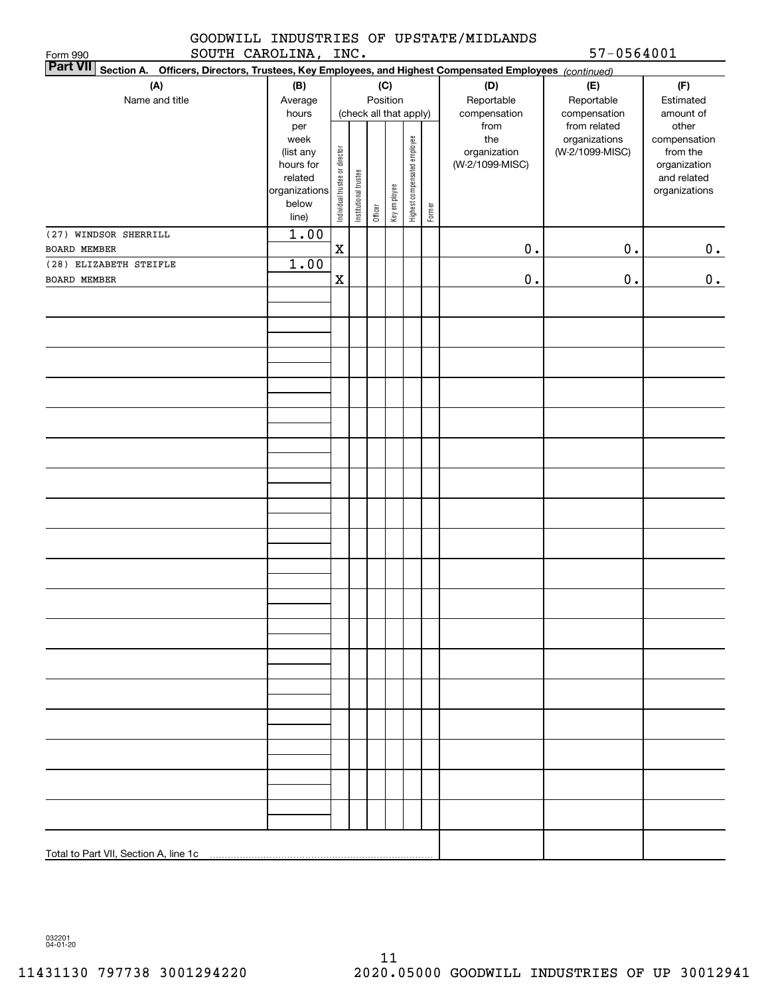### GOODWILL INDUSTRIES OF UPSTATE/MIDLANDS SOUTH CAROLINA, INC. 57-0564001

| SOUTH CAROLINA, INC.<br>Form 990<br><b>Part VII</b>                                                    |                          |                                |                       |         |                        |                              |        |                      | $57 - 0564001$               |                              |
|--------------------------------------------------------------------------------------------------------|--------------------------|--------------------------------|-----------------------|---------|------------------------|------------------------------|--------|----------------------|------------------------------|------------------------------|
| Section A. Officers, Directors, Trustees, Key Employees, and Highest Compensated Employees (continued) |                          |                                |                       |         |                        |                              |        |                      |                              |                              |
| (A)                                                                                                    | (B)                      |                                |                       |         | (C)                    |                              |        | (D)                  | (E)                          | (F)                          |
| Name and title                                                                                         | Average                  |                                |                       |         | Position               |                              |        | Reportable           | Reportable                   | Estimated                    |
|                                                                                                        | hours<br>per             |                                |                       |         | (check all that apply) |                              |        | compensation<br>from | compensation<br>from related | amount of<br>other           |
|                                                                                                        | week                     |                                |                       |         |                        |                              |        | the                  | organizations                | compensation                 |
|                                                                                                        | (list any                |                                |                       |         |                        |                              |        | organization         | (W-2/1099-MISC)              | from the                     |
|                                                                                                        | hours for                |                                |                       |         |                        |                              |        | (W-2/1099-MISC)      |                              | organization                 |
|                                                                                                        | related<br>organizations | Individual trustee or director | Institutional trustee |         |                        | Highest compensated employee |        |                      |                              | and related<br>organizations |
|                                                                                                        | below                    |                                |                       |         | Key employee           |                              |        |                      |                              |                              |
|                                                                                                        | line)                    |                                |                       | Officer |                        |                              | Former |                      |                              |                              |
| (27) WINDSOR SHERRILL                                                                                  | 1.00                     |                                |                       |         |                        |                              |        |                      |                              |                              |
| BOARD MEMBER                                                                                           |                          | $\mathbf x$                    |                       |         |                        |                              |        | $0$ .                | $0$ .                        | 0.                           |
| (28) ELIZABETH STEIFLE                                                                                 | 1.00                     |                                |                       |         |                        |                              |        |                      |                              |                              |
| BOARD MEMBER                                                                                           |                          | $\mathbf x$                    |                       |         |                        |                              |        | $\mathbf 0$ .        | $0$ .                        | 0.                           |
|                                                                                                        |                          |                                |                       |         |                        |                              |        |                      |                              |                              |
|                                                                                                        |                          |                                |                       |         |                        |                              |        |                      |                              |                              |
|                                                                                                        |                          |                                |                       |         |                        |                              |        |                      |                              |                              |
|                                                                                                        |                          |                                |                       |         |                        |                              |        |                      |                              |                              |
|                                                                                                        |                          |                                |                       |         |                        |                              |        |                      |                              |                              |
|                                                                                                        |                          |                                |                       |         |                        |                              |        |                      |                              |                              |
|                                                                                                        |                          |                                |                       |         |                        |                              |        |                      |                              |                              |
|                                                                                                        |                          |                                |                       |         |                        |                              |        |                      |                              |                              |
|                                                                                                        |                          |                                |                       |         |                        |                              |        |                      |                              |                              |
|                                                                                                        |                          |                                |                       |         |                        |                              |        |                      |                              |                              |
|                                                                                                        |                          |                                |                       |         |                        |                              |        |                      |                              |                              |
|                                                                                                        |                          |                                |                       |         |                        |                              |        |                      |                              |                              |
|                                                                                                        |                          |                                |                       |         |                        |                              |        |                      |                              |                              |
|                                                                                                        |                          |                                |                       |         |                        |                              |        |                      |                              |                              |
|                                                                                                        |                          |                                |                       |         |                        |                              |        |                      |                              |                              |
|                                                                                                        |                          |                                |                       |         |                        |                              |        |                      |                              |                              |
|                                                                                                        |                          |                                |                       |         |                        |                              |        |                      |                              |                              |
|                                                                                                        |                          |                                |                       |         |                        |                              |        |                      |                              |                              |
|                                                                                                        |                          |                                |                       |         |                        |                              |        |                      |                              |                              |
|                                                                                                        |                          |                                |                       |         |                        |                              |        |                      |                              |                              |
|                                                                                                        |                          |                                |                       |         |                        |                              |        |                      |                              |                              |
|                                                                                                        |                          |                                |                       |         |                        |                              |        |                      |                              |                              |
|                                                                                                        |                          |                                |                       |         |                        |                              |        |                      |                              |                              |
|                                                                                                        |                          |                                |                       |         |                        |                              |        |                      |                              |                              |
|                                                                                                        |                          |                                |                       |         |                        |                              |        |                      |                              |                              |
|                                                                                                        |                          |                                |                       |         |                        |                              |        |                      |                              |                              |
|                                                                                                        |                          |                                |                       |         |                        |                              |        |                      |                              |                              |
|                                                                                                        |                          |                                |                       |         |                        |                              |        |                      |                              |                              |
|                                                                                                        |                          |                                |                       |         |                        |                              |        |                      |                              |                              |
|                                                                                                        |                          |                                |                       |         |                        |                              |        |                      |                              |                              |
|                                                                                                        |                          |                                |                       |         |                        |                              |        |                      |                              |                              |
|                                                                                                        |                          |                                |                       |         |                        |                              |        |                      |                              |                              |
|                                                                                                        |                          |                                |                       |         |                        |                              |        |                      |                              |                              |
|                                                                                                        |                          |                                |                       |         |                        |                              |        |                      |                              |                              |

032201 04-01-20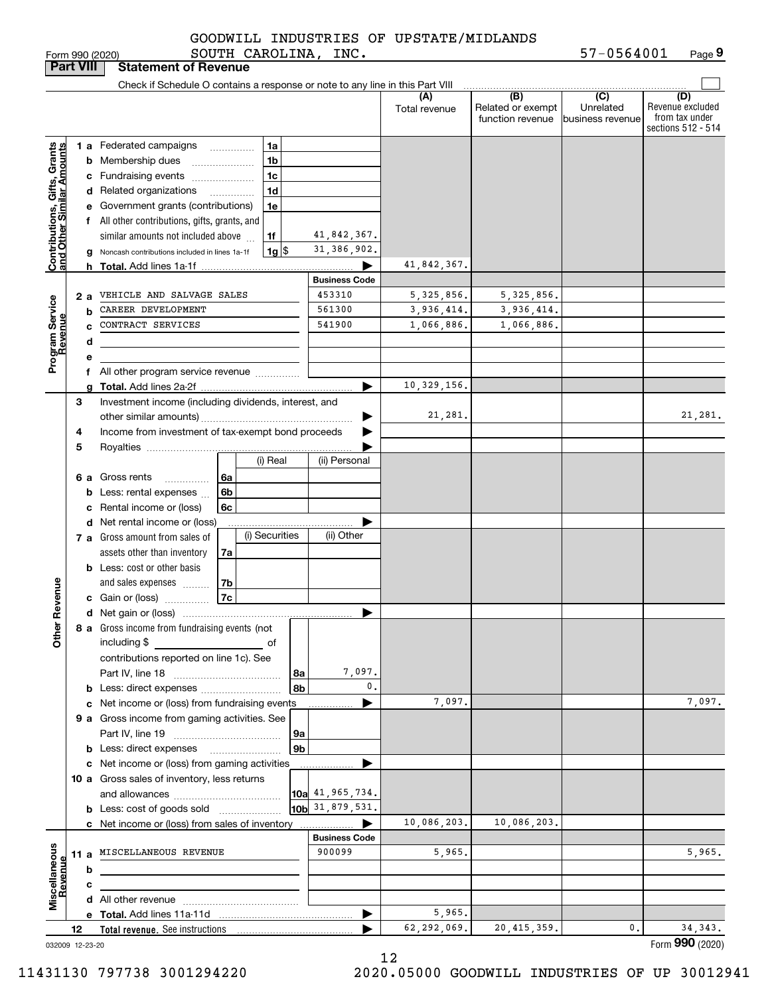SOUTH CAROLINA, INC.

Form 990 (2020) SOU'I'H CAROLINA, INC. 5/-U564UUI Page **9** 57-0564001

| <b>Part VIII</b>                                          |    |     | <b>Statement of Revenue</b>                                                   |                      |                      |                                              |                                      |                                                                 |
|-----------------------------------------------------------|----|-----|-------------------------------------------------------------------------------|----------------------|----------------------|----------------------------------------------|--------------------------------------|-----------------------------------------------------------------|
|                                                           |    |     | Check if Schedule O contains a response or note to any line in this Part VIII |                      |                      |                                              |                                      |                                                                 |
|                                                           |    |     |                                                                               |                      | (A)<br>Total revenue | (B)<br>Related or exempt<br>function revenue | (C)<br>Unrelated<br>business revenue | (D)<br>Revenue excluded<br>from tax under<br>sections 512 - 514 |
|                                                           |    |     | 1 a Federated campaigns<br>1a<br>.                                            |                      |                      |                                              |                                      |                                                                 |
| Contributions, Gifts, Grants<br>and Other Similar Amounts |    |     | 1 <sub>b</sub><br><b>b</b> Membership dues                                    |                      |                      |                                              |                                      |                                                                 |
|                                                           |    |     | 1c<br>c Fundraising events                                                    |                      |                      |                                              |                                      |                                                                 |
|                                                           |    |     | 1 <sub>d</sub><br>d Related organizations<br>.                                |                      |                      |                                              |                                      |                                                                 |
|                                                           |    |     | e Government grants (contributions)<br>1e                                     |                      |                      |                                              |                                      |                                                                 |
|                                                           |    |     | f All other contributions, gifts, grants, and                                 |                      |                      |                                              |                                      |                                                                 |
|                                                           |    |     | similar amounts not included above<br>1f                                      | 41,842,367.          |                      |                                              |                                      |                                                                 |
|                                                           |    |     | $1g$  \$<br>Noncash contributions included in lines 1a-1f                     | 31, 386, 902.        |                      |                                              |                                      |                                                                 |
|                                                           |    | h.  |                                                                               |                      | 41,842,367.          |                                              |                                      |                                                                 |
|                                                           |    |     |                                                                               | <b>Business Code</b> |                      |                                              |                                      |                                                                 |
|                                                           |    | 2 a | VEHICLE AND SALVAGE SALES                                                     | 453310               | 5,325,856.           | 5, 325, 856.                                 |                                      |                                                                 |
| Program Service<br>Revenue                                |    | b   | CAREER DEVELOPMENT                                                            | 561300               | 3,936,414.           | 3,936,414.                                   |                                      |                                                                 |
|                                                           |    |     | CONTRACT SERVICES                                                             | 541900               | 1,066,886.           | 1,066,886.                                   |                                      |                                                                 |
|                                                           |    | d   |                                                                               |                      |                      |                                              |                                      |                                                                 |
|                                                           |    | е   |                                                                               |                      |                      |                                              |                                      |                                                                 |
|                                                           |    | a   | f All other program service revenue                                           | ▶                    | 10,329,156.          |                                              |                                      |                                                                 |
|                                                           | З  |     | Investment income (including dividends, interest, and                         |                      |                      |                                              |                                      |                                                                 |
|                                                           |    |     |                                                                               |                      | 21,281.              |                                              |                                      | 21,281.                                                         |
|                                                           | 4  |     | Income from investment of tax-exempt bond proceeds                            |                      |                      |                                              |                                      |                                                                 |
|                                                           | 5  |     |                                                                               |                      |                      |                                              |                                      |                                                                 |
|                                                           |    |     | (i) Real                                                                      | (ii) Personal        |                      |                                              |                                      |                                                                 |
|                                                           |    |     | 6 a Gross rents<br>6a<br>.                                                    |                      |                      |                                              |                                      |                                                                 |
|                                                           |    |     | 6b<br><b>b</b> Less: rental expenses                                          |                      |                      |                                              |                                      |                                                                 |
|                                                           |    | c   | 6c<br>Rental income or (loss)                                                 |                      |                      |                                              |                                      |                                                                 |
|                                                           |    |     | d Net rental income or (loss)                                                 |                      |                      |                                              |                                      |                                                                 |
|                                                           |    |     | (i) Securities<br><b>7 a</b> Gross amount from sales of                       | (ii) Other           |                      |                                              |                                      |                                                                 |
|                                                           |    |     | assets other than inventory<br>7a                                             |                      |                      |                                              |                                      |                                                                 |
|                                                           |    |     | <b>b</b> Less: cost or other basis                                            |                      |                      |                                              |                                      |                                                                 |
|                                                           |    |     | 7b<br>and sales expenses                                                      |                      |                      |                                              |                                      |                                                                 |
| Revenue                                                   |    |     | <b>7c</b><br>c Gain or (loss)                                                 |                      |                      |                                              |                                      |                                                                 |
|                                                           |    |     |                                                                               | ▶                    |                      |                                              |                                      |                                                                 |
| Other                                                     |    |     | 8 a Gross income from fundraising events (not                                 |                      |                      |                                              |                                      |                                                                 |
|                                                           |    |     | including \$<br>and the control of the control of                             |                      |                      |                                              |                                      |                                                                 |
|                                                           |    |     | contributions reported on line 1c). See                                       |                      |                      |                                              |                                      |                                                                 |
|                                                           |    |     | 8a                                                                            | 7,097.<br>0.         |                      |                                              |                                      |                                                                 |
|                                                           |    |     | 8b<br><b>b</b> Less: direct expenses <i></i>                                  |                      | 7,097.               |                                              |                                      | 7,097.                                                          |
|                                                           |    |     | c Net income or (loss) from fundraising events                                |                      |                      |                                              |                                      |                                                                 |
|                                                           |    |     | 9 a Gross income from gaming activities. See<br>  9a                          |                      |                      |                                              |                                      |                                                                 |
|                                                           |    |     | 9 <sub>b</sub><br><b>b</b> Less: direct expenses <b>manually</b>              |                      |                      |                                              |                                      |                                                                 |
|                                                           |    |     | c Net income or (loss) from gaming activities                                 |                      |                      |                                              |                                      |                                                                 |
|                                                           |    |     | 10 a Gross sales of inventory, less returns                                   |                      |                      |                                              |                                      |                                                                 |
|                                                           |    |     |                                                                               | 10a 41, 965, 734.    |                      |                                              |                                      |                                                                 |
|                                                           |    |     | <b>b</b> Less: cost of goods sold                                             | 10b 31,879,531.      |                      |                                              |                                      |                                                                 |
|                                                           |    |     | c Net income or (loss) from sales of inventory                                | ▶                    | 10,086,203.          | 10,086,203.                                  |                                      |                                                                 |
|                                                           |    |     |                                                                               | <b>Business Code</b> |                      |                                              |                                      |                                                                 |
|                                                           |    |     | 11 a MISCELLANEOUS REVENUE                                                    | 900099               | 5,965.               |                                              |                                      | 5,965.                                                          |
|                                                           |    | b   |                                                                               |                      |                      |                                              |                                      |                                                                 |
|                                                           |    | c   |                                                                               |                      |                      |                                              |                                      |                                                                 |
| Miscellaneous<br>Revenue                                  |    |     |                                                                               |                      |                      |                                              |                                      |                                                                 |
|                                                           |    |     |                                                                               | ▶                    | 5,965.               |                                              |                                      |                                                                 |
|                                                           | 12 |     |                                                                               |                      | 62,292,069.          | 20, 415, 359.                                | 0.                                   | 34, 343.                                                        |
| 032009 12-23-20                                           |    |     |                                                                               |                      |                      |                                              |                                      | Form 990 (2020)                                                 |

12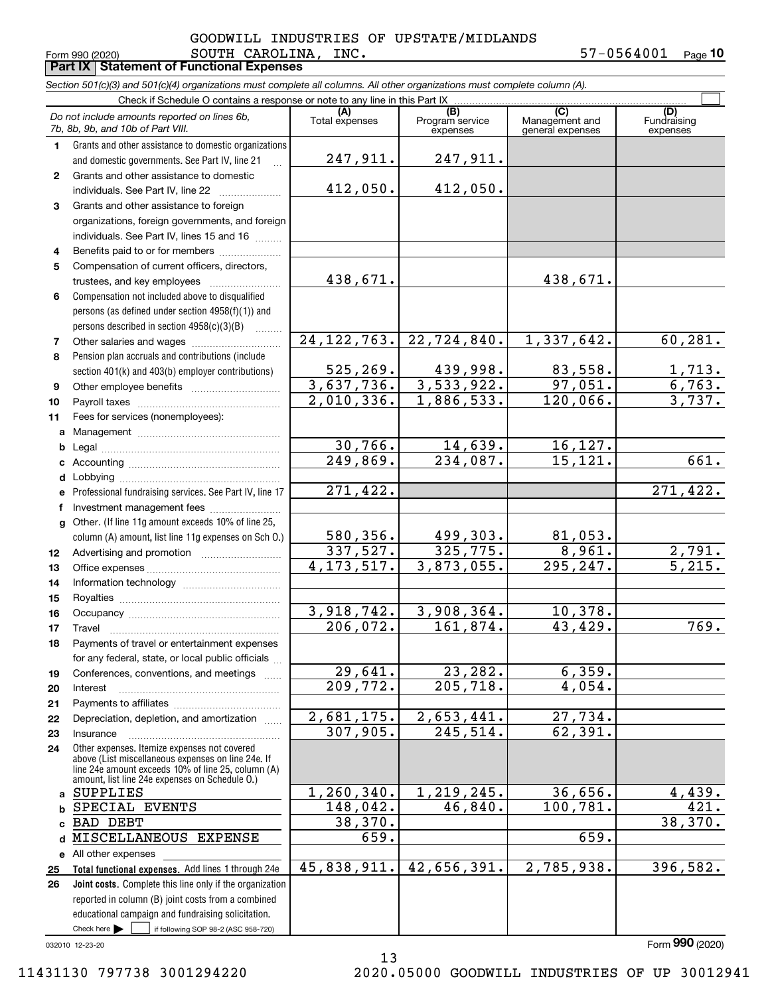### $_{\rm Form}$  990 (2020) <code>SOUTH CAROLINA</code> , INC . 57-0564001  $_{\rm Page}$ **Part IX Statement of Functional Expenses** GOODWILL INDUSTRIES OF UPSTATE/MIDLANDS

**10**

|    | Section 501(c)(3) and 501(c)(4) organizations must complete all columns. All other organizations must complete column (A).                                                                                 |                       |                                    |                                           |                                |
|----|------------------------------------------------------------------------------------------------------------------------------------------------------------------------------------------------------------|-----------------------|------------------------------------|-------------------------------------------|--------------------------------|
|    | Check if Schedule O contains a response or note to any line in this Part IX                                                                                                                                |                       |                                    |                                           |                                |
|    | Do not include amounts reported on lines 6b,<br>7b, 8b, 9b, and 10b of Part VIII.                                                                                                                          | (A)<br>Total expenses | (B)<br>Program service<br>expenses | (C)<br>Management and<br>general expenses | (D)<br>Fundraising<br>expenses |
| 1. | Grants and other assistance to domestic organizations<br>and domestic governments. See Part IV, line 21                                                                                                    | 247,911.              | 247,911.                           |                                           |                                |
|    |                                                                                                                                                                                                            |                       |                                    |                                           |                                |
| 2  | Grants and other assistance to domestic                                                                                                                                                                    | 412,050.              | 412,050.                           |                                           |                                |
| 3  | individuals. See Part IV, line 22                                                                                                                                                                          |                       |                                    |                                           |                                |
|    | Grants and other assistance to foreign                                                                                                                                                                     |                       |                                    |                                           |                                |
|    | organizations, foreign governments, and foreign<br>individuals. See Part IV, lines 15 and 16                                                                                                               |                       |                                    |                                           |                                |
| 4  | Benefits paid to or for members                                                                                                                                                                            |                       |                                    |                                           |                                |
| 5  | Compensation of current officers, directors,                                                                                                                                                               |                       |                                    |                                           |                                |
|    | trustees, and key employees                                                                                                                                                                                | 438,671.              |                                    | 438,671.                                  |                                |
| 6  | Compensation not included above to disqualified                                                                                                                                                            |                       |                                    |                                           |                                |
|    | persons (as defined under section 4958(f)(1)) and                                                                                                                                                          |                       |                                    |                                           |                                |
|    | persons described in section 4958(c)(3)(B)                                                                                                                                                                 |                       |                                    |                                           |                                |
| 7  |                                                                                                                                                                                                            | 24, 122, 763.         | 22,724,840.                        | 1,337,642.                                | 60, 281.                       |
| 8  | Pension plan accruals and contributions (include                                                                                                                                                           |                       |                                    |                                           |                                |
|    | section 401(k) and 403(b) employer contributions)                                                                                                                                                          | 525, 269.             | <u>439,998.</u>                    | 83,558.                                   | <u>1,713.</u>                  |
| 9  |                                                                                                                                                                                                            | 3,637,736.            | 3,533,922.                         | 97,051.                                   | 6,763.                         |
| 10 |                                                                                                                                                                                                            | 2,010,336.            | 1,886,533.                         | 120,066.                                  | 3,737.                         |
| 11 | Fees for services (nonemployees):                                                                                                                                                                          |                       |                                    |                                           |                                |
|    |                                                                                                                                                                                                            |                       |                                    |                                           |                                |
| b  |                                                                                                                                                                                                            | 30,766.               | 14,639.                            | 16, 127.                                  |                                |
|    |                                                                                                                                                                                                            | 249,869.              | 234,087.                           | 15, 121.                                  | 661.                           |
|    |                                                                                                                                                                                                            |                       |                                    |                                           |                                |
|    | e Professional fundraising services. See Part IV, line 17                                                                                                                                                  | 271,422.              |                                    |                                           | 271,422.                       |
|    | Investment management fees                                                                                                                                                                                 |                       |                                    |                                           |                                |
| g  | Other. (If line 11g amount exceeds 10% of line 25,                                                                                                                                                         |                       |                                    |                                           |                                |
|    | column (A) amount, list line 11g expenses on Sch O.)                                                                                                                                                       | <u>580,356.</u>       | <u>499,303.</u>                    |                                           |                                |
| 12 |                                                                                                                                                                                                            | 337,527.              | 325,775.                           | $\frac{81,053.}{8,961.}$                  |                                |
| 13 |                                                                                                                                                                                                            | 4, 173, 517.          | 3,873,055.                         | 295,247.                                  | $\frac{2,791}{5,215}$          |
| 14 |                                                                                                                                                                                                            |                       |                                    |                                           |                                |
| 15 |                                                                                                                                                                                                            |                       |                                    |                                           |                                |
| 16 |                                                                                                                                                                                                            | 3,918,742.            | 3,908,364.                         | 10,378.                                   |                                |
| 17 |                                                                                                                                                                                                            | 206,072.              | 161,874.                           | 43,429.                                   | 769.                           |
| 18 | Payments of travel or entertainment expenses                                                                                                                                                               |                       |                                    |                                           |                                |
|    | for any federal, state, or local public officials                                                                                                                                                          |                       |                                    |                                           |                                |
| 19 | Conferences, conventions, and meetings                                                                                                                                                                     | 29,641.               | 23,282.                            | 6,359.                                    |                                |
| 20 | Interest                                                                                                                                                                                                   | 209,772.              | 205, 718.                          | 4,054.                                    |                                |
| 21 |                                                                                                                                                                                                            |                       |                                    |                                           |                                |
| 22 | Depreciation, depletion, and amortization                                                                                                                                                                  | 2,681,175.            | 2,653,441.                         | 27,734.                                   |                                |
| 23 | Insurance                                                                                                                                                                                                  | 307,905.              | 245,514.                           | 62,391.                                   |                                |
| 24 | Other expenses. Itemize expenses not covered<br>above (List miscellaneous expenses on line 24e. If<br>line 24e amount exceeds 10% of line 25, column (A)<br>amount, list line 24e expenses on Schedule O.) |                       |                                    |                                           |                                |
|    | a SUPPLIES                                                                                                                                                                                                 | 1, 260, 340.          | 1,219,245.                         | 36,656.                                   | 4,439.                         |
|    | SPECIAL EVENTS                                                                                                                                                                                             | 148,042.              | 46,840.                            | 100,781.                                  | 421.                           |
|    | <b>BAD DEBT</b>                                                                                                                                                                                            | 38,370.               |                                    |                                           | 38,370.                        |
| d  | MISCELLANEOUS EXPENSE                                                                                                                                                                                      | 659.                  |                                    | 659.                                      |                                |
|    | e All other expenses                                                                                                                                                                                       |                       |                                    |                                           |                                |
| 25 | Total functional expenses. Add lines 1 through 24e                                                                                                                                                         | 45,838,911.           | 42,656,391.                        | 2,785,938.                                | 396,582.                       |
| 26 | Joint costs. Complete this line only if the organization                                                                                                                                                   |                       |                                    |                                           |                                |
|    | reported in column (B) joint costs from a combined                                                                                                                                                         |                       |                                    |                                           |                                |
|    | educational campaign and fundraising solicitation.                                                                                                                                                         |                       |                                    |                                           |                                |

032010 12-23-20

Check here

 $\mathcal{L}^{\text{max}}$ 

if following SOP 98-2 (ASC 958-720)

Form (2020) **990**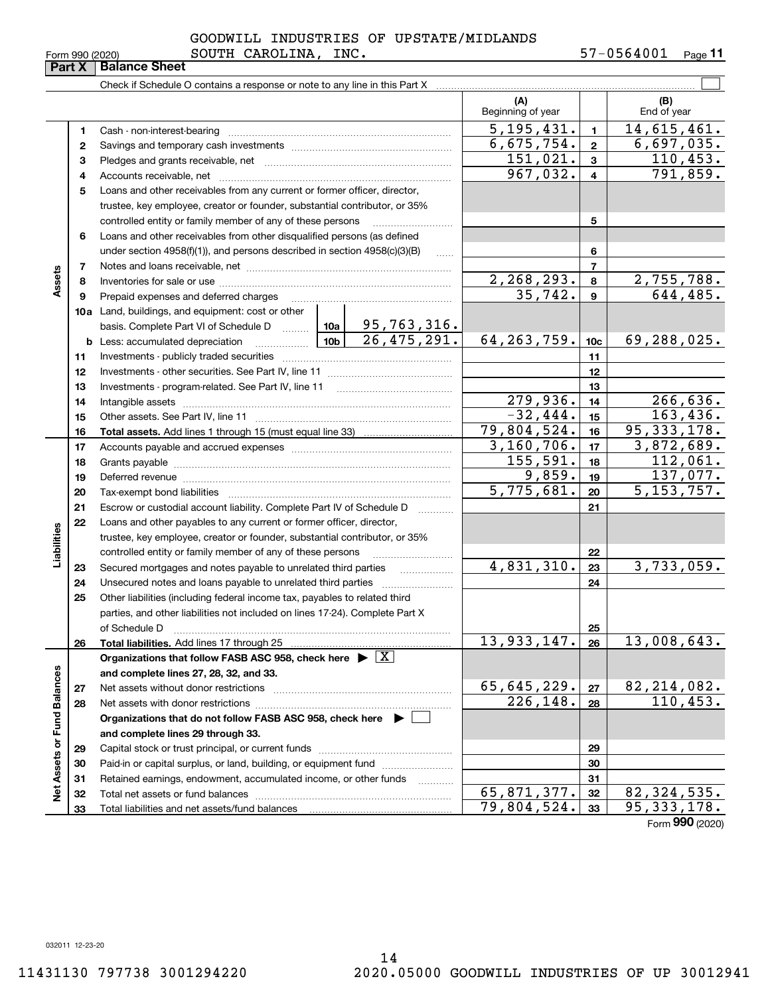|  | Form 990 (2020) |  |
|--|-----------------|--|
|  |                 |  |

## $_{\rm Form}$  990 (2020) <code>SOUTH CAROLINA</code> , INC . 57-0564001  $_{\rm Page}$ GOODWILL INDUSTRIES OF UPSTATE/MIDLANDS

|                             | Form 990 (2020) | SOUTH CAROLINA,                                                                                                                                                                                                                |                 | INC.              |                          |                  | 57-0564001                   | Page 11   |
|-----------------------------|-----------------|--------------------------------------------------------------------------------------------------------------------------------------------------------------------------------------------------------------------------------|-----------------|-------------------|--------------------------|------------------|------------------------------|-----------|
|                             | Part X          | <b>Balance Sheet</b>                                                                                                                                                                                                           |                 |                   |                          |                  |                              |           |
|                             |                 |                                                                                                                                                                                                                                |                 |                   |                          |                  |                              |           |
|                             |                 |                                                                                                                                                                                                                                |                 |                   | (A)<br>Beginning of year |                  | (B)<br>End of year           |           |
|                             | 1               |                                                                                                                                                                                                                                |                 |                   | 5, 195, 431.             | $\mathbf{1}$     | 14,615,461.                  |           |
|                             | 2               |                                                                                                                                                                                                                                |                 |                   | 6,675,754.               | $\mathbf{2}$     | 6,697,035.                   |           |
|                             | з               |                                                                                                                                                                                                                                |                 |                   | 151,021.                 | 3                |                              | 110,453.  |
|                             | 4               |                                                                                                                                                                                                                                |                 |                   | 967,032.                 | $\overline{4}$   |                              | 791,859.  |
|                             | 5               | Loans and other receivables from any current or former officer, director,                                                                                                                                                      |                 |                   |                          |                  |                              |           |
|                             |                 | trustee, key employee, creator or founder, substantial contributor, or 35%                                                                                                                                                     |                 |                   |                          |                  |                              |           |
|                             |                 | controlled entity or family member of any of these persons                                                                                                                                                                     |                 |                   |                          | 5                |                              |           |
|                             | 6               | Loans and other receivables from other disqualified persons (as defined                                                                                                                                                        |                 |                   |                          |                  |                              |           |
|                             |                 | under section $4958(f)(1)$ , and persons described in section $4958(c)(3)(B)$                                                                                                                                                  |                 | $\ldots$          |                          | 6                |                              |           |
|                             | 7               |                                                                                                                                                                                                                                |                 |                   |                          | $\overline{7}$   |                              |           |
| Assets                      | 8               |                                                                                                                                                                                                                                |                 |                   | 2,268,293.               | 8                | 2,755,788.                   |           |
|                             | 9               | Prepaid expenses and deferred charges                                                                                                                                                                                          |                 |                   | 35,742.                  | $\boldsymbol{9}$ |                              | 644, 485. |
|                             |                 | 10a Land, buildings, and equipment: cost or other                                                                                                                                                                              |                 |                   |                          |                  |                              |           |
|                             |                 | basis. Complete Part VI of Schedule D    10a   95, 763, 316.                                                                                                                                                                   |                 |                   |                          |                  |                              |           |
|                             |                 | <b>b</b> Less: accumulated depreciation<br>. 1                                                                                                                                                                                 | 10 <sub>b</sub> | 26, 475, 291.     | 64, 263, 759.            | 10 <sub>c</sub>  | 69,288,025.                  |           |
|                             | 11              |                                                                                                                                                                                                                                |                 | 11                |                          |                  |                              |           |
|                             | 12              |                                                                                                                                                                                                                                |                 |                   |                          | 12               |                              |           |
|                             | 13              | Investments - program-related. See Part IV, line 11                                                                                                                                                                            |                 |                   |                          | 13               |                              |           |
|                             | 14              | Intangible assets with the continuum control of the control of the control of the control of the control of the control of the control of the control of the control of the control of the control of the control of the contr |                 |                   | 279,936.                 | 14               |                              | 266,636.  |
|                             | 15              |                                                                                                                                                                                                                                |                 |                   | $-32,444.$               | 15               |                              | 163, 436. |
|                             | 16              |                                                                                                                                                                                                                                |                 |                   | 79,804,524.              | 16               | 95, 333, 178.                |           |
|                             | 17              |                                                                                                                                                                                                                                | 3,160,706.      | 17                | 3,872,689.               |                  |                              |           |
|                             | 18              |                                                                                                                                                                                                                                | 155, 591.       | 18                |                          | 112,061.         |                              |           |
|                             | 19              | Deferred revenue manual contracts and contracts are contracted and contract and contract are contracted and contract are contracted and contract are contracted and contract are contracted and contract are contracted and co |                 |                   | 9,859.                   | 19               |                              | 137,077.  |
|                             | 20              |                                                                                                                                                                                                                                |                 |                   | $\overline{5,775},681.$  | 20               | 5, 153, 757.                 |           |
|                             | 21              | Escrow or custodial account liability. Complete Part IV of Schedule D                                                                                                                                                          |                 | 1.1.1.1.1.1.1.1.1 |                          | 21               |                              |           |
|                             | 22              | Loans and other payables to any current or former officer, director,                                                                                                                                                           |                 |                   |                          |                  |                              |           |
|                             |                 | trustee, key employee, creator or founder, substantial contributor, or 35%                                                                                                                                                     |                 |                   |                          |                  |                              |           |
| Liabilities                 |                 | controlled entity or family member of any of these persons                                                                                                                                                                     |                 |                   |                          | 22               |                              |           |
|                             | 23              | Secured mortgages and notes payable to unrelated third parties                                                                                                                                                                 |                 |                   | 4,831,310.               | 23               | 3,733,059.                   |           |
|                             | 24              |                                                                                                                                                                                                                                |                 |                   |                          | 24               |                              |           |
|                             | 25              | Other liabilities (including federal income tax, payables to related third                                                                                                                                                     |                 |                   |                          |                  |                              |           |
|                             |                 | parties, and other liabilities not included on lines 17-24). Complete Part X                                                                                                                                                   |                 |                   |                          |                  |                              |           |
|                             |                 | of Schedule D                                                                                                                                                                                                                  |                 |                   |                          | 25               |                              |           |
|                             | 26              | Total liabilities. Add lines 17 through 25                                                                                                                                                                                     |                 |                   | 13,933,147.              | 26               | 13,008,643.                  |           |
|                             |                 | Organizations that follow FASB ASC 958, check here $\blacktriangleright \boxed{X}$                                                                                                                                             |                 |                   |                          |                  |                              |           |
|                             |                 | and complete lines 27, 28, 32, and 33.                                                                                                                                                                                         |                 |                   |                          |                  |                              |           |
|                             | 27              | Net assets without donor restrictions                                                                                                                                                                                          |                 |                   | 65,645,229.              | ${\bf 27}$       | $\frac{82,214,082}{110,453}$ |           |
|                             | 28              |                                                                                                                                                                                                                                |                 |                   | 226,148.                 | 28               |                              |           |
|                             |                 | Organizations that do not follow FASB ASC 958, check here $\blacktriangleright$                                                                                                                                                |                 |                   |                          |                  |                              |           |
| Net Assets or Fund Balances |                 | and complete lines 29 through 33.                                                                                                                                                                                              |                 |                   |                          |                  |                              |           |
|                             | 29              |                                                                                                                                                                                                                                |                 |                   |                          | 29               |                              |           |
|                             | 30              | Paid-in or capital surplus, or land, building, or equipment fund                                                                                                                                                               |                 |                   |                          | 30               |                              |           |
|                             | 31              | Retained earnings, endowment, accumulated income, or other funds                                                                                                                                                               |                 | .                 |                          | 31               |                              |           |
|                             | 32              |                                                                                                                                                                                                                                |                 |                   | 65,871,377.              | 32               | 82, 324, 535.                |           |
|                             | 33              |                                                                                                                                                                                                                                |                 |                   | 79,804,524.              | 33               | 95, 333, 178.                |           |

Form (2020) **990**

032011 12-23-20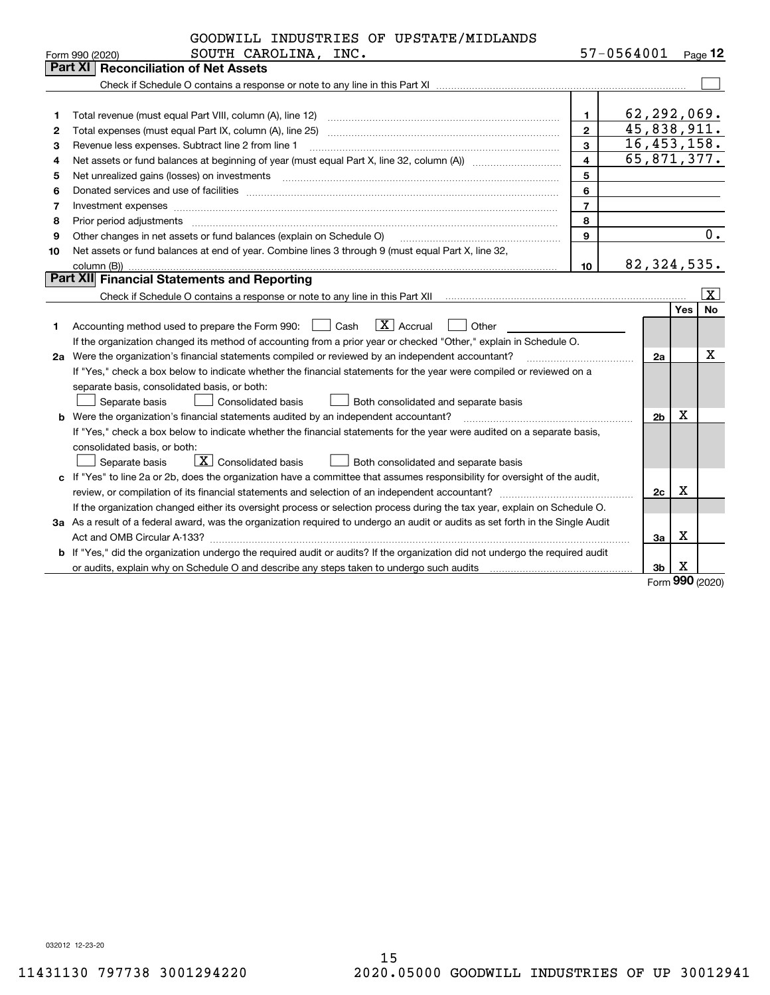|    | GOODWILL INDUSTRIES OF UPSTATE/MIDLANDS                                                                                         |                |                |            |                       |
|----|---------------------------------------------------------------------------------------------------------------------------------|----------------|----------------|------------|-----------------------|
|    | SOUTH CAROLINA, INC.<br>Form 990 (2020)                                                                                         |                | 57-0564001     |            | Page $12$             |
|    | <b>Part XI   Reconciliation of Net Assets</b>                                                                                   |                |                |            |                       |
|    |                                                                                                                                 |                |                |            |                       |
|    |                                                                                                                                 |                |                |            |                       |
| 1  |                                                                                                                                 | 1.             | 62,292,069.    |            |                       |
| 2  |                                                                                                                                 | $\overline{2}$ | 45,838,911.    |            |                       |
| 3  | Revenue less expenses. Subtract line 2 from line 1                                                                              | 3              | 16,453,158.    |            |                       |
| 4  |                                                                                                                                 | 4              | 65,871,377.    |            |                       |
| 5  |                                                                                                                                 | 5              |                |            |                       |
| 6  |                                                                                                                                 | 6              |                |            |                       |
| 7  | Investment expenses www.communication.communication.com/www.communication.com/www.communication.com                             | $\overline{7}$ |                |            |                       |
| 8  | Prior period adjustments                                                                                                        | 8              |                |            |                       |
| 9  | Other changes in net assets or fund balances (explain on Schedule O)                                                            | 9              |                |            | 0.                    |
| 10 | Net assets or fund balances at end of year. Combine lines 3 through 9 (must equal Part X, line 32,                              |                |                |            |                       |
|    | column (B))                                                                                                                     | 10             | 82, 324, 535.  |            |                       |
|    | Part XII Financial Statements and Reporting                                                                                     |                |                |            |                       |
|    |                                                                                                                                 |                |                |            | $\overline{\text{X}}$ |
|    |                                                                                                                                 |                |                | <b>Yes</b> | <b>No</b>             |
| 1  | $\boxed{\mathbf{X}}$ Accrual<br>Accounting method used to prepare the Form 990: <u>[16</u> ] Cash<br>Other                      |                |                |            |                       |
|    | If the organization changed its method of accounting from a prior year or checked "Other," explain in Schedule O.               |                |                |            |                       |
|    | 2a Were the organization's financial statements compiled or reviewed by an independent accountant?                              |                | 2a             |            | х                     |
|    | If "Yes," check a box below to indicate whether the financial statements for the year were compiled or reviewed on a            |                |                |            |                       |
|    | separate basis, consolidated basis, or both:                                                                                    |                |                |            |                       |
|    | Separate basis<br>Consolidated basis<br>Both consolidated and separate basis                                                    |                |                |            |                       |
|    | <b>b</b> Were the organization's financial statements audited by an independent accountant?                                     |                | 2 <sub>b</sub> | х          |                       |
|    | If "Yes," check a box below to indicate whether the financial statements for the year were audited on a separate basis,         |                |                |            |                       |
|    | consolidated basis, or both:                                                                                                    |                |                |            |                       |
|    | $\boxed{\textbf{X}}$ Consolidated basis<br>Separate basis<br>Both consolidated and separate basis                               |                |                |            |                       |
|    | c If "Yes" to line 2a or 2b, does the organization have a committee that assumes responsibility for oversight of the audit,     |                |                |            |                       |
|    |                                                                                                                                 |                | 2c             | Х          |                       |
|    | If the organization changed either its oversight process or selection process during the tax year, explain on Schedule O.       |                |                |            |                       |
|    | 3a As a result of a federal award, was the organization required to undergo an audit or audits as set forth in the Single Audit |                |                |            |                       |
|    |                                                                                                                                 |                | 3a             | Х          |                       |
|    | b If "Yes," did the organization undergo the required audit or audits? If the organization did not undergo the required audit   |                |                |            |                       |
|    |                                                                                                                                 |                | 3b             | X          |                       |

Form (2020) **990**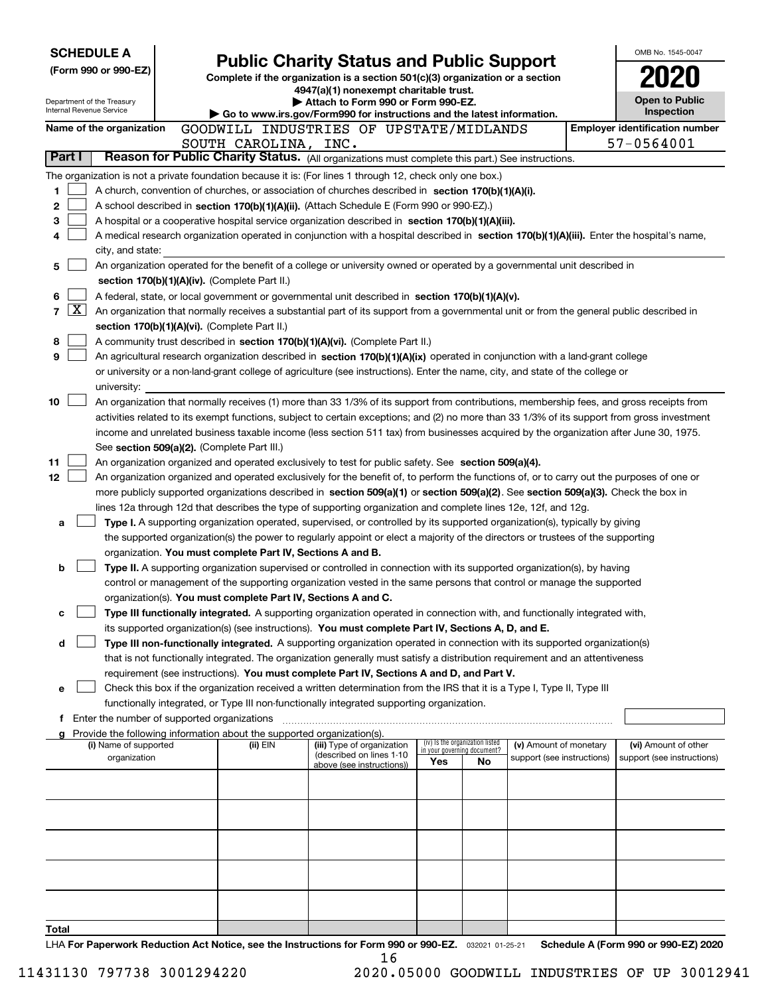|        | <b>SCHEDULE A</b>                                      |                                               |                                                                                    |                                                                                                                                                                                                                 |     |                                   |                            | OMB No. 1545-0047                                                                                                                      |
|--------|--------------------------------------------------------|-----------------------------------------------|------------------------------------------------------------------------------------|-----------------------------------------------------------------------------------------------------------------------------------------------------------------------------------------------------------------|-----|-----------------------------------|----------------------------|----------------------------------------------------------------------------------------------------------------------------------------|
|        | (Form 990 or 990-EZ)                                   |                                               |                                                                                    | <b>Public Charity Status and Public Support</b>                                                                                                                                                                 |     |                                   |                            |                                                                                                                                        |
|        |                                                        |                                               |                                                                                    | Complete if the organization is a section 501(c)(3) organization or a section<br>4947(a)(1) nonexempt charitable trust.                                                                                         |     |                                   |                            |                                                                                                                                        |
|        | Department of the Treasury<br>Internal Revenue Service |                                               |                                                                                    | Attach to Form 990 or Form 990-EZ.                                                                                                                                                                              |     |                                   |                            | <b>Open to Public</b>                                                                                                                  |
|        |                                                        |                                               |                                                                                    | Go to www.irs.gov/Form990 for instructions and the latest information.                                                                                                                                          |     |                                   |                            | Inspection                                                                                                                             |
|        | Name of the organization                               |                                               |                                                                                    | GOODWILL INDUSTRIES OF UPSTATE/MIDLANDS                                                                                                                                                                         |     |                                   |                            | <b>Employer identification number</b>                                                                                                  |
| Part I |                                                        |                                               | SOUTH CAROLINA, INC.                                                               | Reason for Public Charity Status. (All organizations must complete this part.) See instructions.                                                                                                                |     |                                   |                            | 57-0564001                                                                                                                             |
|        |                                                        |                                               |                                                                                    |                                                                                                                                                                                                                 |     |                                   |                            |                                                                                                                                        |
| 1      |                                                        |                                               |                                                                                    | The organization is not a private foundation because it is: (For lines 1 through 12, check only one box.)<br>A church, convention of churches, or association of churches described in section 170(b)(1)(A)(i). |     |                                   |                            |                                                                                                                                        |
| 2      |                                                        |                                               |                                                                                    | A school described in section 170(b)(1)(A)(ii). (Attach Schedule E (Form 990 or 990-EZ).)                                                                                                                       |     |                                   |                            |                                                                                                                                        |
| 3      |                                                        |                                               |                                                                                    | A hospital or a cooperative hospital service organization described in section 170(b)(1)(A)(iii).                                                                                                               |     |                                   |                            |                                                                                                                                        |
| 4      |                                                        |                                               |                                                                                    | A medical research organization operated in conjunction with a hospital described in section 170(b)(1)(A)(iii). Enter the hospital's name,                                                                      |     |                                   |                            |                                                                                                                                        |
|        | city, and state:                                       |                                               |                                                                                    |                                                                                                                                                                                                                 |     |                                   |                            |                                                                                                                                        |
| 5      |                                                        |                                               |                                                                                    | An organization operated for the benefit of a college or university owned or operated by a governmental unit described in                                                                                       |     |                                   |                            |                                                                                                                                        |
|        |                                                        | section 170(b)(1)(A)(iv). (Complete Part II.) |                                                                                    |                                                                                                                                                                                                                 |     |                                   |                            |                                                                                                                                        |
| 6      |                                                        |                                               |                                                                                    | A federal, state, or local government or governmental unit described in section 170(b)(1)(A)(v).                                                                                                                |     |                                   |                            |                                                                                                                                        |
| 7      | $\lfloor x \rfloor$                                    |                                               |                                                                                    | An organization that normally receives a substantial part of its support from a governmental unit or from the general public described in                                                                       |     |                                   |                            |                                                                                                                                        |
|        |                                                        | section 170(b)(1)(A)(vi). (Complete Part II.) |                                                                                    |                                                                                                                                                                                                                 |     |                                   |                            |                                                                                                                                        |
| 8      |                                                        |                                               |                                                                                    | A community trust described in section 170(b)(1)(A)(vi). (Complete Part II.)                                                                                                                                    |     |                                   |                            |                                                                                                                                        |
| 9      |                                                        |                                               |                                                                                    | An agricultural research organization described in section 170(b)(1)(A)(ix) operated in conjunction with a land-grant college                                                                                   |     |                                   |                            |                                                                                                                                        |
|        |                                                        |                                               |                                                                                    | or university or a non-land-grant college of agriculture (see instructions). Enter the name, city, and state of the college or                                                                                  |     |                                   |                            |                                                                                                                                        |
| 10     | university:                                            |                                               |                                                                                    | An organization that normally receives (1) more than 33 1/3% of its support from contributions, membership fees, and gross receipts from                                                                        |     |                                   |                            |                                                                                                                                        |
|        |                                                        |                                               |                                                                                    | activities related to its exempt functions, subject to certain exceptions; and (2) no more than 33 1/3% of its support from gross investment                                                                    |     |                                   |                            |                                                                                                                                        |
|        |                                                        |                                               |                                                                                    | income and unrelated business taxable income (less section 511 tax) from businesses acquired by the organization after June 30, 1975.                                                                           |     |                                   |                            |                                                                                                                                        |
|        |                                                        | See section 509(a)(2). (Complete Part III.)   |                                                                                    |                                                                                                                                                                                                                 |     |                                   |                            |                                                                                                                                        |
| 11     |                                                        |                                               |                                                                                    | An organization organized and operated exclusively to test for public safety. See section 509(a)(4).                                                                                                            |     |                                   |                            |                                                                                                                                        |
| 12     |                                                        |                                               |                                                                                    | An organization organized and operated exclusively for the benefit of, to perform the functions of, or to carry out the purposes of one or                                                                      |     |                                   |                            |                                                                                                                                        |
|        |                                                        |                                               |                                                                                    | more publicly supported organizations described in section 509(a)(1) or section 509(a)(2). See section 509(a)(3). Check the box in                                                                              |     |                                   |                            |                                                                                                                                        |
|        |                                                        |                                               |                                                                                    | lines 12a through 12d that describes the type of supporting organization and complete lines 12e, 12f, and 12g.                                                                                                  |     |                                   |                            |                                                                                                                                        |
| a      |                                                        |                                               |                                                                                    | Type I. A supporting organization operated, supervised, or controlled by its supported organization(s), typically by giving                                                                                     |     |                                   |                            |                                                                                                                                        |
|        |                                                        |                                               |                                                                                    | the supported organization(s) the power to regularly appoint or elect a majority of the directors or trustees of the supporting                                                                                 |     |                                   |                            |                                                                                                                                        |
|        |                                                        |                                               | organization. You must complete Part IV, Sections A and B.                         |                                                                                                                                                                                                                 |     |                                   |                            |                                                                                                                                        |
| b      |                                                        |                                               |                                                                                    | Type II. A supporting organization supervised or controlled in connection with its supported organization(s), by having                                                                                         |     |                                   |                            |                                                                                                                                        |
|        |                                                        |                                               |                                                                                    | control or management of the supporting organization vested in the same persons that control or manage the supported<br>organization(s). You must complete Part IV, Sections A and C.                           |     |                                   |                            |                                                                                                                                        |
| с      |                                                        |                                               |                                                                                    | Type III functionally integrated. A supporting organization operated in connection with, and functionally integrated with,                                                                                      |     |                                   |                            |                                                                                                                                        |
|        |                                                        |                                               |                                                                                    | its supported organization(s) (see instructions). You must complete Part IV, Sections A, D, and E.                                                                                                              |     |                                   |                            |                                                                                                                                        |
| d      |                                                        |                                               |                                                                                    | Type III non-functionally integrated. A supporting organization operated in connection with its supported organization(s)                                                                                       |     |                                   |                            |                                                                                                                                        |
|        |                                                        |                                               |                                                                                    | that is not functionally integrated. The organization generally must satisfy a distribution requirement and an attentiveness                                                                                    |     |                                   |                            |                                                                                                                                        |
|        |                                                        |                                               |                                                                                    | requirement (see instructions). You must complete Part IV, Sections A and D, and Part V.                                                                                                                        |     |                                   |                            |                                                                                                                                        |
| е      |                                                        |                                               |                                                                                    | Check this box if the organization received a written determination from the IRS that it is a Type I, Type II, Type III                                                                                         |     |                                   |                            |                                                                                                                                        |
|        |                                                        |                                               |                                                                                    | functionally integrated, or Type III non-functionally integrated supporting organization.                                                                                                                       |     |                                   |                            |                                                                                                                                        |
|        | f Enter the number of supported organizations          |                                               |                                                                                    |                                                                                                                                                                                                                 |     |                                   |                            |                                                                                                                                        |
|        | (i) Name of supported                                  |                                               | Provide the following information about the supported organization(s).<br>(ii) EIN | (iii) Type of organization                                                                                                                                                                                      |     | (iv) Is the organization listed   | (v) Amount of monetary     | (vi) Amount of other                                                                                                                   |
|        | organization                                           |                                               |                                                                                    | (described on lines 1-10                                                                                                                                                                                        | Yes | in your governing document?<br>No | support (see instructions) | support (see instructions)                                                                                                             |
|        |                                                        |                                               |                                                                                    | above (see instructions))                                                                                                                                                                                       |     |                                   |                            |                                                                                                                                        |
|        |                                                        |                                               |                                                                                    |                                                                                                                                                                                                                 |     |                                   |                            |                                                                                                                                        |
|        |                                                        |                                               |                                                                                    |                                                                                                                                                                                                                 |     |                                   |                            |                                                                                                                                        |
|        |                                                        |                                               |                                                                                    |                                                                                                                                                                                                                 |     |                                   |                            |                                                                                                                                        |
|        |                                                        |                                               |                                                                                    |                                                                                                                                                                                                                 |     |                                   |                            |                                                                                                                                        |
|        |                                                        |                                               |                                                                                    |                                                                                                                                                                                                                 |     |                                   |                            |                                                                                                                                        |
|        |                                                        |                                               |                                                                                    |                                                                                                                                                                                                                 |     |                                   |                            |                                                                                                                                        |
|        |                                                        |                                               |                                                                                    |                                                                                                                                                                                                                 |     |                                   |                            |                                                                                                                                        |
|        |                                                        |                                               |                                                                                    |                                                                                                                                                                                                                 |     |                                   |                            |                                                                                                                                        |
|        |                                                        |                                               |                                                                                    |                                                                                                                                                                                                                 |     |                                   |                            |                                                                                                                                        |
| Total  |                                                        |                                               |                                                                                    |                                                                                                                                                                                                                 |     |                                   |                            | UA For Reportuarly Reduction Act Notice can the Instructions for Form 000 or 000-F7 assessment of Schodule A (Form 000 or 000-F7) 2020 |

LHA For Paperwork Reduction Act Notice, see the Instructions for Form 990 or 990-EZ. <sub>032021</sub> o1-25-21 Schedule A (Form 990 or 990-EZ) 2020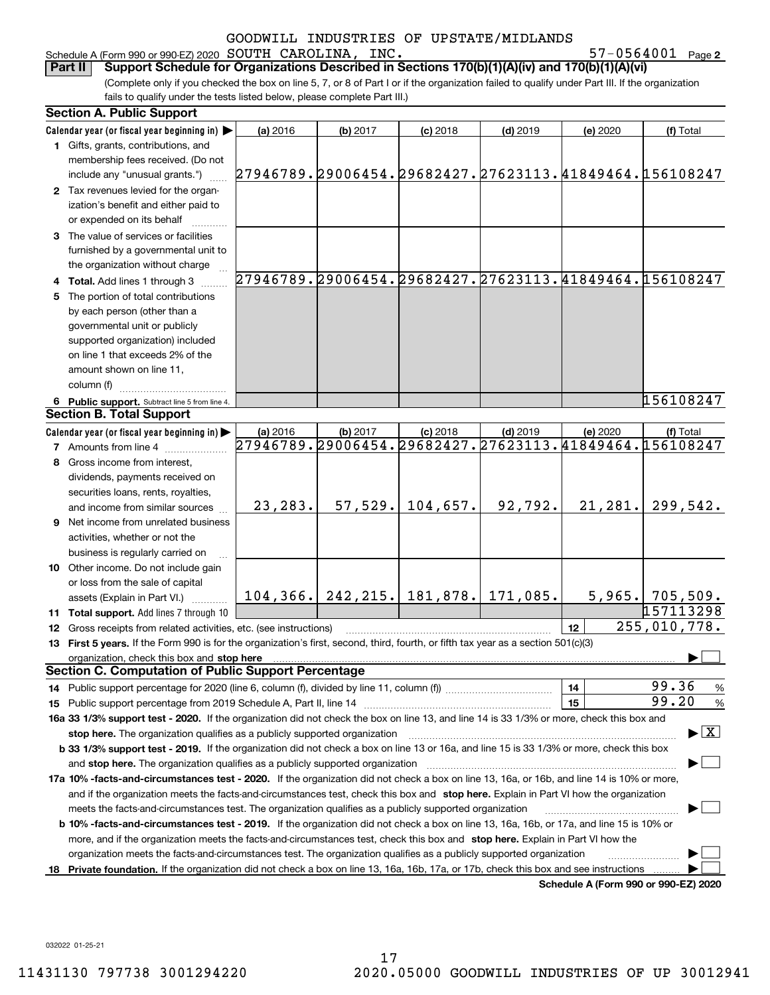Schedule A (Form 990 or 990-EZ) 2020 Page SOUTH CAROLINA, INC. 57-0564001

57-0564001 Page 2

(Complete only if you checked the box on line 5, 7, or 8 of Part I or if the organization failed to qualify under Part III. If the organization fails to qualify under the tests listed below, please complete Part III.) **Part II Support Schedule for Organizations Described in Sections 170(b)(1)(A)(iv) and 170(b)(1)(A)(vi)**

| Calendar year (or fiscal year beginning in)<br>(a) 2016<br>(b) 2017<br>$(c)$ 2018<br>$(d)$ 2019<br>(e) 2020<br>1 Gifts, grants, contributions, and<br>membership fees received. (Do not<br>27946789.29006454.29682427.27623113.41849464.156108247<br>include any "unusual grants.")<br>2 Tax revenues levied for the organ-<br>ization's benefit and either paid to<br>or expended on its behalf | (f) Total                               |
|--------------------------------------------------------------------------------------------------------------------------------------------------------------------------------------------------------------------------------------------------------------------------------------------------------------------------------------------------------------------------------------------------|-----------------------------------------|
|                                                                                                                                                                                                                                                                                                                                                                                                  |                                         |
|                                                                                                                                                                                                                                                                                                                                                                                                  |                                         |
|                                                                                                                                                                                                                                                                                                                                                                                                  |                                         |
|                                                                                                                                                                                                                                                                                                                                                                                                  |                                         |
|                                                                                                                                                                                                                                                                                                                                                                                                  |                                         |
|                                                                                                                                                                                                                                                                                                                                                                                                  |                                         |
|                                                                                                                                                                                                                                                                                                                                                                                                  |                                         |
| 3 The value of services or facilities                                                                                                                                                                                                                                                                                                                                                            |                                         |
| furnished by a governmental unit to                                                                                                                                                                                                                                                                                                                                                              |                                         |
| the organization without charge                                                                                                                                                                                                                                                                                                                                                                  |                                         |
| 27946789.29006454.29682427.27623113.41849464.156108247<br>4 Total. Add lines 1 through 3                                                                                                                                                                                                                                                                                                         |                                         |
| 5 The portion of total contributions                                                                                                                                                                                                                                                                                                                                                             |                                         |
| by each person (other than a                                                                                                                                                                                                                                                                                                                                                                     |                                         |
| governmental unit or publicly                                                                                                                                                                                                                                                                                                                                                                    |                                         |
|                                                                                                                                                                                                                                                                                                                                                                                                  |                                         |
| supported organization) included                                                                                                                                                                                                                                                                                                                                                                 |                                         |
| on line 1 that exceeds 2% of the                                                                                                                                                                                                                                                                                                                                                                 |                                         |
| amount shown on line 11,                                                                                                                                                                                                                                                                                                                                                                         |                                         |
| column (f)                                                                                                                                                                                                                                                                                                                                                                                       |                                         |
| 6 Public support. Subtract line 5 from line 4.                                                                                                                                                                                                                                                                                                                                                   | 156108247                               |
| <b>Section B. Total Support</b>                                                                                                                                                                                                                                                                                                                                                                  |                                         |
| Calendar year (or fiscal year beginning in)<br>(b) 2017<br>$(c)$ 2018<br>(a) 2016<br>$(d)$ 2019<br>(e) 2020                                                                                                                                                                                                                                                                                      | (f) Total                               |
| 27946789.29006454.29682427.27623113.41849464.156108247<br><b>7</b> Amounts from line 4                                                                                                                                                                                                                                                                                                           |                                         |
| 8 Gross income from interest,                                                                                                                                                                                                                                                                                                                                                                    |                                         |
| dividends, payments received on                                                                                                                                                                                                                                                                                                                                                                  |                                         |
| securities loans, rents, royalties,                                                                                                                                                                                                                                                                                                                                                              |                                         |
| 104,657.<br>92,792.<br>21, 281.<br>23,283.<br>57,529.<br>and income from similar sources                                                                                                                                                                                                                                                                                                         | 299,542.                                |
| <b>9</b> Net income from unrelated business                                                                                                                                                                                                                                                                                                                                                      |                                         |
| activities, whether or not the                                                                                                                                                                                                                                                                                                                                                                   |                                         |
| business is regularly carried on                                                                                                                                                                                                                                                                                                                                                                 |                                         |
| 10 Other income. Do not include gain                                                                                                                                                                                                                                                                                                                                                             |                                         |
| or loss from the sale of capital                                                                                                                                                                                                                                                                                                                                                                 |                                         |
| 104, 366.   242, 215.   181, 878.   171, 085.<br>5,965.<br>assets (Explain in Part VI.)                                                                                                                                                                                                                                                                                                          | 705,509.                                |
| 11 Total support. Add lines 7 through 10                                                                                                                                                                                                                                                                                                                                                         | 157113298                               |
| 12<br>12 Gross receipts from related activities, etc. (see instructions)                                                                                                                                                                                                                                                                                                                         | 255,010,778.                            |
| 13 First 5 years. If the Form 990 is for the organization's first, second, third, fourth, or fifth tax year as a section 501(c)(3)                                                                                                                                                                                                                                                               |                                         |
| organization, check this box and stop here                                                                                                                                                                                                                                                                                                                                                       |                                         |
| <b>Section C. Computation of Public Support Percentage</b>                                                                                                                                                                                                                                                                                                                                       |                                         |
| 14<br>14 Public support percentage for 2020 (line 6, column (f), divided by line 11, column (f) <i>marroummaname</i>                                                                                                                                                                                                                                                                             | 99.36<br>$\frac{9}{6}$                  |
| 15                                                                                                                                                                                                                                                                                                                                                                                               | 99.20<br>%                              |
| 16a 33 1/3% support test - 2020. If the organization did not check the box on line 13, and line 14 is 33 1/3% or more, check this box and                                                                                                                                                                                                                                                        |                                         |
| stop here. The organization qualifies as a publicly supported organization                                                                                                                                                                                                                                                                                                                       | $\blacktriangleright$ $\vert$ X $\vert$ |
| b 33 1/3% support test - 2019. If the organization did not check a box on line 13 or 16a, and line 15 is 33 1/3% or more, check this box                                                                                                                                                                                                                                                         |                                         |
|                                                                                                                                                                                                                                                                                                                                                                                                  |                                         |
| and stop here. The organization qualifies as a publicly supported organization                                                                                                                                                                                                                                                                                                                   |                                         |
| 17a 10% -facts-and-circumstances test - 2020. If the organization did not check a box on line 13, 16a, or 16b, and line 14 is 10% or more,                                                                                                                                                                                                                                                       |                                         |
| and if the organization meets the facts-and-circumstances test, check this box and stop here. Explain in Part VI how the organization                                                                                                                                                                                                                                                            |                                         |
| meets the facts-and-circumstances test. The organization qualifies as a publicly supported organization                                                                                                                                                                                                                                                                                          |                                         |
| <b>b 10% -facts-and-circumstances test - 2019.</b> If the organization did not check a box on line 13, 16a, 16b, or 17a, and line 15 is 10% or                                                                                                                                                                                                                                                   |                                         |
| more, and if the organization meets the facts-and-circumstances test, check this box and stop here. Explain in Part VI how the                                                                                                                                                                                                                                                                   |                                         |
| organization meets the facts-and-circumstances test. The organization qualifies as a publicly supported organization                                                                                                                                                                                                                                                                             |                                         |
| Private foundation. If the organization did not check a box on line 13, 16a, 16b, 17a, or 17b, check this box and see instructions<br>18<br>Schodule A (Form 990 or 990-F7) 2020                                                                                                                                                                                                                 |                                         |

**Schedule A (Form 990 or 990-EZ) 2020**

032022 01-25-21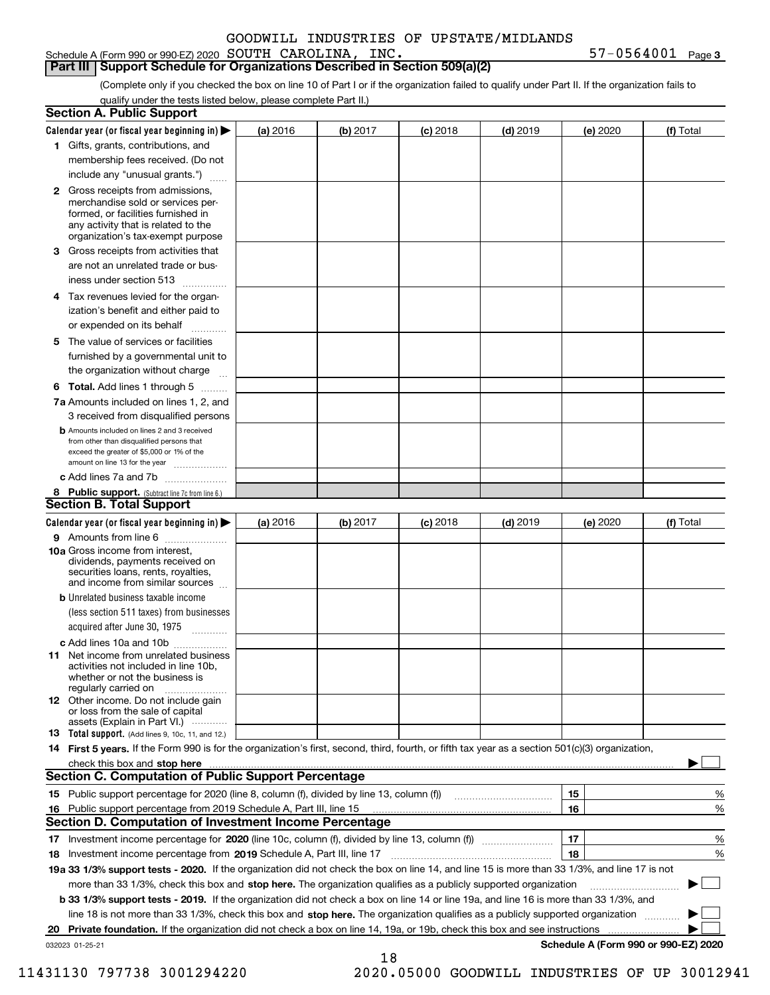Schedule A (Form 990 or 990-EZ) 2020 Page SOUTH CAROLINA, INC. 57-0564001

**3**

## **Part III Support Schedule for Organizations Described in Section 509(a)(2)**

(Complete only if you checked the box on line 10 of Part I or if the organization failed to qualify under Part II. If the organization fails to qualify under the tests listed below, please complete Part II.)

|    | <b>Section A. Public Support</b>                                                                                                                                                                                                    |          |          |            |            |          |                                      |
|----|-------------------------------------------------------------------------------------------------------------------------------------------------------------------------------------------------------------------------------------|----------|----------|------------|------------|----------|--------------------------------------|
|    | Calendar year (or fiscal year beginning in) $\blacktriangleright$                                                                                                                                                                   | (a) 2016 | (b) 2017 | $(c)$ 2018 | $(d)$ 2019 | (e) 2020 | (f) Total                            |
|    | 1 Gifts, grants, contributions, and                                                                                                                                                                                                 |          |          |            |            |          |                                      |
|    | membership fees received. (Do not                                                                                                                                                                                                   |          |          |            |            |          |                                      |
|    | include any "unusual grants.")                                                                                                                                                                                                      |          |          |            |            |          |                                      |
|    | <b>2</b> Gross receipts from admissions,<br>merchandise sold or services per-<br>formed, or facilities furnished in<br>any activity that is related to the<br>organization's tax-exempt purpose                                     |          |          |            |            |          |                                      |
|    | 3 Gross receipts from activities that<br>are not an unrelated trade or bus-                                                                                                                                                         |          |          |            |            |          |                                      |
|    | iness under section 513                                                                                                                                                                                                             |          |          |            |            |          |                                      |
|    | 4 Tax revenues levied for the organ-<br>ization's benefit and either paid to                                                                                                                                                        |          |          |            |            |          |                                      |
|    | or expended on its behalf                                                                                                                                                                                                           |          |          |            |            |          |                                      |
|    | 5 The value of services or facilities<br>furnished by a governmental unit to                                                                                                                                                        |          |          |            |            |          |                                      |
|    | the organization without charge                                                                                                                                                                                                     |          |          |            |            |          |                                      |
|    | <b>6 Total.</b> Add lines 1 through 5                                                                                                                                                                                               |          |          |            |            |          |                                      |
|    | 7a Amounts included on lines 1, 2, and<br>3 received from disqualified persons                                                                                                                                                      |          |          |            |            |          |                                      |
|    | <b>b</b> Amounts included on lines 2 and 3 received<br>from other than disqualified persons that<br>exceed the greater of \$5,000 or 1% of the<br>amount on line 13 for the year                                                    |          |          |            |            |          |                                      |
|    | c Add lines 7a and 7b                                                                                                                                                                                                               |          |          |            |            |          |                                      |
|    | 8 Public support. (Subtract line 7c from line 6.)<br><b>Section B. Total Support</b>                                                                                                                                                |          |          |            |            |          |                                      |
|    | Calendar year (or fiscal year beginning in)                                                                                                                                                                                         | (a) 2016 | (b) 2017 | $(c)$ 2018 | $(d)$ 2019 | (e) 2020 | (f) Total                            |
|    | 9 Amounts from line 6                                                                                                                                                                                                               |          |          |            |            |          |                                      |
|    | <b>10a</b> Gross income from interest,<br>dividends, payments received on<br>securities loans, rents, royalties,<br>and income from similar sources                                                                                 |          |          |            |            |          |                                      |
|    | <b>b</b> Unrelated business taxable income<br>(less section 511 taxes) from businesses                                                                                                                                              |          |          |            |            |          |                                      |
|    | acquired after June 30, 1975                                                                                                                                                                                                        |          |          |            |            |          |                                      |
|    | c Add lines 10a and 10b<br>11 Net income from unrelated business<br>activities not included in line 10b,<br>whether or not the business is<br>regularly carried on                                                                  |          |          |            |            |          |                                      |
|    | <b>12</b> Other income. Do not include gain<br>or loss from the sale of capital<br>assets (Explain in Part VI.)                                                                                                                     |          |          |            |            |          |                                      |
|    | 13 Total support. (Add lines 9, 10c, 11, and 12.)                                                                                                                                                                                   |          |          |            |            |          |                                      |
|    | 14 First 5 years. If the Form 990 is for the organization's first, second, third, fourth, or fifth tax year as a section 501(c)(3) organization,                                                                                    |          |          |            |            |          |                                      |
|    | check this box and <b>stop here</b> with the continuum continuum continuum continuum continuum continuum continuum continuum continuum continuum continuum continuum continuum continuum continuum continuum continuum continuum co |          |          |            |            |          |                                      |
|    | <b>Section C. Computation of Public Support Percentage</b>                                                                                                                                                                          |          |          |            |            |          |                                      |
|    |                                                                                                                                                                                                                                     |          |          |            |            | 15       | %                                    |
| 16 | Public support percentage from 2019 Schedule A, Part III, line 15                                                                                                                                                                   |          |          |            |            | 16       | %                                    |
|    | Section D. Computation of Investment Income Percentage                                                                                                                                                                              |          |          |            |            |          |                                      |
|    | 17 Investment income percentage for 2020 (line 10c, column (f), divided by line 13, column (f))<br>18 Investment income percentage from 2019 Schedule A, Part III, line 17                                                          |          |          |            |            | 17<br>18 | %<br>%                               |
|    | 19a 33 1/3% support tests - 2020. If the organization did not check the box on line 14, and line 15 is more than 33 1/3%, and line 17 is not                                                                                        |          |          |            |            |          |                                      |
|    | more than 33 1/3%, check this box and stop here. The organization qualifies as a publicly supported organization                                                                                                                    |          |          |            |            |          |                                      |
|    | b 33 1/3% support tests - 2019. If the organization did not check a box on line 14 or line 19a, and line 16 is more than 33 1/3%, and                                                                                               |          |          |            |            |          |                                      |
|    | line 18 is not more than 33 1/3%, check this box and stop here. The organization qualifies as a publicly supported organization                                                                                                     |          |          |            |            |          |                                      |
| 20 | <b>Private foundation.</b> If the organization did not check a box on line 14, 19a, or 19b, check this box and see instructions                                                                                                     |          |          |            |            |          | .                                    |
|    | 032023 01-25-21                                                                                                                                                                                                                     |          |          |            |            |          | Schedule A (Form 990 or 990-EZ) 2020 |
|    |                                                                                                                                                                                                                                     |          | 18       |            |            |          |                                      |

11431130 797738 3001294220 2020.05000 GOODWILL INDUSTRIES OF UP 30012941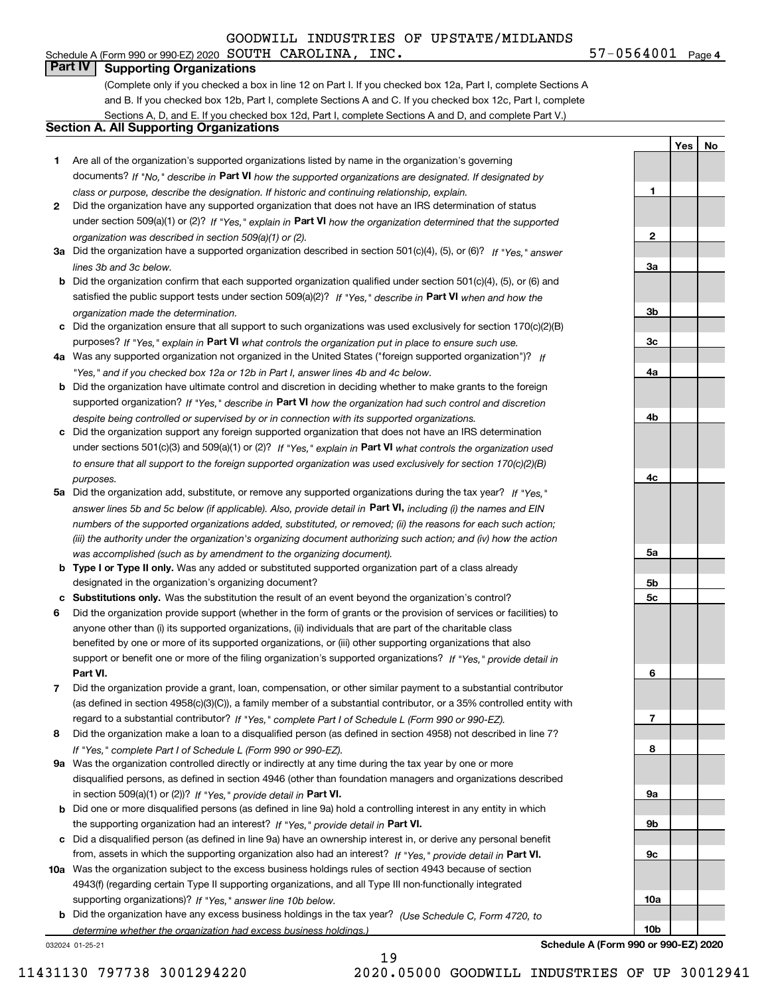# **Part IV Supporting Organizations**

(Complete only if you checked a box in line 12 on Part I. If you checked box 12a, Part I, complete Sections A and B. If you checked box 12b, Part I, complete Sections A and C. If you checked box 12c, Part I, complete Sections A, D, and E. If you checked box 12d, Part I, complete Sections A and D, and complete Part V.)

# **Section A. All Supporting Organizations**

- **1** Are all of the organization's supported organizations listed by name in the organization's governing documents? If "No," describe in **Part VI** how the supported organizations are designated. If designated by *class or purpose, describe the designation. If historic and continuing relationship, explain.*
- **2** Did the organization have any supported organization that does not have an IRS determination of status under section 509(a)(1) or (2)? If "Yes," explain in Part VI how the organization determined that the supported *organization was described in section 509(a)(1) or (2).*
- **3a** Did the organization have a supported organization described in section 501(c)(4), (5), or (6)? If "Yes," answer *lines 3b and 3c below.*
- **b** Did the organization confirm that each supported organization qualified under section 501(c)(4), (5), or (6) and satisfied the public support tests under section 509(a)(2)? If "Yes," describe in **Part VI** when and how the *organization made the determination.*
- **c**Did the organization ensure that all support to such organizations was used exclusively for section 170(c)(2)(B) purposes? If "Yes," explain in **Part VI** what controls the organization put in place to ensure such use.
- **4a***If* Was any supported organization not organized in the United States ("foreign supported organization")? *"Yes," and if you checked box 12a or 12b in Part I, answer lines 4b and 4c below.*
- **b** Did the organization have ultimate control and discretion in deciding whether to make grants to the foreign supported organization? If "Yes," describe in **Part VI** how the organization had such control and discretion *despite being controlled or supervised by or in connection with its supported organizations.*
- **c** Did the organization support any foreign supported organization that does not have an IRS determination under sections 501(c)(3) and 509(a)(1) or (2)? If "Yes," explain in **Part VI** what controls the organization used *to ensure that all support to the foreign supported organization was used exclusively for section 170(c)(2)(B) purposes.*
- **5a** Did the organization add, substitute, or remove any supported organizations during the tax year? If "Yes," answer lines 5b and 5c below (if applicable). Also, provide detail in **Part VI,** including (i) the names and EIN *numbers of the supported organizations added, substituted, or removed; (ii) the reasons for each such action; (iii) the authority under the organization's organizing document authorizing such action; and (iv) how the action was accomplished (such as by amendment to the organizing document).*
- **b** Type I or Type II only. Was any added or substituted supported organization part of a class already designated in the organization's organizing document?
- **cSubstitutions only.**  Was the substitution the result of an event beyond the organization's control?
- **6** Did the organization provide support (whether in the form of grants or the provision of services or facilities) to **Part VI.** *If "Yes," provide detail in* support or benefit one or more of the filing organization's supported organizations? anyone other than (i) its supported organizations, (ii) individuals that are part of the charitable class benefited by one or more of its supported organizations, or (iii) other supporting organizations that also
- **7**Did the organization provide a grant, loan, compensation, or other similar payment to a substantial contributor *If "Yes," complete Part I of Schedule L (Form 990 or 990-EZ).* regard to a substantial contributor? (as defined in section 4958(c)(3)(C)), a family member of a substantial contributor, or a 35% controlled entity with
- **8** Did the organization make a loan to a disqualified person (as defined in section 4958) not described in line 7? *If "Yes," complete Part I of Schedule L (Form 990 or 990-EZ).*
- **9a** Was the organization controlled directly or indirectly at any time during the tax year by one or more in section 509(a)(1) or (2))? If "Yes," *provide detail in* <code>Part VI.</code> disqualified persons, as defined in section 4946 (other than foundation managers and organizations described
- **b**the supporting organization had an interest? If "Yes," provide detail in P**art VI**. Did one or more disqualified persons (as defined in line 9a) hold a controlling interest in any entity in which
- **c**Did a disqualified person (as defined in line 9a) have an ownership interest in, or derive any personal benefit from, assets in which the supporting organization also had an interest? If "Yes," provide detail in P**art VI.**
- **10a** Was the organization subject to the excess business holdings rules of section 4943 because of section supporting organizations)? If "Yes," answer line 10b below. 4943(f) (regarding certain Type II supporting organizations, and all Type III non-functionally integrated
- **b** Did the organization have any excess business holdings in the tax year? (Use Schedule C, Form 4720, to *determine whether the organization had excess business holdings.)*

19

032024 01-25-21

**Schedule A (Form 990 or 990-EZ) 2020**



**1**

**2**

**3a**

**3b**

**3c**

**4a**

**YesNo**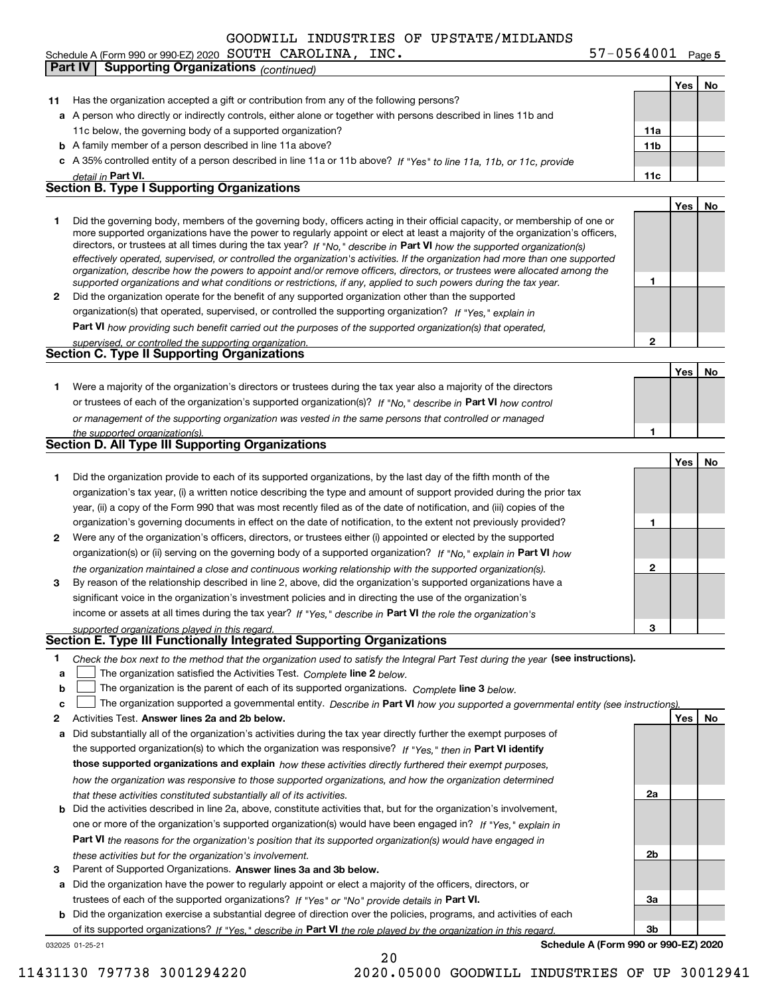Schedule A (Form 990 or 990-EZ) 2020 Page SOUTH CAROLINA, INC. 57-0564001 **Part IV** Supporting Organizations *(continued)* 

**5**

|    |                                                                                                                                                                                                                                              |                 | Yes | No |
|----|----------------------------------------------------------------------------------------------------------------------------------------------------------------------------------------------------------------------------------------------|-----------------|-----|----|
| 11 | Has the organization accepted a gift or contribution from any of the following persons?                                                                                                                                                      |                 |     |    |
|    | a A person who directly or indirectly controls, either alone or together with persons described in lines 11b and                                                                                                                             |                 |     |    |
|    | 11c below, the governing body of a supported organization?                                                                                                                                                                                   | 11a             |     |    |
|    | <b>b</b> A family member of a person described in line 11a above?                                                                                                                                                                            | 11 <sub>b</sub> |     |    |
|    | c A 35% controlled entity of a person described in line 11a or 11b above? If "Yes" to line 11a, 11b, or 11c, provide                                                                                                                         |                 |     |    |
|    | detail in Part VI.                                                                                                                                                                                                                           | 11c             |     |    |
|    | Section B. Type I Supporting Organizations                                                                                                                                                                                                   |                 |     |    |
|    |                                                                                                                                                                                                                                              |                 | Yes | No |
| 1  | Did the governing body, members of the governing body, officers acting in their official capacity, or membership of one or                                                                                                                   |                 |     |    |
|    | more supported organizations have the power to regularly appoint or elect at least a majority of the organization's officers,                                                                                                                |                 |     |    |
|    | directors, or trustees at all times during the tax year? If "No," describe in Part VI how the supported organization(s)                                                                                                                      |                 |     |    |
|    | effectively operated, supervised, or controlled the organization's activities. If the organization had more than one supported                                                                                                               |                 |     |    |
|    | organization, describe how the powers to appoint and/or remove officers, directors, or trustees were allocated among the<br>supported organizations and what conditions or restrictions, if any, applied to such powers during the tax year. | 1               |     |    |
| 2  | Did the organization operate for the benefit of any supported organization other than the supported                                                                                                                                          |                 |     |    |
|    | organization(s) that operated, supervised, or controlled the supporting organization? If "Yes," explain in                                                                                                                                   |                 |     |    |
|    | <b>Part VI</b> how providing such benefit carried out the purposes of the supported organization(s) that operated.                                                                                                                           |                 |     |    |
|    | supervised, or controlled the supporting organization.                                                                                                                                                                                       | $\mathbf{2}$    |     |    |
|    | <b>Section C. Type II Supporting Organizations</b>                                                                                                                                                                                           |                 |     |    |
|    |                                                                                                                                                                                                                                              |                 | Yes | No |
| 1. | Were a majority of the organization's directors or trustees during the tax year also a majority of the directors                                                                                                                             |                 |     |    |
|    | or trustees of each of the organization's supported organization(s)? If "No," describe in Part VI how control                                                                                                                                |                 |     |    |
|    |                                                                                                                                                                                                                                              |                 |     |    |
|    | or management of the supporting organization was vested in the same persons that controlled or managed                                                                                                                                       | 1               |     |    |
|    | the supported organization(s).<br>Section D. All Type III Supporting Organizations                                                                                                                                                           |                 |     |    |
|    |                                                                                                                                                                                                                                              |                 | Yes | No |
|    |                                                                                                                                                                                                                                              |                 |     |    |
| 1  | Did the organization provide to each of its supported organizations, by the last day of the fifth month of the                                                                                                                               |                 |     |    |
|    | organization's tax year, (i) a written notice describing the type and amount of support provided during the prior tax                                                                                                                        |                 |     |    |
|    | year, (ii) a copy of the Form 990 that was most recently filed as of the date of notification, and (iii) copies of the                                                                                                                       |                 |     |    |
|    | organization's governing documents in effect on the date of notification, to the extent not previously provided?                                                                                                                             | 1               |     |    |
| 2  | Were any of the organization's officers, directors, or trustees either (i) appointed or elected by the supported                                                                                                                             |                 |     |    |
|    | organization(s) or (ii) serving on the governing body of a supported organization? If "No," explain in Part VI how                                                                                                                           |                 |     |    |
|    | the organization maintained a close and continuous working relationship with the supported organization(s).                                                                                                                                  | 2               |     |    |
| 3  | By reason of the relationship described in line 2, above, did the organization's supported organizations have a                                                                                                                              |                 |     |    |
|    | significant voice in the organization's investment policies and in directing the use of the organization's                                                                                                                                   |                 |     |    |
|    | income or assets at all times during the tax year? If "Yes," describe in Part VI the role the organization's                                                                                                                                 |                 |     |    |
|    | supported organizations played in this regard.                                                                                                                                                                                               | 3               |     |    |
|    | Section E. Type III Functionally Integrated Supporting Organizations                                                                                                                                                                         |                 |     |    |
| 1  | Check the box next to the method that the organization used to satisfy the Integral Part Test during the year (see instructions).                                                                                                            |                 |     |    |
| a  | The organization satisfied the Activities Test. Complete line 2 below.                                                                                                                                                                       |                 |     |    |
| b  | The organization is the parent of each of its supported organizations. Complete line 3 below.                                                                                                                                                |                 |     |    |
| c  | The organization supported a governmental entity. Describe in Part VI how you supported a governmental entity (see instructions).                                                                                                            |                 |     |    |
| 2  | Activities Test. Answer lines 2a and 2b below.                                                                                                                                                                                               |                 | Yes | No |
| а  | Did substantially all of the organization's activities during the tax year directly further the exempt purposes of                                                                                                                           |                 |     |    |
|    | the supported organization(s) to which the organization was responsive? If "Yes." then in Part VI identify                                                                                                                                   |                 |     |    |
|    | those supported organizations and explain how these activities directly furthered their exempt purposes,                                                                                                                                     |                 |     |    |
|    | how the organization was responsive to those supported organizations, and how the organization determined                                                                                                                                    |                 |     |    |
|    | that these activities constituted substantially all of its activities.                                                                                                                                                                       | 2a              |     |    |
| b  | Did the activities described in line 2a, above, constitute activities that, but for the organization's involvement,                                                                                                                          |                 |     |    |
|    | one or more of the organization's supported organization(s) would have been engaged in? If "Yes," explain in                                                                                                                                 |                 |     |    |
|    | <b>Part VI</b> the reasons for the organization's position that its supported organization(s) would have engaged in                                                                                                                          |                 |     |    |
|    | these activities but for the organization's involvement.                                                                                                                                                                                     | 2 <sub>b</sub>  |     |    |
| з  | Parent of Supported Organizations. Answer lines 3a and 3b below.                                                                                                                                                                             |                 |     |    |
| а  | Did the organization have the power to regularly appoint or elect a majority of the officers, directors, or                                                                                                                                  |                 |     |    |
|    | trustees of each of the supported organizations? If "Yes" or "No" provide details in Part VI.                                                                                                                                                | За              |     |    |
| b  | Did the organization exercise a substantial degree of direction over the policies, programs, and activities of each                                                                                                                          |                 |     |    |
|    | of its supported organizations? If "Yes," describe in Part VI the role played by the organization in this regard.                                                                                                                            | 3b              |     |    |
|    | Schedule A (Form 990 or 990-EZ) 2020<br>032025 01-25-21                                                                                                                                                                                      |                 |     |    |
|    | 20                                                                                                                                                                                                                                           |                 |     |    |

11431130 797738 3001294220 2020.05000 GOODWILL INDUSTRIES OF UP 30012941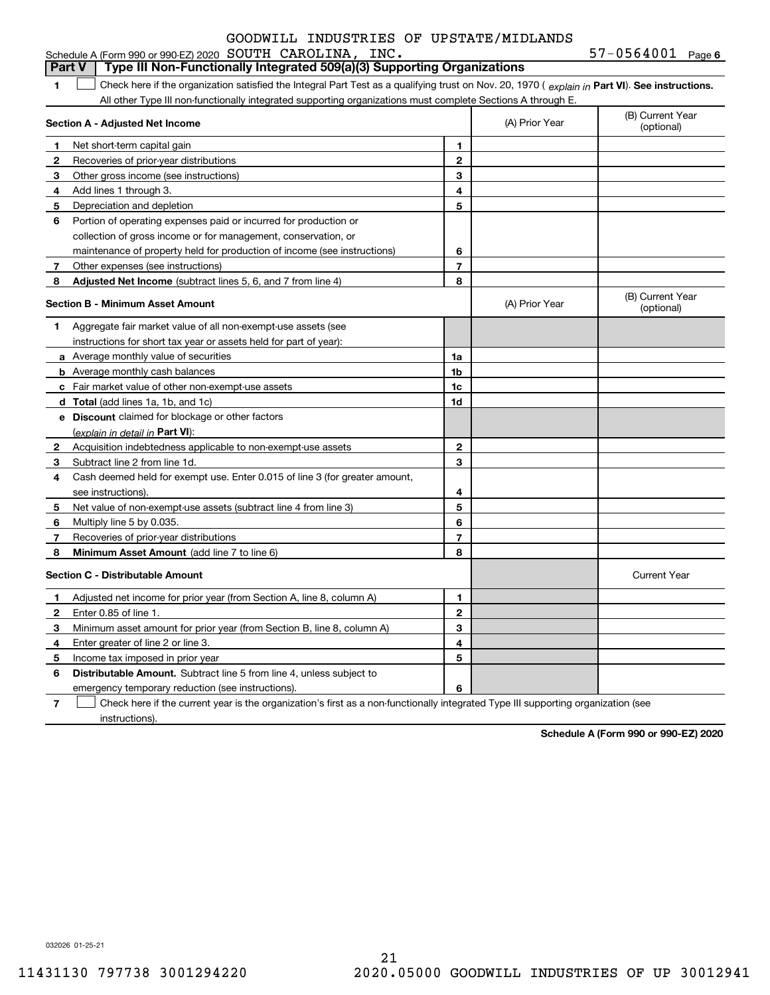|  | INC. | 57-0564001 | Page 6 |
|--|------|------------|--------|
|--|------|------------|--------|

|              | Type III Non-Functionally Integrated 509(a)(3) Supporting Organizations<br><b>Part V</b>                                                       |                          |                |                                |
|--------------|------------------------------------------------------------------------------------------------------------------------------------------------|--------------------------|----------------|--------------------------------|
| 1            | Check here if the organization satisfied the Integral Part Test as a qualifying trust on Nov. 20, 1970 (explain in Part VI). See instructions. |                          |                |                                |
|              | All other Type III non-functionally integrated supporting organizations must complete Sections A through E.                                    |                          |                |                                |
|              | Section A - Adjusted Net Income                                                                                                                |                          | (A) Prior Year | (B) Current Year<br>(optional) |
| 1            | Net short-term capital gain                                                                                                                    | 1                        |                |                                |
| $\mathbf{2}$ | Recoveries of prior-year distributions                                                                                                         | $\mathbf 2$              |                |                                |
| 3            | Other gross income (see instructions)                                                                                                          | 3                        |                |                                |
| 4            | Add lines 1 through 3.                                                                                                                         | 4                        |                |                                |
| 5            | Depreciation and depletion                                                                                                                     | 5                        |                |                                |
| 6            | Portion of operating expenses paid or incurred for production or                                                                               |                          |                |                                |
|              | collection of gross income or for management, conservation, or                                                                                 |                          |                |                                |
|              | maintenance of property held for production of income (see instructions)                                                                       | 6                        |                |                                |
| 7            | Other expenses (see instructions)                                                                                                              | $\overline{7}$           |                |                                |
| 8            | Adjusted Net Income (subtract lines 5, 6, and 7 from line 4)                                                                                   | 8                        |                |                                |
|              | <b>Section B - Minimum Asset Amount</b>                                                                                                        |                          | (A) Prior Year | (B) Current Year<br>(optional) |
| 1            | Aggregate fair market value of all non-exempt-use assets (see                                                                                  |                          |                |                                |
|              | instructions for short tax year or assets held for part of year):                                                                              |                          |                |                                |
|              | a Average monthly value of securities                                                                                                          | 1a                       |                |                                |
|              | <b>b</b> Average monthly cash balances                                                                                                         | 1 <sub>b</sub>           |                |                                |
|              | c Fair market value of other non-exempt-use assets                                                                                             | 1c                       |                |                                |
|              | d Total (add lines 1a, 1b, and 1c)                                                                                                             | 1d                       |                |                                |
|              | e Discount claimed for blockage or other factors                                                                                               |                          |                |                                |
|              | (explain in detail in Part VI):                                                                                                                |                          |                |                                |
| 2            | Acquisition indebtedness applicable to non-exempt-use assets                                                                                   | $\mathbf{2}$             |                |                                |
| З            | Subtract line 2 from line 1d.                                                                                                                  | 3                        |                |                                |
| 4            | Cash deemed held for exempt use. Enter 0.015 of line 3 (for greater amount,                                                                    |                          |                |                                |
|              | see instructions).                                                                                                                             | 4                        |                |                                |
| 5            | Net value of non-exempt-use assets (subtract line 4 from line 3)                                                                               | 5                        |                |                                |
| 6            | Multiply line 5 by 0.035.                                                                                                                      | 6                        |                |                                |
| 7            | Recoveries of prior-year distributions                                                                                                         | $\overline{\phantom{a}}$ |                |                                |
| 8            | <b>Minimum Asset Amount</b> (add line 7 to line 6)                                                                                             | 8                        |                |                                |
|              | <b>Section C - Distributable Amount</b>                                                                                                        |                          |                | <b>Current Year</b>            |
| 1            | Adjusted net income for prior year (from Section A, line 8, column A)                                                                          | 1                        |                |                                |
| $\mathbf{2}$ | Enter 0.85 of line 1.                                                                                                                          | $\mathbf{2}$             |                |                                |
| 3            | Minimum asset amount for prior year (from Section B, line 8, column A)                                                                         | 3                        |                |                                |
| 4            | Enter greater of line 2 or line 3                                                                                                              | 4                        |                |                                |
| 5            | Income tax imposed in prior year                                                                                                               | 5                        |                |                                |
| 6            | <b>Distributable Amount.</b> Subtract line 5 from line 4, unless subject to                                                                    |                          |                |                                |
|              | emergency temporary reduction (see instructions).                                                                                              | 6                        |                |                                |
|              |                                                                                                                                                |                          |                |                                |

**7** Check here if the current year is the organization's first as a non-functionally integrated Type III supporting organization (see instructions).

**Schedule A (Form 990 or 990-EZ) 2020**

032026 01-25-21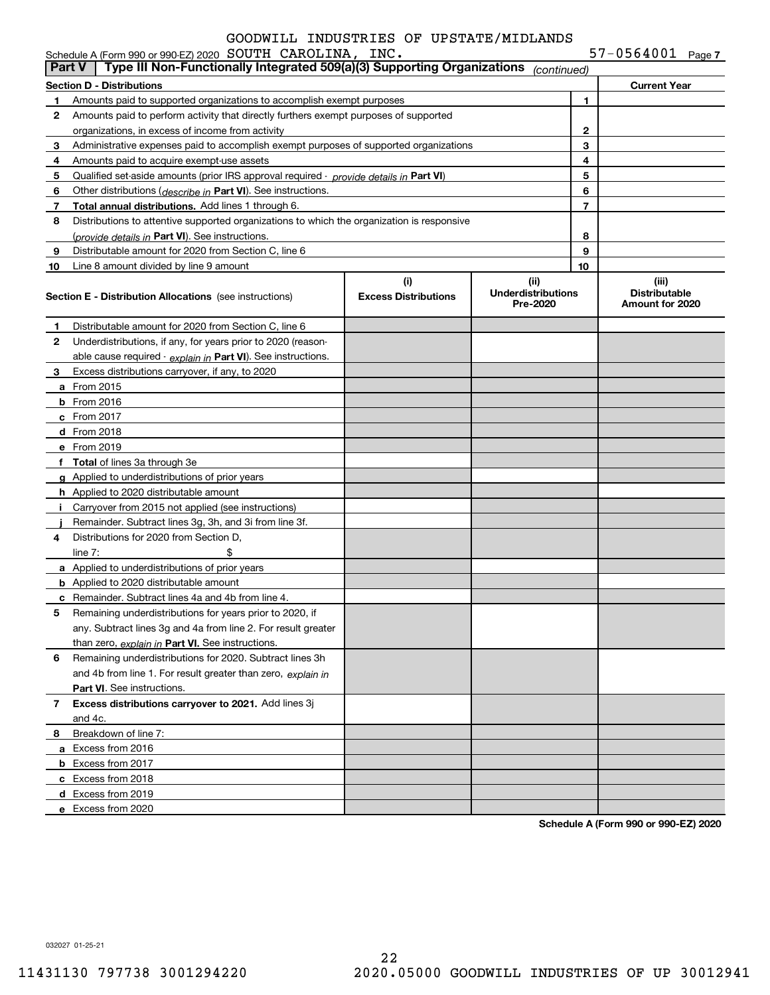| $57 - 0564001$ Page 7 |  |
|-----------------------|--|
|-----------------------|--|

|               | Schedule A (Form 990 or 990-EZ) 2020 SOUTH CAROLINA, INC.                                  |                                    |                                               |    | $57 - 0564001$ Page 7                            |  |
|---------------|--------------------------------------------------------------------------------------------|------------------------------------|-----------------------------------------------|----|--------------------------------------------------|--|
| <b>Part V</b> | Type III Non-Functionally Integrated 509(a)(3) Supporting Organizations                    |                                    | (continued)                                   |    |                                                  |  |
|               | <b>Section D - Distributions</b>                                                           |                                    |                                               |    | <b>Current Year</b>                              |  |
| 1             | Amounts paid to supported organizations to accomplish exempt purposes                      |                                    | 1                                             |    |                                                  |  |
| 2             | Amounts paid to perform activity that directly furthers exempt purposes of supported       |                                    |                                               |    |                                                  |  |
|               | organizations, in excess of income from activity                                           |                                    | 2                                             |    |                                                  |  |
| 3             | Administrative expenses paid to accomplish exempt purposes of supported organizations      |                                    |                                               | 3  |                                                  |  |
| 4             | Amounts paid to acquire exempt-use assets                                                  |                                    |                                               | 4  |                                                  |  |
| 5             | Qualified set-aside amounts (prior IRS approval required - provide details in Part VI)     |                                    |                                               | 5  |                                                  |  |
| 6             | Other distributions ( <i>describe in</i> Part VI). See instructions.                       |                                    |                                               | 6  |                                                  |  |
| 7             | Total annual distributions. Add lines 1 through 6.                                         |                                    |                                               | 7  |                                                  |  |
| 8             | Distributions to attentive supported organizations to which the organization is responsive |                                    |                                               |    |                                                  |  |
|               | (provide details in Part VI). See instructions.                                            |                                    |                                               | 8  |                                                  |  |
| 9             | Distributable amount for 2020 from Section C, line 6                                       |                                    |                                               | 9  |                                                  |  |
| 10            | Line 8 amount divided by line 9 amount                                                     |                                    |                                               | 10 |                                                  |  |
|               | <b>Section E - Distribution Allocations</b> (see instructions)                             | (i)<br><b>Excess Distributions</b> | (ii)<br><b>Underdistributions</b><br>Pre-2020 |    | (iii)<br><b>Distributable</b><br>Amount for 2020 |  |
| 1             | Distributable amount for 2020 from Section C, line 6                                       |                                    |                                               |    |                                                  |  |
| 2             | Underdistributions, if any, for years prior to 2020 (reason-                               |                                    |                                               |    |                                                  |  |
|               | able cause required - explain in Part VI). See instructions.                               |                                    |                                               |    |                                                  |  |
| 3             | Excess distributions carryover, if any, to 2020                                            |                                    |                                               |    |                                                  |  |
|               | <b>a</b> From 2015                                                                         |                                    |                                               |    |                                                  |  |
|               | <b>b</b> From 2016                                                                         |                                    |                                               |    |                                                  |  |
|               | <b>c</b> From 2017                                                                         |                                    |                                               |    |                                                  |  |
|               | d From 2018                                                                                |                                    |                                               |    |                                                  |  |
|               | e From 2019                                                                                |                                    |                                               |    |                                                  |  |
|               | f Total of lines 3a through 3e                                                             |                                    |                                               |    |                                                  |  |
|               | g Applied to underdistributions of prior years                                             |                                    |                                               |    |                                                  |  |
|               | <b>h</b> Applied to 2020 distributable amount                                              |                                    |                                               |    |                                                  |  |
| Ť.            | Carryover from 2015 not applied (see instructions)                                         |                                    |                                               |    |                                                  |  |
|               | Remainder. Subtract lines 3g, 3h, and 3i from line 3f.                                     |                                    |                                               |    |                                                  |  |
| 4             | Distributions for 2020 from Section D.                                                     |                                    |                                               |    |                                                  |  |
|               | \$<br>line $7:$                                                                            |                                    |                                               |    |                                                  |  |
|               | <b>a</b> Applied to underdistributions of prior years                                      |                                    |                                               |    |                                                  |  |
|               | <b>b</b> Applied to 2020 distributable amount                                              |                                    |                                               |    |                                                  |  |
|               | <b>c</b> Remainder. Subtract lines 4a and 4b from line 4.                                  |                                    |                                               |    |                                                  |  |
|               | Remaining underdistributions for years prior to 2020, if                                   |                                    |                                               |    |                                                  |  |
|               | any. Subtract lines 3g and 4a from line 2. For result greater                              |                                    |                                               |    |                                                  |  |
|               | than zero, explain in Part VI. See instructions.                                           |                                    |                                               |    |                                                  |  |
| 6             | Remaining underdistributions for 2020. Subtract lines 3h                                   |                                    |                                               |    |                                                  |  |
|               | and 4b from line 1. For result greater than zero, explain in                               |                                    |                                               |    |                                                  |  |
|               | <b>Part VI.</b> See instructions.                                                          |                                    |                                               |    |                                                  |  |
| $\mathbf{7}$  | Excess distributions carryover to 2021. Add lines 3j                                       |                                    |                                               |    |                                                  |  |
|               | and 4c.                                                                                    |                                    |                                               |    |                                                  |  |
| 8             | Breakdown of line 7:                                                                       |                                    |                                               |    |                                                  |  |
|               | a Excess from 2016                                                                         |                                    |                                               |    |                                                  |  |
|               | <b>b</b> Excess from 2017                                                                  |                                    |                                               |    |                                                  |  |
|               | c Excess from 2018                                                                         |                                    |                                               |    |                                                  |  |
|               | d Excess from 2019                                                                         |                                    |                                               |    |                                                  |  |
|               | e Excess from 2020                                                                         |                                    |                                               |    |                                                  |  |

**Schedule A (Form 990 or 990-EZ) 2020**

032027 01-25-21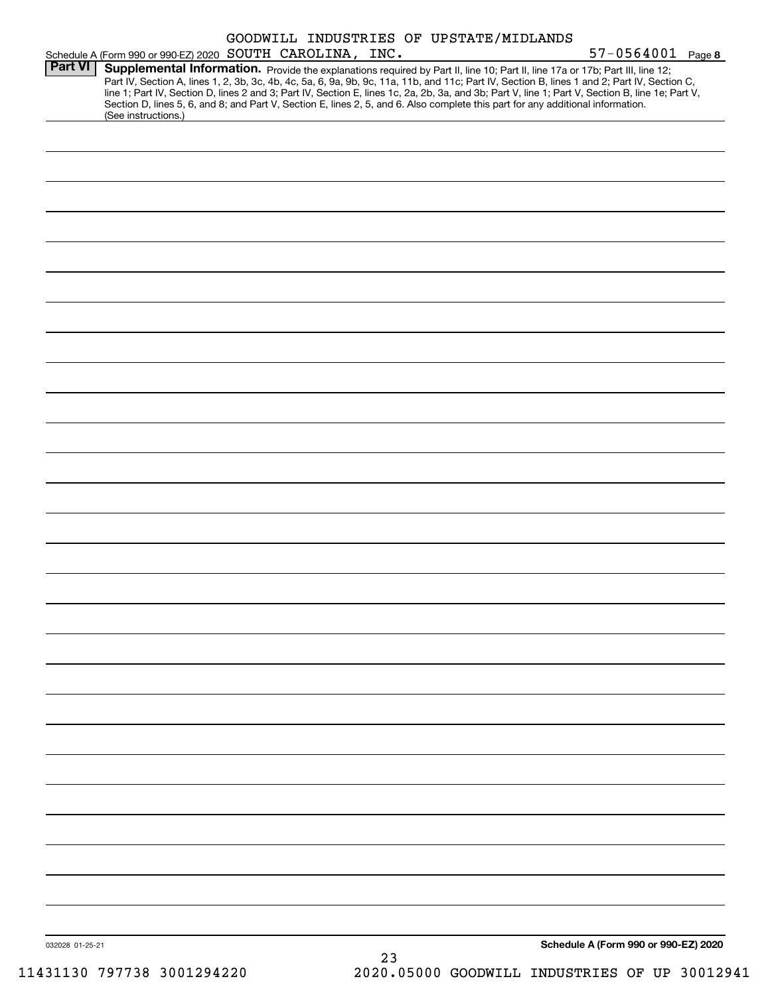|                 |                                                           |  |    | GOODWILL INDUSTRIES OF UPSTATE/MIDLANDS |                                                                                                                                                                                                                                                                                                    |  |
|-----------------|-----------------------------------------------------------|--|----|-----------------------------------------|----------------------------------------------------------------------------------------------------------------------------------------------------------------------------------------------------------------------------------------------------------------------------------------------------|--|
| <b>Part VI</b>  | Schedule A (Form 990 or 990-EZ) 2020 SOUTH CAROLINA, INC. |  |    |                                         | 57-0564001 Page 8<br>Supplemental Information. Provide the explanations required by Part II, line 10; Part II, line 17a or 17b; Part III, line 12;<br>Part IV, Section A, lines 1, 2, 3b, 3c, 4b, 4c, 5a, 6, 9a, 9b, 9c, 11a, 11b, and 11c; Part IV, Section B, lines 1 and 2; Part IV, Section C, |  |
|                 | (See instructions.)                                       |  |    |                                         | line 1; Part IV, Section D, lines 2 and 3; Part IV, Section E, lines 1c, 2a, 2b, 3a, and 3b; Part V, line 1; Part V, Section B, line 1e; Part V,<br>Section D, lines 5, 6, and 8; and Part V, Section E, lines 2, 5, and 6. Also complete this part for any additional information.                |  |
|                 |                                                           |  |    |                                         |                                                                                                                                                                                                                                                                                                    |  |
|                 |                                                           |  |    |                                         |                                                                                                                                                                                                                                                                                                    |  |
|                 |                                                           |  |    |                                         |                                                                                                                                                                                                                                                                                                    |  |
|                 |                                                           |  |    |                                         |                                                                                                                                                                                                                                                                                                    |  |
|                 |                                                           |  |    |                                         |                                                                                                                                                                                                                                                                                                    |  |
|                 |                                                           |  |    |                                         |                                                                                                                                                                                                                                                                                                    |  |
|                 |                                                           |  |    |                                         |                                                                                                                                                                                                                                                                                                    |  |
|                 |                                                           |  |    |                                         |                                                                                                                                                                                                                                                                                                    |  |
|                 |                                                           |  |    |                                         |                                                                                                                                                                                                                                                                                                    |  |
|                 |                                                           |  |    |                                         |                                                                                                                                                                                                                                                                                                    |  |
|                 |                                                           |  |    |                                         |                                                                                                                                                                                                                                                                                                    |  |
|                 |                                                           |  |    |                                         |                                                                                                                                                                                                                                                                                                    |  |
|                 |                                                           |  |    |                                         |                                                                                                                                                                                                                                                                                                    |  |
|                 |                                                           |  |    |                                         |                                                                                                                                                                                                                                                                                                    |  |
|                 |                                                           |  |    |                                         |                                                                                                                                                                                                                                                                                                    |  |
|                 |                                                           |  |    |                                         |                                                                                                                                                                                                                                                                                                    |  |
|                 |                                                           |  |    |                                         |                                                                                                                                                                                                                                                                                                    |  |
|                 |                                                           |  |    |                                         |                                                                                                                                                                                                                                                                                                    |  |
|                 |                                                           |  |    |                                         |                                                                                                                                                                                                                                                                                                    |  |
|                 |                                                           |  |    |                                         |                                                                                                                                                                                                                                                                                                    |  |
|                 |                                                           |  |    |                                         |                                                                                                                                                                                                                                                                                                    |  |
|                 |                                                           |  |    |                                         |                                                                                                                                                                                                                                                                                                    |  |
|                 |                                                           |  |    |                                         |                                                                                                                                                                                                                                                                                                    |  |
|                 |                                                           |  |    |                                         |                                                                                                                                                                                                                                                                                                    |  |
| 032028 01-25-21 |                                                           |  | 23 |                                         | Schedule A (Form 990 or 990-EZ) 2020                                                                                                                                                                                                                                                               |  |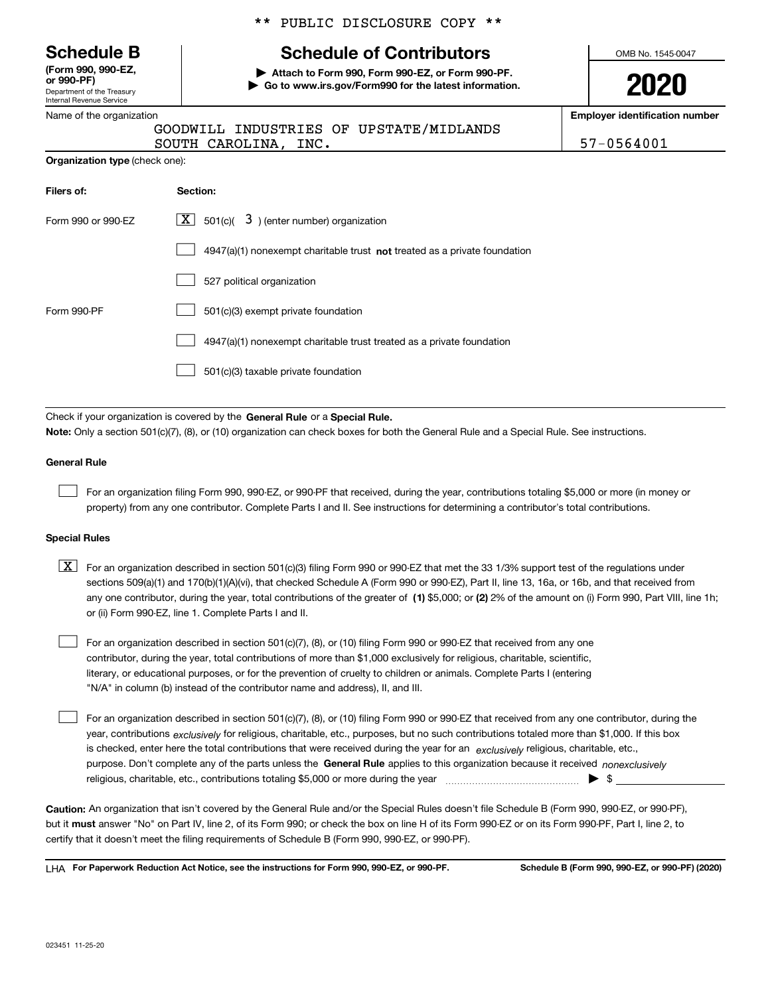Department of the Treasury Internal Revenue Service **(Form 990, 990-EZ, or 990-PF)**

Name of the organization

|  |  | ** PUBLIC DISCLOSURE COPY ** |  |  |
|--|--|------------------------------|--|--|
|--|--|------------------------------|--|--|

# **Schedule B Schedule of Contributors**

**| Attach to Form 990, Form 990-EZ, or Form 990-PF. | Go to www.irs.gov/Form990 for the latest information.** OMB No. 1545-0047

**2020**

**Employer identification number**

 $INC.$   $| 57-0564001$ 

| ivame or the organization             |  |                      |  |                                         |
|---------------------------------------|--|----------------------|--|-----------------------------------------|
|                                       |  |                      |  | GOODWILL INDUSTRIES OF UPSTATE/MIDLANDS |
|                                       |  | SOUTH CAROLINA, INC. |  |                                         |
| <b>Organization type</b> (check one): |  |                      |  |                                         |

| Filers of:         | Section:                                                                    |
|--------------------|-----------------------------------------------------------------------------|
| Form 990 or 990-EZ | $X$ 501(c)(<br>$3$ ) (enter number) organization                            |
|                    | $4947(a)(1)$ nonexempt charitable trust not treated as a private foundation |
|                    | 527 political organization                                                  |
| Form 990-PF        | 501(c)(3) exempt private foundation                                         |
|                    | 4947(a)(1) nonexempt charitable trust treated as a private foundation       |
|                    | 501(c)(3) taxable private foundation                                        |

Check if your organization is covered by the **General Rule** or a **Special Rule. Note:**  Only a section 501(c)(7), (8), or (10) organization can check boxes for both the General Rule and a Special Rule. See instructions.

### **General Rule**

 $\mathcal{L}^{\text{max}}$ 

For an organization filing Form 990, 990-EZ, or 990-PF that received, during the year, contributions totaling \$5,000 or more (in money or property) from any one contributor. Complete Parts I and II. See instructions for determining a contributor's total contributions.

### **Special Rules**

any one contributor, during the year, total contributions of the greater of  $\,$  (1) \$5,000; or **(2)** 2% of the amount on (i) Form 990, Part VIII, line 1h;  $\boxed{\textbf{X}}$  For an organization described in section 501(c)(3) filing Form 990 or 990-EZ that met the 33 1/3% support test of the regulations under sections 509(a)(1) and 170(b)(1)(A)(vi), that checked Schedule A (Form 990 or 990-EZ), Part II, line 13, 16a, or 16b, and that received from or (ii) Form 990-EZ, line 1. Complete Parts I and II.

For an organization described in section 501(c)(7), (8), or (10) filing Form 990 or 990-EZ that received from any one contributor, during the year, total contributions of more than \$1,000 exclusively for religious, charitable, scientific, literary, or educational purposes, or for the prevention of cruelty to children or animals. Complete Parts I (entering "N/A" in column (b) instead of the contributor name and address), II, and III.  $\mathcal{L}^{\text{max}}$ 

purpose. Don't complete any of the parts unless the **General Rule** applies to this organization because it received *nonexclusively* year, contributions <sub>exclusively</sub> for religious, charitable, etc., purposes, but no such contributions totaled more than \$1,000. If this box is checked, enter here the total contributions that were received during the year for an  $\;$ exclusively religious, charitable, etc., For an organization described in section 501(c)(7), (8), or (10) filing Form 990 or 990-EZ that received from any one contributor, during the religious, charitable, etc., contributions totaling \$5,000 or more during the year  $\Box$ — $\Box$   $\Box$  $\mathcal{L}^{\text{max}}$ 

**Caution:**  An organization that isn't covered by the General Rule and/or the Special Rules doesn't file Schedule B (Form 990, 990-EZ, or 990-PF),  **must** but it answer "No" on Part IV, line 2, of its Form 990; or check the box on line H of its Form 990-EZ or on its Form 990-PF, Part I, line 2, to certify that it doesn't meet the filing requirements of Schedule B (Form 990, 990-EZ, or 990-PF).

**For Paperwork Reduction Act Notice, see the instructions for Form 990, 990-EZ, or 990-PF. Schedule B (Form 990, 990-EZ, or 990-PF) (2020)** LHA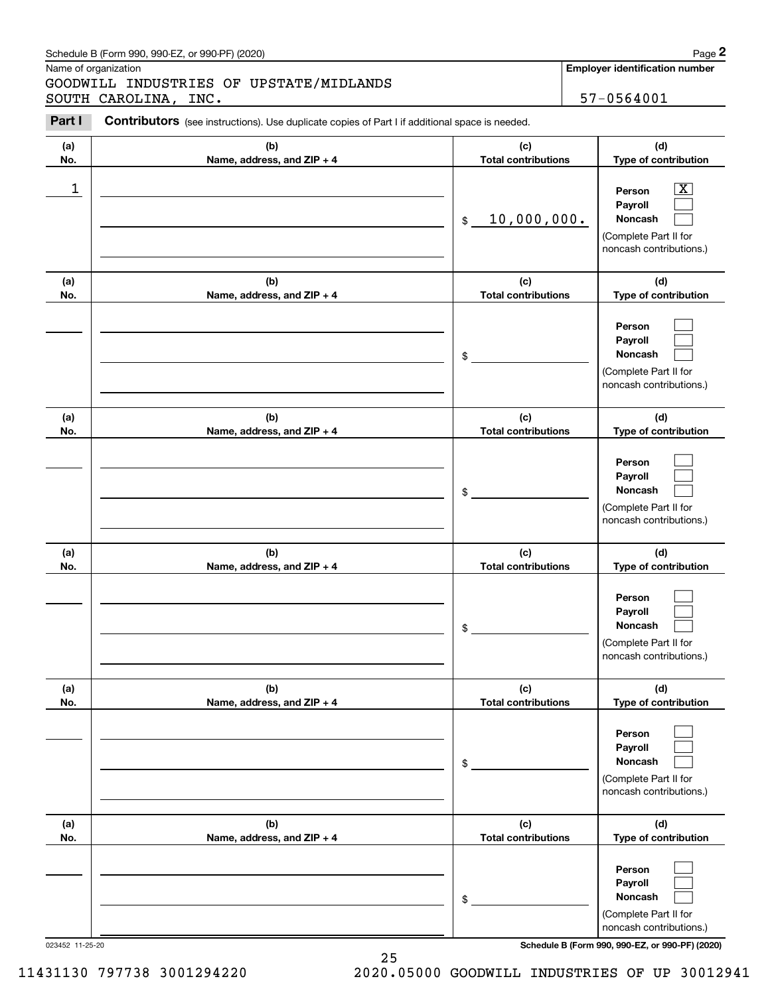| Schedule B (Form 990. 990-EZ. or 990-PF) (2020) | Page |
|-------------------------------------------------|------|
|-------------------------------------------------|------|

|            | Schedule B (Form 990, 990-EZ, or 990-PF) (2020)                                                |                                   | Page 2                                                                                                           |
|------------|------------------------------------------------------------------------------------------------|-----------------------------------|------------------------------------------------------------------------------------------------------------------|
|            | Name of organization                                                                           |                                   | <b>Employer identification number</b>                                                                            |
|            | GOODWILL INDUSTRIES OF UPSTATE/MIDLANDS<br>SOUTH CAROLINA, INC.                                |                                   | 57-0564001                                                                                                       |
| Part I     | Contributors (see instructions). Use duplicate copies of Part I if additional space is needed. |                                   |                                                                                                                  |
| (a)<br>No. | (b)<br>Name, address, and ZIP + 4                                                              | (c)<br><b>Total contributions</b> | (d)<br>Type of contribution                                                                                      |
| 1          |                                                                                                | 10,000,000.<br>\$                 | $\overline{\text{X}}$<br>Person<br>Payroll<br><b>Noncash</b><br>(Complete Part II for<br>noncash contributions.) |
| (a)<br>No. | (b)<br>Name, address, and ZIP + 4                                                              | (c)<br><b>Total contributions</b> | (d)<br>Type of contribution                                                                                      |
|            |                                                                                                | \$                                | Person<br>Payroll<br>Noncash<br>(Complete Part II for<br>noncash contributions.)                                 |
| (a)<br>No. | (b)<br>Name, address, and ZIP + 4                                                              | (c)<br><b>Total contributions</b> | (d)<br>Type of contribution                                                                                      |
|            |                                                                                                | \$                                | Person<br>Payroll<br>Noncash<br>(Complete Part II for<br>noncash contributions.)                                 |
| (a)<br>No. | (b)<br>Name, address, and ZIP + 4                                                              | (c)<br><b>Total contributions</b> | (d)<br>Type of contribution                                                                                      |
|            |                                                                                                | \$                                | Person<br>Payroll<br><b>Noncash</b><br>(Complete Part II for<br>noncash contributions.)                          |
| (a)<br>No. | (b)<br>Name, address, and ZIP + 4                                                              | (c)<br><b>Total contributions</b> | (d)<br>Type of contribution                                                                                      |
|            |                                                                                                | \$                                | Person<br>Payroll<br>Noncash<br>(Complete Part II for<br>noncash contributions.)                                 |
| (a)<br>No. | (b)<br>Name, address, and ZIP + 4                                                              | (c)<br><b>Total contributions</b> | (d)<br>Type of contribution                                                                                      |
|            |                                                                                                | \$                                | Person<br>Payroll<br>Noncash<br>(Complete Part II for<br>noncash contributions.)                                 |

023452 11-25-20 **Schedule B (Form 990, 990-EZ, or 990-PF) (2020)**

25 11431130 797738 3001294220 2020.05000 GOODWILL INDUSTRIES OF UP 30012941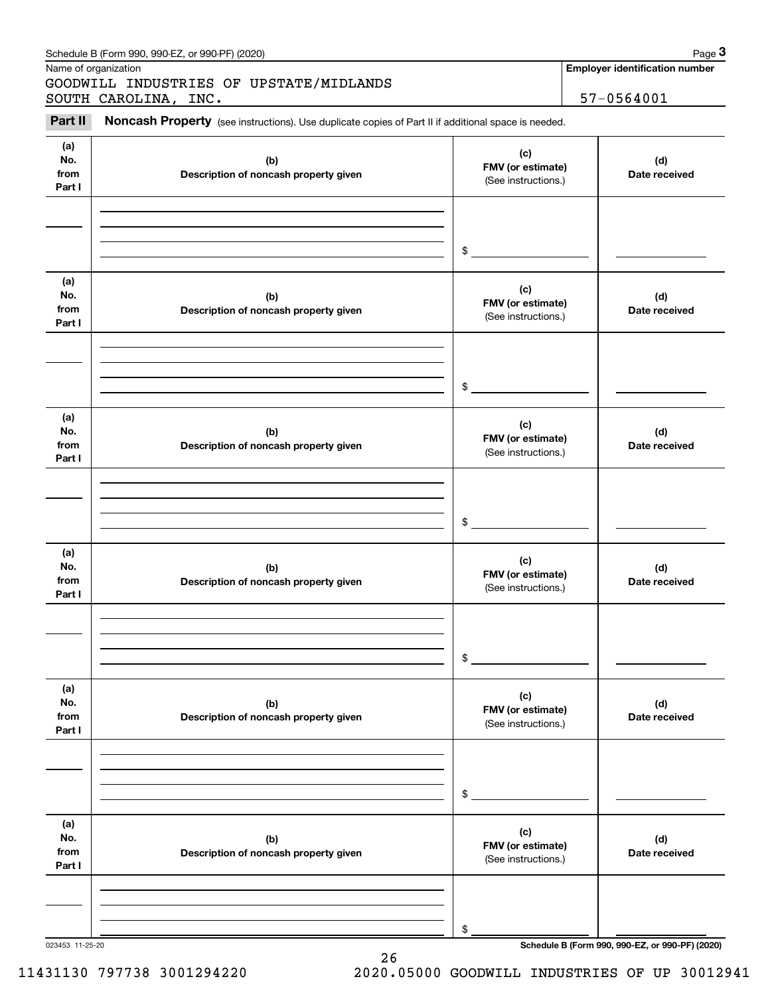|                              | Schedule B (Form 990, 990-EZ, or 990-PF) (2020)                                                     |                                                 | Page 3                                          |
|------------------------------|-----------------------------------------------------------------------------------------------------|-------------------------------------------------|-------------------------------------------------|
|                              | Name of organization<br>GOODWILL INDUSTRIES OF UPSTATE/MIDLANDS                                     |                                                 | <b>Employer identification number</b>           |
|                              | SOUTH CAROLINA, INC.                                                                                |                                                 | 57-0564001                                      |
| Part II                      | Noncash Property (see instructions). Use duplicate copies of Part II if additional space is needed. |                                                 |                                                 |
| (a)<br>No.<br>from<br>Part I | (b)<br>Description of noncash property given                                                        | (c)<br>FMV (or estimate)<br>(See instructions.) | (d)<br>Date received                            |
|                              |                                                                                                     | \$                                              |                                                 |
| (a)<br>No.<br>from<br>Part I | (b)<br>Description of noncash property given                                                        | (c)<br>FMV (or estimate)<br>(See instructions.) | (d)<br>Date received                            |
|                              |                                                                                                     | \$                                              |                                                 |
| (a)<br>No.<br>from<br>Part I | (b)<br>Description of noncash property given                                                        | (c)<br>FMV (or estimate)<br>(See instructions.) | (d)<br>Date received                            |
|                              |                                                                                                     | \$                                              |                                                 |
| (a)<br>No.<br>from<br>Part I | (b)<br>Description of noncash property given                                                        | (c)<br>FMV (or estimate)<br>(See instructions.) | (d)<br>Date received                            |
|                              |                                                                                                     | \$                                              |                                                 |
| (a)<br>No.<br>from<br>Part I | (b)<br>Description of noncash property given                                                        | (c)<br>FMV (or estimate)<br>(See instructions.) | (d)<br>Date received                            |
|                              |                                                                                                     | \$                                              |                                                 |
| (a)<br>No.<br>from<br>Part I | (b)<br>Description of noncash property given                                                        | (c)<br>FMV (or estimate)<br>(See instructions.) | (d)<br>Date received                            |
|                              |                                                                                                     | \$                                              |                                                 |
| 023453 11-25-20              |                                                                                                     |                                                 | Schedule B (Form 990, 990-EZ, or 990-PF) (2020) |

26

11431130 797738 3001294220 2020.05000 GOODWILL INDUSTRIES OF UP 30012941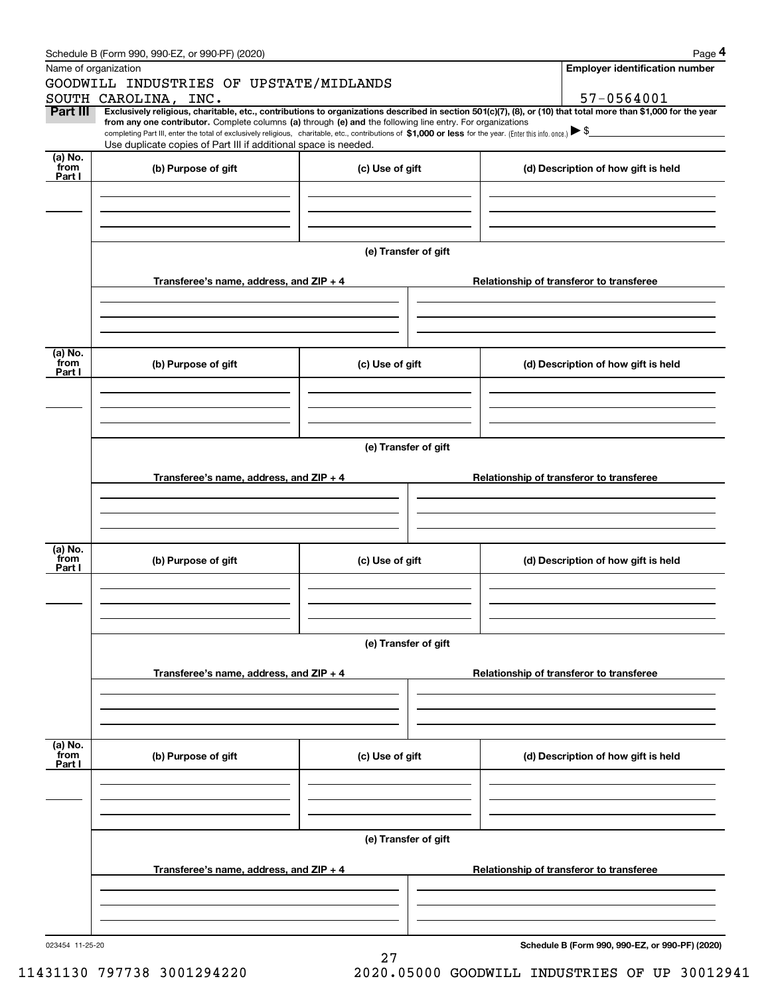|                 | Schedule B (Form 990, 990-EZ, or 990-PF) (2020)                                                                                                                                                                                                                              |                      |                                          | Page 4                                          |  |  |  |  |
|-----------------|------------------------------------------------------------------------------------------------------------------------------------------------------------------------------------------------------------------------------------------------------------------------------|----------------------|------------------------------------------|-------------------------------------------------|--|--|--|--|
|                 | Name of organization                                                                                                                                                                                                                                                         |                      |                                          | <b>Employer identification number</b>           |  |  |  |  |
|                 | GOODWILL INDUSTRIES OF UPSTATE/MIDLANDS                                                                                                                                                                                                                                      |                      |                                          |                                                 |  |  |  |  |
|                 | SOUTH CAROLINA, INC.                                                                                                                                                                                                                                                         |                      |                                          | 57-0564001                                      |  |  |  |  |
| Part III        | Exclusively religious, charitable, etc., contributions to organizations described in section 501(c)(7), (8), or (10) that total more than \$1,000 for the year<br>from any one contributor. Complete columns (a) through (e) and the following line entry. For organizations |                      |                                          |                                                 |  |  |  |  |
|                 | completing Part III, enter the total of exclusively religious, charitable, etc., contributions of \$1,000 or less for the year. (Enter this info. once.) $\blacktriangleright$ \$                                                                                            |                      |                                          |                                                 |  |  |  |  |
|                 | Use duplicate copies of Part III if additional space is needed.                                                                                                                                                                                                              |                      |                                          |                                                 |  |  |  |  |
| (a) No.<br>from | (b) Purpose of gift                                                                                                                                                                                                                                                          | (c) Use of gift      |                                          | (d) Description of how gift is held             |  |  |  |  |
| Part I          |                                                                                                                                                                                                                                                                              |                      |                                          |                                                 |  |  |  |  |
|                 |                                                                                                                                                                                                                                                                              |                      |                                          |                                                 |  |  |  |  |
|                 |                                                                                                                                                                                                                                                                              |                      |                                          |                                                 |  |  |  |  |
|                 |                                                                                                                                                                                                                                                                              |                      |                                          |                                                 |  |  |  |  |
|                 |                                                                                                                                                                                                                                                                              |                      |                                          |                                                 |  |  |  |  |
|                 |                                                                                                                                                                                                                                                                              | (e) Transfer of gift |                                          |                                                 |  |  |  |  |
|                 | Transferee's name, address, and ZIP + 4                                                                                                                                                                                                                                      |                      |                                          |                                                 |  |  |  |  |
|                 |                                                                                                                                                                                                                                                                              |                      | Relationship of transferor to transferee |                                                 |  |  |  |  |
|                 |                                                                                                                                                                                                                                                                              |                      |                                          |                                                 |  |  |  |  |
|                 |                                                                                                                                                                                                                                                                              |                      |                                          |                                                 |  |  |  |  |
|                 |                                                                                                                                                                                                                                                                              |                      |                                          |                                                 |  |  |  |  |
| (a) No.         |                                                                                                                                                                                                                                                                              |                      |                                          |                                                 |  |  |  |  |
| from<br>Part I  | (b) Purpose of gift                                                                                                                                                                                                                                                          | (c) Use of gift      |                                          | (d) Description of how gift is held             |  |  |  |  |
|                 |                                                                                                                                                                                                                                                                              |                      |                                          |                                                 |  |  |  |  |
|                 |                                                                                                                                                                                                                                                                              |                      |                                          |                                                 |  |  |  |  |
|                 |                                                                                                                                                                                                                                                                              |                      |                                          |                                                 |  |  |  |  |
|                 |                                                                                                                                                                                                                                                                              |                      |                                          |                                                 |  |  |  |  |
|                 | (e) Transfer of gift                                                                                                                                                                                                                                                         |                      |                                          |                                                 |  |  |  |  |
|                 |                                                                                                                                                                                                                                                                              |                      |                                          |                                                 |  |  |  |  |
|                 | Transferee's name, address, and $ZIP + 4$                                                                                                                                                                                                                                    |                      |                                          | Relationship of transferor to transferee        |  |  |  |  |
|                 |                                                                                                                                                                                                                                                                              |                      |                                          |                                                 |  |  |  |  |
|                 |                                                                                                                                                                                                                                                                              |                      |                                          |                                                 |  |  |  |  |
|                 |                                                                                                                                                                                                                                                                              |                      |                                          |                                                 |  |  |  |  |
| (a) No.         |                                                                                                                                                                                                                                                                              |                      |                                          |                                                 |  |  |  |  |
| from<br>Part I  | (b) Purpose of gift                                                                                                                                                                                                                                                          | (c) Use of gift      | (d) Description of how gift is held      |                                                 |  |  |  |  |
|                 |                                                                                                                                                                                                                                                                              |                      |                                          |                                                 |  |  |  |  |
|                 |                                                                                                                                                                                                                                                                              |                      |                                          |                                                 |  |  |  |  |
|                 |                                                                                                                                                                                                                                                                              |                      |                                          |                                                 |  |  |  |  |
|                 |                                                                                                                                                                                                                                                                              |                      |                                          |                                                 |  |  |  |  |
|                 | (e) Transfer of gift                                                                                                                                                                                                                                                         |                      |                                          |                                                 |  |  |  |  |
|                 |                                                                                                                                                                                                                                                                              |                      |                                          |                                                 |  |  |  |  |
|                 | Transferee's name, address, and ZIP + 4                                                                                                                                                                                                                                      |                      |                                          | Relationship of transferor to transferee        |  |  |  |  |
|                 |                                                                                                                                                                                                                                                                              |                      |                                          |                                                 |  |  |  |  |
|                 |                                                                                                                                                                                                                                                                              |                      |                                          |                                                 |  |  |  |  |
|                 |                                                                                                                                                                                                                                                                              |                      |                                          |                                                 |  |  |  |  |
| (a) No.         |                                                                                                                                                                                                                                                                              |                      |                                          |                                                 |  |  |  |  |
| from<br>Part I  | (b) Purpose of gift                                                                                                                                                                                                                                                          | (c) Use of gift      |                                          | (d) Description of how gift is held             |  |  |  |  |
|                 |                                                                                                                                                                                                                                                                              |                      |                                          |                                                 |  |  |  |  |
|                 |                                                                                                                                                                                                                                                                              |                      |                                          |                                                 |  |  |  |  |
|                 |                                                                                                                                                                                                                                                                              |                      |                                          |                                                 |  |  |  |  |
|                 |                                                                                                                                                                                                                                                                              |                      |                                          |                                                 |  |  |  |  |
|                 | (e) Transfer of gift                                                                                                                                                                                                                                                         |                      |                                          |                                                 |  |  |  |  |
|                 |                                                                                                                                                                                                                                                                              |                      |                                          |                                                 |  |  |  |  |
|                 | Transferee's name, address, and ZIP + 4                                                                                                                                                                                                                                      |                      |                                          | Relationship of transferor to transferee        |  |  |  |  |
|                 |                                                                                                                                                                                                                                                                              |                      |                                          |                                                 |  |  |  |  |
|                 |                                                                                                                                                                                                                                                                              |                      |                                          |                                                 |  |  |  |  |
|                 |                                                                                                                                                                                                                                                                              |                      |                                          |                                                 |  |  |  |  |
| 023454 11-25-20 |                                                                                                                                                                                                                                                                              |                      |                                          | Schedule B (Form 990, 990-EZ, or 990-PF) (2020) |  |  |  |  |
|                 |                                                                                                                                                                                                                                                                              | 27                   |                                          |                                                 |  |  |  |  |

11431130 797738 3001294220 2020.05000 GOODWILL INDUSTRIES OF UP 30012941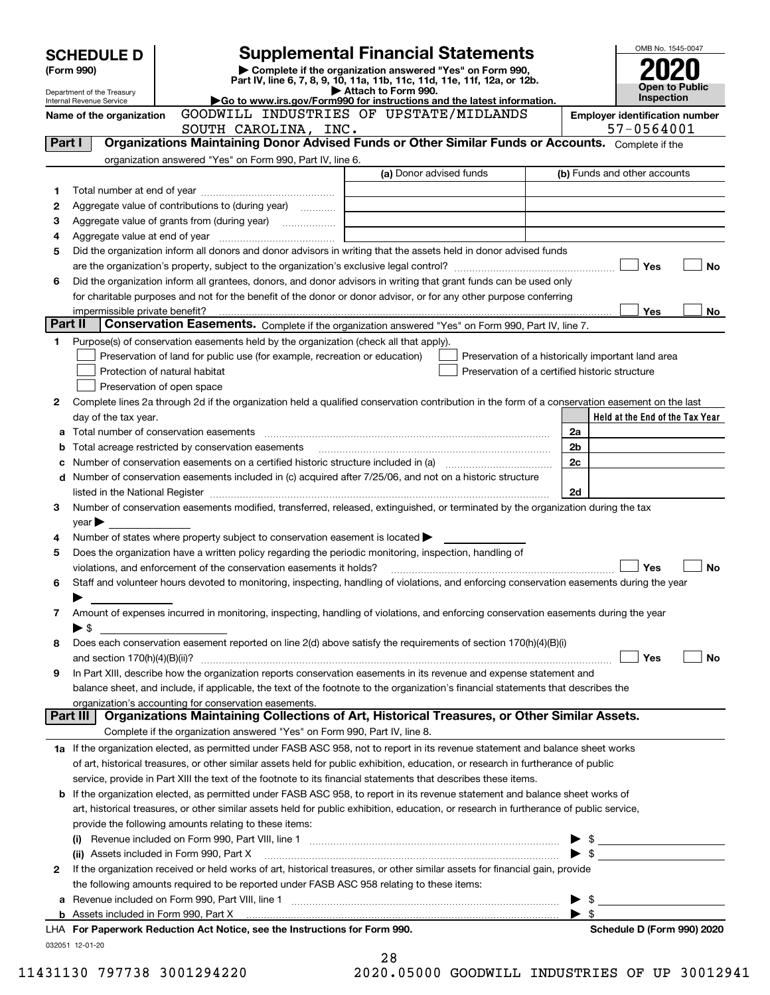|         | <b>SCHEDULE D</b>                                    |                                                                                                        | <b>Supplemental Financial Statements</b>                                                                                                                                                                                                               |                          | OMB No. 1545-0047                   |
|---------|------------------------------------------------------|--------------------------------------------------------------------------------------------------------|--------------------------------------------------------------------------------------------------------------------------------------------------------------------------------------------------------------------------------------------------------|--------------------------|-------------------------------------|
|         | (Form 990)                                           |                                                                                                        | Complete if the organization answered "Yes" on Form 990,<br>Part IV, line 6, 7, 8, 9, 10, 11a, 11b, 11c, 11d, 11e, 11f, 12a, or 12b.                                                                                                                   |                          |                                     |
|         | Department of the Treasury                           |                                                                                                        | Attach to Form 990.<br>Go to www.irs.gov/Form990 for instructions and the latest information.                                                                                                                                                          |                          | <b>Open to Public</b><br>Inspection |
|         | Internal Revenue Service<br>Name of the organization |                                                                                                        | <b>Employer identification number</b>                                                                                                                                                                                                                  |                          |                                     |
|         |                                                      | SOUTH CAROLINA, INC.                                                                                   | GOODWILL INDUSTRIES OF UPSTATE/MIDLANDS                                                                                                                                                                                                                |                          | 57-0564001                          |
| Part I  |                                                      |                                                                                                        | Organizations Maintaining Donor Advised Funds or Other Similar Funds or Accounts. Complete if the                                                                                                                                                      |                          |                                     |
|         |                                                      | organization answered "Yes" on Form 990, Part IV, line 6.                                              |                                                                                                                                                                                                                                                        |                          |                                     |
|         |                                                      |                                                                                                        | (a) Donor advised funds                                                                                                                                                                                                                                |                          | (b) Funds and other accounts        |
| 1       |                                                      |                                                                                                        |                                                                                                                                                                                                                                                        |                          |                                     |
| 2       |                                                      | Aggregate value of contributions to (during year)                                                      |                                                                                                                                                                                                                                                        |                          |                                     |
| З       |                                                      |                                                                                                        |                                                                                                                                                                                                                                                        |                          |                                     |
| 4       |                                                      |                                                                                                        |                                                                                                                                                                                                                                                        |                          |                                     |
| 5       |                                                      |                                                                                                        | Did the organization inform all donors and donor advisors in writing that the assets held in donor advised funds                                                                                                                                       |                          | Yes<br>No                           |
| 6       |                                                      |                                                                                                        | Did the organization inform all grantees, donors, and donor advisors in writing that grant funds can be used only                                                                                                                                      |                          |                                     |
|         |                                                      |                                                                                                        | for charitable purposes and not for the benefit of the donor or donor advisor, or for any other purpose conferring                                                                                                                                     |                          |                                     |
|         | impermissible private benefit?                       |                                                                                                        |                                                                                                                                                                                                                                                        |                          | Yes<br>No                           |
| Part II |                                                      |                                                                                                        | Conservation Easements. Complete if the organization answered "Yes" on Form 990, Part IV, line 7.                                                                                                                                                      |                          |                                     |
| 1       |                                                      | Purpose(s) of conservation easements held by the organization (check all that apply).                  |                                                                                                                                                                                                                                                        |                          |                                     |
|         |                                                      | Preservation of land for public use (for example, recreation or education)                             | Preservation of a historically important land area                                                                                                                                                                                                     |                          |                                     |
|         |                                                      | Protection of natural habitat                                                                          | Preservation of a certified historic structure                                                                                                                                                                                                         |                          |                                     |
|         |                                                      | Preservation of open space                                                                             |                                                                                                                                                                                                                                                        |                          |                                     |
| 2       |                                                      |                                                                                                        | Complete lines 2a through 2d if the organization held a qualified conservation contribution in the form of a conservation easement on the last                                                                                                         |                          |                                     |
|         | day of the tax year.                                 |                                                                                                        |                                                                                                                                                                                                                                                        |                          | Held at the End of the Tax Year     |
| а       |                                                      |                                                                                                        |                                                                                                                                                                                                                                                        | 2a                       |                                     |
| b       |                                                      | Total acreage restricted by conservation easements                                                     |                                                                                                                                                                                                                                                        | 2 <sub>b</sub>           |                                     |
| с       |                                                      |                                                                                                        | Number of conservation easements on a certified historic structure included in (a) manufacture included in (a)                                                                                                                                         | 2c                       |                                     |
|         |                                                      |                                                                                                        | d Number of conservation easements included in (c) acquired after 7/25/06, and not on a historic structure                                                                                                                                             |                          |                                     |
|         |                                                      |                                                                                                        | listed in the National Register [[11] matter contract the National Register contract in the National Register [                                                                                                                                        | 2d                       |                                     |
| 3       |                                                      |                                                                                                        | Number of conservation easements modified, transferred, released, extinguished, or terminated by the organization during the tax                                                                                                                       |                          |                                     |
| 4       | year                                                 | Number of states where property subject to conservation easement is located $\blacktriangleright$      |                                                                                                                                                                                                                                                        |                          |                                     |
| 5       |                                                      | Does the organization have a written policy regarding the periodic monitoring, inspection, handling of |                                                                                                                                                                                                                                                        |                          |                                     |
|         |                                                      | violations, and enforcement of the conservation easements it holds?                                    |                                                                                                                                                                                                                                                        |                          | Yes<br>No                           |
| 6       |                                                      |                                                                                                        | Staff and volunteer hours devoted to monitoring, inspecting, handling of violations, and enforcing conservation easements during the year                                                                                                              |                          |                                     |
|         |                                                      |                                                                                                        |                                                                                                                                                                                                                                                        |                          |                                     |
| 7       |                                                      |                                                                                                        | Amount of expenses incurred in monitoring, inspecting, handling of violations, and enforcing conservation easements during the year                                                                                                                    |                          |                                     |
|         | ▶ \$                                                 |                                                                                                        |                                                                                                                                                                                                                                                        |                          |                                     |
| 8       |                                                      |                                                                                                        | Does each conservation easement reported on line 2(d) above satisfy the requirements of section 170(h)(4)(B)(i)                                                                                                                                        |                          |                                     |
|         |                                                      |                                                                                                        |                                                                                                                                                                                                                                                        |                          | Yes<br>No                           |
| 9       |                                                      |                                                                                                        | In Part XIII, describe how the organization reports conservation easements in its revenue and expense statement and                                                                                                                                    |                          |                                     |
|         |                                                      |                                                                                                        | balance sheet, and include, if applicable, the text of the footnote to the organization's financial statements that describes the                                                                                                                      |                          |                                     |
|         |                                                      | organization's accounting for conservation easements.                                                  |                                                                                                                                                                                                                                                        |                          |                                     |
|         | Part III                                             |                                                                                                        | Organizations Maintaining Collections of Art, Historical Treasures, or Other Similar Assets.                                                                                                                                                           |                          |                                     |
|         |                                                      | Complete if the organization answered "Yes" on Form 990, Part IV, line 8.                              |                                                                                                                                                                                                                                                        |                          |                                     |
|         |                                                      |                                                                                                        | 1a If the organization elected, as permitted under FASB ASC 958, not to report in its revenue statement and balance sheet works                                                                                                                        |                          |                                     |
|         |                                                      |                                                                                                        | of art, historical treasures, or other similar assets held for public exhibition, education, or research in furtherance of public                                                                                                                      |                          |                                     |
|         |                                                      |                                                                                                        | service, provide in Part XIII the text of the footnote to its financial statements that describes these items.<br><b>b</b> If the organization elected, as permitted under FASB ASC 958, to report in its revenue statement and balance sheet works of |                          |                                     |
|         |                                                      |                                                                                                        | art, historical treasures, or other similar assets held for public exhibition, education, or research in furtherance of public service,                                                                                                                |                          |                                     |
|         |                                                      | provide the following amounts relating to these items:                                                 |                                                                                                                                                                                                                                                        |                          |                                     |
|         |                                                      |                                                                                                        |                                                                                                                                                                                                                                                        | $\blacktriangleright$ \$ |                                     |
|         |                                                      | (ii) Assets included in Form 990, Part X                                                               |                                                                                                                                                                                                                                                        |                          |                                     |
| 2       |                                                      |                                                                                                        | If the organization received or held works of art, historical treasures, or other similar assets for financial gain, provide                                                                                                                           |                          |                                     |
|         |                                                      | the following amounts required to be reported under FASB ASC 958 relating to these items:              |                                                                                                                                                                                                                                                        |                          |                                     |
|         |                                                      |                                                                                                        |                                                                                                                                                                                                                                                        | - \$                     |                                     |
|         |                                                      |                                                                                                        |                                                                                                                                                                                                                                                        | $\blacktriangleright$ \$ |                                     |
|         |                                                      | LHA For Paperwork Reduction Act Notice, see the Instructions for Form 990.                             |                                                                                                                                                                                                                                                        |                          | Schedule D (Form 990) 2020          |
|         | 032051 12-01-20                                      |                                                                                                        |                                                                                                                                                                                                                                                        |                          |                                     |
|         |                                                      |                                                                                                        | 28                                                                                                                                                                                                                                                     |                          |                                     |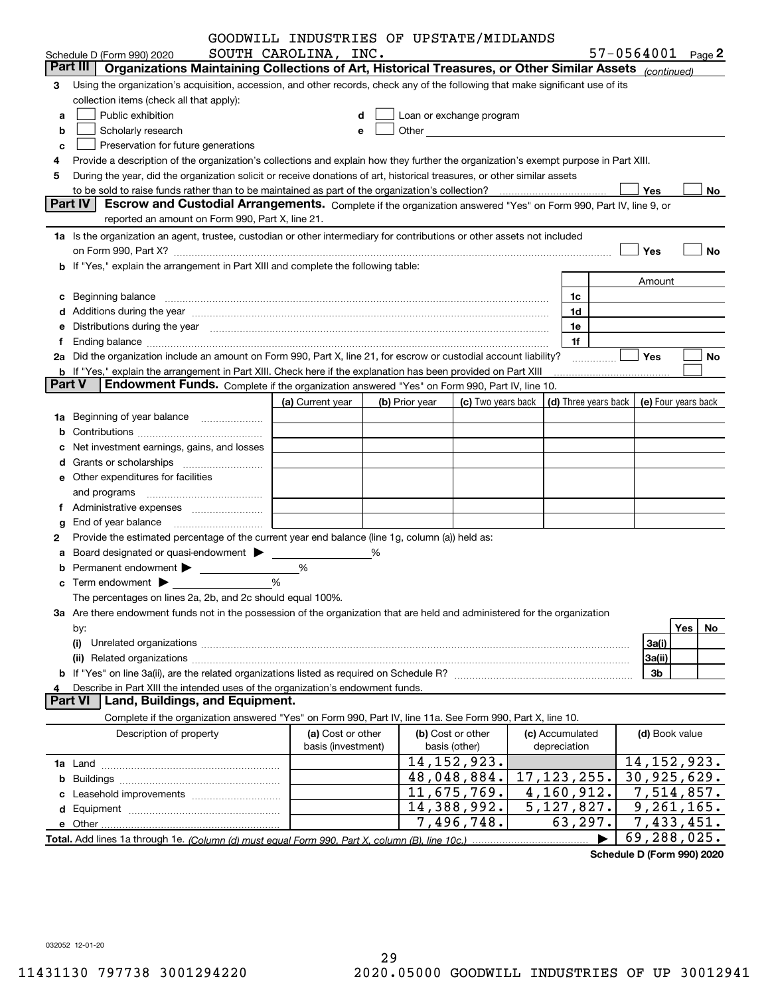|               |                                                                                                                                                                                                                                | GOODWILL INDUSTRIES OF UPSTATE/MIDLANDS |   |                |                                                                                                                                                                                                                                |  |                                            |  |                |                            |  |
|---------------|--------------------------------------------------------------------------------------------------------------------------------------------------------------------------------------------------------------------------------|-----------------------------------------|---|----------------|--------------------------------------------------------------------------------------------------------------------------------------------------------------------------------------------------------------------------------|--|--------------------------------------------|--|----------------|----------------------------|--|
|               | Schedule D (Form 990) 2020                                                                                                                                                                                                     | SOUTH CAROLINA, INC.                    |   |                |                                                                                                                                                                                                                                |  |                                            |  |                | $57 - 0564001$ Page 2      |  |
|               | Organizations Maintaining Collections of Art, Historical Treasures, or Other Similar Assets (continued)<br>Part III                                                                                                            |                                         |   |                |                                                                                                                                                                                                                                |  |                                            |  |                |                            |  |
| З             | Using the organization's acquisition, accession, and other records, check any of the following that make significant use of its                                                                                                |                                         |   |                |                                                                                                                                                                                                                                |  |                                            |  |                |                            |  |
|               | collection items (check all that apply):                                                                                                                                                                                       |                                         |   |                |                                                                                                                                                                                                                                |  |                                            |  |                |                            |  |
| a             | Public exhibition                                                                                                                                                                                                              |                                         | d |                | Loan or exchange program                                                                                                                                                                                                       |  |                                            |  |                |                            |  |
| b             | Scholarly research                                                                                                                                                                                                             |                                         | е |                | Other the contract of the contract of the contract of the contract of the contract of the contract of the contract of the contract of the contract of the contract of the contract of the contract of the contract of the cont |  |                                            |  |                |                            |  |
| c             | Preservation for future generations                                                                                                                                                                                            |                                         |   |                |                                                                                                                                                                                                                                |  |                                            |  |                |                            |  |
|               | Provide a description of the organization's collections and explain how they further the organization's exempt purpose in Part XIII.                                                                                           |                                         |   |                |                                                                                                                                                                                                                                |  |                                            |  |                |                            |  |
| 5             | During the year, did the organization solicit or receive donations of art, historical treasures, or other similar assets                                                                                                       |                                         |   |                |                                                                                                                                                                                                                                |  |                                            |  |                |                            |  |
|               |                                                                                                                                                                                                                                |                                         |   |                |                                                                                                                                                                                                                                |  |                                            |  | Yes            | No                         |  |
|               | Part IV<br>Escrow and Custodial Arrangements. Complete if the organization answered "Yes" on Form 990, Part IV, line 9, or                                                                                                     |                                         |   |                |                                                                                                                                                                                                                                |  |                                            |  |                |                            |  |
|               | reported an amount on Form 990, Part X, line 21.                                                                                                                                                                               |                                         |   |                |                                                                                                                                                                                                                                |  |                                            |  |                |                            |  |
|               | 1a Is the organization an agent, trustee, custodian or other intermediary for contributions or other assets not included                                                                                                       |                                         |   |                |                                                                                                                                                                                                                                |  |                                            |  |                |                            |  |
|               |                                                                                                                                                                                                                                |                                         |   |                |                                                                                                                                                                                                                                |  |                                            |  | Yes            | No                         |  |
|               | b If "Yes," explain the arrangement in Part XIII and complete the following table:                                                                                                                                             |                                         |   |                |                                                                                                                                                                                                                                |  |                                            |  |                |                            |  |
|               |                                                                                                                                                                                                                                |                                         |   |                |                                                                                                                                                                                                                                |  |                                            |  | Amount         |                            |  |
| c             |                                                                                                                                                                                                                                |                                         |   |                |                                                                                                                                                                                                                                |  | 1c                                         |  |                |                            |  |
|               |                                                                                                                                                                                                                                |                                         |   |                |                                                                                                                                                                                                                                |  | 1d                                         |  |                |                            |  |
|               | Distributions during the year manufactured and continuum and contact the year manufactured and the year manufactured and the year manufactured and the year manufactured and the year manufactured and the year manufactured a |                                         |   |                |                                                                                                                                                                                                                                |  | 1e                                         |  |                |                            |  |
|               |                                                                                                                                                                                                                                |                                         |   |                |                                                                                                                                                                                                                                |  | 1f                                         |  |                |                            |  |
|               | 2a Did the organization include an amount on Form 990, Part X, line 21, for escrow or custodial account liability?                                                                                                             |                                         |   |                |                                                                                                                                                                                                                                |  |                                            |  | Yes            | No                         |  |
| <b>Part V</b> | <b>b</b> If "Yes," explain the arrangement in Part XIII. Check here if the explanation has been provided on Part XIII                                                                                                          |                                         |   |                |                                                                                                                                                                                                                                |  |                                            |  |                |                            |  |
|               | Endowment Funds. Complete if the organization answered "Yes" on Form 990, Part IV, line 10.                                                                                                                                    |                                         |   |                |                                                                                                                                                                                                                                |  |                                            |  |                |                            |  |
|               |                                                                                                                                                                                                                                | (a) Current year                        |   | (b) Prior year | (c) Two years back                                                                                                                                                                                                             |  | (d) Three years back   (e) Four years back |  |                |                            |  |
| 1a            | Beginning of year balance                                                                                                                                                                                                      |                                         |   |                |                                                                                                                                                                                                                                |  |                                            |  |                |                            |  |
|               |                                                                                                                                                                                                                                |                                         |   |                |                                                                                                                                                                                                                                |  |                                            |  |                |                            |  |
|               | Net investment earnings, gains, and losses                                                                                                                                                                                     |                                         |   |                |                                                                                                                                                                                                                                |  |                                            |  |                |                            |  |
|               |                                                                                                                                                                                                                                |                                         |   |                |                                                                                                                                                                                                                                |  |                                            |  |                |                            |  |
|               | e Other expenditures for facilities                                                                                                                                                                                            |                                         |   |                |                                                                                                                                                                                                                                |  |                                            |  |                |                            |  |
|               |                                                                                                                                                                                                                                |                                         |   |                |                                                                                                                                                                                                                                |  |                                            |  |                |                            |  |
|               |                                                                                                                                                                                                                                |                                         |   |                |                                                                                                                                                                                                                                |  |                                            |  |                |                            |  |
|               | End of year balance                                                                                                                                                                                                            |                                         |   |                |                                                                                                                                                                                                                                |  |                                            |  |                |                            |  |
| 2             | Provide the estimated percentage of the current year end balance (line 1g, column (a)) held as:                                                                                                                                |                                         |   |                |                                                                                                                                                                                                                                |  |                                            |  |                |                            |  |
|               | Board designated or quasi-endowment >                                                                                                                                                                                          |                                         | % |                |                                                                                                                                                                                                                                |  |                                            |  |                |                            |  |
|               |                                                                                                                                                                                                                                | %                                       |   |                |                                                                                                                                                                                                                                |  |                                            |  |                |                            |  |
|               |                                                                                                                                                                                                                                | %                                       |   |                |                                                                                                                                                                                                                                |  |                                            |  |                |                            |  |
|               | The percentages on lines 2a, 2b, and 2c should equal 100%.                                                                                                                                                                     |                                         |   |                |                                                                                                                                                                                                                                |  |                                            |  |                |                            |  |
|               | 3a Are there endowment funds not in the possession of the organization that are held and administered for the organization                                                                                                     |                                         |   |                |                                                                                                                                                                                                                                |  |                                            |  |                |                            |  |
|               | by:                                                                                                                                                                                                                            |                                         |   |                |                                                                                                                                                                                                                                |  |                                            |  |                | Yes<br>No.                 |  |
|               | (i)                                                                                                                                                                                                                            |                                         |   |                |                                                                                                                                                                                                                                |  |                                            |  | 3a(i)          |                            |  |
|               | (ii)                                                                                                                                                                                                                           |                                         |   |                |                                                                                                                                                                                                                                |  |                                            |  | 3a(ii)         |                            |  |
|               |                                                                                                                                                                                                                                |                                         |   |                |                                                                                                                                                                                                                                |  |                                            |  | 3b             |                            |  |
|               | Describe in Part XIII the intended uses of the organization's endowment funds.<br>Land, Buildings, and Equipment.<br><b>Part VI</b>                                                                                            |                                         |   |                |                                                                                                                                                                                                                                |  |                                            |  |                |                            |  |
|               | Complete if the organization answered "Yes" on Form 990, Part IV, line 11a. See Form 990, Part X, line 10.                                                                                                                     |                                         |   |                |                                                                                                                                                                                                                                |  |                                            |  |                |                            |  |
|               |                                                                                                                                                                                                                                |                                         |   |                |                                                                                                                                                                                                                                |  |                                            |  |                |                            |  |
|               | Description of property                                                                                                                                                                                                        | (a) Cost or other<br>basis (investment) |   |                | (b) Cost or other<br>basis (other)                                                                                                                                                                                             |  | (c) Accumulated<br>depreciation            |  | (d) Book value |                            |  |
|               |                                                                                                                                                                                                                                |                                         |   |                | 14, 152, 923.                                                                                                                                                                                                                  |  |                                            |  |                | 14, 152, 923.              |  |
|               |                                                                                                                                                                                                                                |                                         |   |                | 48,048,884.                                                                                                                                                                                                                    |  | 17, 123, 255.                              |  |                | 30,925,629.                |  |
|               |                                                                                                                                                                                                                                |                                         |   |                | 11,675,769.                                                                                                                                                                                                                    |  | 4,160,912.                                 |  |                | $\overline{7}$ , 514, 857. |  |
|               |                                                                                                                                                                                                                                |                                         |   |                | 14,388,992.                                                                                                                                                                                                                    |  | $\overline{5,1}$ 27, 827.                  |  |                | 9, 261, 165.               |  |
|               |                                                                                                                                                                                                                                |                                         |   |                | 7,496,748.                                                                                                                                                                                                                     |  | 63,297.                                    |  |                | 7,433,451.                 |  |
|               |                                                                                                                                                                                                                                |                                         |   |                |                                                                                                                                                                                                                                |  |                                            |  |                | 69,288,025.                |  |
|               |                                                                                                                                                                                                                                |                                         |   |                |                                                                                                                                                                                                                                |  |                                            |  |                |                            |  |

**Schedule D (Form 990) 2020**

032052 12-01-20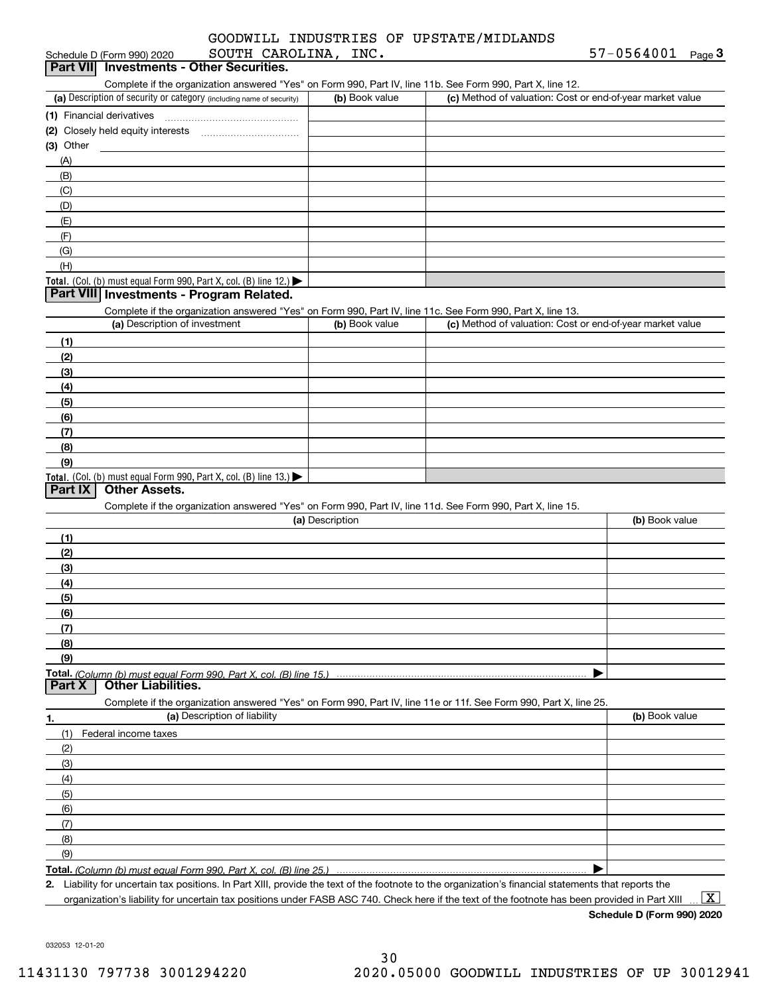| Schedule D (Form 990) 2020                                                                                                                          | SOUTH CAROLINA, INC. |                                                           | 57-0564001<br>Page 3 |
|-----------------------------------------------------------------------------------------------------------------------------------------------------|----------------------|-----------------------------------------------------------|----------------------|
| Part VII Investments - Other Securities.                                                                                                            |                      |                                                           |                      |
| Complete if the organization answered "Yes" on Form 990, Part IV, line 11b. See Form 990, Part X, line 12.                                          |                      |                                                           |                      |
| (a) Description of security or category (including name of security)                                                                                | (b) Book value       | (c) Method of valuation: Cost or end-of-year market value |                      |
|                                                                                                                                                     |                      |                                                           |                      |
|                                                                                                                                                     |                      |                                                           |                      |
| (3) Other                                                                                                                                           |                      |                                                           |                      |
| (A)                                                                                                                                                 |                      |                                                           |                      |
| (B)                                                                                                                                                 |                      |                                                           |                      |
| (C)                                                                                                                                                 |                      |                                                           |                      |
| (D)                                                                                                                                                 |                      |                                                           |                      |
| (E)                                                                                                                                                 |                      |                                                           |                      |
| (F)                                                                                                                                                 |                      |                                                           |                      |
| (G)                                                                                                                                                 |                      |                                                           |                      |
| (H)                                                                                                                                                 |                      |                                                           |                      |
| Total. (Col. (b) must equal Form 990, Part X, col. (B) line 12.)<br>Part VIII Investments - Program Related.                                        |                      |                                                           |                      |
|                                                                                                                                                     |                      |                                                           |                      |
| Complete if the organization answered "Yes" on Form 990, Part IV, line 11c. See Form 990, Part X, line 13.<br>(a) Description of investment         | (b) Book value       | (c) Method of valuation: Cost or end-of-year market value |                      |
|                                                                                                                                                     |                      |                                                           |                      |
| (1)                                                                                                                                                 |                      |                                                           |                      |
| (2)                                                                                                                                                 |                      |                                                           |                      |
| (3)                                                                                                                                                 |                      |                                                           |                      |
| (4)                                                                                                                                                 |                      |                                                           |                      |
| (5)                                                                                                                                                 |                      |                                                           |                      |
| (6)<br>(7)                                                                                                                                          |                      |                                                           |                      |
| (8)                                                                                                                                                 |                      |                                                           |                      |
| (9)                                                                                                                                                 |                      |                                                           |                      |
| Total. (Col. (b) must equal Form 990, Part X, col. (B) line 13.)                                                                                    |                      |                                                           |                      |
| <b>Other Assets.</b><br>Part IX                                                                                                                     |                      |                                                           |                      |
| Complete if the organization answered "Yes" on Form 990, Part IV, line 11d. See Form 990, Part X, line 15.                                          |                      |                                                           |                      |
|                                                                                                                                                     | (a) Description      |                                                           | (b) Book value       |
| (1)                                                                                                                                                 |                      |                                                           |                      |
| (2)                                                                                                                                                 |                      |                                                           |                      |
| (3)                                                                                                                                                 |                      |                                                           |                      |
| (4)                                                                                                                                                 |                      |                                                           |                      |
| (5)                                                                                                                                                 |                      |                                                           |                      |
| (6)                                                                                                                                                 |                      |                                                           |                      |
| (7)                                                                                                                                                 |                      |                                                           |                      |
| (8)                                                                                                                                                 |                      |                                                           |                      |
| (9)                                                                                                                                                 |                      |                                                           |                      |
| <b>Total.</b> (Column (b) must equal Form 990. Part X, col. (B) line 15.)<br><b>Other Liabilities.</b><br>Part X                                    |                      |                                                           |                      |
| Complete if the organization answered "Yes" on Form 990, Part IV, line 11e or 11f. See Form 990, Part X, line 25.                                   |                      |                                                           |                      |
| (a) Description of liability<br>1.                                                                                                                  |                      |                                                           | (b) Book value       |
| (1)<br>Federal income taxes                                                                                                                         |                      |                                                           |                      |
| (2)                                                                                                                                                 |                      |                                                           |                      |
| (3)                                                                                                                                                 |                      |                                                           |                      |
| (4)                                                                                                                                                 |                      |                                                           |                      |
| (5)                                                                                                                                                 |                      |                                                           |                      |
| (6)                                                                                                                                                 |                      |                                                           |                      |
| (7)                                                                                                                                                 |                      |                                                           |                      |
| (8)                                                                                                                                                 |                      |                                                           |                      |
| (9)                                                                                                                                                 |                      |                                                           |                      |
| Total. (Column (b) must equal Form 990. Part X, col. (B) line 25.)                                                                                  |                      |                                                           |                      |
| 2 Liphility for uncertain tax positions. In Part YIII, provide the text of the footpote to the organization's financial statements that reports the |                      |                                                           |                      |

**2.** Liability for uncertain tax positions. In Part XIII, provide the text of the footnote to the organization's financial statements that reports the organization's liability for uncertain tax positions under FASB ASC 740. Check here if the text of the footnote has been provided in Part XIII

**Schedule D (Form 990) 2020**

 $\boxed{\text{X}}$ 

032053 12-01-20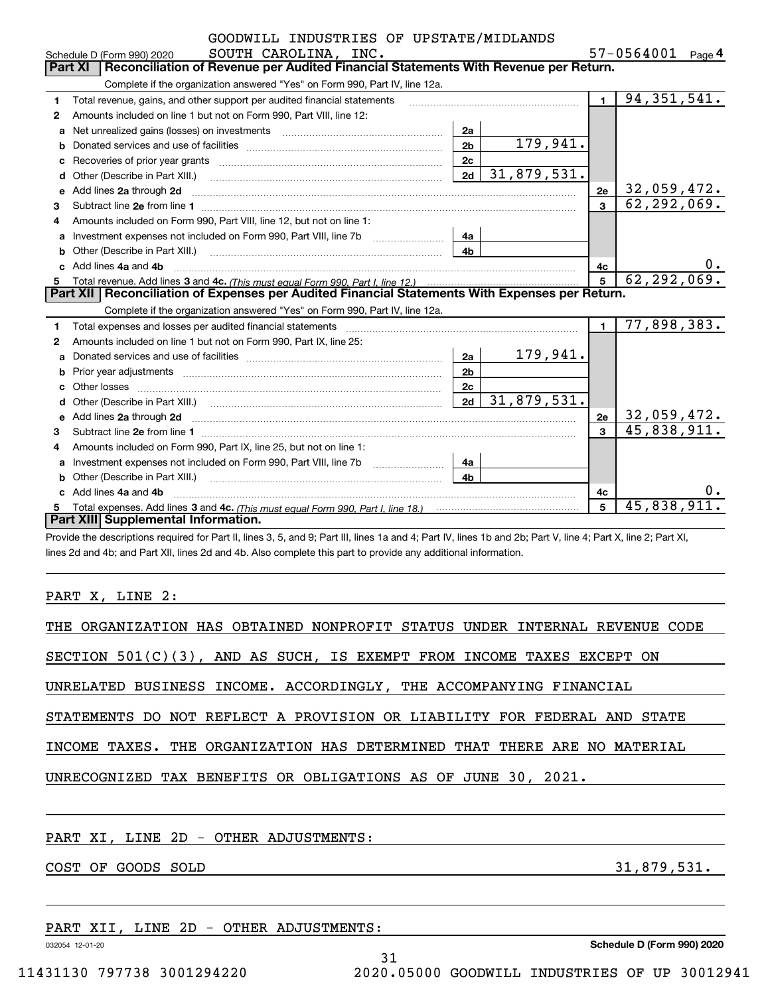| GOODWILL INDUSTRIES OF UPSTATE/MIDLANDS                                                        |                                                                                                                                                                                                                                     |                |               |                |                           |  |  |  |  |  |
|------------------------------------------------------------------------------------------------|-------------------------------------------------------------------------------------------------------------------------------------------------------------------------------------------------------------------------------------|----------------|---------------|----------------|---------------------------|--|--|--|--|--|
| 57-0564001 Page 4<br>SOUTH CAROLINA, INC.<br>Schedule D (Form 990) 2020                        |                                                                                                                                                                                                                                     |                |               |                |                           |  |  |  |  |  |
| Reconciliation of Revenue per Audited Financial Statements With Revenue per Return.<br>Part XI |                                                                                                                                                                                                                                     |                |               |                |                           |  |  |  |  |  |
|                                                                                                | Complete if the organization answered "Yes" on Form 990, Part IV, line 12a.                                                                                                                                                         |                |               |                |                           |  |  |  |  |  |
| 1                                                                                              | Total revenue, gains, and other support per audited financial statements                                                                                                                                                            |                |               | $\blacksquare$ | 94, 351, 541.             |  |  |  |  |  |
| $\mathbf{2}$                                                                                   | Amounts included on line 1 but not on Form 990, Part VIII, line 12:                                                                                                                                                                 |                |               |                |                           |  |  |  |  |  |
| a                                                                                              | Net unrealized gains (losses) on investments [11] matter contracts and the unrealized gains (losses) on investments                                                                                                                 | 2a             |               |                |                           |  |  |  |  |  |
|                                                                                                |                                                                                                                                                                                                                                     | 2 <sub>b</sub> | 179,941.      |                |                           |  |  |  |  |  |
|                                                                                                |                                                                                                                                                                                                                                     | 2c             |               |                |                           |  |  |  |  |  |
| d                                                                                              | Other (Describe in Part XIII.) <b>Construction Contract Construction</b> Chemistry Construction Chemistry Chemistry Chemistry Chemistry Chemistry Chemistry Chemistry Chemistry Chemistry Chemistry Chemistry Chemistry Chemistry C | 2d             | 31,879,531.   |                |                           |  |  |  |  |  |
| е                                                                                              | Add lines 2a through 2d                                                                                                                                                                                                             |                |               | 2e             | 32,059,472.               |  |  |  |  |  |
| 3                                                                                              |                                                                                                                                                                                                                                     |                |               | $\mathbf{a}$   | 62, 292, 069.             |  |  |  |  |  |
| 4                                                                                              | Amounts included on Form 990, Part VIII, line 12, but not on line 1:                                                                                                                                                                |                |               |                |                           |  |  |  |  |  |
| a                                                                                              |                                                                                                                                                                                                                                     | 4a             |               |                |                           |  |  |  |  |  |
| b                                                                                              |                                                                                                                                                                                                                                     | 4 <sub>h</sub> |               |                |                           |  |  |  |  |  |
|                                                                                                | Add lines 4a and 4b                                                                                                                                                                                                                 |                |               | 4с             | υ.                        |  |  |  |  |  |
| 5                                                                                              |                                                                                                                                                                                                                                     | 5              | 62, 292, 069. |                |                           |  |  |  |  |  |
|                                                                                                | Part XII   Reconciliation of Expenses per Audited Financial Statements With Expenses per Return.                                                                                                                                    |                |               |                |                           |  |  |  |  |  |
|                                                                                                | Complete if the organization answered "Yes" on Form 990, Part IV, line 12a.                                                                                                                                                         |                |               |                |                           |  |  |  |  |  |
| 1                                                                                              | Total expenses and losses per audited financial statements [11] [12] manuscription and statements [13] Total expenses and losses per audited financial statements [13] manuscription and the statements [13] manuscription and      |                |               | $\blacksquare$ | 77,898,383.               |  |  |  |  |  |
| 2                                                                                              | Amounts included on line 1 but not on Form 990, Part IX, line 25:                                                                                                                                                                   |                |               |                |                           |  |  |  |  |  |
| a                                                                                              |                                                                                                                                                                                                                                     | 2a             | 179,941.      |                |                           |  |  |  |  |  |
| b                                                                                              |                                                                                                                                                                                                                                     | 2 <sub>b</sub> |               |                |                           |  |  |  |  |  |
|                                                                                                | Other losses                                                                                                                                                                                                                        | 2c             |               |                |                           |  |  |  |  |  |
| d                                                                                              |                                                                                                                                                                                                                                     | 2d             | 31,879,531.   |                |                           |  |  |  |  |  |
| е                                                                                              | Add lines 2a through 2d <b>contained a contained a contained a contained a</b> contained a contact the state of the state of the state of the state of the state of the state of the state of the state of the state of the state o |                |               | 2e             | 32,059,472.               |  |  |  |  |  |
| з                                                                                              | Subtract line 2e from line 1                                                                                                                                                                                                        |                |               | $\mathbf{R}$   | 45,838,911.               |  |  |  |  |  |
| 4                                                                                              | Amounts included on Form 990, Part IX, line 25, but not on line 1:                                                                                                                                                                  |                |               |                |                           |  |  |  |  |  |
| а                                                                                              |                                                                                                                                                                                                                                     | 4a             |               |                |                           |  |  |  |  |  |
| b                                                                                              | Other (Describe in Part XIII.) <b>Construction Contract Construction</b> Chemical Construction Chemical Chemical Chemical Chemical Chemical Chemical Chemical Chemical Chemical Chemical Chemical Chemical Chemical Chemical Chemic | 4 <sub>h</sub> |               |                |                           |  |  |  |  |  |
| c.                                                                                             | Add lines 4a and 4b                                                                                                                                                                                                                 |                |               | 4c             |                           |  |  |  |  |  |
|                                                                                                |                                                                                                                                                                                                                                     |                |               | 5              | $\overline{45,838,911}$ . |  |  |  |  |  |
|                                                                                                | Part XIII Supplemental Information.                                                                                                                                                                                                 |                |               |                |                           |  |  |  |  |  |

Provide the descriptions required for Part II, lines 3, 5, and 9; Part III, lines 1a and 4; Part IV, lines 1b and 2b; Part V, line 4; Part X, line 2; Part XI, lines 2d and 4b; and Part XII, lines 2d and 4b. Also complete this part to provide any additional information.

PART X, LINE 2:

| THE ORGANIZATION HAS OBTAINED NONPROFIT STATUS UNDER INTERNAL REVENUE CODE |
|----------------------------------------------------------------------------|
| SECTION $501(C)(3)$ , AND AS SUCH, IS EXEMPT FROM INCOME TAXES EXCEPT ON   |
| UNRELATED BUSINESS INCOME. ACCORDINGLY, THE ACCOMPANYING FINANCIAL         |
| STATEMENTS DO NOT REFLECT A PROVISION OR LIABILITY FOR FEDERAL AND STATE   |
| INCOME TAXES. THE ORGANIZATION HAS DETERMINED THAT THERE ARE NO MATERIAL   |
| UNRECOGNIZED TAX BENEFITS OR OBLIGATIONS AS OF JUNE 30, 2021.              |
|                                                                            |
| PART XI, LINE 2D - OTHER ADJUSTMENTS:                                      |
| 31,879,531.<br>COST OF GOODS SOLD                                          |
|                                                                            |
|                                                                            |

31

PART XII, LINE 2D - OTHER ADJUSTMENTS:

032054 12-01-20

**Schedule D (Form 990) 2020**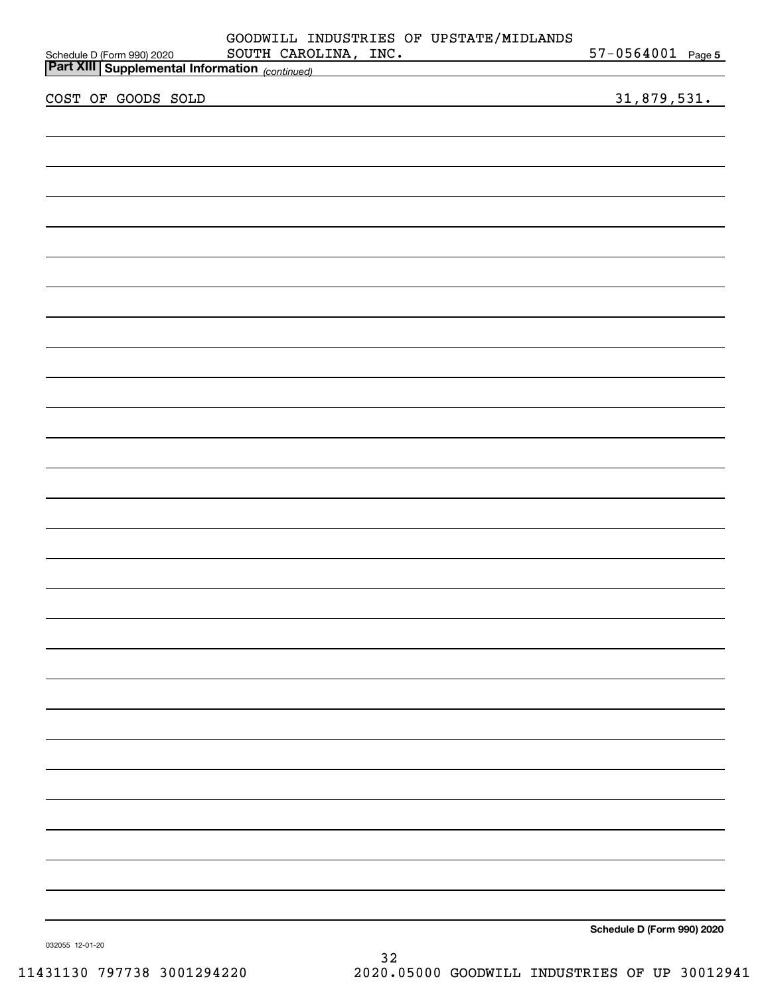|  |                    |  |  |  | GOODWILL INDUSTRIES OF UPSTATE/MIDLANDS<br>SOUTH CAROLINA, INC.                                                                                                                                                                           |  | $57 - 0564001$ Page 5      |  |
|--|--------------------|--|--|--|-------------------------------------------------------------------------------------------------------------------------------------------------------------------------------------------------------------------------------------------|--|----------------------------|--|
|  |                    |  |  |  | Schedule D (Form 990) 2020 SOUTH CAROLINA, INC.<br>Part XIII Supplemental Information <sub>(continued)</sub> Continued State Continued State Continued State Continued State Continued State Continued State Continued State Continued St |  |                            |  |
|  | COST OF GOODS SOLD |  |  |  |                                                                                                                                                                                                                                           |  | 31,879,531.                |  |
|  |                    |  |  |  |                                                                                                                                                                                                                                           |  |                            |  |
|  |                    |  |  |  |                                                                                                                                                                                                                                           |  |                            |  |
|  |                    |  |  |  |                                                                                                                                                                                                                                           |  |                            |  |
|  |                    |  |  |  |                                                                                                                                                                                                                                           |  |                            |  |
|  |                    |  |  |  |                                                                                                                                                                                                                                           |  |                            |  |
|  |                    |  |  |  |                                                                                                                                                                                                                                           |  |                            |  |
|  |                    |  |  |  |                                                                                                                                                                                                                                           |  |                            |  |
|  |                    |  |  |  |                                                                                                                                                                                                                                           |  |                            |  |
|  |                    |  |  |  |                                                                                                                                                                                                                                           |  |                            |  |
|  |                    |  |  |  |                                                                                                                                                                                                                                           |  |                            |  |
|  |                    |  |  |  |                                                                                                                                                                                                                                           |  |                            |  |
|  |                    |  |  |  |                                                                                                                                                                                                                                           |  |                            |  |
|  |                    |  |  |  |                                                                                                                                                                                                                                           |  |                            |  |
|  |                    |  |  |  |                                                                                                                                                                                                                                           |  |                            |  |
|  |                    |  |  |  |                                                                                                                                                                                                                                           |  |                            |  |
|  |                    |  |  |  |                                                                                                                                                                                                                                           |  |                            |  |
|  |                    |  |  |  |                                                                                                                                                                                                                                           |  |                            |  |
|  |                    |  |  |  |                                                                                                                                                                                                                                           |  |                            |  |
|  |                    |  |  |  |                                                                                                                                                                                                                                           |  |                            |  |
|  |                    |  |  |  |                                                                                                                                                                                                                                           |  |                            |  |
|  |                    |  |  |  |                                                                                                                                                                                                                                           |  |                            |  |
|  |                    |  |  |  |                                                                                                                                                                                                                                           |  |                            |  |
|  |                    |  |  |  |                                                                                                                                                                                                                                           |  |                            |  |
|  |                    |  |  |  |                                                                                                                                                                                                                                           |  |                            |  |
|  |                    |  |  |  |                                                                                                                                                                                                                                           |  |                            |  |
|  |                    |  |  |  |                                                                                                                                                                                                                                           |  | Schedule D (Form 990) 2020 |  |

032055 12-01-20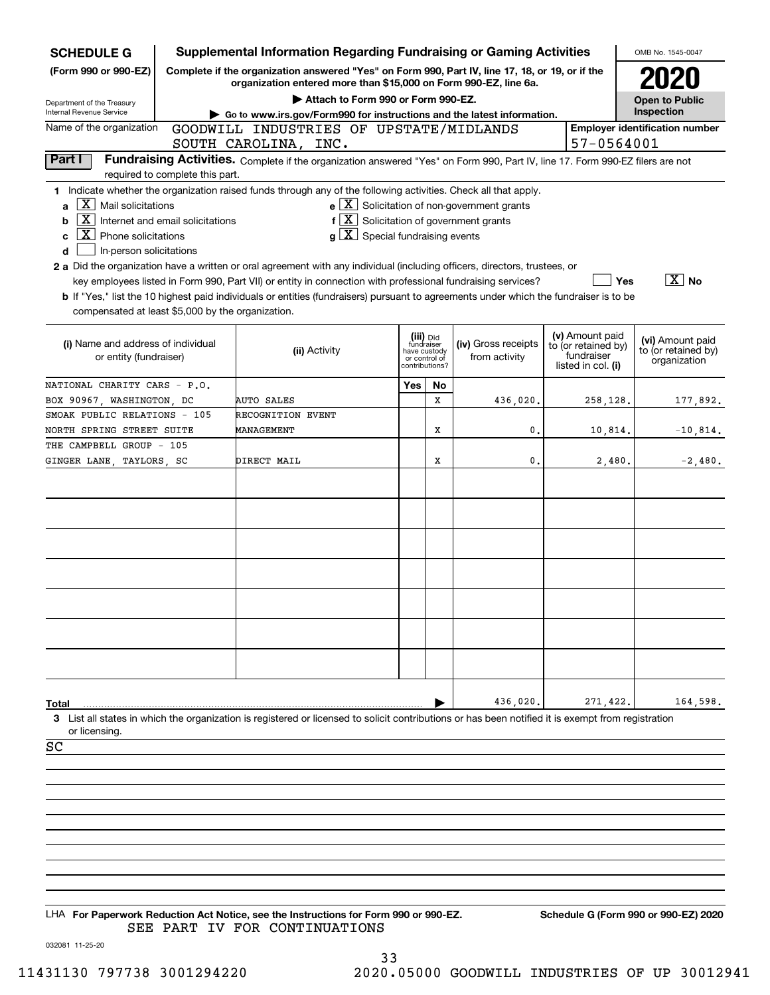| <b>SCHEDULE G</b>                                                                                                                                                         |                                                                                                        | <b>Supplemental Information Regarding Fundraising or Gaming Activities</b>                                                                                                                                                                                                                                                                                                                                                                                                                                                                                                                                     |              |                                                            |                                                       |  |                                                                            | OMB No. 1545-0047                                       |  |
|---------------------------------------------------------------------------------------------------------------------------------------------------------------------------|--------------------------------------------------------------------------------------------------------|----------------------------------------------------------------------------------------------------------------------------------------------------------------------------------------------------------------------------------------------------------------------------------------------------------------------------------------------------------------------------------------------------------------------------------------------------------------------------------------------------------------------------------------------------------------------------------------------------------------|--------------|------------------------------------------------------------|-------------------------------------------------------|--|----------------------------------------------------------------------------|---------------------------------------------------------|--|
| (Form 990 or 990-EZ)                                                                                                                                                      | Complete if the organization answered "Yes" on Form 990, Part IV, line 17, 18, or 19, or if the        |                                                                                                                                                                                                                                                                                                                                                                                                                                                                                                                                                                                                                |              |                                                            |                                                       |  |                                                                            |                                                         |  |
|                                                                                                                                                                           | organization entered more than \$15,000 on Form 990-EZ, line 6a.<br>Attach to Form 990 or Form 990-EZ. |                                                                                                                                                                                                                                                                                                                                                                                                                                                                                                                                                                                                                |              |                                                            |                                                       |  |                                                                            |                                                         |  |
| Department of the Treasury<br>Internal Revenue Service                                                                                                                    |                                                                                                        | Go to www.irs.gov/Form990 for instructions and the latest information.                                                                                                                                                                                                                                                                                                                                                                                                                                                                                                                                         |              |                                                            |                                                       |  |                                                                            | <b>Open to Public</b><br>Inspection                     |  |
| Name of the organization                                                                                                                                                  | 57-0564001                                                                                             | <b>Employer identification number</b>                                                                                                                                                                                                                                                                                                                                                                                                                                                                                                                                                                          |              |                                                            |                                                       |  |                                                                            |                                                         |  |
| Part I                                                                                                                                                                    |                                                                                                        | SOUTH CAROLINA, INC.<br>Fundraising Activities. Complete if the organization answered "Yes" on Form 990, Part IV, line 17. Form 990-EZ filers are not                                                                                                                                                                                                                                                                                                                                                                                                                                                          |              |                                                            |                                                       |  |                                                                            |                                                         |  |
|                                                                                                                                                                           | required to complete this part.                                                                        |                                                                                                                                                                                                                                                                                                                                                                                                                                                                                                                                                                                                                |              |                                                            |                                                       |  |                                                                            |                                                         |  |
| X  <br>Mail solicitations<br>a<br>X<br>b<br>$\mathbf{X}$<br>Phone solicitations<br>c<br>In-person solicitations<br>d<br>compensated at least \$5,000 by the organization. | Internet and email solicitations                                                                       | 1 Indicate whether the organization raised funds through any of the following activities. Check all that apply.<br>$f\left[\frac{X}{X}\right]$ Solicitation of government grants<br>$g\mid X$ Special fundraising events<br>2 a Did the organization have a written or oral agreement with any individual (including officers, directors, trustees, or<br>key employees listed in Form 990, Part VII) or entity in connection with professional fundraising services?<br>b If "Yes," list the 10 highest paid individuals or entities (fundraisers) pursuant to agreements under which the fundraiser is to be |              |                                                            | $e$ $\boxed{X}$ Solicitation of non-government grants |  | Yes                                                                        | $\boxed{\text{X}}$ No                                   |  |
| (i) Name and address of individual<br>or entity (fundraiser)                                                                                                              |                                                                                                        | (ii) Activity                                                                                                                                                                                                                                                                                                                                                                                                                                                                                                                                                                                                  | have custody | (iii) Did<br>fundraiser<br>or control of<br>contributions? | (iv) Gross receipts<br>from activity                  |  | (v) Amount paid<br>to (or retained by)<br>fundraiser<br>listed in col. (i) | (vi) Amount paid<br>to (or retained by)<br>organization |  |
| NATIONAL CHARITY CARS - P.O.                                                                                                                                              |                                                                                                        |                                                                                                                                                                                                                                                                                                                                                                                                                                                                                                                                                                                                                | Yes          | No                                                         |                                                       |  |                                                                            |                                                         |  |
| BOX 90967, WASHINGTON, DC                                                                                                                                                 |                                                                                                        | AUTO SALES                                                                                                                                                                                                                                                                                                                                                                                                                                                                                                                                                                                                     |              | X                                                          | 436,020.                                              |  | 258,128.                                                                   | 177,892.                                                |  |
| SMOAK PUBLIC RELATIONS - 105<br>NORTH SPRING STREET SUITE                                                                                                                 |                                                                                                        | <b>RECOGNITION EVENT</b><br>MANAGEMENT                                                                                                                                                                                                                                                                                                                                                                                                                                                                                                                                                                         |              | X                                                          | 0.                                                    |  | 10,814.                                                                    | $-10,814.$                                              |  |
| THE CAMPBELL GROUP - 105                                                                                                                                                  |                                                                                                        |                                                                                                                                                                                                                                                                                                                                                                                                                                                                                                                                                                                                                |              |                                                            |                                                       |  |                                                                            |                                                         |  |
| GINGER LANE, TAYLORS, SC                                                                                                                                                  |                                                                                                        | DIRECT MAIL                                                                                                                                                                                                                                                                                                                                                                                                                                                                                                                                                                                                    |              | X                                                          | $\mathbf{0}$ .                                        |  | 2,480.                                                                     | $-2,480.$                                               |  |
| Total<br>or licensing.<br>SC                                                                                                                                              |                                                                                                        | 3 List all states in which the organization is registered or licensed to solicit contributions or has been notified it is exempt from registration                                                                                                                                                                                                                                                                                                                                                                                                                                                             |              |                                                            | 436,020.                                              |  | 271,422                                                                    | 164,598.                                                |  |
|                                                                                                                                                                           |                                                                                                        |                                                                                                                                                                                                                                                                                                                                                                                                                                                                                                                                                                                                                |              |                                                            |                                                       |  |                                                                            |                                                         |  |
|                                                                                                                                                                           |                                                                                                        |                                                                                                                                                                                                                                                                                                                                                                                                                                                                                                                                                                                                                |              |                                                            |                                                       |  |                                                                            |                                                         |  |
|                                                                                                                                                                           |                                                                                                        |                                                                                                                                                                                                                                                                                                                                                                                                                                                                                                                                                                                                                |              |                                                            |                                                       |  |                                                                            |                                                         |  |
|                                                                                                                                                                           |                                                                                                        |                                                                                                                                                                                                                                                                                                                                                                                                                                                                                                                                                                                                                |              |                                                            |                                                       |  |                                                                            |                                                         |  |
|                                                                                                                                                                           |                                                                                                        |                                                                                                                                                                                                                                                                                                                                                                                                                                                                                                                                                                                                                |              |                                                            |                                                       |  |                                                                            |                                                         |  |
|                                                                                                                                                                           |                                                                                                        |                                                                                                                                                                                                                                                                                                                                                                                                                                                                                                                                                                                                                |              |                                                            |                                                       |  |                                                                            |                                                         |  |
|                                                                                                                                                                           |                                                                                                        |                                                                                                                                                                                                                                                                                                                                                                                                                                                                                                                                                                                                                |              |                                                            |                                                       |  |                                                                            |                                                         |  |
|                                                                                                                                                                           |                                                                                                        |                                                                                                                                                                                                                                                                                                                                                                                                                                                                                                                                                                                                                |              |                                                            |                                                       |  |                                                                            |                                                         |  |
|                                                                                                                                                                           |                                                                                                        |                                                                                                                                                                                                                                                                                                                                                                                                                                                                                                                                                                                                                |              |                                                            |                                                       |  |                                                                            |                                                         |  |

LHA For Paperwork Reduction Act Notice, see the Instructions for Form 990 or 990-EZ. Schedule G (Form 990 or 990-EZ) 2020 SEE PART IV FOR CONTINUATIONS

032081 11-25-20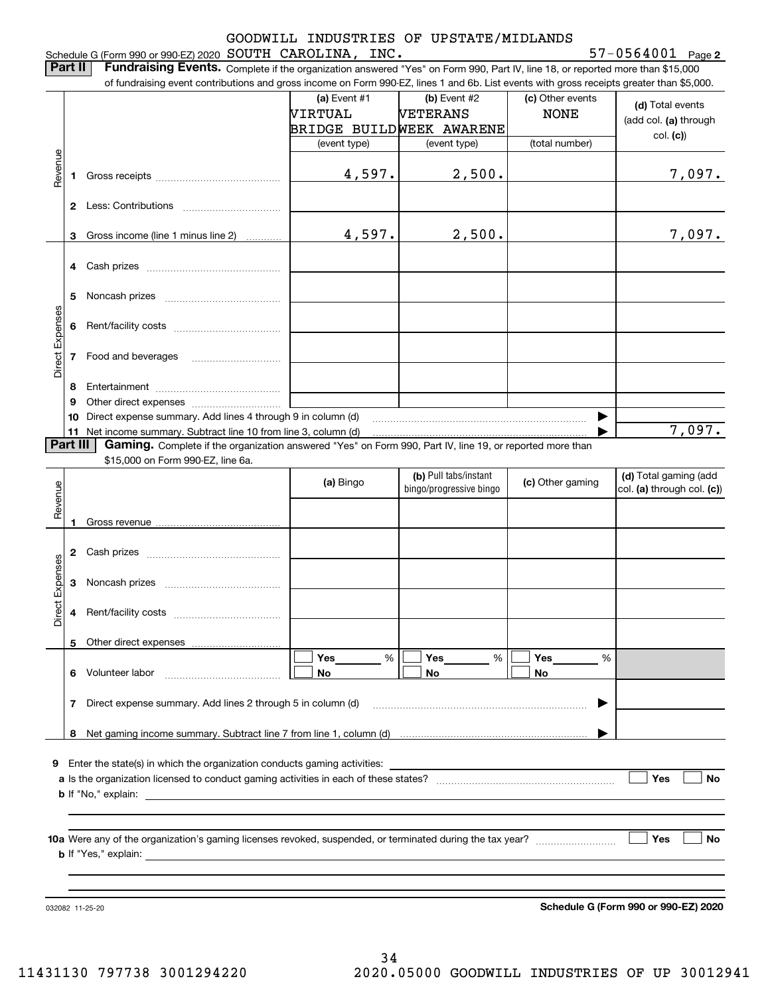## Schedule G (Form 990 or 990-EZ) 2020 Page SOUTH CAROLINA, INC. 57-0564001 GOODWILL INDUSTRIES OF UPSTATE/MIDLANDS

**2**

|  | <b>Part II</b> Fundraising Events. Complete if the organization answered "Yes" on Form 990, Part IV, line 18, or reported more than \$15,000 |  |  |  |
|--|----------------------------------------------------------------------------------------------------------------------------------------------|--|--|--|
|  | of fundraising event contributions and gross income on Form 990-EZ, lines 1 and 6b. List events with gross receipts greater than \$5,000.    |  |  |  |
|  |                                                                                                                                              |  |  |  |

|                 |    |                                                                                                                                                                                                                                      | (a) Event $#1$ | $(b)$ Event #2           | (c) Other events | (d) Total events           |
|-----------------|----|--------------------------------------------------------------------------------------------------------------------------------------------------------------------------------------------------------------------------------------|----------------|--------------------------|------------------|----------------------------|
|                 |    |                                                                                                                                                                                                                                      | VIRTUAL        | <b>VETERANS</b>          | <b>NONE</b>      | (add col. (a) through      |
|                 |    |                                                                                                                                                                                                                                      |                | BRIDGE BUILDWEEK AWARENE |                  |                            |
|                 |    |                                                                                                                                                                                                                                      | (event type)   | (event type)             | (total number)   | col. (c)                   |
| Revenue         |    |                                                                                                                                                                                                                                      |                |                          |                  |                            |
|                 | 1. |                                                                                                                                                                                                                                      | 4,597.         | 2,500.                   |                  | 7,097.                     |
|                 |    |                                                                                                                                                                                                                                      |                |                          |                  |                            |
|                 |    |                                                                                                                                                                                                                                      |                |                          |                  |                            |
|                 |    |                                                                                                                                                                                                                                      |                |                          |                  |                            |
|                 |    | 3 Gross income (line 1 minus line 2)                                                                                                                                                                                                 | 4,597.         | 2,500.                   |                  | 7,097.                     |
|                 |    |                                                                                                                                                                                                                                      |                |                          |                  |                            |
|                 |    |                                                                                                                                                                                                                                      |                |                          |                  |                            |
|                 |    |                                                                                                                                                                                                                                      |                |                          |                  |                            |
|                 | 5  |                                                                                                                                                                                                                                      |                |                          |                  |                            |
|                 |    |                                                                                                                                                                                                                                      |                |                          |                  |                            |
|                 | 6  |                                                                                                                                                                                                                                      |                |                          |                  |                            |
| Direct Expenses |    |                                                                                                                                                                                                                                      |                |                          |                  |                            |
|                 |    | 7 Food and beverages                                                                                                                                                                                                                 |                |                          |                  |                            |
|                 |    |                                                                                                                                                                                                                                      |                |                          |                  |                            |
|                 | 8  |                                                                                                                                                                                                                                      |                |                          |                  |                            |
|                 | 9  |                                                                                                                                                                                                                                      |                |                          |                  |                            |
|                 |    | 10 Direct expense summary. Add lines 4 through 9 in column (d)                                                                                                                                                                       |                |                          |                  |                            |
|                 |    | 11 Net income summary. Subtract line 10 from line 3, column (d)                                                                                                                                                                      |                |                          |                  | 7,097.                     |
| <b>Part III</b> |    | Gaming. Complete if the organization answered "Yes" on Form 990, Part IV, line 19, or reported more than                                                                                                                             |                |                          |                  |                            |
|                 |    | \$15,000 on Form 990-EZ, line 6a.                                                                                                                                                                                                    |                |                          |                  |                            |
|                 |    |                                                                                                                                                                                                                                      | (a) Bingo      | (b) Pull tabs/instant    | (c) Other gaming | (d) Total gaming (add      |
| Revenue         |    |                                                                                                                                                                                                                                      |                | bingo/progressive bingo  |                  | col. (a) through col. (c)) |
|                 |    |                                                                                                                                                                                                                                      |                |                          |                  |                            |
|                 |    |                                                                                                                                                                                                                                      |                |                          |                  |                            |
|                 |    |                                                                                                                                                                                                                                      |                |                          |                  |                            |
|                 |    |                                                                                                                                                                                                                                      |                |                          |                  |                            |
|                 |    |                                                                                                                                                                                                                                      |                |                          |                  |                            |
| Direct Expenses | 3  |                                                                                                                                                                                                                                      |                |                          |                  |                            |
|                 |    |                                                                                                                                                                                                                                      |                |                          |                  |                            |
|                 | 4  |                                                                                                                                                                                                                                      |                |                          |                  |                            |
|                 |    |                                                                                                                                                                                                                                      |                |                          |                  |                            |
|                 |    |                                                                                                                                                                                                                                      |                |                          |                  |                            |
|                 |    |                                                                                                                                                                                                                                      | Yes<br>%       | Yes<br>%                 | Yes<br>%         |                            |
|                 | 6. | Volunteer labor                                                                                                                                                                                                                      | No             | No                       | No               |                            |
|                 |    |                                                                                                                                                                                                                                      |                |                          |                  |                            |
|                 | 7  | Direct expense summary. Add lines 2 through 5 in column (d)                                                                                                                                                                          |                |                          |                  |                            |
|                 |    |                                                                                                                                                                                                                                      |                |                          |                  |                            |
|                 | 8  |                                                                                                                                                                                                                                      |                |                          |                  |                            |
|                 |    | Enter the state(s) in which the organization conducts gaming activities:                                                                                                                                                             |                |                          |                  |                            |
| 9               |    |                                                                                                                                                                                                                                      |                |                          |                  | <b>Yes</b><br>No           |
|                 |    | <b>b</b> If "No," explain:                                                                                                                                                                                                           |                |                          |                  |                            |
|                 |    | <u>and the state of the state of the state of the state of the state of the state of the state of the state of the state of the state of the state of the state of the state of the state of the state of the state of the state</u> |                |                          |                  |                            |
|                 |    |                                                                                                                                                                                                                                      |                |                          |                  |                            |
|                 |    |                                                                                                                                                                                                                                      |                |                          |                  |                            |
|                 |    |                                                                                                                                                                                                                                      |                |                          |                  |                            |
|                 |    |                                                                                                                                                                                                                                      |                |                          |                  | Yes<br>No                  |
|                 |    | <b>b</b> If "Yes," explain:                                                                                                                                                                                                          |                |                          |                  |                            |

032082 11-25-20

**Schedule G (Form 990 or 990-EZ) 2020**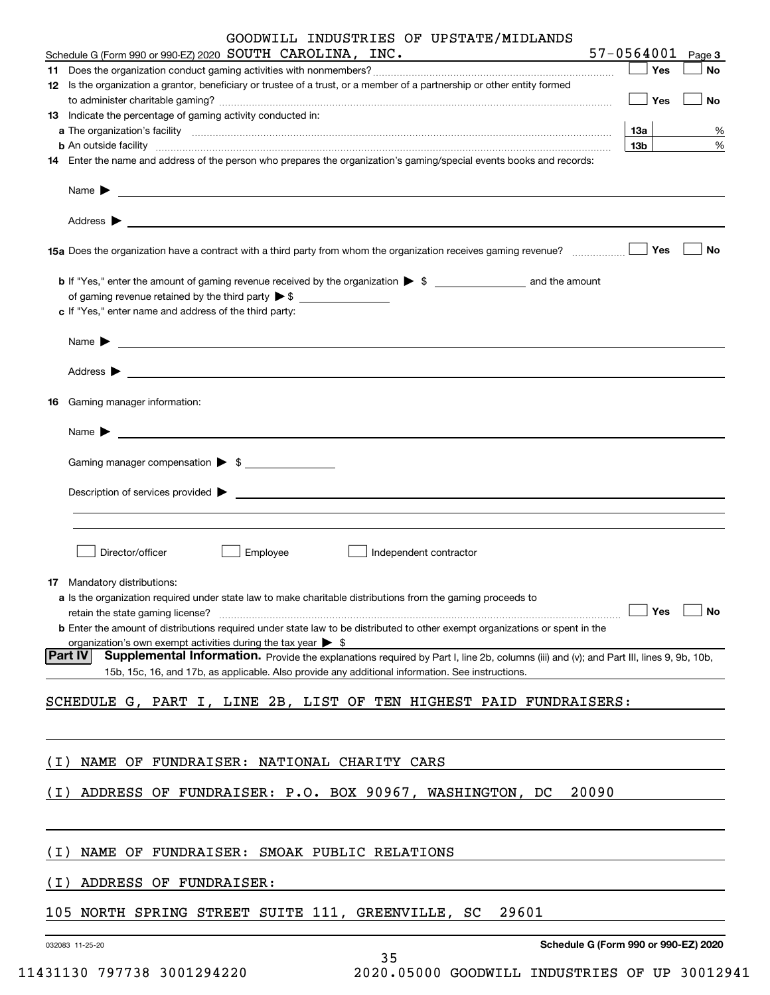|       | GOODWILL INDUSTRIES OF UPSTATE/MIDLANDS<br>57-0564001                                                                                                                                                                                                             |
|-------|-------------------------------------------------------------------------------------------------------------------------------------------------------------------------------------------------------------------------------------------------------------------|
|       | Schedule G (Form 990 or 990-EZ) 2020 SOUTH CAROLINA, INC.<br>Page 3                                                                                                                                                                                               |
|       | Yes<br>No<br>12 Is the organization a grantor, beneficiary or trustee of a trust, or a member of a partnership or other entity formed                                                                                                                             |
|       | Yes<br>No                                                                                                                                                                                                                                                         |
|       | 13 Indicate the percentage of gaming activity conducted in:                                                                                                                                                                                                       |
|       | 13а<br>%                                                                                                                                                                                                                                                          |
|       | 13 <sub>b</sub><br>%<br><b>b</b> An outside facility <b>contained a contained a contained a contained a contained a contained a contained a contained a contact a contact a contact a contact a contact a contact a contact a contact a contact a contact a c</b> |
|       | 14 Enter the name and address of the person who prepares the organization's gaming/special events books and records:                                                                                                                                              |
|       | Name $\blacktriangleright$                                                                                                                                                                                                                                        |
|       |                                                                                                                                                                                                                                                                   |
|       | Yes<br><b>No</b><br>15a Does the organization have a contract with a third party from whom the organization receives gaming revenue?                                                                                                                              |
|       |                                                                                                                                                                                                                                                                   |
|       |                                                                                                                                                                                                                                                                   |
|       | c If "Yes," enter name and address of the third party:                                                                                                                                                                                                            |
|       |                                                                                                                                                                                                                                                                   |
|       |                                                                                                                                                                                                                                                                   |
| 16    | Gaming manager information:                                                                                                                                                                                                                                       |
|       |                                                                                                                                                                                                                                                                   |
|       | Gaming manager compensation > \$                                                                                                                                                                                                                                  |
|       | $Description of services provided$ $\triangleright$                                                                                                                                                                                                               |
|       |                                                                                                                                                                                                                                                                   |
|       | Director/officer<br>Employee<br>Independent contractor                                                                                                                                                                                                            |
|       | <b>17</b> Mandatory distributions:<br>a Is the organization required under state law to make charitable distributions from the gaming proceeds to                                                                                                                 |
|       | Yes<br>No<br>retain the state gaming license?<br><b>b</b> Enter the amount of distributions required under state law to be distributed to other exempt organizations or spent in the                                                                              |
|       | organization's own exempt activities during the tax year $\triangleright$ \$                                                                                                                                                                                      |
|       | <b>Part IV</b><br>Supplemental Information. Provide the explanations required by Part I, line 2b, columns (iii) and (v); and Part III, lines 9, 9b, 10b,<br>15b, 15c, 16, and 17b, as applicable. Also provide any additional information. See instructions.      |
|       |                                                                                                                                                                                                                                                                   |
|       | SCHEDULE G, PART I, LINE 2B, LIST OF TEN HIGHEST PAID FUNDRAISERS:                                                                                                                                                                                                |
|       |                                                                                                                                                                                                                                                                   |
| ( I ) | NAME OF FUNDRAISER: NATIONAL CHARITY CARS                                                                                                                                                                                                                         |
| (I)   | ADDRESS OF FUNDRAISER: P.O. BOX 90967, WASHINGTON, DC<br>20090                                                                                                                                                                                                    |
|       |                                                                                                                                                                                                                                                                   |
| (I)   | NAME OF FUNDRAISER: SMOAK PUBLIC RELATIONS                                                                                                                                                                                                                        |
|       |                                                                                                                                                                                                                                                                   |
| (I)   | ADDRESS OF FUNDRAISER:                                                                                                                                                                                                                                            |
| 105   | NORTH SPRING STREET SUITE 111, GREENVILLE, SC<br>29601                                                                                                                                                                                                            |
|       | Schedule G (Form 990 or 990-EZ) 2020<br>032083 11-25-20<br>35                                                                                                                                                                                                     |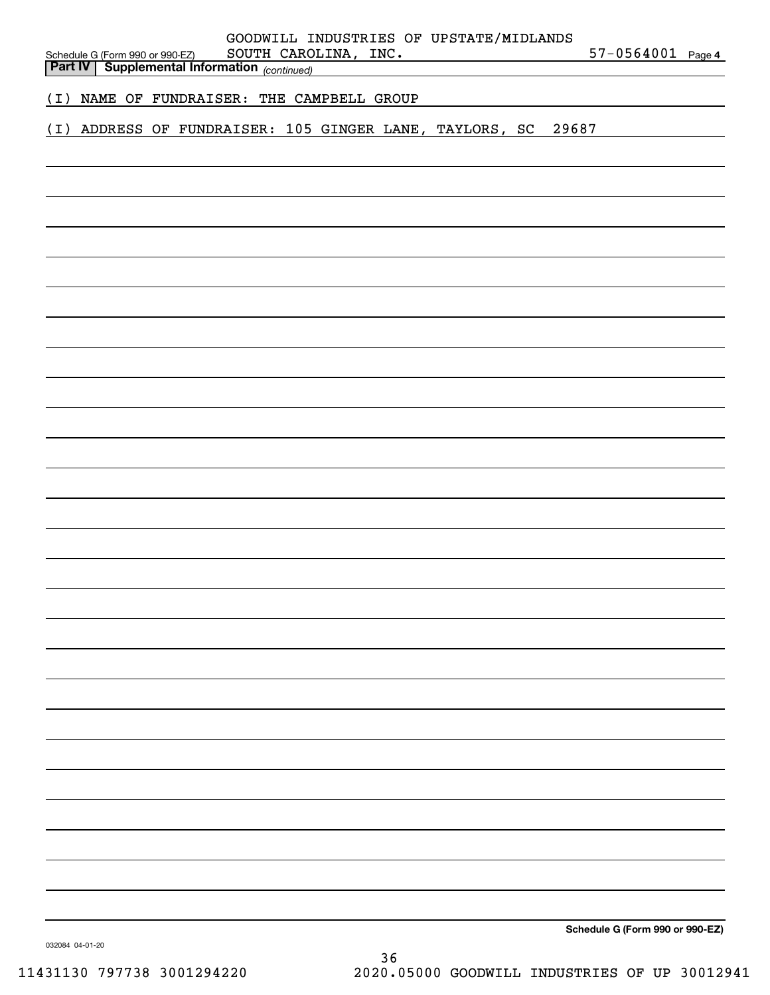| GOODWILL INDUSTRIES OF UPSTATE/MIDLANDS<br>$57 - 0564001$ Page 4<br>SOUTH CAROLINA, INC.<br>Schedule G (Form 990 or 990-EZ) SOUTH CARO:<br><b>Part IV   Supplemental Information</b> (continued) |  |
|--------------------------------------------------------------------------------------------------------------------------------------------------------------------------------------------------|--|
| (I) NAME OF FUNDRAISER: THE CAMPBELL GROUP                                                                                                                                                       |  |
| (I) ADDRESS OF FUNDRAISER: 105 GINGER LANE, TAYLORS, SC 29687                                                                                                                                    |  |
|                                                                                                                                                                                                  |  |
|                                                                                                                                                                                                  |  |
|                                                                                                                                                                                                  |  |
|                                                                                                                                                                                                  |  |
|                                                                                                                                                                                                  |  |
|                                                                                                                                                                                                  |  |
|                                                                                                                                                                                                  |  |
|                                                                                                                                                                                                  |  |
|                                                                                                                                                                                                  |  |
|                                                                                                                                                                                                  |  |
|                                                                                                                                                                                                  |  |
|                                                                                                                                                                                                  |  |
|                                                                                                                                                                                                  |  |
|                                                                                                                                                                                                  |  |
|                                                                                                                                                                                                  |  |
|                                                                                                                                                                                                  |  |
|                                                                                                                                                                                                  |  |
|                                                                                                                                                                                                  |  |
|                                                                                                                                                                                                  |  |
|                                                                                                                                                                                                  |  |
|                                                                                                                                                                                                  |  |
|                                                                                                                                                                                                  |  |
|                                                                                                                                                                                                  |  |
|                                                                                                                                                                                                  |  |
| $\sim$ $\sim$<br>$\sim$                                                                                                                                                                          |  |

**Schedule G (Form 990 or 990-EZ)**

032084 04-01-20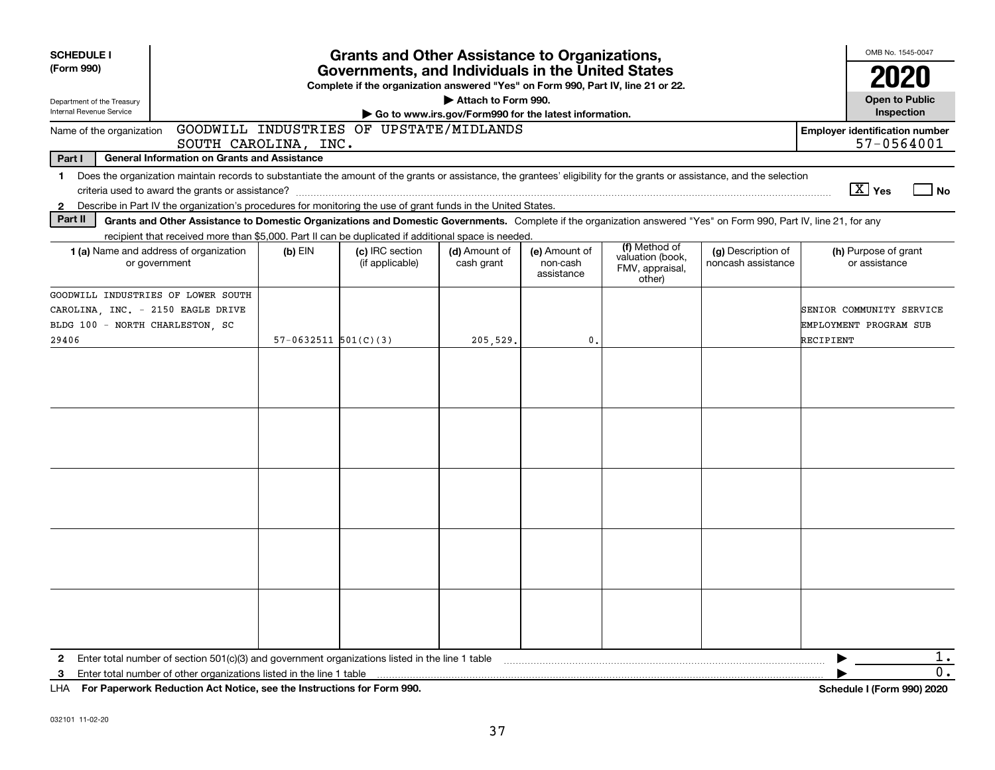| <b>SCHEDULE I</b>                                                             |                                                                                                                                                                                                                                                                                             |                          | <b>Grants and Other Assistance to Organizations,</b> |                             |                                         |                                                                |                                          | OMB No. 1545-0047                                               |  |  |  |
|-------------------------------------------------------------------------------|---------------------------------------------------------------------------------------------------------------------------------------------------------------------------------------------------------------------------------------------------------------------------------------------|--------------------------|------------------------------------------------------|-----------------------------|-----------------------------------------|----------------------------------------------------------------|------------------------------------------|-----------------------------------------------------------------|--|--|--|
| (Form 990)                                                                    | Governments, and Individuals in the United States<br>Complete if the organization answered "Yes" on Form 990, Part IV, line 21 or 22.                                                                                                                                                       |                          |                                                      |                             |                                         |                                                                |                                          |                                                                 |  |  |  |
| Department of the Treasury<br>Internal Revenue Service                        | Attach to Form 990.<br>Go to www.irs.gov/Form990 for the latest information.                                                                                                                                                                                                                |                          |                                                      |                             |                                         |                                                                |                                          |                                                                 |  |  |  |
| Name of the organization                                                      |                                                                                                                                                                                                                                                                                             | SOUTH CAROLINA, INC.     | GOODWILL INDUSTRIES OF UPSTATE/MIDLANDS              |                             |                                         |                                                                |                                          | <b>Employer identification number</b><br>57-0564001             |  |  |  |
| Part I                                                                        | <b>General Information on Grants and Assistance</b>                                                                                                                                                                                                                                         |                          |                                                      |                             |                                         |                                                                |                                          |                                                                 |  |  |  |
| $\mathbf{2}$                                                                  | 1 Does the organization maintain records to substantiate the amount of the grants or assistance, the grantees' eligibility for the grants or assistance, and the selection<br>Describe in Part IV the organization's procedures for monitoring the use of grant funds in the United States. |                          |                                                      |                             |                                         |                                                                |                                          | $\boxed{\text{X}}$ Yes<br>  No                                  |  |  |  |
| Part II                                                                       | Grants and Other Assistance to Domestic Organizations and Domestic Governments. Complete if the organization answered "Yes" on Form 990, Part IV, line 21, for any<br>recipient that received more than \$5,000. Part II can be duplicated if additional space is needed.                   |                          |                                                      |                             |                                         |                                                                |                                          |                                                                 |  |  |  |
|                                                                               | <b>1 (a)</b> Name and address of organization<br>or government                                                                                                                                                                                                                              | $(b)$ EIN                | (c) IRC section<br>(if applicable)                   | (d) Amount of<br>cash grant | (e) Amount of<br>non-cash<br>assistance | (f) Method of<br>valuation (book,<br>FMV, appraisal,<br>other) | (g) Description of<br>noncash assistance | (h) Purpose of grant<br>or assistance                           |  |  |  |
| CAROLINA, INC. - 2150 EAGLE DRIVE<br>BLDG 100 - NORTH CHARLESTON, SC<br>29406 | GOODWILL INDUSTRIES OF LOWER SOUTH                                                                                                                                                                                                                                                          | $57-0632511$ $501(C)(3)$ |                                                      | 205,529.                    | $\mathbf{0}$                            |                                                                |                                          | SENIOR COMMUNITY SERVICE<br>EMPLOYMENT PROGRAM SUB<br>RECIPIENT |  |  |  |
|                                                                               |                                                                                                                                                                                                                                                                                             |                          |                                                      |                             |                                         |                                                                |                                          |                                                                 |  |  |  |
|                                                                               |                                                                                                                                                                                                                                                                                             |                          |                                                      |                             |                                         |                                                                |                                          |                                                                 |  |  |  |
|                                                                               |                                                                                                                                                                                                                                                                                             |                          |                                                      |                             |                                         |                                                                |                                          |                                                                 |  |  |  |
|                                                                               |                                                                                                                                                                                                                                                                                             |                          |                                                      |                             |                                         |                                                                |                                          |                                                                 |  |  |  |
|                                                                               |                                                                                                                                                                                                                                                                                             |                          |                                                      |                             |                                         |                                                                |                                          |                                                                 |  |  |  |
| $\mathbf{2}$                                                                  | Enter total number of section $501(c)(3)$ and government organizations listed in the line 1 table                                                                                                                                                                                           |                          |                                                      |                             |                                         |                                                                |                                          | 1.                                                              |  |  |  |
| 3                                                                             | Enter total number of other organizations listed in the line 1 table                                                                                                                                                                                                                        |                          |                                                      |                             |                                         |                                                                |                                          | 0.                                                              |  |  |  |
|                                                                               | LHA For Paperwork Reduction Act Notice, see the Instructions for Form 990.                                                                                                                                                                                                                  |                          |                                                      |                             |                                         |                                                                |                                          | Schedule I (Form 990) 2020                                      |  |  |  |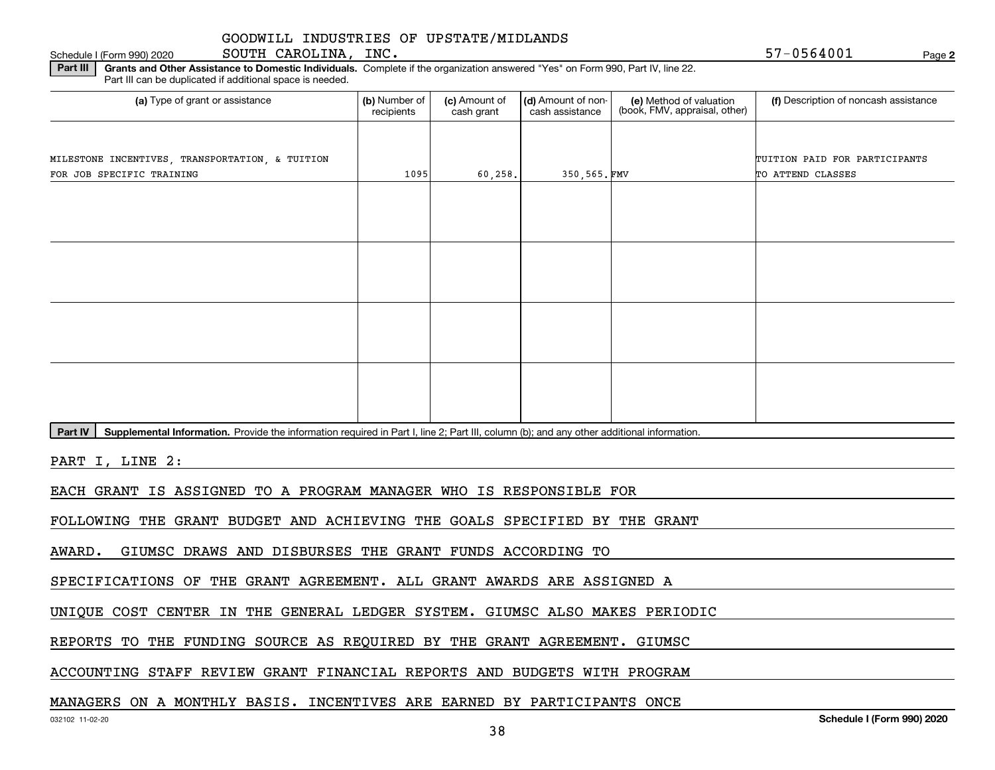Schedule I (Form 990) 2020 **SOUTH CAROLINA, INC.** 5 7-0 5 6 **4** 0 0 1 Page

**2**

**Part III | Grants and Other Assistance to Domestic Individuals. Complete if the organization answered "Yes" on Form 990, Part IV, line 22.** Part III can be duplicated if additional space is needed.

| (a) Type of grant or assistance                 | (b) Number of<br>recipients | (c) Amount of<br>cash grant | (d) Amount of non-<br>cash assistance | (e) Method of valuation<br>(book, FMV, appraisal, other) | (f) Description of noncash assistance |
|-------------------------------------------------|-----------------------------|-----------------------------|---------------------------------------|----------------------------------------------------------|---------------------------------------|
|                                                 |                             |                             |                                       |                                                          |                                       |
| MILESTONE INCENTIVES, TRANSPORTATION, & TUITION |                             |                             |                                       |                                                          | TUITION PAID FOR PARTICIPANTS         |
| FOR JOB SPECIFIC TRAINING                       | 1095                        | 60, 258.                    | 350,565.FMV                           |                                                          | TO ATTEND CLASSES                     |
|                                                 |                             |                             |                                       |                                                          |                                       |
|                                                 |                             |                             |                                       |                                                          |                                       |
|                                                 |                             |                             |                                       |                                                          |                                       |
|                                                 |                             |                             |                                       |                                                          |                                       |
|                                                 |                             |                             |                                       |                                                          |                                       |
|                                                 |                             |                             |                                       |                                                          |                                       |
|                                                 |                             |                             |                                       |                                                          |                                       |
|                                                 |                             |                             |                                       |                                                          |                                       |
|                                                 |                             |                             |                                       |                                                          |                                       |
|                                                 |                             |                             |                                       |                                                          |                                       |
|                                                 |                             |                             |                                       |                                                          |                                       |
|                                                 |                             |                             |                                       |                                                          |                                       |
|                                                 |                             |                             |                                       |                                                          |                                       |
|                                                 |                             |                             |                                       |                                                          |                                       |
|                                                 |                             |                             |                                       |                                                          |                                       |

Part IV | Supplemental Information. Provide the information required in Part I, line 2; Part III, column (b); and any other additional information.

PART I, LINE 2:

EACH GRANT IS ASSIGNED TO A PROGRAM MANAGER WHO IS RESPONSIBLE FOR

FOLLOWING THE GRANT BUDGET AND ACHIEVING THE GOALS SPECIFIED BY THE GRANT

AWARD. GIUMSC DRAWS AND DISBURSES THE GRANT FUNDS ACCORDING TO

SPECIFICATIONS OF THE GRANT AGREEMENT. ALL GRANT AWARDS ARE ASSIGNED A

UNIQUE COST CENTER IN THE GENERAL LEDGER SYSTEM. GIUMSC ALSO MAKES PERIODIC

REPORTS TO THE FUNDING SOURCE AS REQUIRED BY THE GRANT AGREEMENT. GIUMSC

ACCOUNTING STAFF REVIEW GRANT FINANCIAL REPORTS AND BUDGETS WITH PROGRAM

## MANAGERS ON A MONTHLY BASIS. INCENTIVES ARE EARNED BY PARTICIPANTS ONCE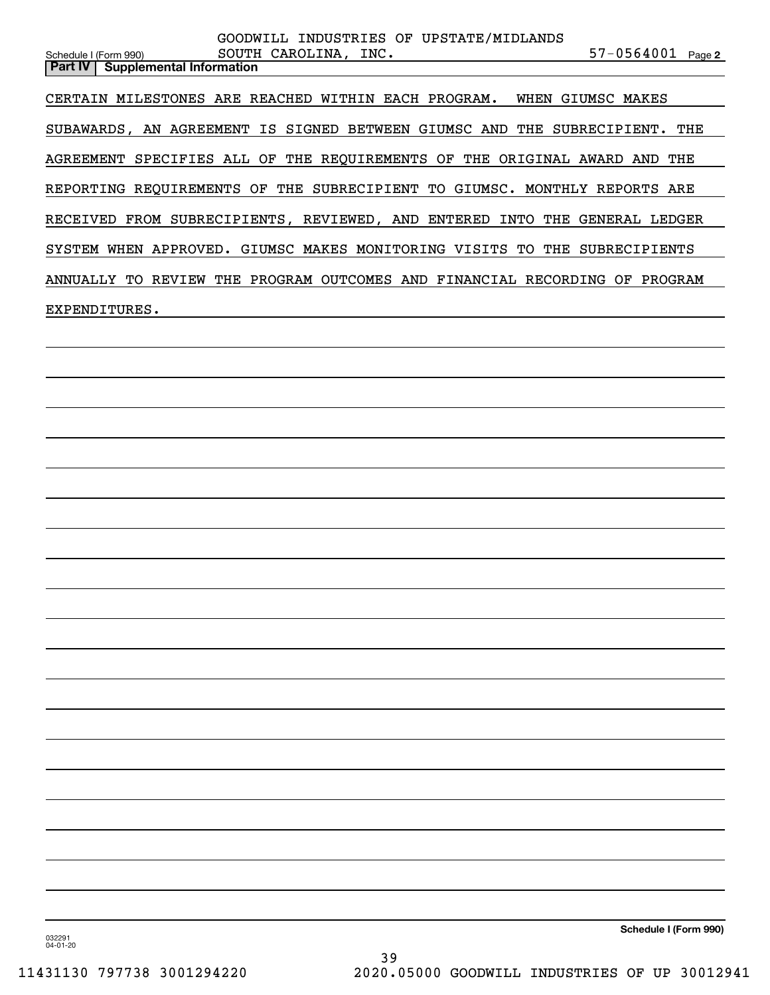| GOODWILL INDUSTRIES OF UPSTATE/MIDLANDS<br>$57 - 0564001$ Page 2<br>SOUTH CAROLINA, INC.<br>Schedule I (Form 990) |
|-------------------------------------------------------------------------------------------------------------------|
| Part IV   Supplemental Information                                                                                |
| CERTAIN MILESTONES ARE REACHED WITHIN EACH PROGRAM. WHEN GIUMSC MAKES                                             |
| SUBAWARDS, AN AGREEMENT IS SIGNED BETWEEN GIUMSC AND THE SUBRECIPIENT. THE                                        |
| AGREEMENT SPECIFIES ALL OF THE REQUIREMENTS OF THE ORIGINAL AWARD AND THE                                         |
| REPORTING REQUIREMENTS OF THE SUBRECIPIENT TO GIUMSC. MONTHLY REPORTS ARE                                         |
| RECEIVED FROM SUBRECIPIENTS, REVIEWED, AND ENTERED INTO THE GENERAL LEDGER                                        |
| SYSTEM WHEN APPROVED. GIUMSC MAKES MONITORING VISITS TO THE SUBRECIPIENTS                                         |
| ANNUALLY TO REVIEW THE PROGRAM OUTCOMES AND FINANCIAL RECORDING OF PROGRAM                                        |
| EXPENDITURES.                                                                                                     |
|                                                                                                                   |
|                                                                                                                   |
|                                                                                                                   |
|                                                                                                                   |
|                                                                                                                   |
|                                                                                                                   |
|                                                                                                                   |
|                                                                                                                   |
|                                                                                                                   |
|                                                                                                                   |
|                                                                                                                   |
|                                                                                                                   |
|                                                                                                                   |
|                                                                                                                   |
|                                                                                                                   |
|                                                                                                                   |
|                                                                                                                   |
|                                                                                                                   |
|                                                                                                                   |

**Schedule I (Form 990)**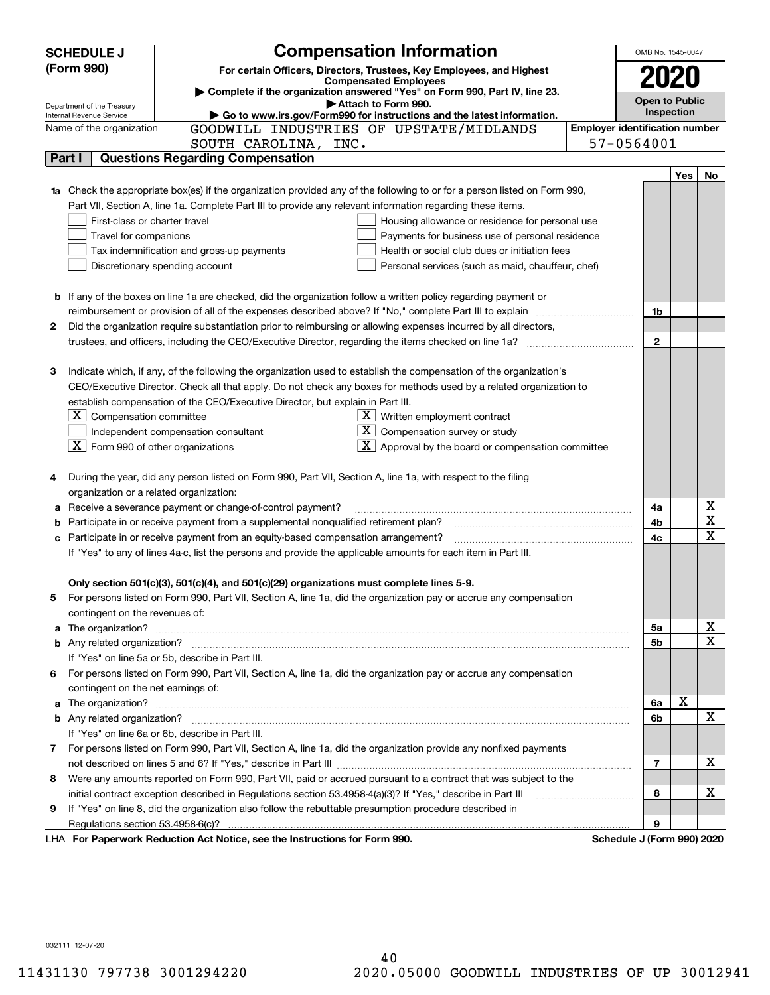|        | <b>SCHEDULE J</b>                                    | <b>Compensation Information</b>                                                                                        | OMB No. 1545-0047                     |     |    |
|--------|------------------------------------------------------|------------------------------------------------------------------------------------------------------------------------|---------------------------------------|-----|----|
|        | (Form 990)                                           | For certain Officers, Directors, Trustees, Key Employees, and Highest                                                  |                                       |     |    |
|        |                                                      | <b>Compensated Employees</b>                                                                                           | 2020                                  |     |    |
|        | Department of the Treasury                           | Complete if the organization answered "Yes" on Form 990, Part IV, line 23.<br>Attach to Form 990.                      | <b>Open to Public</b>                 |     |    |
|        | Internal Revenue Service                             | Go to www.irs.gov/Form990 for instructions and the latest information.                                                 | Inspection                            |     |    |
|        | Name of the organization                             | GOODWILL INDUSTRIES OF UPSTATE/MIDLANDS                                                                                | <b>Employer identification number</b> |     |    |
|        |                                                      | SOUTH CAROLINA, INC.                                                                                                   | 57-0564001                            |     |    |
| Part I |                                                      | <b>Questions Regarding Compensation</b>                                                                                |                                       |     |    |
|        |                                                      |                                                                                                                        |                                       | Yes | No |
|        |                                                      | Check the appropriate box(es) if the organization provided any of the following to or for a person listed on Form 990, |                                       |     |    |
|        |                                                      | Part VII, Section A, line 1a. Complete Part III to provide any relevant information regarding these items.             |                                       |     |    |
|        | First-class or charter travel                        | Housing allowance or residence for personal use                                                                        |                                       |     |    |
|        | Travel for companions                                | Payments for business use of personal residence                                                                        |                                       |     |    |
|        |                                                      | Health or social club dues or initiation fees<br>Tax indemnification and gross-up payments                             |                                       |     |    |
|        |                                                      | Discretionary spending account<br>Personal services (such as maid, chauffeur, chef)                                    |                                       |     |    |
|        |                                                      |                                                                                                                        |                                       |     |    |
|        |                                                      | <b>b</b> If any of the boxes on line 1a are checked, did the organization follow a written policy regarding payment or |                                       |     |    |
|        |                                                      | reimbursement or provision of all of the expenses described above? If "No," complete Part III to explain               | 1b                                    |     |    |
| 2      |                                                      | Did the organization require substantiation prior to reimbursing or allowing expenses incurred by all directors,       |                                       |     |    |
|        |                                                      |                                                                                                                        | $\mathbf{2}$                          |     |    |
|        |                                                      |                                                                                                                        |                                       |     |    |
| з      |                                                      | Indicate which, if any, of the following the organization used to establish the compensation of the organization's     |                                       |     |    |
|        |                                                      | CEO/Executive Director. Check all that apply. Do not check any boxes for methods used by a related organization to     |                                       |     |    |
|        |                                                      | establish compensation of the CEO/Executive Director, but explain in Part III.                                         |                                       |     |    |
|        | $X$ Compensation committee                           | $\underline{\mathbf{X}}$ Written employment contract                                                                   |                                       |     |    |
|        |                                                      | $X$ Compensation survey or study<br>Independent compensation consultant                                                |                                       |     |    |
|        | $\boxed{\textbf{X}}$ Form 990 of other organizations | $\boxed{\textbf{X}}$ Approval by the board or compensation committee                                                   |                                       |     |    |
|        |                                                      | During the year, did any person listed on Form 990, Part VII, Section A, line 1a, with respect to the filing           |                                       |     |    |
| 4      |                                                      |                                                                                                                        |                                       |     |    |
|        | organization or a related organization:              | Receive a severance payment or change-of-control payment?                                                              | 4a                                    |     | х  |
| а<br>b |                                                      | Participate in or receive payment from a supplemental nonqualified retirement plan?                                    | 4b                                    |     | X  |
| c      |                                                      | Participate in or receive payment from an equity-based compensation arrangement?                                       | 4c                                    |     | X  |
|        |                                                      | If "Yes" to any of lines 4a-c, list the persons and provide the applicable amounts for each item in Part III.          |                                       |     |    |
|        |                                                      |                                                                                                                        |                                       |     |    |
|        |                                                      | Only section 501(c)(3), 501(c)(4), and 501(c)(29) organizations must complete lines 5-9.                               |                                       |     |    |
|        |                                                      | For persons listed on Form 990, Part VII, Section A, line 1a, did the organization pay or accrue any compensation      |                                       |     |    |
|        | contingent on the revenues of:                       |                                                                                                                        |                                       |     |    |
| a      |                                                      |                                                                                                                        | 5a                                    |     | x  |
|        |                                                      |                                                                                                                        | 5b                                    |     | X  |
|        |                                                      | If "Yes" on line 5a or 5b, describe in Part III.                                                                       |                                       |     |    |
| 6.     |                                                      | For persons listed on Form 990, Part VII, Section A, line 1a, did the organization pay or accrue any compensation      |                                       |     |    |
|        | contingent on the net earnings of:                   |                                                                                                                        |                                       |     |    |
| a      |                                                      |                                                                                                                        | 6a                                    | X   |    |
|        |                                                      |                                                                                                                        | 6b                                    |     | X  |
|        |                                                      | If "Yes" on line 6a or 6b, describe in Part III.                                                                       |                                       |     |    |
|        |                                                      | 7 For persons listed on Form 990, Part VII, Section A, line 1a, did the organization provide any nonfixed payments     |                                       |     |    |
|        |                                                      |                                                                                                                        | 7                                     |     | х  |
| 8      |                                                      | Were any amounts reported on Form 990, Part VII, paid or accrued pursuant to a contract that was subject to the        |                                       |     |    |
|        |                                                      | initial contract exception described in Regulations section 53.4958-4(a)(3)? If "Yes," describe in Part III            | 8                                     |     | х  |
| 9      |                                                      | If "Yes" on line 8, did the organization also follow the rebuttable presumption procedure described in                 |                                       |     |    |
|        | Regulations section 53.4958-6(c)?                    |                                                                                                                        | 9                                     |     |    |
|        |                                                      | LHA For Paperwork Reduction Act Notice, see the Instructions for Form 990.                                             | Schedule J (Form 990) 2020            |     |    |

032111 12-07-20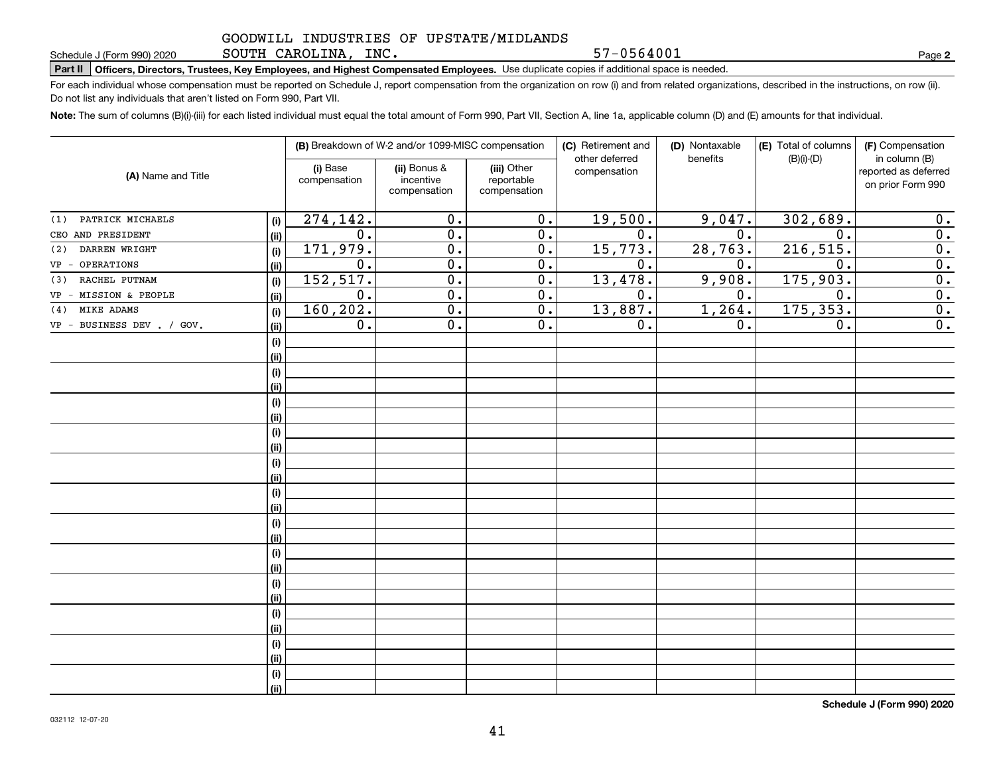SOUTH CAROLINA, INC.

57-0564001

**2**

# **Part II Officers, Directors, Trustees, Key Employees, and Highest Compensated Employees.**  Schedule J (Form 990) 2020 Page Use duplicate copies if additional space is needed.

For each individual whose compensation must be reported on Schedule J, report compensation from the organization on row (i) and from related organizations, described in the instructions, on row (ii). Do not list any individuals that aren't listed on Form 990, Part VII.

**Note:**  The sum of columns (B)(i)-(iii) for each listed individual must equal the total amount of Form 990, Part VII, Section A, line 1a, applicable column (D) and (E) amounts for that individual.

| (A) Name and Title              |      |                          | (B) Breakdown of W-2 and/or 1099-MISC compensation |                                           | (C) Retirement and<br>other deferred | (D) Nontaxable<br>benefits | (E) Total of columns<br>$(B)(i)-(D)$ | (F) Compensation<br>in column (B)         |
|---------------------------------|------|--------------------------|----------------------------------------------------|-------------------------------------------|--------------------------------------|----------------------------|--------------------------------------|-------------------------------------------|
|                                 |      | (i) Base<br>compensation | (ii) Bonus &<br>incentive<br>compensation          | (iii) Other<br>reportable<br>compensation | compensation                         |                            |                                      | reported as deferred<br>on prior Form 990 |
| PATRICK MICHAELS<br>(1)         | (i)  | 274, 142.                | 0.                                                 | $\overline{0}$ .                          | 19,500.                              | 9,047.                     | 302,689.                             | 0.                                        |
| CEO AND PRESIDENT               | (ii) | 0.                       | $\overline{0}$ .                                   | 0.                                        | $\overline{0}$ .                     | $\overline{0}$ .           | $\mathbf 0$ .                        | $\overline{0}$ .                          |
| DARREN WRIGHT<br>(2)            | (i)  | 171,979.                 | $\overline{0}$ .                                   | 0.                                        | 15,773.                              | 28,763.                    | 216, 515.                            | $\overline{0}$ .                          |
| OPERATIONS<br>$VP -$            | (ii) | 0.                       | 0.                                                 | 0.                                        | 0.                                   | 0.                         | 0.                                   | $\overline{0}$ .                          |
| RACHEL PUTNAM<br>(3)            | (i)  | 152, 517.                | $\overline{0}$ .                                   | $\overline{0}$ .                          | 13,478.                              | 9,908.                     | 175,903.                             | $\overline{0}$ .                          |
| VP - MISSION & PEOPLE           | (ii) | $\overline{0}$ .         | $\overline{0}$ .                                   | $\overline{0}$ .                          | $\overline{0}$ .                     | 0.                         | $\overline{0}$ .                     | $\overline{0}$ .                          |
| MIKE ADAMS<br>(4)               | (i)  | 160, 202.                | $\overline{0}$ .                                   | $\overline{0}$ .                          | 13,887.                              | 1,264.                     | 175, 353.                            | $\overline{0}$ .                          |
| BUSINESS DEV . / GOV.<br>$VP -$ | (ii) | $\overline{0}$ .         | $\overline{0}$ .                                   | $\overline{0}$ .                          | 0.                                   | $0$ .                      | $\overline{0}$ .                     | $\overline{0}$ .                          |
|                                 | (i)  |                          |                                                    |                                           |                                      |                            |                                      |                                           |
|                                 | (ii) |                          |                                                    |                                           |                                      |                            |                                      |                                           |
|                                 | (i)  |                          |                                                    |                                           |                                      |                            |                                      |                                           |
|                                 | (ii) |                          |                                                    |                                           |                                      |                            |                                      |                                           |
|                                 | (i)  |                          |                                                    |                                           |                                      |                            |                                      |                                           |
|                                 | (ii) |                          |                                                    |                                           |                                      |                            |                                      |                                           |
|                                 | (i)  |                          |                                                    |                                           |                                      |                            |                                      |                                           |
|                                 | (ii) |                          |                                                    |                                           |                                      |                            |                                      |                                           |
|                                 | (i)  |                          |                                                    |                                           |                                      |                            |                                      |                                           |
|                                 | (ii) |                          |                                                    |                                           |                                      |                            |                                      |                                           |
|                                 | (i)  |                          |                                                    |                                           |                                      |                            |                                      |                                           |
|                                 | (ii) |                          |                                                    |                                           |                                      |                            |                                      |                                           |
|                                 | (i)  |                          |                                                    |                                           |                                      |                            |                                      |                                           |
|                                 | (ii) |                          |                                                    |                                           |                                      |                            |                                      |                                           |
|                                 | (i)  |                          |                                                    |                                           |                                      |                            |                                      |                                           |
|                                 | (ii) |                          |                                                    |                                           |                                      |                            |                                      |                                           |
|                                 | (i)  |                          |                                                    |                                           |                                      |                            |                                      |                                           |
|                                 | (ii) |                          |                                                    |                                           |                                      |                            |                                      |                                           |
|                                 | (i)  |                          |                                                    |                                           |                                      |                            |                                      |                                           |
|                                 | (ii) |                          |                                                    |                                           |                                      |                            |                                      |                                           |
|                                 | (i)  |                          |                                                    |                                           |                                      |                            |                                      |                                           |
|                                 | (ii) |                          |                                                    |                                           |                                      |                            |                                      |                                           |
|                                 | (i)  |                          |                                                    |                                           |                                      |                            |                                      |                                           |
|                                 | (ii) |                          |                                                    |                                           |                                      |                            |                                      |                                           |

**Schedule J (Form 990) 2020**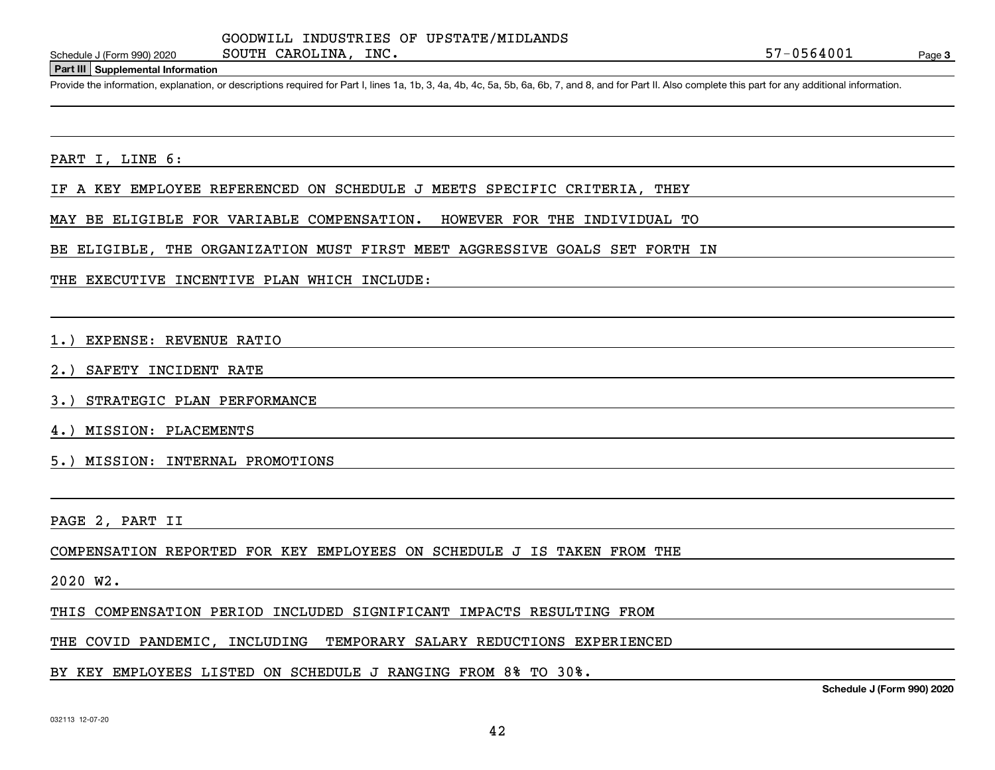### **Part III Supplemental Information**

Schedule J (Form 990) 2020 SOUTH CAROLINA, INC.<br>
Part III Supplemental Information<br>
Provide the information, explanation, or descriptions required for Part I, lines 1a, 1b, 3, 4a, 4b, 4c, 5a, 5b, 6a, 6b, 7, and 8, and for

### PART I, LINE 6:

IF A KEY EMPLOYEE REFERENCED ON SCHEDULE J MEETS SPECIFIC CRITERIA, THEY

MAY BE ELIGIBLE FOR VARIABLE COMPENSATION. HOWEVER FOR THE INDIVIDUAL TO

BE ELIGIBLE, THE ORGANIZATION MUST FIRST MEET AGGRESSIVE GOALS SET FORTH IN

THE EXECUTIVE INCENTIVE PLAN WHICH INCLUDE:

1.) EXPENSE: REVENUE RATIO

2.) SAFETY INCIDENT RATE

3.) STRATEGIC PLAN PERFORMANCE

4.) MISSION: PLACEMENTS

5.) MISSION: INTERNAL PROMOTIONS

PAGE 2, PART II

COMPENSATION REPORTED FOR KEY EMPLOYEES ON SCHEDULE J IS TAKEN FROM THE

### 2020 W2.

THIS COMPENSATION PERIOD INCLUDED SIGNIFICANT IMPACTS RESULTING FROM

THE COVID PANDEMIC, INCLUDING TEMPORARY SALARY REDUCTIONS EXPERIENCED

BY KEY EMPLOYEES LISTED ON SCHEDULE J RANGING FROM 8% TO 30%.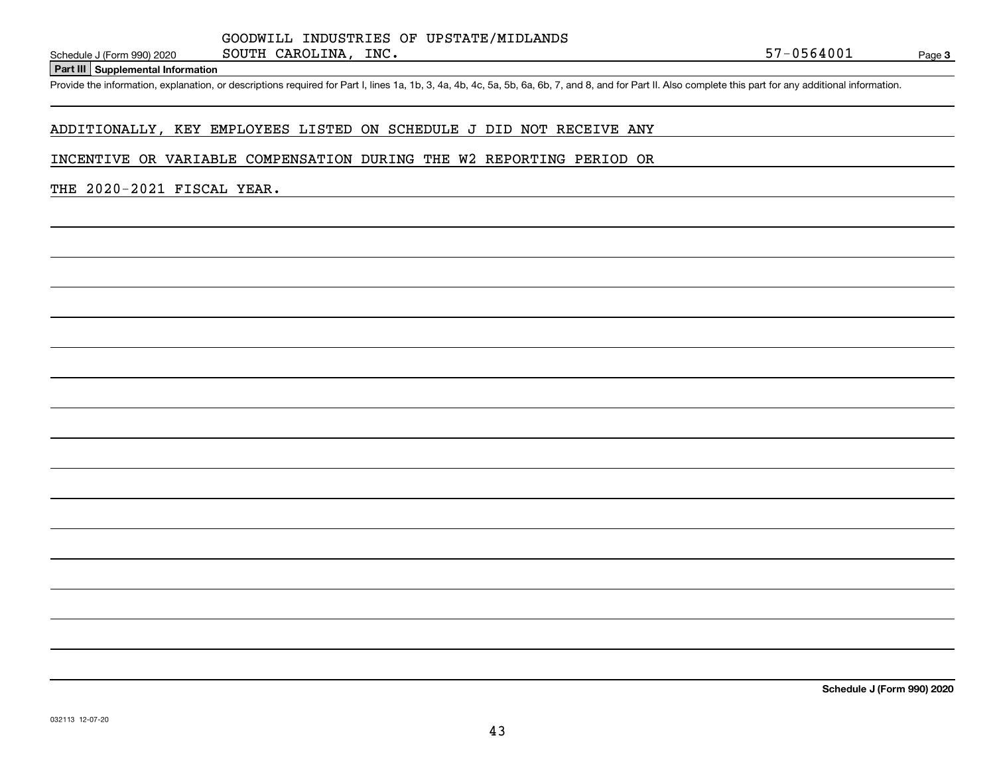### **Part III Supplemental Information**

Schedule J (Form 990) 2020 SOUTH CAROLINA, INC.<br>
Part III Supplemental Information<br>
Provide the information, explanation, or descriptions required for Part I, lines 1a, 1b, 3, 4a, 4b, 4c, 5a, 5b, 6a, 6b, 7, and 8, and for

# ADDITIONALLY, KEY EMPLOYEES LISTED ON SCHEDULE J DID NOT RECEIVE ANY

SOUTH CAROLINA, INC.

### INCENTIVE OR VARIABLE COMPENSATION DURING THE W2 REPORTING PERIOD OR

# THE 2020-2021 FISCAL YEAR.

**Schedule J (Form 990) 2020**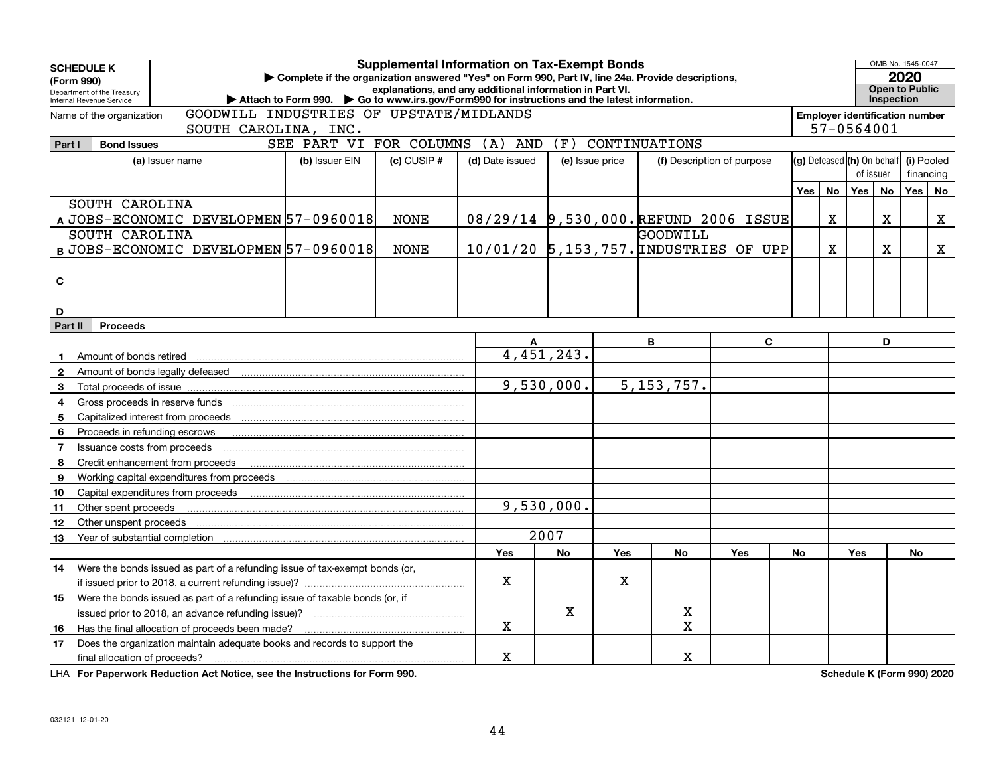|              | <b>SCHEDULE K</b>                                      |                                                                             |                                                                                                             | <b>Supplemental Information on Tax-Exempt Bonds</b>      |                 |            |                  |               |                                       |    |             | OMB No. 1545-0047 |                                       |            |           |  |  |
|--------------|--------------------------------------------------------|-----------------------------------------------------------------------------|-------------------------------------------------------------------------------------------------------------|----------------------------------------------------------|-----------------|------------|------------------|---------------|---------------------------------------|----|-------------|-------------------|---------------------------------------|------------|-----------|--|--|
| (Form 990)   |                                                        |                                                                             | Complete if the organization answered "Yes" on Form 990, Part IV, line 24a. Provide descriptions,           |                                                          |                 |            |                  |               |                                       |    |             |                   | 2020                                  |            |           |  |  |
|              | Department of the Treasury<br>Internal Revenue Service |                                                                             | Attach to Form 990. $\triangleright$ Go to www.irs.gov/Form990 for instructions and the latest information. | explanations, and any additional information in Part VI. |                 |            |                  |               |                                       |    |             |                   | Open to Public<br>Inspection          |            |           |  |  |
|              | Name of the organization                               | GOODWILL INDUSTRIES OF UPSTATE/MIDLANDS                                     |                                                                                                             |                                                          |                 |            |                  |               |                                       |    |             |                   | <b>Employer identification number</b> |            |           |  |  |
|              |                                                        | SOUTH CAROLINA, INC.                                                        |                                                                                                             |                                                          |                 |            |                  |               |                                       |    |             | 57-0564001        |                                       |            |           |  |  |
| Part I       | <b>Bond Issues</b>                                     |                                                                             | SEE PART VI FOR COLUMNS                                                                                     |                                                          | $(A)$ AND       | (F)        |                  | CONTINUATIONS |                                       |    |             |                   |                                       |            |           |  |  |
|              |                                                        | (a) Issuer name                                                             | (b) Issuer EIN                                                                                              | $(c)$ CUSIP $#$                                          | (d) Date issued |            | (e) Issue price  |               | (f) Description of purpose            |    |             |                   | (g) Defeased (h) On behalf            | (i) Pooled |           |  |  |
|              |                                                        |                                                                             |                                                                                                             |                                                          |                 |            |                  |               |                                       |    |             |                   | of issuer                             |            | financing |  |  |
|              |                                                        |                                                                             |                                                                                                             |                                                          |                 |            |                  |               | Yes                                   | No | Yes I       | No                | Yes                                   | No         |           |  |  |
|              | SOUTH CAROLINA                                         |                                                                             |                                                                                                             |                                                          |                 |            |                  |               |                                       |    |             |                   |                                       |            |           |  |  |
|              |                                                        | A JOBS-ECONOMIC DEVELOPMEN 57-0960018                                       |                                                                                                             | <b>NONE</b>                                              |                 |            |                  |               | 08/29/14 9,530,000. REFUND 2006 ISSUE |    | $\mathbf x$ |                   | X.                                    |            | X         |  |  |
|              | SOUTH CAROLINA                                         |                                                                             |                                                                                                             |                                                          |                 |            |                  | GOODWILL      |                                       |    |             |                   |                                       |            |           |  |  |
|              |                                                        | B JOBS-ECONOMIC DEVELOPMEN 57-0960018                                       |                                                                                                             | <b>NONE</b>                                              |                 |            |                  |               | 10/01/20 5,153,757. INDUSTRIES OF UPP |    | $\mathbf X$ |                   | X.                                    |            | X         |  |  |
|              |                                                        |                                                                             |                                                                                                             |                                                          |                 |            |                  |               |                                       |    |             |                   |                                       |            |           |  |  |
| C            |                                                        |                                                                             |                                                                                                             |                                                          |                 |            |                  |               |                                       |    |             |                   |                                       |            |           |  |  |
|              |                                                        |                                                                             |                                                                                                             |                                                          |                 |            |                  |               |                                       |    |             |                   |                                       |            |           |  |  |
| D            |                                                        |                                                                             |                                                                                                             |                                                          |                 |            |                  |               |                                       |    |             |                   |                                       |            |           |  |  |
| Part II      | <b>Proceeds</b>                                        |                                                                             |                                                                                                             |                                                          |                 |            |                  |               |                                       |    |             |                   |                                       |            |           |  |  |
|              |                                                        |                                                                             |                                                                                                             |                                                          |                 | A          |                  | B             | C                                     |    |             |                   | D                                     |            |           |  |  |
|              | 1 Amount of bonds retired                              |                                                                             |                                                                                                             |                                                          |                 | 4,451,243. |                  |               |                                       |    |             |                   |                                       |            |           |  |  |
| $\mathbf{2}$ |                                                        | Amount of bonds legally defeased                                            |                                                                                                             |                                                          |                 |            |                  |               |                                       |    |             |                   |                                       |            |           |  |  |
| 3            |                                                        |                                                                             |                                                                                                             |                                                          |                 | 9,530,000. |                  | 5, 153, 757.  |                                       |    |             |                   |                                       |            |           |  |  |
| 4            |                                                        |                                                                             |                                                                                                             |                                                          |                 |            |                  |               |                                       |    |             |                   |                                       |            |           |  |  |
| 5            |                                                        |                                                                             |                                                                                                             |                                                          |                 |            |                  |               |                                       |    |             |                   |                                       |            |           |  |  |
| 6            | Proceeds in refunding escrows                          |                                                                             |                                                                                                             |                                                          |                 |            |                  |               |                                       |    |             |                   |                                       |            |           |  |  |
| <b>7</b>     | Issuance costs from proceeds                           |                                                                             |                                                                                                             |                                                          |                 |            |                  |               |                                       |    |             |                   |                                       |            |           |  |  |
| 8            |                                                        | Credit enhancement from proceeds                                            |                                                                                                             |                                                          |                 |            |                  |               |                                       |    |             |                   |                                       |            |           |  |  |
| 9            |                                                        | Working capital expenditures from proceeds                                  |                                                                                                             |                                                          |                 |            |                  |               |                                       |    |             |                   |                                       |            |           |  |  |
| 10           |                                                        |                                                                             |                                                                                                             |                                                          |                 |            |                  |               |                                       |    |             |                   |                                       |            |           |  |  |
| 11           | Other spent proceeds                                   |                                                                             |                                                                                                             |                                                          |                 | 9,530,000. |                  |               |                                       |    |             |                   |                                       |            |           |  |  |
| 12           | Other unspent proceeds                                 |                                                                             |                                                                                                             |                                                          |                 |            |                  |               |                                       |    |             |                   |                                       |            |           |  |  |
| 13           |                                                        |                                                                             |                                                                                                             |                                                          |                 | 2007       |                  |               |                                       |    |             |                   |                                       |            |           |  |  |
|              |                                                        |                                                                             |                                                                                                             |                                                          | Yes             | No         | <b>Yes</b>       | No            | Yes                                   | No |             | Yes               |                                       | No         |           |  |  |
| 14           |                                                        | Were the bonds issued as part of a refunding issue of tax-exempt bonds (or, |                                                                                                             |                                                          |                 |            |                  |               |                                       |    |             |                   |                                       |            |           |  |  |
|              |                                                        | if issued prior to 2018, a current refunding issue)?                        |                                                                                                             |                                                          | X               |            | x                |               |                                       |    |             |                   |                                       |            |           |  |  |
| 15           |                                                        | Were the bonds issued as part of a refunding issue of taxable bonds (or, if |                                                                                                             |                                                          |                 |            |                  |               |                                       |    |             |                   |                                       |            |           |  |  |
|              |                                                        |                                                                             |                                                                                                             |                                                          | X               |            | X<br>$\mathbf x$ |               |                                       |    |             |                   |                                       |            |           |  |  |
| 16           |                                                        | Has the final allocation of proceeds been made?                             |                                                                                                             |                                                          | X               |            |                  |               |                                       |    |             |                   |                                       |            |           |  |  |
| 17           |                                                        | Does the organization maintain adequate books and records to support the    |                                                                                                             |                                                          | X               |            |                  | $\mathbf X$   |                                       |    |             |                   |                                       |            |           |  |  |
|              | final allocation of proceeds?                          |                                                                             |                                                                                                             |                                                          |                 |            |                  |               |                                       |    |             |                   |                                       |            |           |  |  |

**For Paperwork Reduction Act Notice, see the Instructions for Form 990. Schedule K (Form 990) 2020** LHA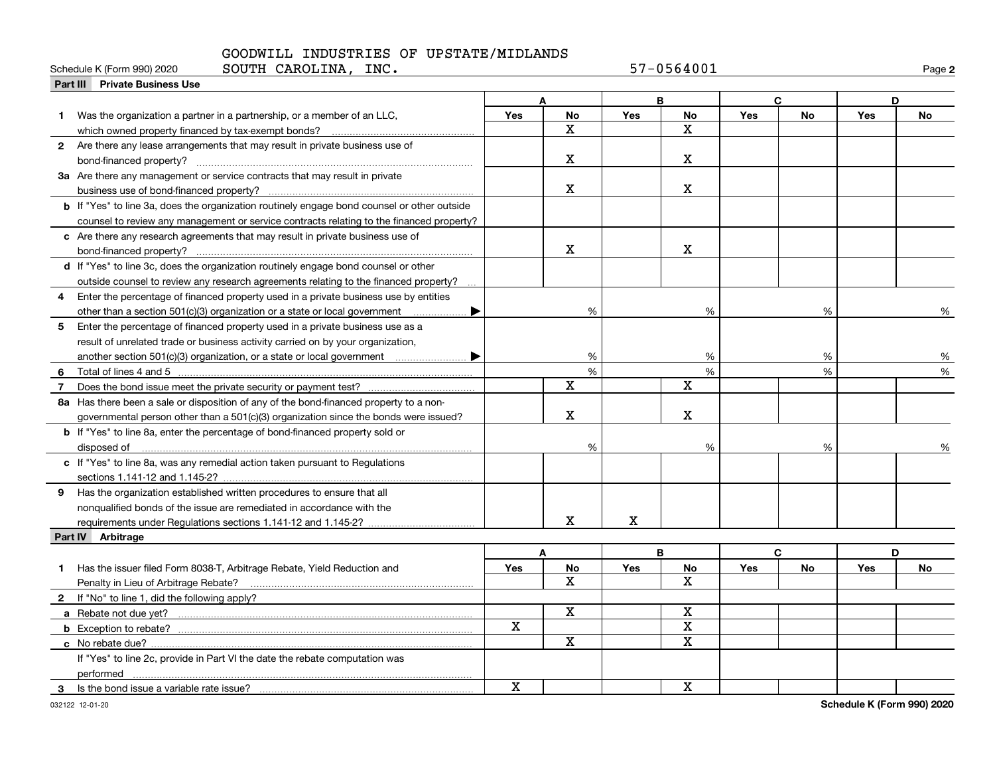|                | SOUTH CAROLINA,<br>Schedule K (Form 990) 2020<br>INC.                                                                                                                                                                                |     |                         |            | 57-0564001              |     |    |            | Page 2 |
|----------------|--------------------------------------------------------------------------------------------------------------------------------------------------------------------------------------------------------------------------------------|-----|-------------------------|------------|-------------------------|-----|----|------------|--------|
|                | Part III Private Business Use                                                                                                                                                                                                        |     |                         |            |                         |     |    |            |        |
|                |                                                                                                                                                                                                                                      |     | A                       |            | B                       |     | C  | D          |        |
|                | 1 Was the organization a partner in a partnership, or a member of an LLC,                                                                                                                                                            | Yes | <b>No</b>               | <b>Yes</b> | No                      | Yes | No | Yes        | No     |
|                | which owned property financed by tax-exempt bonds?                                                                                                                                                                                   |     | X                       |            | $\mathbf x$             |     |    |            |        |
|                | 2 Are there any lease arrangements that may result in private business use of                                                                                                                                                        |     |                         |            |                         |     |    |            |        |
|                |                                                                                                                                                                                                                                      |     | x                       |            | X                       |     |    |            |        |
|                | 3a Are there any management or service contracts that may result in private                                                                                                                                                          |     |                         |            |                         |     |    |            |        |
|                |                                                                                                                                                                                                                                      |     | X                       |            | $\mathbf X$             |     |    |            |        |
|                | <b>b</b> If "Yes" to line 3a, does the organization routinely engage bond counsel or other outside                                                                                                                                   |     |                         |            |                         |     |    |            |        |
|                | counsel to review any management or service contracts relating to the financed property?                                                                                                                                             |     |                         |            |                         |     |    |            |        |
|                | c Are there any research agreements that may result in private business use of                                                                                                                                                       |     |                         |            |                         |     |    |            |        |
|                | bond-financed property?                                                                                                                                                                                                              |     | $\mathbf X$             |            | x                       |     |    |            |        |
|                | d If "Yes" to line 3c, does the organization routinely engage bond counsel or other                                                                                                                                                  |     |                         |            |                         |     |    |            |        |
|                | outside counsel to review any research agreements relating to the financed property?                                                                                                                                                 |     |                         |            |                         |     |    |            |        |
| 4              | Enter the percentage of financed property used in a private business use by entities                                                                                                                                                 |     |                         |            |                         |     |    |            |        |
|                | other than a section 501(c)(3) organization or a state or local government                                                                                                                                                           |     | %                       |            | %                       |     | %  |            | %      |
| 5              | Enter the percentage of financed property used in a private business use as a                                                                                                                                                        |     |                         |            |                         |     |    |            |        |
|                | result of unrelated trade or business activity carried on by your organization,                                                                                                                                                      |     |                         |            |                         |     |    |            |        |
|                |                                                                                                                                                                                                                                      |     | %                       |            | %                       |     | %  |            | %      |
|                |                                                                                                                                                                                                                                      |     | $\frac{9}{6}$           |            | %                       |     | %  |            | %      |
| $\overline{7}$ |                                                                                                                                                                                                                                      |     | X                       |            | X                       |     |    |            |        |
|                | 8a Has there been a sale or disposition of any of the bond-financed property to a non-                                                                                                                                               |     |                         |            |                         |     |    |            |        |
|                | governmental person other than a 501(c)(3) organization since the bonds were issued?                                                                                                                                                 |     | $\mathbf X$             |            | X                       |     |    |            |        |
|                | b If "Yes" to line 8a, enter the percentage of bond-financed property sold or                                                                                                                                                        |     |                         |            |                         |     |    |            |        |
|                | disposed of <u>with an international control of the set of the set of the set of the set of the set of the set of the set of the set of the set of the set of the set of the set of the set of the set of the set of the set of </u> |     | %                       |            | %                       |     | %  |            |        |
|                | c If "Yes" to line 8a, was any remedial action taken pursuant to Regulations                                                                                                                                                         |     |                         |            |                         |     |    |            |        |
|                |                                                                                                                                                                                                                                      |     |                         |            |                         |     |    |            |        |
| 9              | Has the organization established written procedures to ensure that all                                                                                                                                                               |     |                         |            |                         |     |    |            |        |
|                | nonqualified bonds of the issue are remediated in accordance with the                                                                                                                                                                |     |                         |            |                         |     |    |            |        |
|                |                                                                                                                                                                                                                                      |     | X                       | X          |                         |     |    |            |        |
|                | Part IV Arbitrage                                                                                                                                                                                                                    |     |                         |            |                         |     |    |            |        |
|                |                                                                                                                                                                                                                                      |     | A                       |            | B                       |     | C  | D          |        |
| 1.             | Has the issuer filed Form 8038-T, Arbitrage Rebate, Yield Reduction and                                                                                                                                                              | Yes | No                      | <b>Yes</b> | No                      | Yes | No | <b>Yes</b> | No     |
|                |                                                                                                                                                                                                                                      |     | $\overline{\mathbf{x}}$ |            | $\overline{\mathbf{X}}$ |     |    |            |        |
|                | 2 If "No" to line 1, did the following apply?                                                                                                                                                                                        |     |                         |            |                         |     |    |            |        |
|                |                                                                                                                                                                                                                                      |     | X                       |            | X                       |     |    |            |        |
|                |                                                                                                                                                                                                                                      | X   |                         |            | $\overline{\mathbf{x}}$ |     |    |            |        |
|                |                                                                                                                                                                                                                                      |     | $\mathbf X$             |            | $\mathbf X$             |     |    |            |        |
|                | If "Yes" to line 2c, provide in Part VI the date the rebate computation was                                                                                                                                                          |     |                         |            |                         |     |    |            |        |
|                | performed                                                                                                                                                                                                                            |     |                         |            |                         |     |    |            |        |
| 3              | Is the bond issue a variable rate issue?                                                                                                                                                                                             | X   |                         |            | $\mathbf X$             |     |    |            |        |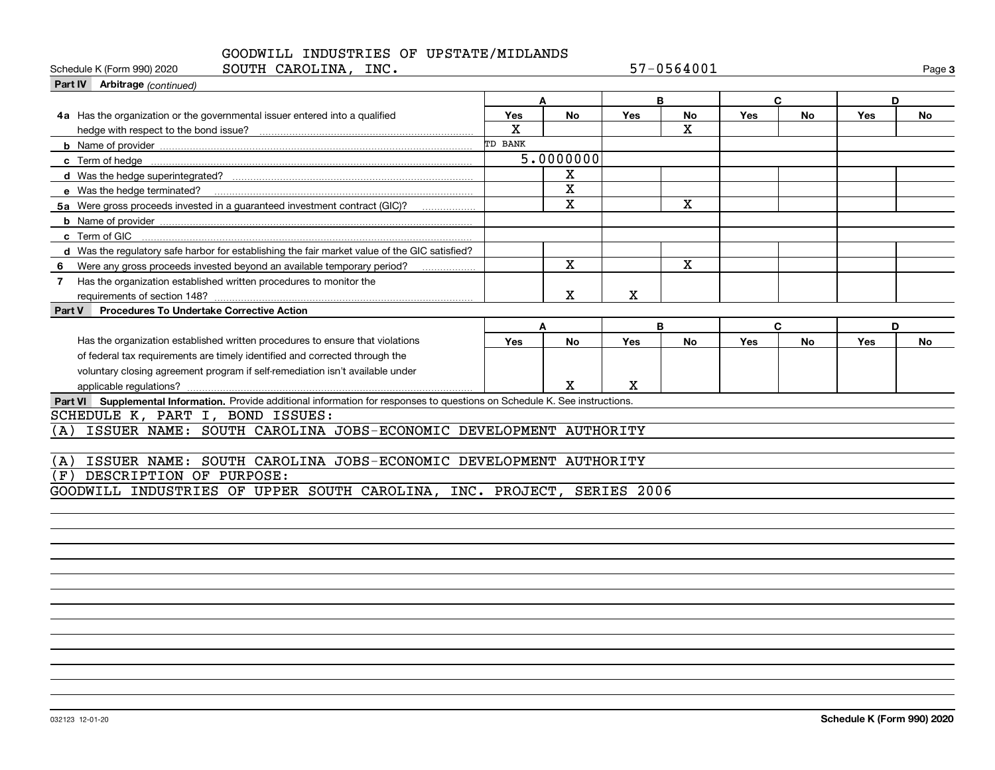| SOUTH CAROLINA, INC.<br>Schedule K (Form 990) 2020                                                                           |             |             |            | 57-0564001  |     |              |     | Page 3    |
|------------------------------------------------------------------------------------------------------------------------------|-------------|-------------|------------|-------------|-----|--------------|-----|-----------|
| Part IV Arbitrage (continued)                                                                                                |             |             |            |             |     |              |     |           |
|                                                                                                                              |             | A           |            | B           |     | $\mathbf{C}$ | D   |           |
| 4a Has the organization or the governmental issuer entered into a qualified                                                  | Yes         | <b>No</b>   | Yes        | No          | Yes | <b>No</b>    | Yes | <b>No</b> |
|                                                                                                                              | $\mathbf x$ |             |            | $\mathbf x$ |     |              |     |           |
|                                                                                                                              | TD BANK     |             |            |             |     |              |     |           |
|                                                                                                                              |             | 5.0000000   |            |             |     |              |     |           |
|                                                                                                                              |             | х           |            |             |     |              |     |           |
| e Was the hedge terminated?                                                                                                  |             | X           |            |             |     |              |     |           |
| 5a Were gross proceeds invested in a guaranteed investment contract (GIC)?                                                   |             | X           |            | X           |     |              |     |           |
|                                                                                                                              |             |             |            |             |     |              |     |           |
| c Term of GIC                                                                                                                |             |             |            |             |     |              |     |           |
| d Was the regulatory safe harbor for establishing the fair market value of the GIC satisfied?                                |             |             |            |             |     |              |     |           |
| Were any gross proceeds invested beyond an available temporary period?<br>6                                                  |             | $\mathbf x$ |            | $\mathbf x$ |     |              |     |           |
| Has the organization established written procedures to monitor the<br>7                                                      |             |             |            |             |     |              |     |           |
| requirements of section 148?                                                                                                 |             | x           | x          |             |     |              |     |           |
| <b>Procedures To Undertake Corrective Action</b><br>Part V                                                                   |             |             |            |             |     |              |     |           |
|                                                                                                                              |             | A           |            | B           |     | $\mathbf{C}$ |     | D         |
| Has the organization established written procedures to ensure that violations                                                | Yes         | No          | <b>Yes</b> | <b>No</b>   | Yes | <b>No</b>    | Yes | <b>No</b> |
| of federal tax requirements are timely identified and corrected through the                                                  |             |             |            |             |     |              |     |           |
| voluntary closing agreement program if self-remediation isn't available under                                                |             |             |            |             |     |              |     |           |
| applicable regulations?                                                                                                      |             | X           | х          |             |     |              |     |           |
| Part VI Supplemental Information. Provide additional information for responses to questions on Schedule K. See instructions. |             |             |            |             |     |              |     |           |
| SCHEDULE K, PART I, BOND ISSUES:                                                                                             |             |             |            |             |     |              |     |           |
| ISSUER NAME: SOUTH CAROLINA JOBS-ECONOMIC DEVELOPMENT AUTHORITY<br>(A)                                                       |             |             |            |             |     |              |     |           |
|                                                                                                                              |             |             |            |             |     |              |     |           |
| ISSUER NAME: SOUTH CAROLINA JOBS-ECONOMIC DEVELOPMENT AUTHORITY<br>(A)                                                       |             |             |            |             |     |              |     |           |
| DESCRIPTION OF PURPOSE:<br>(F)                                                                                               |             |             |            |             |     |              |     |           |
| GOODWILL INDUSTRIES OF UPPER SOUTH CAROLINA, INC. PROJECT, SERIES 2006                                                       |             |             |            |             |     |              |     |           |
|                                                                                                                              |             |             |            |             |     |              |     |           |
|                                                                                                                              |             |             |            |             |     |              |     |           |
|                                                                                                                              |             |             |            |             |     |              |     |           |
|                                                                                                                              |             |             |            |             |     |              |     |           |
|                                                                                                                              |             |             |            |             |     |              |     |           |
|                                                                                                                              |             |             |            |             |     |              |     |           |
|                                                                                                                              |             |             |            |             |     |              |     |           |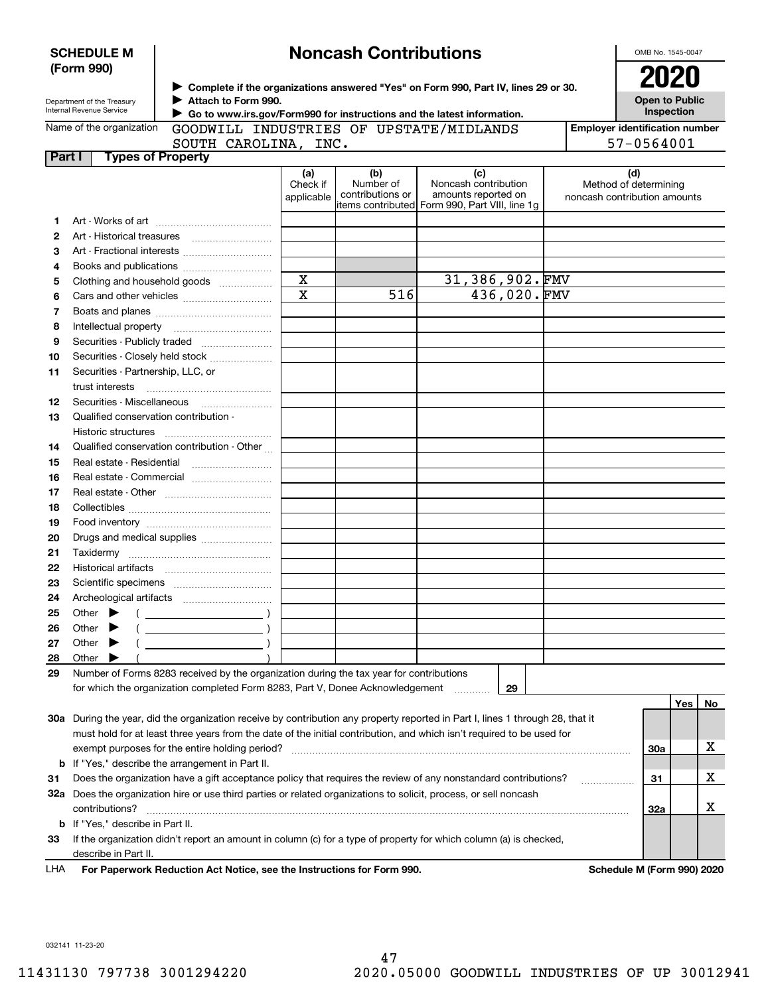|               | <b>SCHEDULE M</b>                                                    |                                                                                                                                                                                       |                               | <b>Noncash Contributions</b>                                                                                                                                                                                                                                                           |                                                                                                                                |  | OMB No. 1545-0047                                            |     |                                       |
|---------------|----------------------------------------------------------------------|---------------------------------------------------------------------------------------------------------------------------------------------------------------------------------------|-------------------------------|----------------------------------------------------------------------------------------------------------------------------------------------------------------------------------------------------------------------------------------------------------------------------------------|--------------------------------------------------------------------------------------------------------------------------------|--|--------------------------------------------------------------|-----|---------------------------------------|
|               | (Form 990)<br>Department of the Treasury<br>Internal Revenue Service | ▶ Complete if the organizations answered "Yes" on Form 990, Part IV, lines 29 or 30.<br>Attach to Form 990.<br>Go to www.irs.gov/Form990 for instructions and the latest information. |                               | <b>2021</b><br><b>Open to Public</b><br>Inspection                                                                                                                                                                                                                                     |                                                                                                                                |  |                                                              |     |                                       |
|               | Name of the organization                                             | GOODWILL INDUSTRIES OF UPSTATE/MIDLANDS                                                                                                                                               |                               |                                                                                                                                                                                                                                                                                        |                                                                                                                                |  |                                                              |     | <b>Employer identification number</b> |
|               |                                                                      | SOUTH CAROLINA, INC.                                                                                                                                                                  |                               |                                                                                                                                                                                                                                                                                        |                                                                                                                                |  | 57-0564001                                                   |     |                                       |
| <b>Part I</b> | <b>Types of Property</b>                                             |                                                                                                                                                                                       |                               |                                                                                                                                                                                                                                                                                        |                                                                                                                                |  |                                                              |     |                                       |
|               |                                                                      |                                                                                                                                                                                       | (a)<br>Check if<br>applicable | (b)<br>Number of<br>contributions or                                                                                                                                                                                                                                                   | (c)<br>Noncash contribution<br>amounts reported on<br>litems contributed Form 990, Part VIII, line 1q                          |  | (d)<br>Method of determining<br>noncash contribution amounts |     |                                       |
| 1             |                                                                      |                                                                                                                                                                                       |                               |                                                                                                                                                                                                                                                                                        |                                                                                                                                |  |                                                              |     |                                       |
| 2             |                                                                      |                                                                                                                                                                                       |                               |                                                                                                                                                                                                                                                                                        |                                                                                                                                |  |                                                              |     |                                       |
| 3             |                                                                      |                                                                                                                                                                                       |                               |                                                                                                                                                                                                                                                                                        |                                                                                                                                |  |                                                              |     |                                       |
| 4             |                                                                      |                                                                                                                                                                                       |                               |                                                                                                                                                                                                                                                                                        |                                                                                                                                |  |                                                              |     |                                       |
| 5             |                                                                      | Clothing and household goods                                                                                                                                                          | $\mathbf X$                   |                                                                                                                                                                                                                                                                                        | 31,386,902.FMV                                                                                                                 |  |                                                              |     |                                       |
| 6             |                                                                      |                                                                                                                                                                                       | $\overline{\text{x}}$         | 516                                                                                                                                                                                                                                                                                    | 436,020.FMV                                                                                                                    |  |                                                              |     |                                       |
| 7             |                                                                      |                                                                                                                                                                                       |                               |                                                                                                                                                                                                                                                                                        |                                                                                                                                |  |                                                              |     |                                       |
| 8             |                                                                      |                                                                                                                                                                                       |                               |                                                                                                                                                                                                                                                                                        |                                                                                                                                |  |                                                              |     |                                       |
| 9             |                                                                      | Securities - Publicly traded                                                                                                                                                          |                               |                                                                                                                                                                                                                                                                                        |                                                                                                                                |  |                                                              |     |                                       |
| 10            |                                                                      | Securities - Closely held stock                                                                                                                                                       |                               |                                                                                                                                                                                                                                                                                        |                                                                                                                                |  |                                                              |     |                                       |
| 11            | Securities - Partnership, LLC, or                                    |                                                                                                                                                                                       |                               |                                                                                                                                                                                                                                                                                        |                                                                                                                                |  |                                                              |     |                                       |
|               |                                                                      |                                                                                                                                                                                       |                               |                                                                                                                                                                                                                                                                                        |                                                                                                                                |  |                                                              |     |                                       |
| 12            |                                                                      |                                                                                                                                                                                       |                               |                                                                                                                                                                                                                                                                                        |                                                                                                                                |  |                                                              |     |                                       |
| 13            | Qualified conservation contribution -                                |                                                                                                                                                                                       |                               |                                                                                                                                                                                                                                                                                        |                                                                                                                                |  |                                                              |     |                                       |
|               | Historic structures                                                  |                                                                                                                                                                                       |                               |                                                                                                                                                                                                                                                                                        |                                                                                                                                |  |                                                              |     |                                       |
| 14            |                                                                      | Qualified conservation contribution - Other                                                                                                                                           |                               |                                                                                                                                                                                                                                                                                        |                                                                                                                                |  |                                                              |     |                                       |
| 15            | Real estate - Residential                                            |                                                                                                                                                                                       |                               |                                                                                                                                                                                                                                                                                        |                                                                                                                                |  |                                                              |     |                                       |
| 16            |                                                                      | Real estate - Commercial                                                                                                                                                              |                               |                                                                                                                                                                                                                                                                                        |                                                                                                                                |  |                                                              |     |                                       |
| 17            |                                                                      |                                                                                                                                                                                       |                               |                                                                                                                                                                                                                                                                                        |                                                                                                                                |  |                                                              |     |                                       |
| 18            |                                                                      |                                                                                                                                                                                       |                               |                                                                                                                                                                                                                                                                                        |                                                                                                                                |  |                                                              |     |                                       |
| 19            |                                                                      |                                                                                                                                                                                       |                               |                                                                                                                                                                                                                                                                                        |                                                                                                                                |  |                                                              |     |                                       |
| 20            |                                                                      | Drugs and medical supplies                                                                                                                                                            |                               |                                                                                                                                                                                                                                                                                        |                                                                                                                                |  |                                                              |     |                                       |
| 21            | Taxidermy                                                            |                                                                                                                                                                                       |                               |                                                                                                                                                                                                                                                                                        |                                                                                                                                |  |                                                              |     |                                       |
| 22            |                                                                      |                                                                                                                                                                                       |                               |                                                                                                                                                                                                                                                                                        |                                                                                                                                |  |                                                              |     |                                       |
| 23            |                                                                      |                                                                                                                                                                                       |                               |                                                                                                                                                                                                                                                                                        |                                                                                                                                |  |                                                              |     |                                       |
| 24            | Archeological artifacts                                              |                                                                                                                                                                                       |                               |                                                                                                                                                                                                                                                                                        |                                                                                                                                |  |                                                              |     |                                       |
| 25            | Other                                                                |                                                                                                                                                                                       |                               |                                                                                                                                                                                                                                                                                        |                                                                                                                                |  |                                                              |     |                                       |
| 26            | Other                                                                |                                                                                                                                                                                       |                               |                                                                                                                                                                                                                                                                                        |                                                                                                                                |  |                                                              |     |                                       |
| 27            | Other                                                                |                                                                                                                                                                                       |                               |                                                                                                                                                                                                                                                                                        |                                                                                                                                |  |                                                              |     |                                       |
| 28            | Other                                                                |                                                                                                                                                                                       |                               |                                                                                                                                                                                                                                                                                        |                                                                                                                                |  |                                                              |     |                                       |
| 29            |                                                                      | Number of Forms 8283 received by the organization during the tax year for contributions                                                                                               |                               |                                                                                                                                                                                                                                                                                        |                                                                                                                                |  |                                                              |     |                                       |
|               |                                                                      | for which the organization completed Form 8283, Part V, Donee Acknowledgement                                                                                                         |                               |                                                                                                                                                                                                                                                                                        | 29                                                                                                                             |  |                                                              |     |                                       |
|               |                                                                      |                                                                                                                                                                                       |                               |                                                                                                                                                                                                                                                                                        |                                                                                                                                |  |                                                              | Yes | No                                    |
|               |                                                                      |                                                                                                                                                                                       |                               |                                                                                                                                                                                                                                                                                        | 30a During the year, did the organization receive by contribution any property reported in Part I, lines 1 through 28, that it |  |                                                              |     |                                       |
|               |                                                                      |                                                                                                                                                                                       |                               |                                                                                                                                                                                                                                                                                        | must hold for at least three years from the date of the initial contribution, and which isn't required to be used for          |  |                                                              |     |                                       |
|               |                                                                      |                                                                                                                                                                                       |                               |                                                                                                                                                                                                                                                                                        |                                                                                                                                |  | <b>30a</b>                                                   |     | х                                     |
| b             |                                                                      | If "Yes," describe the arrangement in Part II.                                                                                                                                        |                               |                                                                                                                                                                                                                                                                                        |                                                                                                                                |  |                                                              |     |                                       |
| 31            |                                                                      |                                                                                                                                                                                       |                               |                                                                                                                                                                                                                                                                                        | Does the organization have a gift acceptance policy that requires the review of any nonstandard contributions?                 |  | 31                                                           |     | x                                     |
| 32a           |                                                                      |                                                                                                                                                                                       |                               |                                                                                                                                                                                                                                                                                        | Does the organization hire or use third parties or related organizations to solicit, process, or sell noncash                  |  |                                                              |     |                                       |
|               | contributions?                                                       |                                                                                                                                                                                       |                               |                                                                                                                                                                                                                                                                                        |                                                                                                                                |  | 32a                                                          |     | x                                     |
| b             | If "Yes," describe in Part II.                                       |                                                                                                                                                                                       |                               |                                                                                                                                                                                                                                                                                        |                                                                                                                                |  |                                                              |     |                                       |
| 33            |                                                                      |                                                                                                                                                                                       |                               |                                                                                                                                                                                                                                                                                        | If the organization didn't report an amount in column (c) for a type of property for which column (a) is checked,              |  |                                                              |     |                                       |
|               | describe in Part II.                                                 |                                                                                                                                                                                       |                               | $\frac{1}{2}$ . The state of the distribution of $\frac{1}{2}$ and $\frac{1}{2}$ and $\frac{1}{2}$ and $\frac{1}{2}$ and $\frac{1}{2}$ and $\frac{1}{2}$ and $\frac{1}{2}$ and $\frac{1}{2}$ and $\frac{1}{2}$ and $\frac{1}{2}$ and $\frac{1}{2}$ and $\frac{1}{2}$ and $\frac{1}{2}$ |                                                                                                                                |  |                                                              |     |                                       |

**For Paperwork Reduction Act Notice, see the Instructions for Form 990. Schedule M (Form 990) 2020** LHA

032141 11-23-20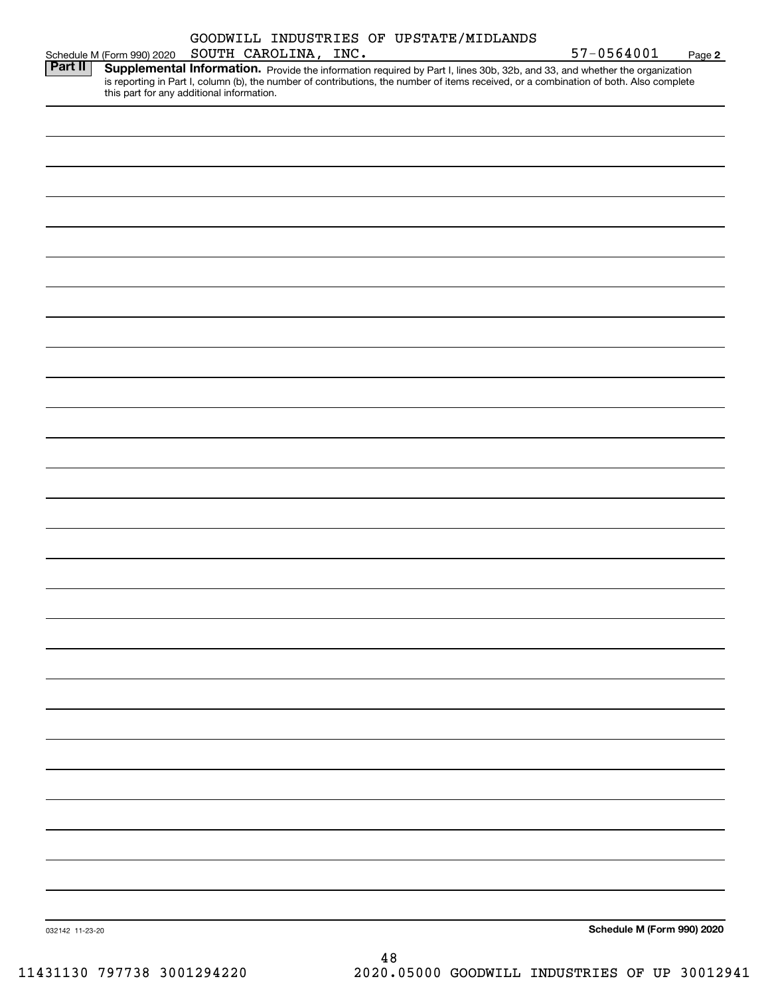|                 |                                           | SOUTH CAROLINA, INC. | GOODWILL INDUSTRIES OF UPSTATE/MIDLANDS                                                                                                                                                                                                                              | 57-0564001                 |        |
|-----------------|-------------------------------------------|----------------------|----------------------------------------------------------------------------------------------------------------------------------------------------------------------------------------------------------------------------------------------------------------------|----------------------------|--------|
| Part II         | Schedule M (Form 990) 2020                |                      | Supplemental Information. Provide the information required by Part I, lines 30b, 32b, and 33, and whether the organization<br>is reporting in Part I, column (b), the number of contributions, the number of items received, or a combination of both. Also complete |                            | Page 2 |
|                 | this part for any additional information. |                      |                                                                                                                                                                                                                                                                      |                            |        |
|                 |                                           |                      |                                                                                                                                                                                                                                                                      |                            |        |
|                 |                                           |                      |                                                                                                                                                                                                                                                                      |                            |        |
|                 |                                           |                      |                                                                                                                                                                                                                                                                      |                            |        |
|                 |                                           |                      |                                                                                                                                                                                                                                                                      |                            |        |
|                 |                                           |                      |                                                                                                                                                                                                                                                                      |                            |        |
|                 |                                           |                      |                                                                                                                                                                                                                                                                      |                            |        |
|                 |                                           |                      |                                                                                                                                                                                                                                                                      |                            |        |
|                 |                                           |                      |                                                                                                                                                                                                                                                                      |                            |        |
|                 |                                           |                      |                                                                                                                                                                                                                                                                      |                            |        |
|                 |                                           |                      |                                                                                                                                                                                                                                                                      |                            |        |
|                 |                                           |                      |                                                                                                                                                                                                                                                                      |                            |        |
|                 |                                           |                      |                                                                                                                                                                                                                                                                      |                            |        |
|                 |                                           |                      |                                                                                                                                                                                                                                                                      |                            |        |
|                 |                                           |                      |                                                                                                                                                                                                                                                                      |                            |        |
|                 |                                           |                      |                                                                                                                                                                                                                                                                      |                            |        |
|                 |                                           |                      |                                                                                                                                                                                                                                                                      |                            |        |
|                 |                                           |                      |                                                                                                                                                                                                                                                                      |                            |        |
|                 |                                           |                      |                                                                                                                                                                                                                                                                      |                            |        |
|                 |                                           |                      |                                                                                                                                                                                                                                                                      |                            |        |
|                 |                                           |                      |                                                                                                                                                                                                                                                                      |                            |        |
|                 |                                           |                      |                                                                                                                                                                                                                                                                      |                            |        |
|                 |                                           |                      |                                                                                                                                                                                                                                                                      |                            |        |
|                 |                                           |                      |                                                                                                                                                                                                                                                                      |                            |        |
|                 |                                           |                      |                                                                                                                                                                                                                                                                      |                            |        |
|                 |                                           |                      |                                                                                                                                                                                                                                                                      |                            |        |
|                 |                                           |                      |                                                                                                                                                                                                                                                                      |                            |        |
|                 |                                           |                      |                                                                                                                                                                                                                                                                      |                            |        |
|                 |                                           |                      |                                                                                                                                                                                                                                                                      |                            |        |
|                 |                                           |                      |                                                                                                                                                                                                                                                                      |                            |        |
|                 |                                           |                      |                                                                                                                                                                                                                                                                      |                            |        |
|                 |                                           |                      |                                                                                                                                                                                                                                                                      |                            |        |
| 032142 11-23-20 |                                           |                      |                                                                                                                                                                                                                                                                      | Schedule M (Form 990) 2020 |        |
|                 |                                           |                      | 48                                                                                                                                                                                                                                                                   |                            |        |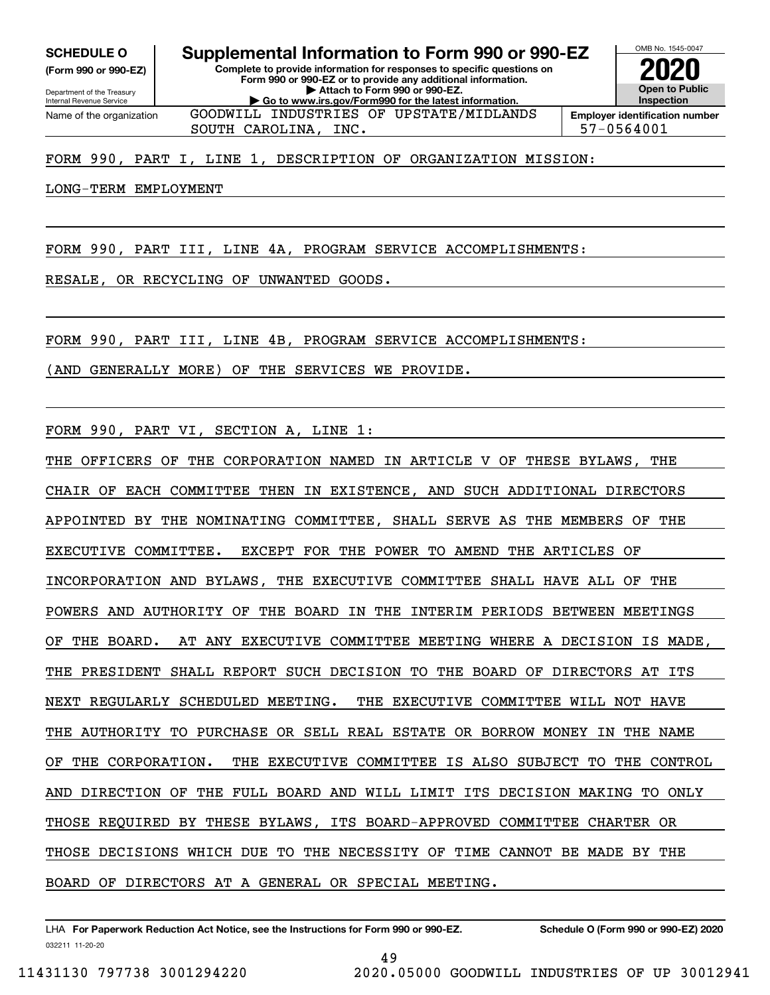Internal Revenue Service

Department of the Treasury **(Form 990 or 990-EZ)**

Name of the organization

**Complete to provide information for responses to specific questions on Form 990 or 990-EZ or to provide any additional information. | Attach to Form 990 or 990-EZ. | Go to www.irs.gov/Form990 for the latest information. SCHEDULE O Supplemental Information to Form 990 or 990-EZ**

GOODWILL INDUSTRIES OF UPSTATE/MIDLANDS



SOUTH CAROLINA, INC.  $\vert$  57-0564001

### FORM 990, PART I, LINE 1, DESCRIPTION OF ORGANIZATION MISSION:

### LONG-TERM EMPLOYMENT

FORM 990, PART III, LINE 4A, PROGRAM SERVICE ACCOMPLISHMENTS:

RESALE, OR RECYCLING OF UNWANTED GOODS.

FORM 990, PART III, LINE 4B, PROGRAM SERVICE ACCOMPLISHMENTS:

(AND GENERALLY MORE) OF THE SERVICES WE PROVIDE.

FORM 990, PART VI, SECTION A, LINE 1:

THE OFFICERS OF THE CORPORATION NAMED IN ARTICLE V OF THESE BYLAWS, THE CHAIR OF EACH COMMITTEE THEN IN EXISTENCE, AND SUCH ADDITIONAL DIRECTORS APPOINTED BY THE NOMINATING COMMITTEE, SHALL SERVE AS THE MEMBERS OF THE EXECUTIVE COMMITTEE. EXCEPT FOR THE POWER TO AMEND THE ARTICLES OF INCORPORATION AND BYLAWS, THE EXECUTIVE COMMITTEE SHALL HAVE ALL OF THE POWERS AND AUTHORITY OF THE BOARD IN THE INTERIM PERIODS BETWEEN MEETINGS OF THE BOARD. AT ANY EXECUTIVE COMMITTEE MEETING WHERE A DECISION IS MADE, THE PRESIDENT SHALL REPORT SUCH DECISION TO THE BOARD OF DIRECTORS AT ITS NEXT REGULARLY SCHEDULED MEETING. THE EXECUTIVE COMMITTEE WILL NOT HAVE THE AUTHORITY TO PURCHASE OR SELL REAL ESTATE OR BORROW MONEY IN THE NAME OF THE CORPORATION. THE EXECUTIVE COMMITTEE IS ALSO SUBJECT TO THE CONTROL AND DIRECTION OF THE FULL BOARD AND WILL LIMIT ITS DECISION MAKING TO ONLY THOSE REQUIRED BY THESE BYLAWS, ITS BOARD-APPROVED COMMITTEE CHARTER OR THOSE DECISIONS WHICH DUE TO THE NECESSITY OF TIME CANNOT BE MADE BY THE BOARD OF DIRECTORS AT A GENERAL OR SPECIAL MEETING.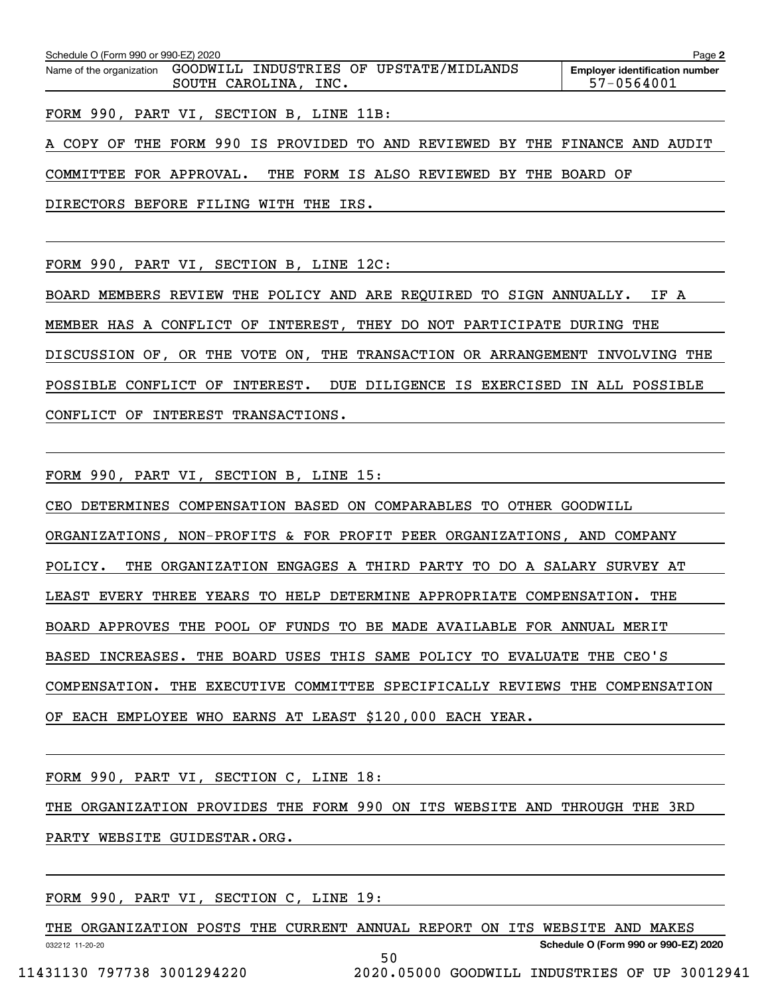| Schedule O (Form 990 or 990-EZ) 2020<br>Page 2 |                                                                 |                                                     |  |  |  |  |  |  |  |  |  |  |
|------------------------------------------------|-----------------------------------------------------------------|-----------------------------------------------------|--|--|--|--|--|--|--|--|--|--|
| Name of the organization                       | GOODWILL INDUSTRIES OF UPSTATE/MIDLANDS<br>SOUTH CAROLINA, INC. | <b>Employer identification number</b><br>57-0564001 |  |  |  |  |  |  |  |  |  |  |
|                                                |                                                                 |                                                     |  |  |  |  |  |  |  |  |  |  |

FORM 990, PART VI, SECTION B, LINE 11B:

A COPY OF THE FORM 990 IS PROVIDED TO AND REVIEWED BY THE FINANCE AND AUDIT COMMITTEE FOR APPROVAL. THE FORM IS ALSO REVIEWED BY THE BOARD OF

DIRECTORS BEFORE FILING WITH THE IRS.

FORM 990, PART VI, SECTION B, LINE 12C:

BOARD MEMBERS REVIEW THE POLICY AND ARE REQUIRED TO SIGN ANNUALLY. IF A MEMBER HAS A CONFLICT OF INTEREST, THEY DO NOT PARTICIPATE DURING THE DISCUSSION OF, OR THE VOTE ON, THE TRANSACTION OR ARRANGEMENT INVOLVING THE POSSIBLE CONFLICT OF INTEREST. DUE DILIGENCE IS EXERCISED IN ALL POSSIBLE CONFLICT OF INTEREST TRANSACTIONS.

FORM 990, PART VI, SECTION B, LINE 15:

CEO DETERMINES COMPENSATION BASED ON COMPARABLES TO OTHER GOODWILL ORGANIZATIONS, NON-PROFITS & FOR PROFIT PEER ORGANIZATIONS, AND COMPANY POLICY. THE ORGANIZATION ENGAGES A THIRD PARTY TO DO A SALARY SURVEY AT LEAST EVERY THREE YEARS TO HELP DETERMINE APPROPRIATE COMPENSATION. THE BOARD APPROVES THE POOL OF FUNDS TO BE MADE AVAILABLE FOR ANNUAL MERIT BASED INCREASES. THE BOARD USES THIS SAME POLICY TO EVALUATE THE CEO'S COMPENSATION. THE EXECUTIVE COMMITTEE SPECIFICALLY REVIEWS THE COMPENSATION OF EACH EMPLOYEE WHO EARNS AT LEAST \$120,000 EACH YEAR.

FORM 990, PART VI, SECTION C, LINE 18:

THE ORGANIZATION PROVIDES THE FORM 990 ON ITS WEBSITE AND THROUGH THE 3RD

PARTY WEBSITE GUIDESTAR.ORG.

FORM 990, PART VI, SECTION C, LINE 19:

032212 11-20-20 **Schedule O (Form 990 or 990-EZ) 2020** THE ORGANIZATION POSTS THE CURRENT ANNUAL REPORT ON ITS WEBSITE AND MAKES 50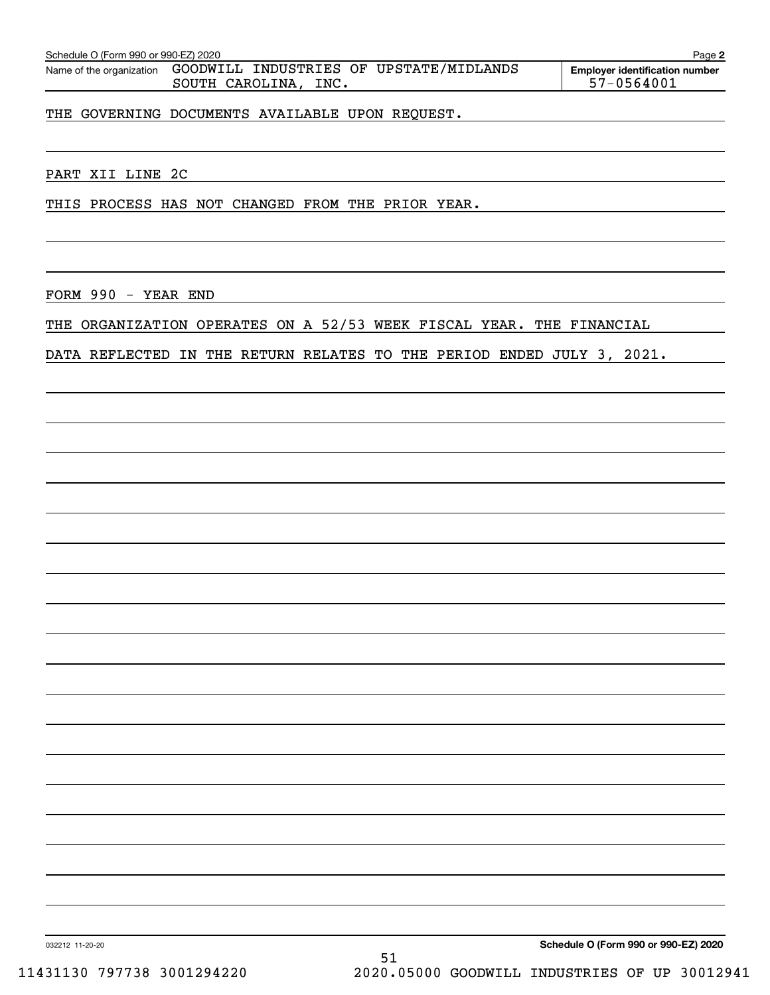| Schedule O (Form 990 or 990-EZ) 2020<br>Page 2 |                                                                 |                                                     |  |  |  |  |  |  |  |  |  |
|------------------------------------------------|-----------------------------------------------------------------|-----------------------------------------------------|--|--|--|--|--|--|--|--|--|
| Name of the organization                       | GOODWILL INDUSTRIES OF UPSTATE/MIDLANDS<br>SOUTH CAROLINA, INC. | <b>Employer identification number</b><br>57-0564001 |  |  |  |  |  |  |  |  |  |

THE GOVERNING DOCUMENTS AVAILABLE UPON REQUEST.

PART XII LINE 2C

THIS PROCESS HAS NOT CHANGED FROM THE PRIOR YEAR.

FORM 990 - YEAR END

THE ORGANIZATION OPERATES ON A 52/53 WEEK FISCAL YEAR. THE FINANCIAL

DATA REFLECTED IN THE RETURN RELATES TO THE PERIOD ENDED JULY 3, 2021.

032212 11-20-20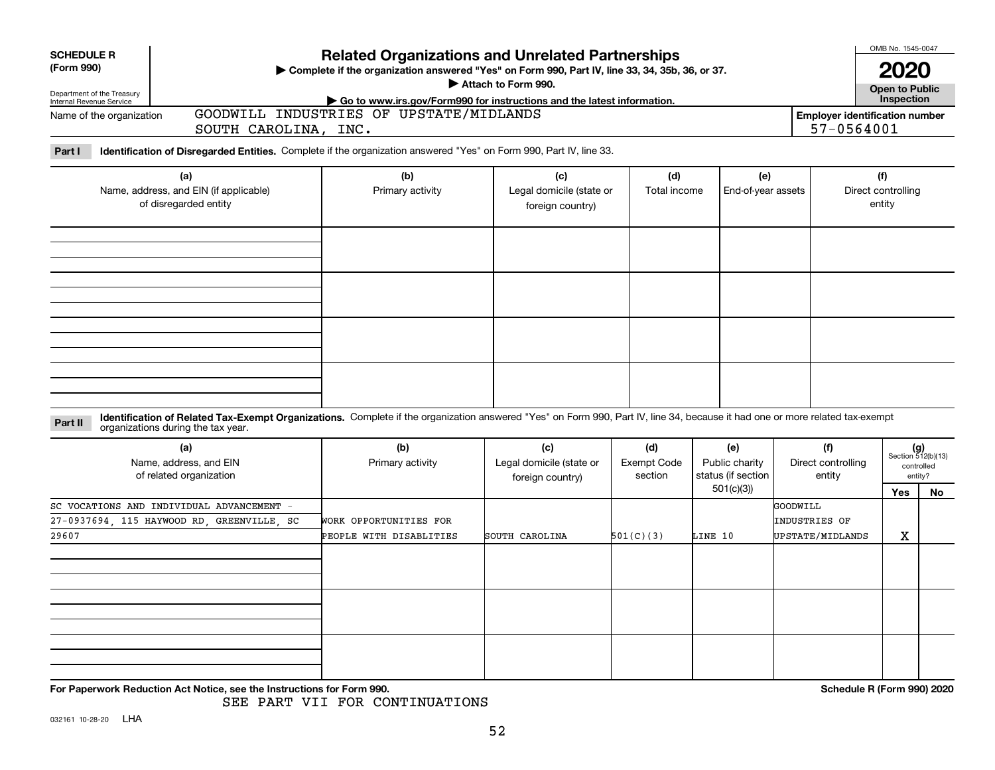| <b>SCHEDULE R</b><br>(Form 990)<br>Department of the Treasury<br>Internal Revenue Service |                                                                                                                                                                                                                    | <b>Related Organizations and Unrelated Partnerships</b><br>> Complete if the organization answered "Yes" on Form 990, Part IV, line 33, 34, 35b, 36, or 37.<br>Attach to Form 990.<br>Go to www.irs.gov/Form990 for instructions and the latest information. | OMB No. 1545-0047<br><b>2020</b><br><b>Open to Public<br/>Inspection</b> |                                                     |                                                          |                                               |                                     |                                                      |
|-------------------------------------------------------------------------------------------|--------------------------------------------------------------------------------------------------------------------------------------------------------------------------------------------------------------------|--------------------------------------------------------------------------------------------------------------------------------------------------------------------------------------------------------------------------------------------------------------|--------------------------------------------------------------------------|-----------------------------------------------------|----------------------------------------------------------|-----------------------------------------------|-------------------------------------|------------------------------------------------------|
| Name of the organization                                                                  | SOUTH CAROLINA, INC.                                                                                                                                                                                               | GOODWILL INDUSTRIES OF UPSTATE/MIDLANDS                                                                                                                                                                                                                      |                                                                          | <b>Employer identification number</b><br>57-0564001 |                                                          |                                               |                                     |                                                      |
| Part I                                                                                    | Identification of Disregarded Entities. Complete if the organization answered "Yes" on Form 990, Part IV, line 33.                                                                                                 |                                                                                                                                                                                                                                                              |                                                                          |                                                     |                                                          |                                               |                                     |                                                      |
|                                                                                           | (a)<br>Name, address, and EIN (if applicable)<br>of disregarded entity                                                                                                                                             | (b)<br>Primary activity                                                                                                                                                                                                                                      | (c)<br>Legal domicile (state or<br>foreign country)                      | (d)<br>Total income                                 | (e)<br>End-of-year assets                                |                                               | (f)<br>Direct controlling<br>entity |                                                      |
|                                                                                           |                                                                                                                                                                                                                    |                                                                                                                                                                                                                                                              |                                                                          |                                                     |                                                          |                                               |                                     |                                                      |
| Part II                                                                                   | Identification of Related Tax-Exempt Organizations. Complete if the organization answered "Yes" on Form 990, Part IV, line 34, because it had one or more related tax-exempt<br>organizations during the tax year. |                                                                                                                                                                                                                                                              |                                                                          |                                                     |                                                          |                                               |                                     |                                                      |
|                                                                                           | (a)<br>Name, address, and EIN<br>of related organization                                                                                                                                                           | (b)<br>Primary activity                                                                                                                                                                                                                                      | (c)<br>Legal domicile (state or<br>foreign country)                      | (d)<br><b>Exempt Code</b><br>section                | (e)<br>Public charity<br>status (if section<br>501(c)(3) | (f)<br>Direct controlling<br>entity           |                                     | $(g)$<br>Section 512(b)(13)<br>controlled<br>entity? |
| 29607                                                                                     | SC VOCATIONS AND INDIVIDUAL ADVANCEMENT -<br>27-0937694, 115 HAYWOOD RD, GREENVILLE, SC                                                                                                                            | WORK OPPORTUNITIES FOR<br>PEOPLE WITH DISABLITIES                                                                                                                                                                                                            | SOUTH CAROLINA                                                           | 501(C)(3)                                           | LINE 10                                                  | GOODWILL<br>INDUSTRIES OF<br>UPSTATE/MIDLANDS | Yes<br>X                            | No                                                   |
|                                                                                           |                                                                                                                                                                                                                    |                                                                                                                                                                                                                                                              |                                                                          |                                                     |                                                          |                                               |                                     |                                                      |
|                                                                                           | For Paperwork Reduction Act Notice, see the Instructions for Form 990.                                                                                                                                             |                                                                                                                                                                                                                                                              |                                                                          |                                                     |                                                          |                                               | Schedule R (Form 990) 2020          |                                                      |

SEE PART VII FOR CONTINUATIONS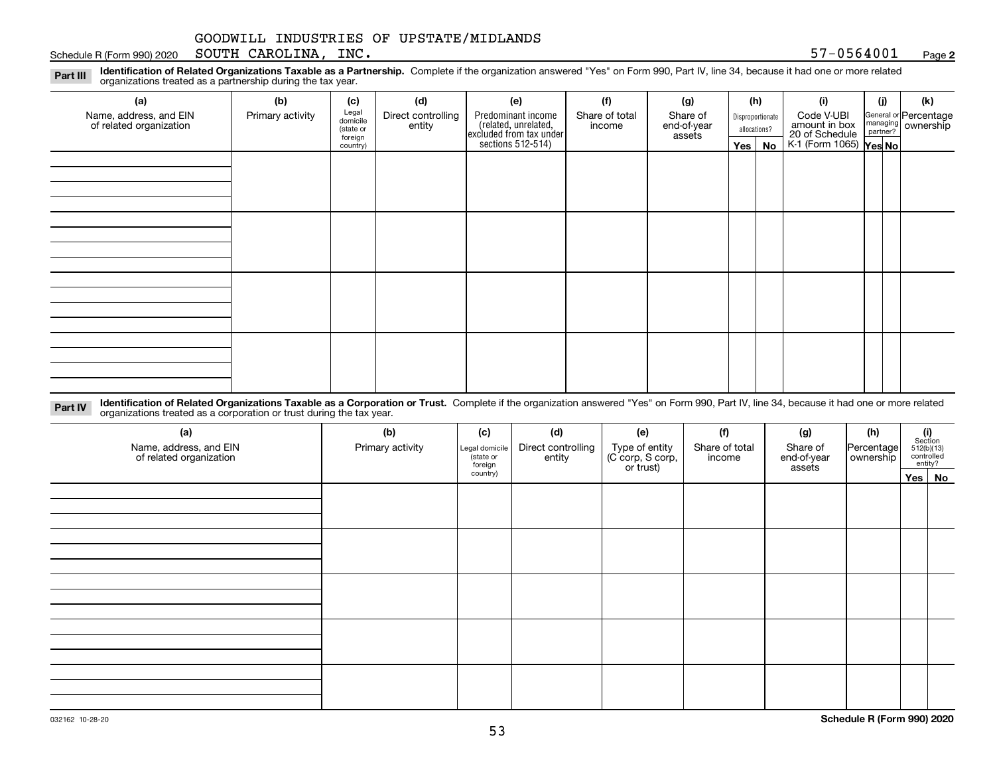### Schedule R (Form 990) 2020 Page SOUTH CAROLINA, INC. 57-0564001

**2**

**Identification of Related Organizations Taxable as a Partnership.** Complete if the organization answered "Yes" on Form 990, Part IV, line 34, because it had one or more related **Part III** organizations treated as a partnership during the tax year.

| (a)                                               | (b)              | (c)                  | (d)                          | (e)                                                                 | (f)                      | (g)                     | (h)              | (i)                                                       | (j) | (k)                                                     |
|---------------------------------------------------|------------------|----------------------|------------------------------|---------------------------------------------------------------------|--------------------------|-------------------------|------------------|-----------------------------------------------------------|-----|---------------------------------------------------------|
| Name, address, and EIN<br>of related organization | Primary activity | Legal<br>domicile    | Direct controlling<br>entity | Predominant income                                                  | Share of total<br>income | Share of<br>end-of-year | Disproportionate | Code V-UBI                                                |     | General or Percentage<br>managing ownership<br>partner? |
|                                                   |                  | (state or<br>foreign |                              |                                                                     |                          | assets                  | allocations?     |                                                           |     |                                                         |
|                                                   |                  | country)             |                              | related, unrelated,<br>excluded from tax under<br>sections 512-514) |                          |                         | Yes   No         | amount in box<br>20 of Schedule<br>K-1 (Form 1065) Yes No |     |                                                         |
|                                                   |                  |                      |                              |                                                                     |                          |                         |                  |                                                           |     |                                                         |
|                                                   |                  |                      |                              |                                                                     |                          |                         |                  |                                                           |     |                                                         |
|                                                   |                  |                      |                              |                                                                     |                          |                         |                  |                                                           |     |                                                         |
|                                                   |                  |                      |                              |                                                                     |                          |                         |                  |                                                           |     |                                                         |
|                                                   |                  |                      |                              |                                                                     |                          |                         |                  |                                                           |     |                                                         |
|                                                   |                  |                      |                              |                                                                     |                          |                         |                  |                                                           |     |                                                         |
|                                                   |                  |                      |                              |                                                                     |                          |                         |                  |                                                           |     |                                                         |
|                                                   |                  |                      |                              |                                                                     |                          |                         |                  |                                                           |     |                                                         |
|                                                   |                  |                      |                              |                                                                     |                          |                         |                  |                                                           |     |                                                         |
|                                                   |                  |                      |                              |                                                                     |                          |                         |                  |                                                           |     |                                                         |
|                                                   |                  |                      |                              |                                                                     |                          |                         |                  |                                                           |     |                                                         |
|                                                   |                  |                      |                              |                                                                     |                          |                         |                  |                                                           |     |                                                         |
|                                                   |                  |                      |                              |                                                                     |                          |                         |                  |                                                           |     |                                                         |
|                                                   |                  |                      |                              |                                                                     |                          |                         |                  |                                                           |     |                                                         |
|                                                   |                  |                      |                              |                                                                     |                          |                         |                  |                                                           |     |                                                         |
|                                                   |                  |                      |                              |                                                                     |                          |                         |                  |                                                           |     |                                                         |
|                                                   |                  |                      |                              |                                                                     |                          |                         |                  |                                                           |     |                                                         |

**Identification of Related Organizations Taxable as a Corporation or Trust.** Complete if the organization answered "Yes" on Form 990, Part IV, line 34, because it had one or more related **Part IV** organizations treated as a corporation or trust during the tax year.

| (a)<br>Name, address, and EIN<br>of related organization | (b)<br>Primary activity | (c)<br>Legal domicile<br>(state or<br>foreign | (d)<br>Direct controlling<br>entity | (e)<br>Type of entity<br>(C corp, S corp,<br>or trust) | (f)<br>Share of total<br>income | (g)<br>Share of<br>end-of-year<br>assets | (h)<br>Percentage<br>ownership | $\begin{array}{c} \textbf{(i)}\\ \text{Section}\\ 512 \text{(b)} \text{(13)}\\ \text{controlled}\\ \text{entity?} \end{array}$ |
|----------------------------------------------------------|-------------------------|-----------------------------------------------|-------------------------------------|--------------------------------------------------------|---------------------------------|------------------------------------------|--------------------------------|--------------------------------------------------------------------------------------------------------------------------------|
|                                                          |                         | country)                                      |                                     |                                                        |                                 |                                          |                                | Yes No                                                                                                                         |
|                                                          |                         |                                               |                                     |                                                        |                                 |                                          |                                |                                                                                                                                |
|                                                          |                         |                                               |                                     |                                                        |                                 |                                          |                                |                                                                                                                                |
|                                                          |                         |                                               |                                     |                                                        |                                 |                                          |                                |                                                                                                                                |
|                                                          |                         |                                               |                                     |                                                        |                                 |                                          |                                |                                                                                                                                |
|                                                          |                         |                                               |                                     |                                                        |                                 |                                          |                                |                                                                                                                                |
|                                                          |                         |                                               |                                     |                                                        |                                 |                                          |                                |                                                                                                                                |
|                                                          |                         |                                               |                                     |                                                        |                                 |                                          |                                |                                                                                                                                |
|                                                          |                         |                                               |                                     |                                                        |                                 |                                          |                                |                                                                                                                                |
|                                                          |                         |                                               |                                     |                                                        |                                 |                                          |                                |                                                                                                                                |
|                                                          |                         |                                               |                                     |                                                        |                                 |                                          |                                |                                                                                                                                |
|                                                          |                         |                                               |                                     |                                                        |                                 |                                          |                                |                                                                                                                                |
|                                                          |                         |                                               |                                     |                                                        |                                 |                                          |                                |                                                                                                                                |
|                                                          |                         |                                               |                                     |                                                        |                                 |                                          |                                |                                                                                                                                |
|                                                          |                         |                                               |                                     |                                                        |                                 |                                          |                                |                                                                                                                                |
|                                                          |                         |                                               |                                     |                                                        |                                 |                                          |                                |                                                                                                                                |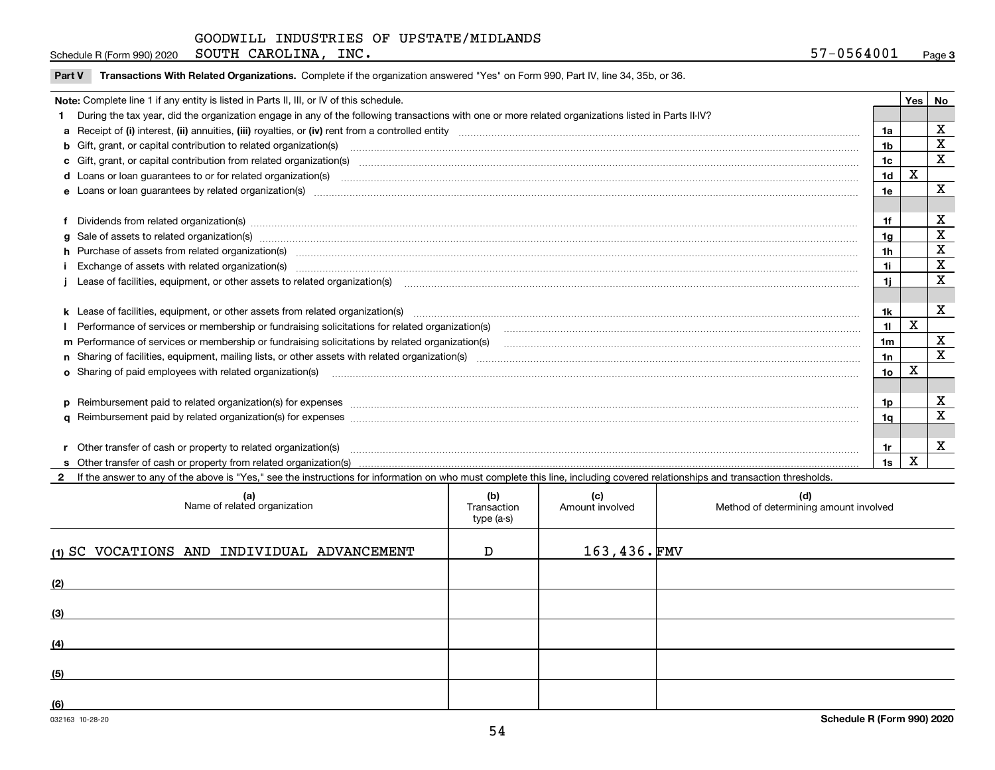**3**Schedule R (Form 990) 2020 Page SOUTH CAROLINA, INC. 57-0564001

| <b>Part V</b> Transactions With Related Organizations. Complete if the organization answered "Yes" on Form 990, Part IV, line 34, 35b, or 36 |  |
|----------------------------------------------------------------------------------------------------------------------------------------------|--|
|                                                                                                                                              |  |

| Note: Complete line 1 if any entity is listed in Parts II, III, or IV of this schedule.                                                                                                                                        |                | Yes | No           |
|--------------------------------------------------------------------------------------------------------------------------------------------------------------------------------------------------------------------------------|----------------|-----|--------------|
| During the tax year, did the organization engage in any of the following transactions with one or more related organizations listed in Parts II-IV?                                                                            |                |     |              |
|                                                                                                                                                                                                                                | 1a             |     | $\mathbf X$  |
| <b>b</b> Gift, grant, or capital contribution to related organization(s)                                                                                                                                                       | 1b             |     | X            |
| c Gift, grant, or capital contribution from related organization(s) CONCORRECT CONSERVITY OF Gift, grant, or capital contribution from related organization(s)                                                                 | 1 <sub>c</sub> |     | $\mathbf x$  |
|                                                                                                                                                                                                                                | 1d             | X   |              |
| <b>e</b> Loans or loan quarantees by related organization(s)                                                                                                                                                                   | 1e             |     | $\mathbf{x}$ |
|                                                                                                                                                                                                                                |                |     |              |
| Dividends from related organization(s) manufactured and contract and contract and contract and contract and contract and contract and contract and contract and contract and contract and contract and contract and contract a | 1f             |     | X            |
|                                                                                                                                                                                                                                | 1a             |     | X            |
| h Purchase of assets from related organization(s) manufactured content to content the content of the content of the content of the content of the content of the content of the content of the content of the content of the c | 1h             |     | X            |
|                                                                                                                                                                                                                                | 1i             |     | X            |
| Lease of facilities, equipment, or other assets to related organization(s) [11] manufaction(s) [11] manufaction(s) and manufaction(s) and manufaction (set of facilities, equipment, or other assets to related organization(s | 1i.            |     | $\mathbf X$  |
|                                                                                                                                                                                                                                |                |     |              |
| k Lease of facilities, equipment, or other assets from related organization(s) manufaction content and content to the assets from related organization(s) manufaction content and content and content and content and content  | 1k             |     | $\mathbf{x}$ |
| Performance of services or membership or fundraising solicitations for related organization(s)                                                                                                                                 | 11             | X   |              |
| m Performance of services or membership or fundraising solicitations by related organization(s)                                                                                                                                | 1 <sub>m</sub> |     | $\mathbf x$  |
|                                                                                                                                                                                                                                | 1n             |     | $\mathbf{x}$ |
|                                                                                                                                                                                                                                | 1o             | Χ   |              |
|                                                                                                                                                                                                                                |                |     |              |
| p Reimbursement paid to related organization(s) for expenses [111] All and the content of the content of the content of the content of the content of the content of the content of the content of the content of the content  | 1p             |     | X            |
|                                                                                                                                                                                                                                | 1a             |     | X            |
|                                                                                                                                                                                                                                |                |     |              |
| Other transfer of cash or property to related organization(s)                                                                                                                                                                  | 1r             |     | х            |
|                                                                                                                                                                                                                                | 1s             | X   |              |

**2**If the answer to any of the above is "Yes," see the instructions for information on who must complete this line, including covered relationships and transaction thresholds.

| (a)<br>Name of related organization         | (b)<br>Transaction<br>type (a-s) | (c)<br>Amount involved | (d)<br>Method of determining amount involved |
|---------------------------------------------|----------------------------------|------------------------|----------------------------------------------|
| (1) SC VOCATIONS AND INDIVIDUAL ADVANCEMENT | D                                | $163,436.$ FMV         |                                              |
| (2)                                         |                                  |                        |                                              |
| (3)                                         |                                  |                        |                                              |
| (4)                                         |                                  |                        |                                              |
| (5)                                         |                                  |                        |                                              |
| (6)                                         |                                  |                        |                                              |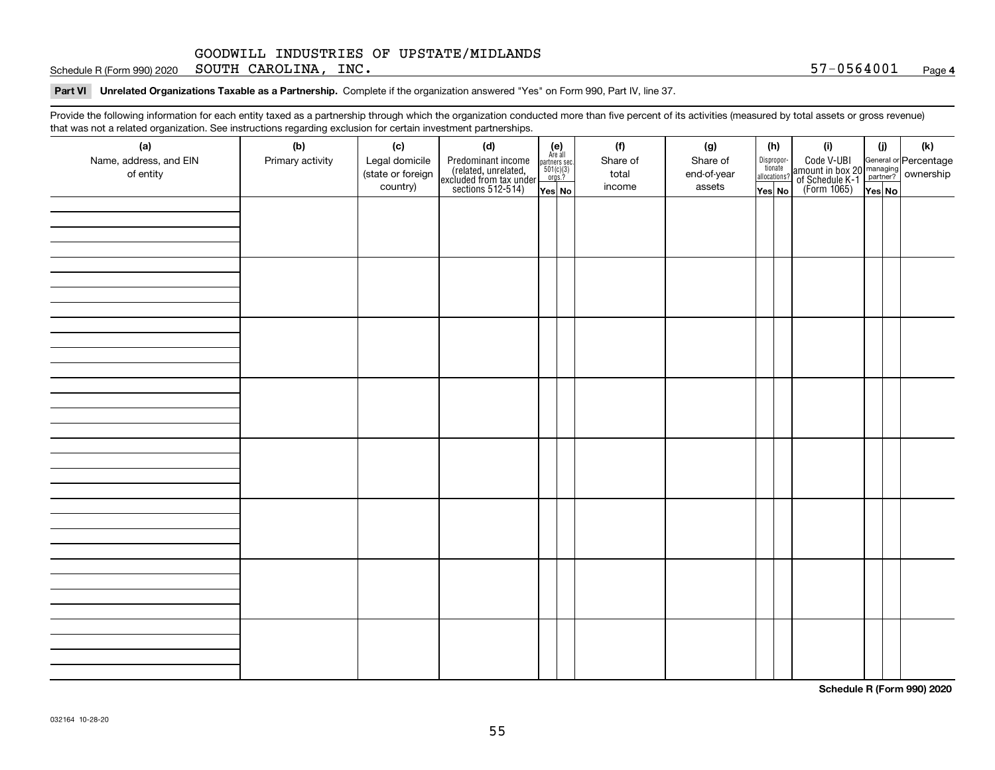Schedule R (Form 990) 2020 Page SOUTH CAROLINA, INC. 57-0564001

**Part VI Unrelated Organizations Taxable as a Partnership. Complete if the organization answered "Yes" on Form 990, Part IV, line 37.** 

Provide the following information for each entity taxed as a partnership through which the organization conducted more than five percent of its activities (measured by total assets or gross revenue) that was not a related organization. See instructions regarding exclusion for certain investment partnerships.

| ັ                      | ັ<br>ັ           |                   | . .                                                                                        |                                                                                                                  |  |          |             |                                  |  |                                                                                                        |        |  |     |
|------------------------|------------------|-------------------|--------------------------------------------------------------------------------------------|------------------------------------------------------------------------------------------------------------------|--|----------|-------------|----------------------------------|--|--------------------------------------------------------------------------------------------------------|--------|--|-----|
| (a)                    | (b)              | (c)               | (d)                                                                                        | $\begin{array}{c} \textbf{(e)}\\ \text{Are all} \\ \text{partners sec.}\\ 501(c)(3)\\ \text{orgs.?} \end{array}$ |  | (f)      | (g)         | (h)                              |  | (i)                                                                                                    | (i)    |  | (k) |
| Name, address, and EIN | Primary activity | Legal domicile    |                                                                                            |                                                                                                                  |  | Share of | Share of    | Disproportionate<br>allocations? |  |                                                                                                        |        |  |     |
| of entity              |                  | (state or foreign |                                                                                            |                                                                                                                  |  | total    | end-of-year |                                  |  |                                                                                                        |        |  |     |
|                        |                  | country)          | Predominant income<br>(related, unrelated,<br>excluded from tax under<br>sections 512-514) | Yes No                                                                                                           |  | income   | assets      | Yes No                           |  | Code V-UBI<br>amount in box 20 managing<br>of Schedule K-1 partner? ownership<br>(Form 1065)<br>ves No | Yes No |  |     |
|                        |                  |                   |                                                                                            |                                                                                                                  |  |          |             |                                  |  |                                                                                                        |        |  |     |
|                        |                  |                   |                                                                                            |                                                                                                                  |  |          |             |                                  |  |                                                                                                        |        |  |     |
|                        |                  |                   |                                                                                            |                                                                                                                  |  |          |             |                                  |  |                                                                                                        |        |  |     |
|                        |                  |                   |                                                                                            |                                                                                                                  |  |          |             |                                  |  |                                                                                                        |        |  |     |
|                        |                  |                   |                                                                                            |                                                                                                                  |  |          |             |                                  |  |                                                                                                        |        |  |     |
|                        |                  |                   |                                                                                            |                                                                                                                  |  |          |             |                                  |  |                                                                                                        |        |  |     |
|                        |                  |                   |                                                                                            |                                                                                                                  |  |          |             |                                  |  |                                                                                                        |        |  |     |
|                        |                  |                   |                                                                                            |                                                                                                                  |  |          |             |                                  |  |                                                                                                        |        |  |     |
|                        |                  |                   |                                                                                            |                                                                                                                  |  |          |             |                                  |  |                                                                                                        |        |  |     |
|                        |                  |                   |                                                                                            |                                                                                                                  |  |          |             |                                  |  |                                                                                                        |        |  |     |
|                        |                  |                   |                                                                                            |                                                                                                                  |  |          |             |                                  |  |                                                                                                        |        |  |     |
|                        |                  |                   |                                                                                            |                                                                                                                  |  |          |             |                                  |  |                                                                                                        |        |  |     |
|                        |                  |                   |                                                                                            |                                                                                                                  |  |          |             |                                  |  |                                                                                                        |        |  |     |
|                        |                  |                   |                                                                                            |                                                                                                                  |  |          |             |                                  |  |                                                                                                        |        |  |     |
|                        |                  |                   |                                                                                            |                                                                                                                  |  |          |             |                                  |  |                                                                                                        |        |  |     |
|                        |                  |                   |                                                                                            |                                                                                                                  |  |          |             |                                  |  |                                                                                                        |        |  |     |
|                        |                  |                   |                                                                                            |                                                                                                                  |  |          |             |                                  |  |                                                                                                        |        |  |     |
|                        |                  |                   |                                                                                            |                                                                                                                  |  |          |             |                                  |  |                                                                                                        |        |  |     |
|                        |                  |                   |                                                                                            |                                                                                                                  |  |          |             |                                  |  |                                                                                                        |        |  |     |
|                        |                  |                   |                                                                                            |                                                                                                                  |  |          |             |                                  |  |                                                                                                        |        |  |     |
|                        |                  |                   |                                                                                            |                                                                                                                  |  |          |             |                                  |  |                                                                                                        |        |  |     |
|                        |                  |                   |                                                                                            |                                                                                                                  |  |          |             |                                  |  |                                                                                                        |        |  |     |
|                        |                  |                   |                                                                                            |                                                                                                                  |  |          |             |                                  |  |                                                                                                        |        |  |     |
|                        |                  |                   |                                                                                            |                                                                                                                  |  |          |             |                                  |  |                                                                                                        |        |  |     |
|                        |                  |                   |                                                                                            |                                                                                                                  |  |          |             |                                  |  |                                                                                                        |        |  |     |
|                        |                  |                   |                                                                                            |                                                                                                                  |  |          |             |                                  |  |                                                                                                        |        |  |     |
|                        |                  |                   |                                                                                            |                                                                                                                  |  |          |             |                                  |  |                                                                                                        |        |  |     |
|                        |                  |                   |                                                                                            |                                                                                                                  |  |          |             |                                  |  |                                                                                                        |        |  |     |
|                        |                  |                   |                                                                                            |                                                                                                                  |  |          |             |                                  |  |                                                                                                        |        |  |     |
|                        |                  |                   |                                                                                            |                                                                                                                  |  |          |             |                                  |  |                                                                                                        |        |  |     |
|                        |                  |                   |                                                                                            |                                                                                                                  |  |          |             |                                  |  |                                                                                                        |        |  |     |
|                        |                  |                   |                                                                                            |                                                                                                                  |  |          |             |                                  |  |                                                                                                        |        |  |     |
|                        |                  |                   |                                                                                            |                                                                                                                  |  |          |             |                                  |  |                                                                                                        |        |  |     |
|                        |                  |                   |                                                                                            |                                                                                                                  |  |          |             |                                  |  |                                                                                                        |        |  |     |
|                        |                  |                   |                                                                                            |                                                                                                                  |  |          |             |                                  |  |                                                                                                        |        |  |     |
|                        |                  |                   |                                                                                            |                                                                                                                  |  |          |             |                                  |  |                                                                                                        |        |  |     |
|                        |                  |                   |                                                                                            |                                                                                                                  |  |          |             |                                  |  |                                                                                                        |        |  |     |

**Schedule R (Form 990) 2020**